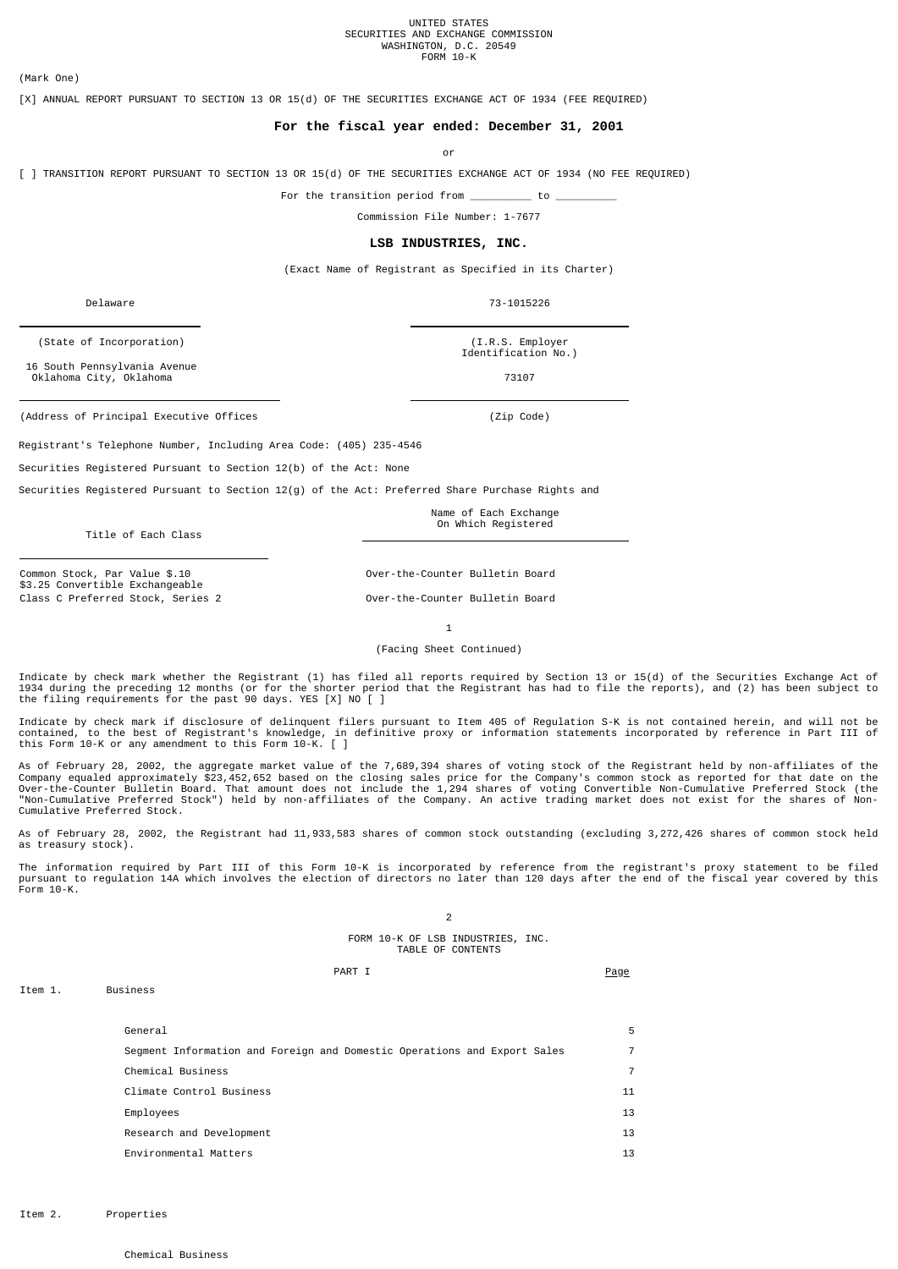# UNITED STATES<br>SECURITIES AND EXCHANGE COMMISSION WASHINGTON, D.C. 20549 FORM 10-K

(Mark One)

[X] ANNUAL REPORT PURSUANT TO SECTION 13 OR 15(d) OF THE SECURITIES EXCHANGE ACT OF 1934 (FEE REQUIRED)

## **For the fiscal year ended: December 31, 2001**

or

[ ] TRANSITION REPORT PURSUANT TO SECTION 13 OR 15(d) OF THE SECURITIES EXCHANGE ACT OF 1934 (NO FEE REQUIRED)

For the transition period from \_\_\_\_\_\_\_\_\_\_ to \_\_\_\_\_\_\_\_\_\_

Commission File Number: 1-7677

## **LSB INDUSTRIES, INC.**

(Exact Name of Registrant as Specified in its Charter)

Delaware 73-1015226

 16 South Pennsylvania Avenue Oklahoma City, Oklahoma 73107

(Address of Principal Executive Offices (Zip Code)

Registrant's Telephone Number, Including Area Code: (405) 235-4546

Securities Registered Pursuant to Section 12(b) of the Act: None

Securities Registered Pursuant to Section 12(g) of the Act: Preferred Share Purchase Rights and

Name of Each Exchange On Which Registered

Title of Each Class

Common Stock, Par Value \$.10 \$3.25 Convertible Exchangeable Class C Preferred Stock, Series 2 **Over-the-Counter Bulletin Board** 

Over-the-Counter Bulletin Board

1

(Facing Sheet Continued)

Indicate by check mark whether the Registrant (1) has filed all reports required by Section 13 or 15(d) of the Securities Exchange Act of 1934 during the preceding 12 months (or for the shorter period that the Registrant has had to file the reports), and (2) has been subject to<br>the filing requirements for the past 90 days. YES [X] NO [ ]

Indicate by check mark if disclosure of delinquent filers pursuant to Item 405 of Regulation S-K is not contained herein, and will not be<br>contained, to the best of Registrant's knowledge, in definitive proxy or information

As of February 28, 2002, the aggregate market value of the 7,689,394 shares of voting stock of the Registrant held by non-affiliates of the<br>Company equaled approximately \$23,452,652 based on the closing sales price for the Cumulative Preferred Stock.

As of February 28, 2002, the Registrant had 11,933,583 shares of common stock outstanding (excluding 3,272,426 shares of common stock held as treasury stock).

The information required by Part III of this Form 10-K is incorporated by reference from the registrant's proxy statement to be filed<br>pursuant to regulation 14A which involves the election of directors no later than 120 da Form 10-K.

2

FORM 10-K OF LSB INDUSTRIES, INC. TABLE OF CONTENTS

## PART I PART PART I

General 5 Segment Information and Foreign and Domestic Operations and Export Sales 7 Chemical Business 7 Climate Control Business 11 Employees 13 Research and Development 13 Environmental Matters 13

Item 1. Business

(State of Incorporation) (I.R.S. Employer

Identification No.)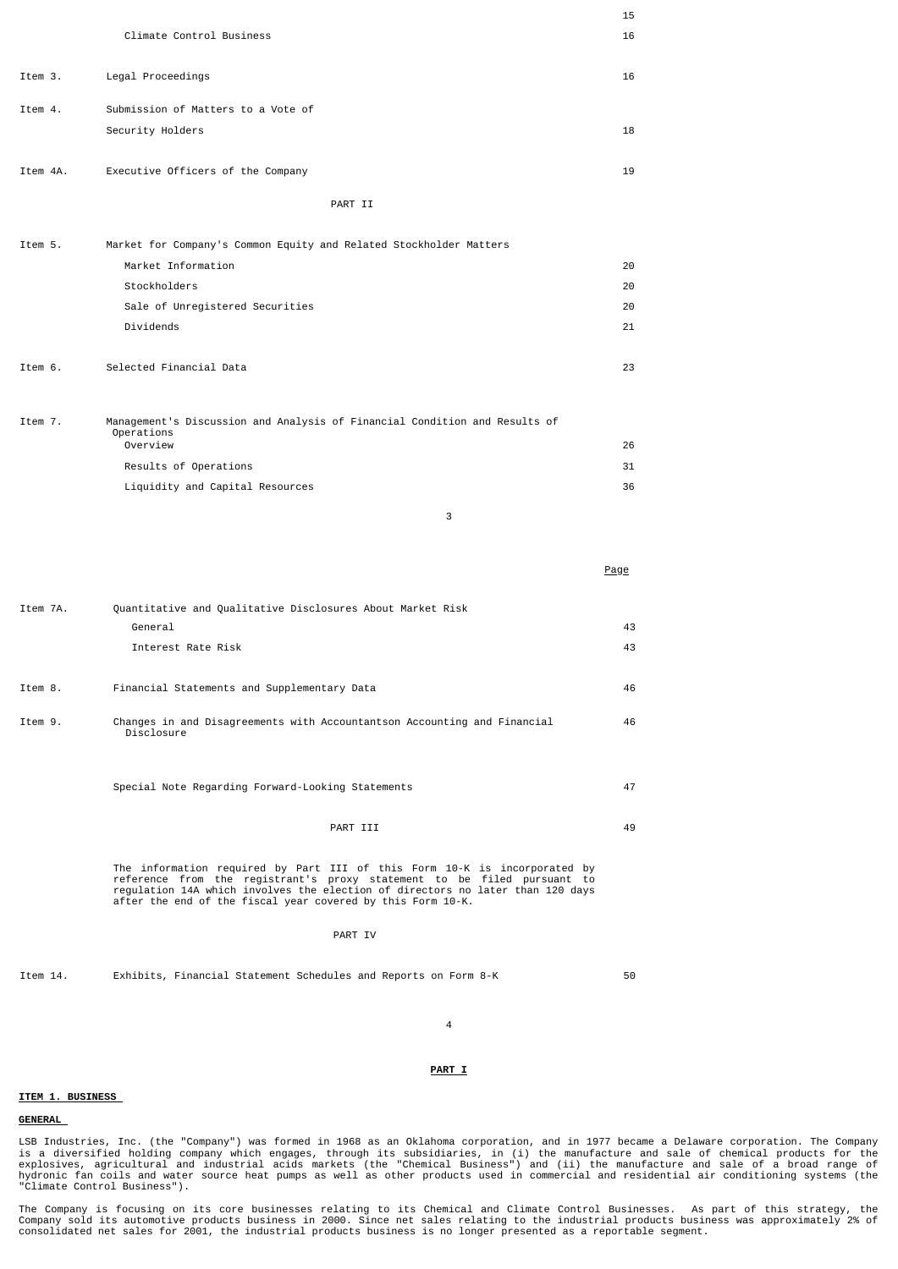|          |                                                                                                                                                                                                                                                                                                       | 15   |
|----------|-------------------------------------------------------------------------------------------------------------------------------------------------------------------------------------------------------------------------------------------------------------------------------------------------------|------|
|          | Climate Control Business                                                                                                                                                                                                                                                                              | 16   |
| Item 3.  | Legal Proceedings                                                                                                                                                                                                                                                                                     | 16   |
| Item 4.  | Submission of Matters to a Vote of                                                                                                                                                                                                                                                                    |      |
|          | Security Holders                                                                                                                                                                                                                                                                                      | 18   |
|          |                                                                                                                                                                                                                                                                                                       |      |
| Item 4A. | Executive Officers of the Company                                                                                                                                                                                                                                                                     | 19   |
|          | PART II                                                                                                                                                                                                                                                                                               |      |
| Item 5.  | Market for Company's Common Equity and Related Stockholder Matters                                                                                                                                                                                                                                    |      |
|          | Market Information                                                                                                                                                                                                                                                                                    | 20   |
|          | Stockholders                                                                                                                                                                                                                                                                                          | 20   |
|          | Sale of Unregistered Securities                                                                                                                                                                                                                                                                       | 20   |
|          | Dividends                                                                                                                                                                                                                                                                                             | 21   |
|          |                                                                                                                                                                                                                                                                                                       |      |
| Item 6.  | Selected Financial Data                                                                                                                                                                                                                                                                               | 23   |
| Item 7.  | Management's Discussion and Analysis of Financial Condition and Results of                                                                                                                                                                                                                            |      |
|          | Operations<br>Overview                                                                                                                                                                                                                                                                                | 26   |
|          | Results of Operations                                                                                                                                                                                                                                                                                 | 31   |
|          | Liquidity and Capital Resources                                                                                                                                                                                                                                                                       | 36   |
|          | 3                                                                                                                                                                                                                                                                                                     |      |
|          |                                                                                                                                                                                                                                                                                                       |      |
|          |                                                                                                                                                                                                                                                                                                       |      |
|          |                                                                                                                                                                                                                                                                                                       | Page |
| Item 7A. | Quantitative and Qualitative Disclosures About Market Risk                                                                                                                                                                                                                                            |      |
|          | General                                                                                                                                                                                                                                                                                               | 43   |
|          | Interest Rate Risk                                                                                                                                                                                                                                                                                    | 43   |
|          |                                                                                                                                                                                                                                                                                                       |      |
| Item 8.  | Financial Statements and Supplementary Data                                                                                                                                                                                                                                                           | 46   |
| Item 9.  | Changes in and Disagreements with Accountantson Accounting and Financial<br>Disclosure                                                                                                                                                                                                                | 46   |
|          |                                                                                                                                                                                                                                                                                                       |      |
|          | Special Note Regarding Forward-Looking Statements                                                                                                                                                                                                                                                     | 47   |
|          | PART III                                                                                                                                                                                                                                                                                              | 49   |
|          | The information required by Part III of this Form 10-K is incorporated by<br>reference from the registrant's proxy statement to be filed pursuant to<br>regulation 14A which involves the election of directors no later than 120 days<br>after the end of the fiscal year covered by this Form 10-K. |      |
|          | PART IV                                                                                                                                                                                                                                                                                               |      |
| Item 14. | Exhibits, Financial Statement Schedules and Reports on Form 8-K                                                                                                                                                                                                                                       | 50   |
|          |                                                                                                                                                                                                                                                                                                       |      |

**ITEM 1. BUSINESS** 

## **GENERAL**

LSB Industries, Inc. (the "Company") was formed in 1968 as an Oklahoma corporation, and in 1977 became a Delaware corporation. The Company<br>explosives, agricultural and industrial ecids markets (the "Chemical Business") and

4

**PART I**

The Company is focusing on its core businesses relating to its Chemical and Climate Control Businesses. As part of this strategy, the<br>Company sold its automotive products business in 2000. Since net sales relating to the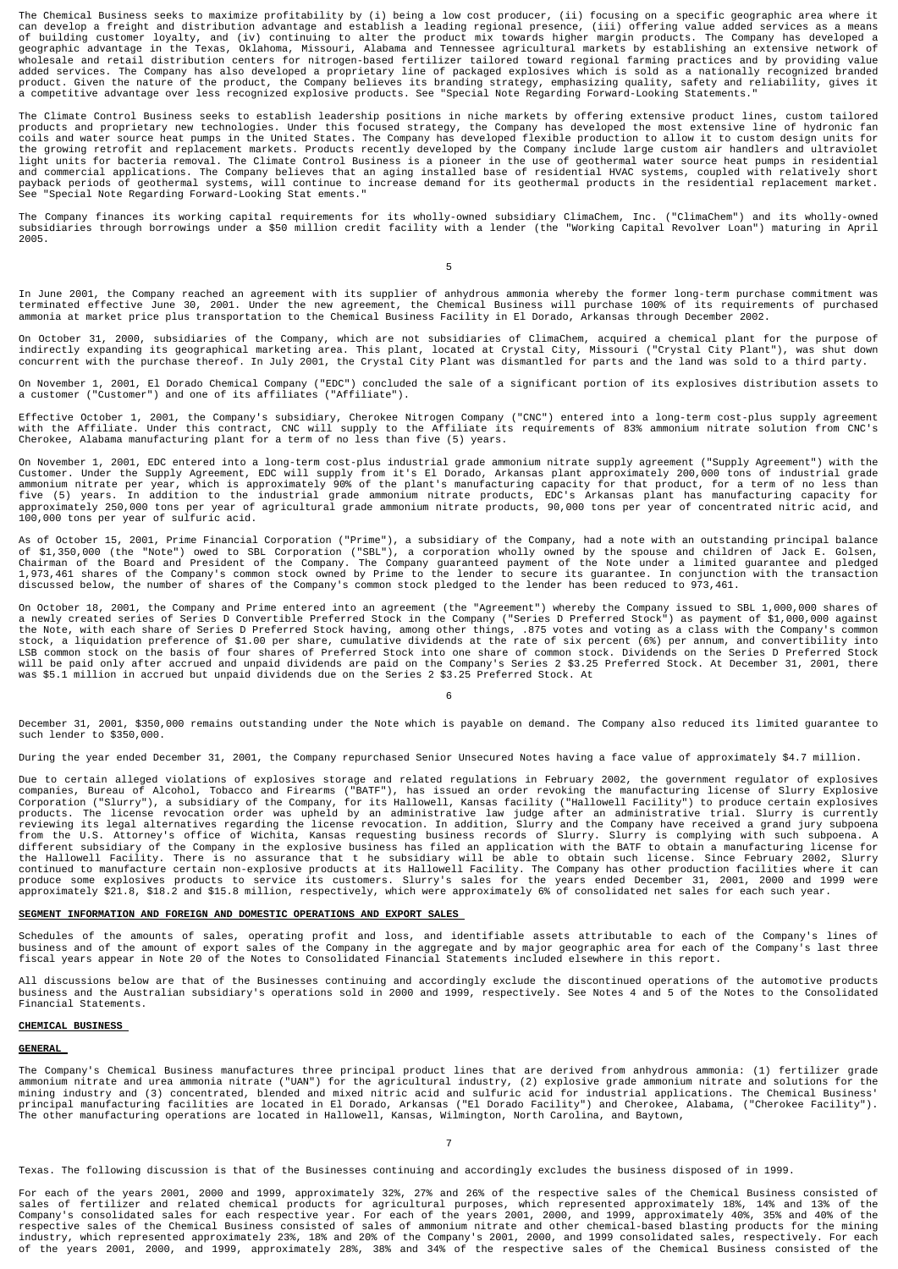The Chemical Business seeks to maximize profitability by (i) being a low cost producer, (ii) focusing on a specific geographic area where it<br>can develop a freight and distribution advantage and establish a leading regional added services. The Company has also developed a proprietary line of packaged explosives which is sold as a nationally recognized branded<br>product. Given the nature of the product, the Company believes its branding strategy

The Climate Control Business seeks to establish leadership positions in niche markets by offering extensive product lines, custom tailored<br>products and proprietary new technologies. Under this focused strategy, the Company See "Special Note Regarding Forward-Looking Stat ements."

The Company finances its working capital requirements for its wholly-owned subsidiary ClimaChem, Inc. ("ClimaChem") and its wholly-owned<br>subsidiaries through borrowings under a \$50 million credit facility with a lender (th 2005.

5

In June 2001, the Company reached an agreement with its supplier of anhydrous ammonia whereby the former long-term purchase commitment was<br>terminated effective June 30, 2001. Under the new agreement, the Chemical Business

On October 31, 2000, subsidiaries of the Company, which are not subsidiaries of ClimaChem, acquired a chemical plant for the purpose of indirectly expanding its geographical marketing area. This plant, located at Crystal City, Missouri ("Crystal City Plant"), was shut down<br>concurrent with the purchase thereof. In July 2001, the Crystal City Plant was disma

On November 1, 2001, El Dorado Chemical Company ("EDC") concluded the sale of a significant portion of its explosives distribution assets to<br>a customer ("Customer") and one of its affiliates ("Affiliate").

Effective October 1, 2001, the Company's subsidiary, Cherokee Nitrogen Company ("CNC") entered into a long-term cost-plus supply agreement<br>with the Affiliate. Under this contract, CNC will supply to the Affiliate its requi

On November 1, 2001, EDC entered into a long-term cost-plus industrial grade ammonium nitrate supply agreement ("Supply Agreement") with the<br>Customer. Under the Supply Agreement, EDC will supply from it's El Dorado, Arkans

As of October 15, 2001, Prime Financial Corporation ("Prime"), a subsidiary of the Company, had a note with an outstanding principal balance<br>of \$1,350,000 (the "Note") owed to SBL Corporation ("SBL"), a corporation wholly

On October 18, 2001, the Company and Prime entered into an agreement (the "Agreement") whereby the Company issued to SBL 1,000,000 shares of a newly created series of Series D Convertible Preferred Stock in the Company ("Series D Preferred Stock") as payment of \$1,000,000 against<br>the Note, with each share of Series D Preferred Stock having, among other things, will be paid only after accrued and unpaid dividends are paid on the Company's Series 2 \$3.25 Preferred Stock. At December 31, 2001, there was \$5.1 million in accrued but unpaid dividends due on the Series 2 \$3.25 Preferred Stock. At

6

December 31, 2001, \$350,000 remains outstanding under the Note which is payable on demand. The Company also reduced its limited guarantee to such lender to \$350,000.

During the year ended December 31, 2001, the Company repurchased Senior Unsecured Notes having a face value of approximately \$4.7 million.

Due to certain alleged violations of explosives storage and related regulations in February 2002, the government regulator of explosives componanies, Bureau of Dalcon and Firearms ("BATF"), has sissued an order revoking th

## **SEGMENT INFORMATION AND FOREIGN AND DOMESTIC OPERATIONS AND EXPORT SALES**

Schedules of the amounts of sales, operating profit and loss, and identifiable assets attributable to each of the Company's lines of<br>business and of the amount of export sales of the Company in the aggregate and by major g

All discussions below are that of the Businesses continuing and accordingly exclude the discontinued operations of the automotive products business and the Australian subsidiary's operations sold in 2000 and 1999, respectively. See Notes 4 and 5 of the Notes to the Consolidated Financial Statements.

#### **CHEMICAL BUSINESS**

### **GENERAL**

The Company's Chemical Business manufactures three principal product lines that are derived from anhydrous ammonia: (1) fertilizer grade ammonium nitrate and urea ammonia nitrate ("UAN") for the agricultural industry, (2) explosive grade ammonium nitrate and solutions for the<br>mining industry and (3) concentrated, blended and mixed nitric acid and sulfuric a The other manufacturing operations are located in Hallowell, Kansas, Wilmington, North Carolina, and Baytown,

Texas. The following discussion is that of the Businesses continuing and accordingly excludes the business disposed of in 1999.

For each of the years 2001, 2000 and 1999, approximately 32%, 27% and 26% of the respective sales of the Chemical Business consisted of sales of fertilizer and related chemical products for agricultural purposes, which represented approximately 18%, 14% and 13% of the<br>Company's consolidated sales for each respective year. For each of the years 2001, 2000,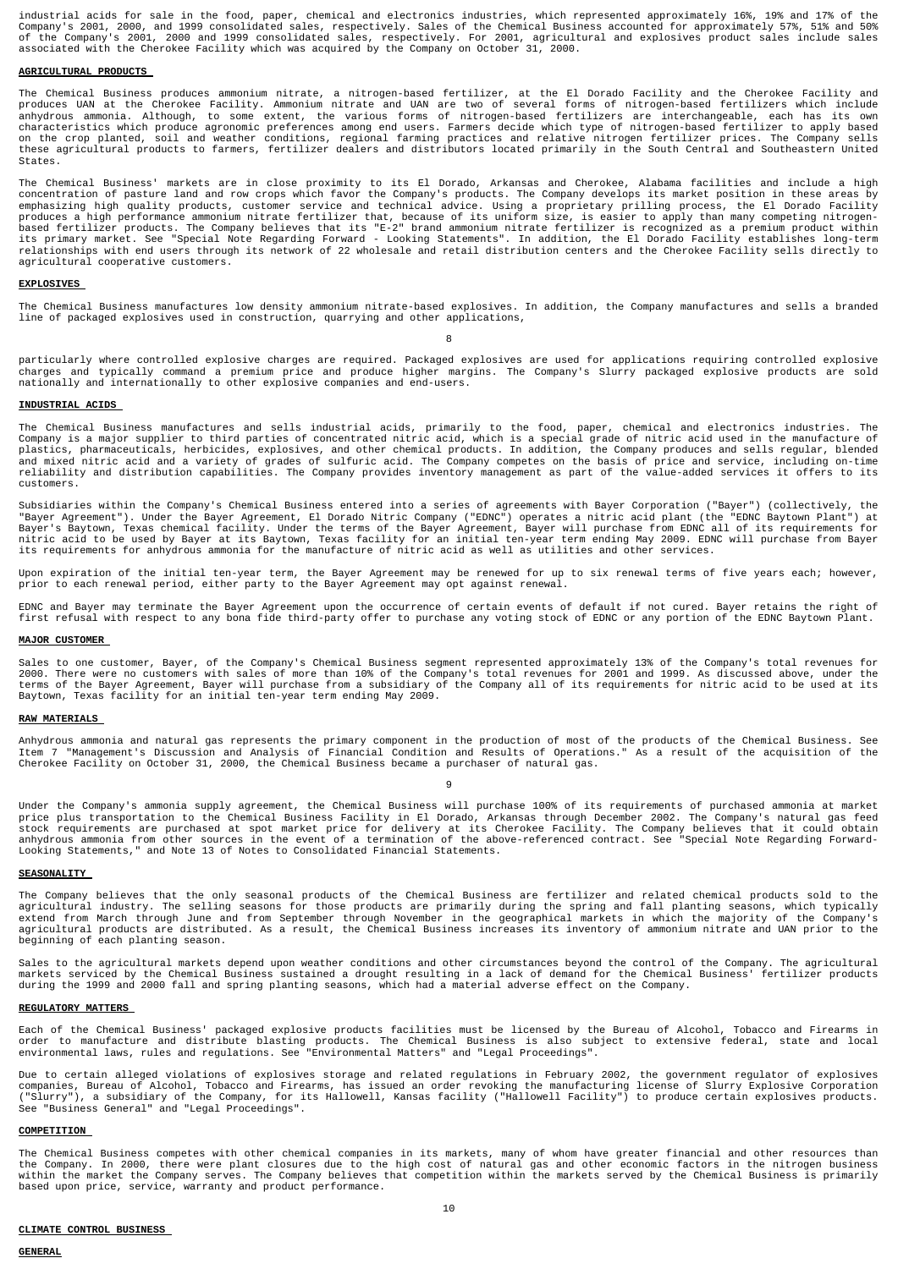industrial acids for sale in the food, paper, chemical and electronics industries, which represented approximately 16%, 19% and 17% of the<br>Company's 2001, 2000, and 1999 consolidated sales, respectively. Sales of the Chemi

### **AGRICULTURAL PRODUCTS**

The Chemical Business produces ammonium nitrate, a nitrogen-based fertilizer, at the El Dorado Facility and the Cherokee Facility and<br>produces UAN at the Cherokee Facility. Ammonium nitrate and UAN are two of several forms on the crop planted, soil and weather conditions, regional farming practices and relative nitrogen fertilizer prices. The Company sells<br>these agricultural products to farmers, fertilizer dealers and distributors located pr States.

The Chemical Business' markets are in close proximity to its El Dorado, Arkansas and Cherokee, Alabama facilities and include a high<br>concentration of pasture land at row crops which favor the Company's products. The Compan agricultural cooperative customers.

### **EXPLOSIVES**

The Chemical Business manufactures low density ammonium nitrate-based explosives. In addition, the Company manufactures and sells a branded line of packaged explosives used in construction, quarrying and other applications,

### 8

particularly where controlled explosive charges are required. Packaged explosives are used for applications requiring controlled explosive<br>charges and typically command a premium price and produce higher margins. The Compa nationally and internationally to other explosive companies and end-users.

### **INDUSTRIAL ACIDS**

The Chemical Business manufactures and sells industrial acids, primarily to the food, paper, chemical and electronics industries. The<br>Company is a major supplier to third parties of concentrated nitric acid, which is a spe reliability and distribution capabilities. The Company provides inventory management as part of the value-added services it offers to its customers.

Subsidiaries within the Company's Chemical Business entered into a series of agreements with Bayer Corporation ("Bayer") (collectively, the<br>"Bayer Agreement"). Under the Bayer Agreement, El Dorado Nitric Company ("EDNC") o

Upon expiration of the initial ten-year term, the Bayer Agreement may be renewed for up to six renewal terms of five years each; however,<br>prior to each renewal period, either party to the Bayer Agreement may opt against re

EDNC and Bayer may terminate the Bayer Agreement upon the occurrence of certain events of default if not cured. Bayer retains the right of first refusal with respect to any bona fide third-party offer to purchase any voting stock of EDNC or any portion of the EDNC Baytown Plant.

#### **MAJOR CUSTOMER**

Sales to one customer, Bayer, of the Company's Chemical Business segment represented approximately 13% of the Company's total revenues for<br>2000. There were no customers with sales of more than 10% of the Company's total re Baytown, Texas facility for an initial ten-year term ending May 2009.

### **RAW MATERIALS**

Anhydrous ammonia and natural gas represents the primary component in the production of most of the products of the Chemical Business. See<br>Item 7 "Management's Discussion and Analysis of Financial Condition and Results of

q

Under the Company's ammonia supply agreement, the Chemical Business will purchase 100% of its requirements of purchased ammonia at market<br>price plus transportation to the Chemical Business Facility in El Dorado, Arkansas t

#### **SEASONALITY**

The Company believes that the only seasonal products of the Chemical Business are fertilizer and related chemical products sold to the<br>agricultural industry. The selling seasons for those products are primarily during the beginning of each planting season.

Sales to the agricultural markets depend upon weather conditions and other circumstances beyond the control of the Company. The agricultural<br>markets serviced by the Chemical Business sustained a drought resulting in a lack

#### **REGULATORY MATTERS**

Each of the Chemical Business' packaged explosive products facilities must be licensed by the Bureau of Alcohol, Tobacco and Firearms in<br>order to manufacture and distribute blasting products. The Chemical Business is also

Due to certain alleged violations of explosives storage and related regulations in February 2002, the government regulator of explosives<br>companies, Bureau of Alcohol, Tobacco and Firearms, has issued an order revoking the

#### **COMPETITION**

The Chemical Business competes with other chemical companies in its markets, many of whom have greater financial and other resources than<br>the Company. In 2000, there were plant closures due to the high cost of natural gas based upon price, service, warranty and product performance.

### **CLIMATE CONTROL BUSINESS**

#### **GENERAL**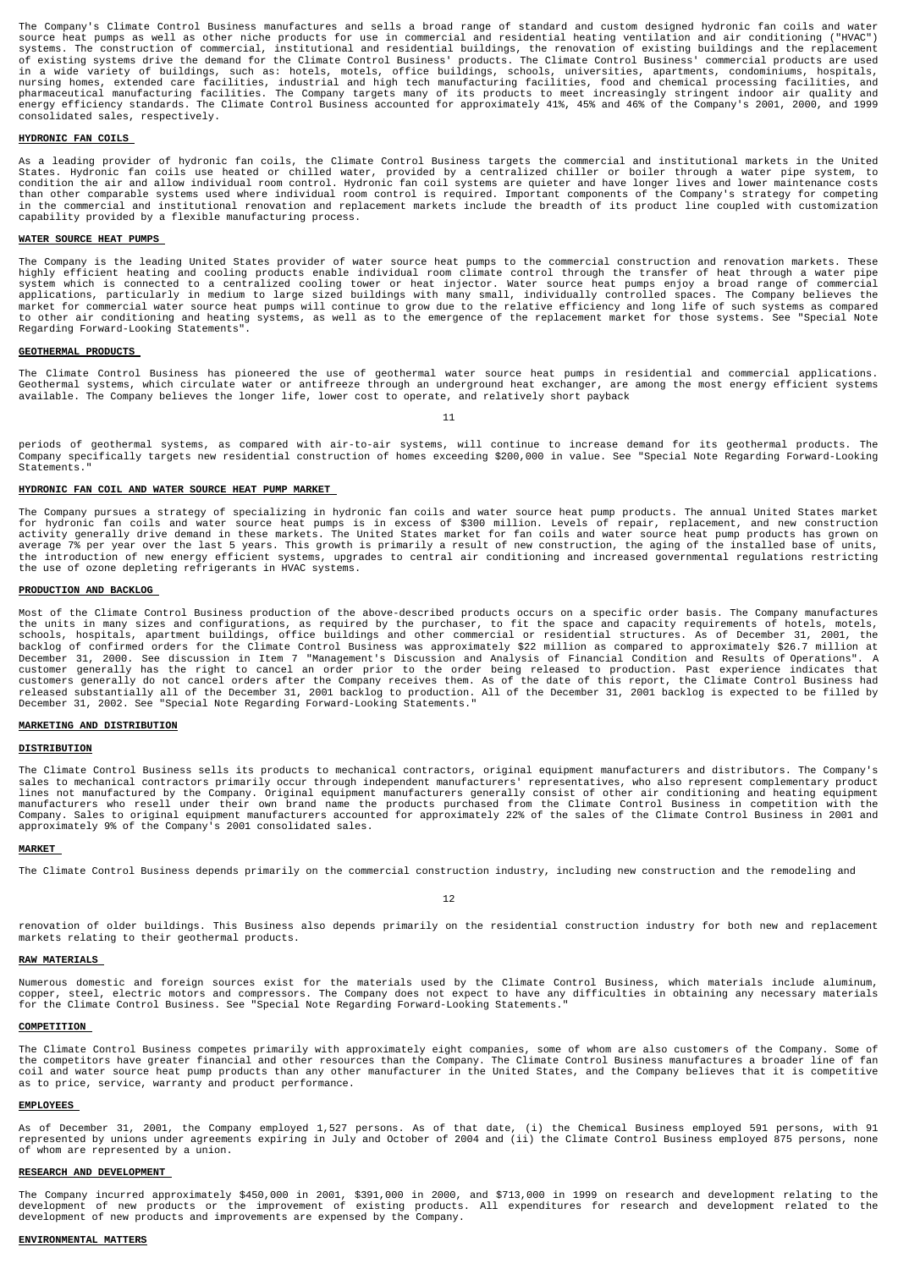The Company's Climate Control Business manufactures and sells a broad range of standard and custom designed hydronic fan coils and water source heat pumps as well as other niche products for use in commercial and residential heating ventilation and air conditioning ("HVAC")<br>systems. The construction of commercial, institutional and residential buildings, th consolidated sales, respectively.

### **HYDRONIC FAN COILS**

As a leading provider of hydronic fan coils, the Climate Control Business targets the commercial and institutional markets in the United States. Hydronic fan coils use heated or chilled water, provided by a centralized chiller or boiler through a water pipe system, to<br>condition the air and allow individual room control. Hydronic fan coil systems are quieter in the commercial and institutional renovation and replacement markets include the breadth of its product line coupled with customization capability provided by a flexible manufacturing process.

### **WATER SOURCE HEAT PUMPS**

The Company is the leading United States provider of water source heat pumps to the commercial construction and renovation markets. These highly efficient heating and cooling products enable individual room climate control Regarding Forward-Looking Statements".

### **GEOTHERMAL PRODUCTS**

The Climate Control Business has pioneered the use of geothermal water source heat pumps in residential and commercial applications.<br>Geothermal systems, which circulate water or antifreeze through an underground heat excha

11

periods of geothermal systems, as compared with air-to-air systems, will continue to increase demand for its geothermal products. The Company specifically targets new residential construction of homes exceeding \$200,000 in value. See "Special Note Regarding Forward-Looking Statements.

### **HYDRONIC FAN COIL AND WATER SOURCE HEAT PUMP MARKET**

The Company pursues a strategy of specializing in hydronic fan coils and water source heat pump products. The annual United States market for hydronic fan coils and water source heat pumps is in excess of \$300 million. Levels of repair, replacement, and new construction<br>activity generally drive demand in these markets. The United States market for fan coils

### **PRODUCTION AND BACKLOG**

Most of the Climate Control Business production of the above-described products occurs on a specific order basis. The Company manufactures<br>the units in many sizes and configurations, as required by the purchaser, to fit th December 31, 2000. See discussion in Item 7 "Management's Discussion and Analysis of Financial Condition and Results of Operations". A<br>customer generally has the right to cancel an order prior to the order being released t

### **MARKETING AND DISTRIBUTION**

### **DISTRIBUTION**

The Climate Control Business sells its products to mechanical contractors, original equipment manufacturers and distributors. The Company's sales to mechanical contractors primarily occur through independent manufacturers' representatives, who also represent complementary product<br>lines not manufactured by the Company. Original equipment manufacturers generally

## **MARKET**

The Climate Control Business depends primarily on the commercial construction industry, including new construction and the remodeling and

12

renovation of older buildings. This Business also depends primarily on the residential construction industry for both new and replacement markets relating to their geothermal products.

### **RAW MATERIALS**

Numerous domestic and foreign sources exist for the materials used by the Climate Control Business, which materials include aluminum, copper, steel, electric motors and compressors. The Company does not expect to have any difficulties in obtaining any necessary materials<br>for the Climate Control Business. See "Special Note Regarding Forward-Looking Statem

## **COMPETITION**

The Climate Control Business competes primarily with approximately eight companies, some of whom are also customers of the Company. Some of<br>the competitors have greater financial and other resources than the Company. The C as to price, service, warranty and product performance.

### **EMPLOYEES**

As of December 31, 2001, the Company employed 1,527 persons. As of that date, (i) the Chemical Business employed 591 persons, with 91<br>represented by unions under agreements expiring in July and October of 2004 and (ii) the of whom are represented by a union.

### **RESEARCH AND DEVELOPMENT**

The Company incurred approximately \$450,000 in 2001, \$391,000 in 2000, and \$713,000 in 1999 on research and development relating to the<br>development of new products or the improvement of existing products. All expenditures development of new products and improvements are expensed by the Company.

### **ENVIRONMENTAL MATTERS**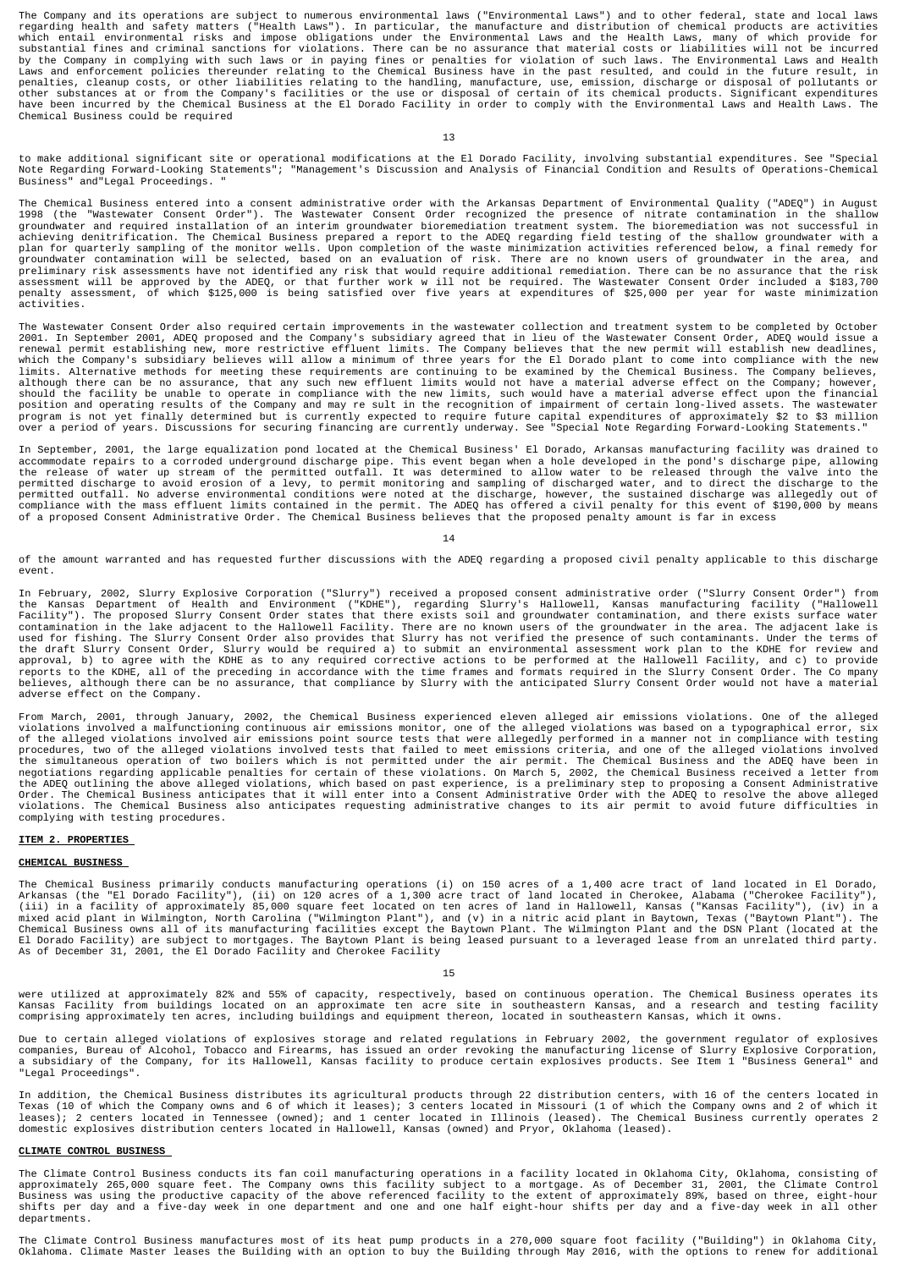The Company and its operations are subject to numerous environmental laws ("Environmental Laws") and to other federal, state and local laws<br>regarding health and safety matters ("Health Laws"). In particular, the manufactur

### 13

to make additional significant site or operational modifications at the El Dorado Facility, involving substantial expenditures. See "Special<br>Note Regarding Forward-Looking Statements"; "Management's Discussion and Analysis Business" and Legal Proceedings.

The Chemical Business entered into a consent administrative order with the Arkansas Department of Environmental Quality ("ADEQ") in August 1998 (the "Wastewater Consent Order"). The Wastewater Consent Order recognized the presence of nitrate contamination in the shallow<br>groundwater and required installation of an interim groundwater bioremediation treatment s preliminary risk assessments have not identified any risk that would require additional remediation. There can be no assurance that the risk<br>assessment will be approved by the ADEQ, or that further work w ill not be requir activities.

The Wastewater Consent Order also required certain improvements in the wastewater collection and treatment system to be completed by October 2001. In September 2001, ADEQ proposed and the Company's subsidiary agreed that in lieu of the Wastewater Consent Order, ADEQ would issue a<br>renewal permit establishing new, more restrictive effluent limits. The Company bel limits. Alternative methods for meeting these requirements are continuing to be examined by the Chemical Business. The Company believes, although there can be no assurance, that any such new effluent limits would not have a material adverse effect on the Company; however,<br>should the facility be unable to operate in compliance with the new limits, such would position and operating results of the Company and may re sult in the recognition of impairment of certain long-lived assets. The wastewater<br>program is not yet finally determined but is currently expected to require future

In September, 2001, the large equalization pond located at the Chemical Business' El Dorado, Arkansas manufacturing facility was drained to<br>accommodate repairs to a corroded underground discharge pipe. This event began whe

14

of the amount warranted and has requested further discussions with the ADEQ regarding a proposed civil penalty applicable to this discharge event.

In February, 2002, Slurry Explosive Corporation ("Slurry") received a proposed consent administrative order ("Slurry Consent Order") from<br>The Kansas Department of Health and Environment ("KDHE"), regarding Slurry's Hallowe the draft Slurry Consent Order, Slurry would be required a) to submit an environmental assessment work plan to the KDHE for review and<br>approval, b) to agree with the KDHE as to any required corrective actions to be perform adverse effect on the Company.

From March, 2001, through January, 2002, the Chemical Business experienced eleven alleged air emissions violations. One of the alleged<br>violations involved a malfunctioning continuous air emissions monitor, one of the alleg complying with testing procedures.

# **ITEM 2. PROPERTIES**

### **CHEMICAL BUSINESS**

The Chemical Business primarily conducts manufacturing operations (i) on 150 acres of a 1,400 acre tract of land located in El Dorado, Arkansas (the "El Dorado Facility"), (ii) on 120 acres of a 1,300 acre tract of land located in Cherokee, Alabama ("Cherokee Facility"),<br>(iii) in a facility of approximately 85,000 square feet located on ten acres of land As of December 31, 2001, the El Dorado Facility and Cherokee Facility

15

were utilized at approximately 82% and 55% of capacity, respectively, based on continuous operation. The Chemical Business operates its<br>Kansas Facility from buildings located on an approximate ten acre site in southeastern

Due to certain alleged violations of explosives storage and related regulations in February 2002, the government regulator of explosives<br>companies, Bureau of Alcohol, Tobacco and Firearms, has issued an order revoking the "Legal Proceedings".

In addition, the Chemical Business distributes its agricultural products through 22 distribution centers, with 16 of the centers located in<br>Texas (10 of which the Company owns and 6 of which it leases); 3 centers located i

## **CLIMATE CONTROL BUSINESS**

The Climate Control Business conducts its fan coil manufacturing operations in a facility located in Oklahoma City, Oklahoma, consisting of<br>approximately 265,000 square feet. The Company owns this facility subject to a mor departments.

The Climate Control Business manufactures most of its heat pump products in a 270,000 square foot facility ("Building") in Oklahoma City,<br>Oklahoma. Climate Master leases the Building with an option to buy the Building thro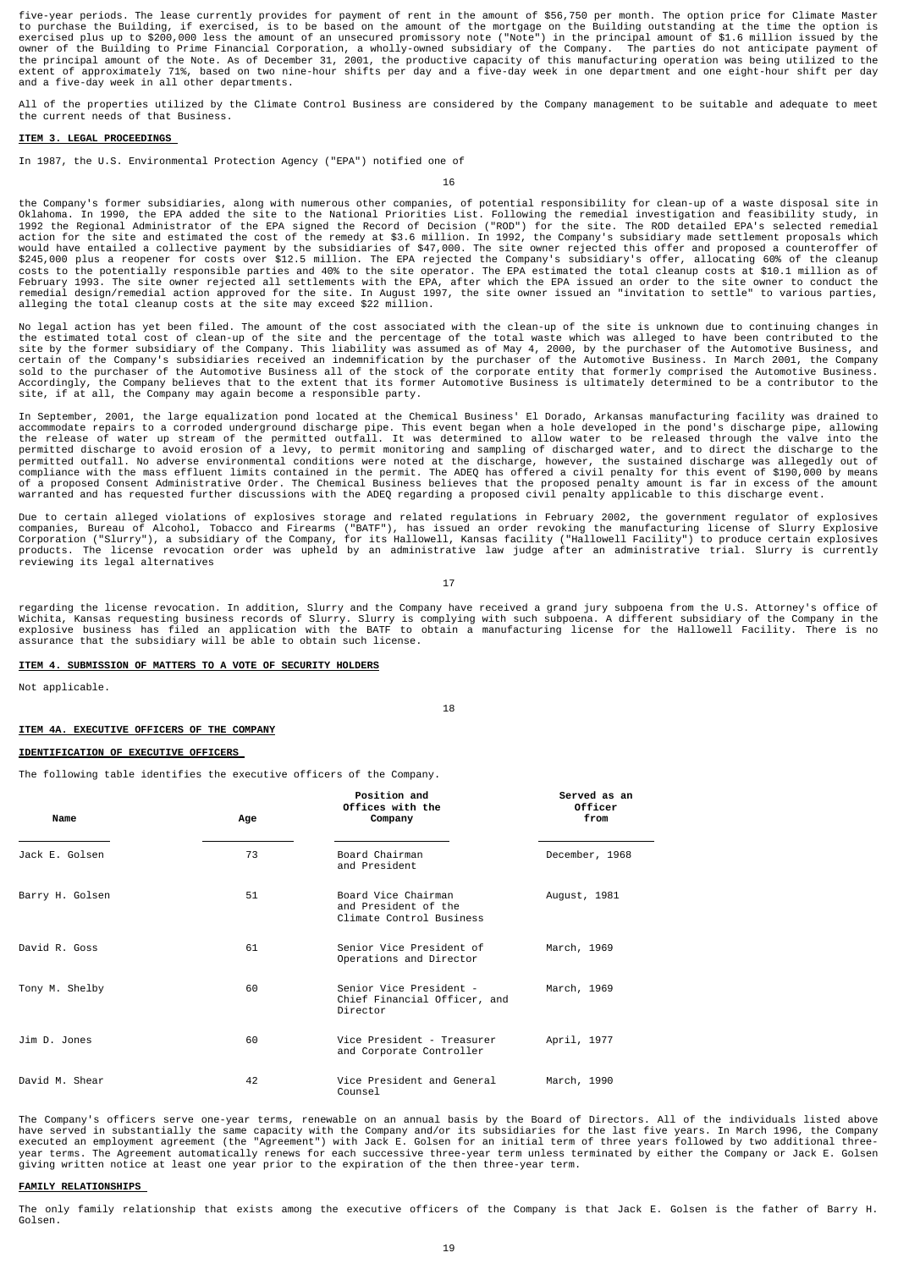five-year periods. The lease currently provides for payment of rent in the amount of \$56,750 per month. The option price for Climate Master<br>to purchase the Building, if exercised, is to be based on the amount of the mortga and a five-day week in all other departments.

All of the properties utilized by the Climate Control Business are considered by the Company management to be suitable and adequate to meet the current needs of that Business.

### **ITEM 3. LEGAL PROCEEDINGS**

In 1987, the U.S. Environmental Protection Agency ("EPA") notified one of

16

the Company's former subsidiaries, along with numerous other companies, of potential responsibility for clean-up of a waste disposal site in 0x1ahoma. In 1992 the RPA ded the site to the National Priorities List. Following alleging the total cleanup costs at the site may exceed \$22 million.

No legal action has yet been filed. The amount of the cost associated with the clean-up of the site is unknown due to continuing changes in the estimated total cost of clean-up of the site and the percentage of the total waste which was alleged to have been contributed to the<br>site by the former subsidiary of the Company. This liability was assumed as of May 4, Accordingly, the Company believes that to the extent that its former Automotive Business is ultimately determined to be a contributor to the site, if at all, the Company may again become a responsible party.

In September, 2001, the large equalization pond located at the Chemical Business' El Dorado, Arkansas manufacturing facility was drained to<br>accommodate repairs to a corroded underground discharge pipe. This event began whe compliance with the mass effluent limits contained in the permit. The ADEQ has offered a civil penalty for this event of \$190,000 by means<br>of a proposed Consent Administrative Order. The Chemical Business believes that the

Due to certain alleged violations of explosives storage and related regulations in February 2002, the government regulator of explosives<br>companies, Bureau of Alcohol, Tobacco and Firearms ("BATF"), has issued an order revo reviewing its legal alternatives

17

regarding the license revocation. In addition, Slurry and the Company have received a grand jury subpoena from the U.S. Attorney's office of<br>Wichita, Kansas requesting business records of Slurry. Slurry is complying with s

18

## **ITEM 4. SUBMISSION OF MATTERS TO A VOTE OF SECURITY HOLDERS**

Not applicable.

## **ITEM 4A. EXECUTIVE OFFICERS OF THE COMPANY**

### **IDENTIFICATION OF EXECUTIVE OFFICERS**

The following table identifies the executive officers of the Company.

| Name            | Age | <b>Position and</b><br>Offices with the<br>Company                      | Served as an<br>Officer<br>from |
|-----------------|-----|-------------------------------------------------------------------------|---------------------------------|
| Jack E. Golsen  | 73  | Board Chairman<br>and President                                         | December, 1968                  |
| Barry H. Golsen | 51  | Board Vice Chairman<br>and President of the<br>Climate Control Business | August, 1981                    |
| David R. Goss   | 61  | Senior Vice President of<br>Operations and Director                     | March, 1969                     |
| Tony M. Shelby  | 60  | Senior Vice President -<br>Chief Financial Officer, and<br>Director     | March, 1969                     |
| Jim D. Jones    | 60  | Vice President - Treasurer<br>and Corporate Controller                  | April, 1977                     |
| David M. Shear  | 42  | Vice President and General<br>Counsel                                   | March, 1990                     |

The Company's officers serve one-year terms, renewable on an annual basis by the Board of Directors. All of the individuals listed above<br>have served in substantially the same capacity with the Company and/or its subsidiari

# **FAMILY RELATIONSHIPS**

The only family relationship that exists among the executive officers of the Company is that Jack E. Golsen is the father of Barry H. Golsen.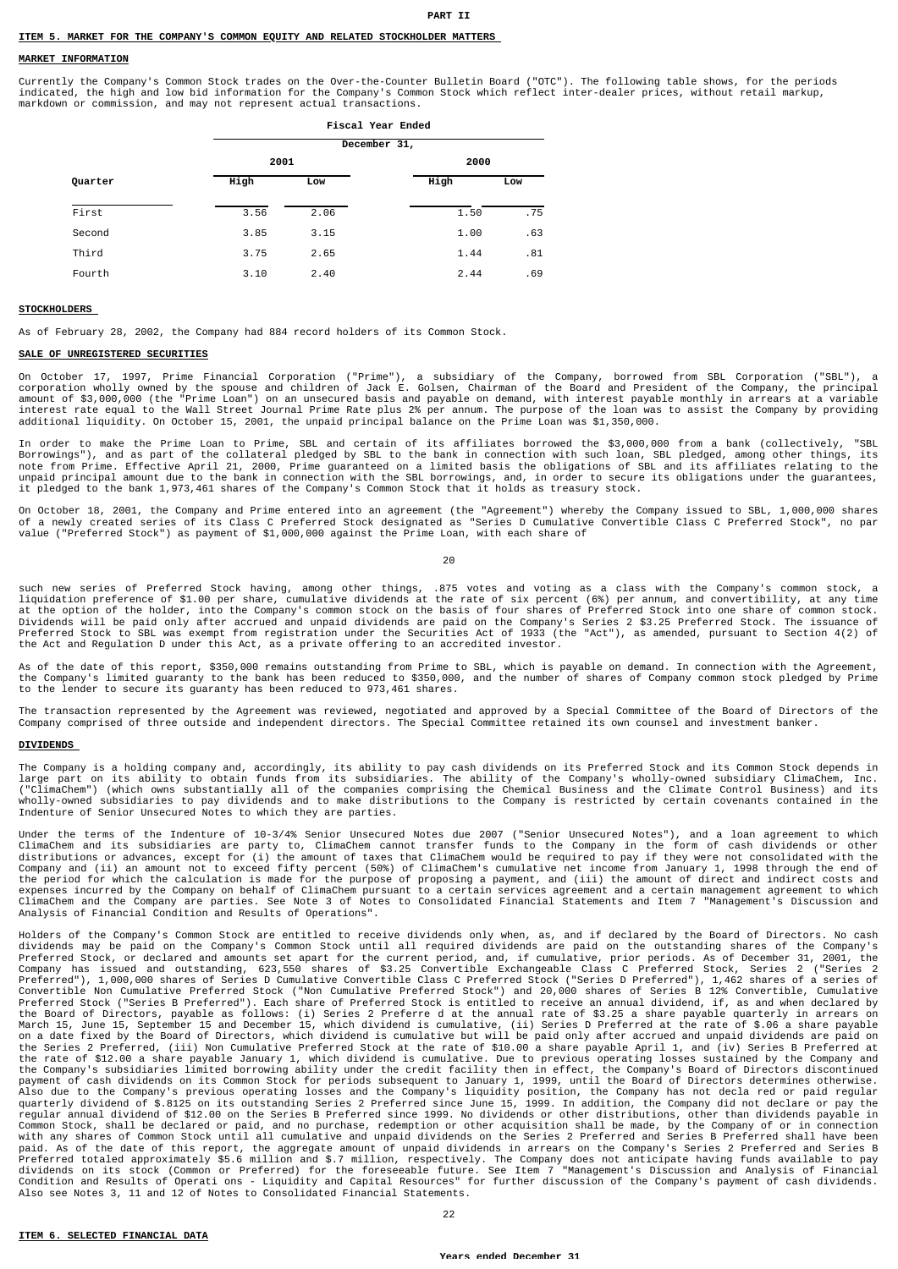### **PART II**

#### **ITEM 5. MARKET FOR THE COMPANY'S COMMON EQUITY AND RELATED STOCKHOLDER MATTERS**

### **MARKET INFORMATION**

Currently the Company's Common Stock trades on the Over-the-Counter Bulletin Board ("OTC"). The following table shows, for the periods indicated, the high and low bid information for the Company's Common Stock which reflect inter-dealer prices, without retail markup, markdown or commission, and may not represent actual transactions.

|         |      | <b>Fiscal Year Ended</b> |  |      |     |  |  |  |  |  |  |
|---------|------|--------------------------|--|------|-----|--|--|--|--|--|--|
|         |      | December 31,             |  |      |     |  |  |  |  |  |  |
|         | 2001 |                          |  | 2000 |     |  |  |  |  |  |  |
| Quarter | High | Low                      |  | High | Low |  |  |  |  |  |  |
| First   | 3.56 | 2.06                     |  | 1.50 | .75 |  |  |  |  |  |  |
| Second  | 3.85 | 3.15                     |  | 1.00 | .63 |  |  |  |  |  |  |
| Third   | 3.75 | 2.65                     |  | 1.44 | .81 |  |  |  |  |  |  |
| Fourth  | 3.10 | 2.40                     |  | 2.44 | .69 |  |  |  |  |  |  |

#### **STOCKHOLDERS**

As of February 28, 2002, the Company had 884 record holders of its Common Stock.

## **SALE OF UNREGISTERED SECURITIES**

On October 17, 1997, Prime Financial Corporation ("Prime"), a subsidiary of the Company, borrowed from SBL Corporation ("SBL"), a<br>corporation wholly owned by the spouse and children of Jack E. Golsen, Chairman of the Board additional liquidity. On October 15, 2001, the unpaid principal balance on the Prime Loan was \$1,350,000.

In order to make the Prime Loan to Prime, SBL and certain of its affiliates borrowed the \$3,000,000 from a bank (collectively, "SBL<br>Borrowings"), and as part of the collateral pledged by SBL to the bank in connection with

On October 18, 2001, the Company and Prime entered into an agreement (the "Agreement") whereby the Company issued to SBL, 1,000,000 shares<br>of a newly created series of its Class C Preferred Stock designated as "Series D Cu

 $20$ 

such new series of Preferred Stock having, among other things, .875 votes and voting as a class with the Company's common stock, a<br>liquidation preference of \$1.00 per share, cumulative dividends at the rate of six percent

As of the date of this report, \$350,000 remains outstanding from Prime to SBL, which is payable on demand. In connection with the Agreement,<br>the Company's limited guaranty to the bank has been reduced to \$350,000, and the to the lender to secure its guaranty has been reduced to 973,461 shares.

The transaction represented by the Agreement was reviewed, negotiated and approved by a Special Committee of the Board of Directors of the<br>Company comprised of three outside and independent directors. The Special Committee

## **DIVIDENDS**

The Company is a holding company and, accordingly, its ability to pay cash dividends on its Preferred Stock and its Common Stock depends in<br>large part on its ability to obtain funds from its subsidiaries. The ability of th

Under the terms of the Indenture of 10-3/4% Senior Unsecured Notes due 2007 ("Senior Unsecured Notes"), and a loan agreement to which<br>ClimaChem and its subsidiaries are party to, ClimaChem cannot transfer funds to the Comp the period for which the calculation is made for the purpose of proposing a payment, and (iii) the amount of direct and indirect costs and<br>expenses incurred by the Company on behalf of ClimaChem pursuant to a certain servi Analysis of Financial Condition and Results of Operations".

Holders of the Company's Common Stock are entitled to receive dividends only when, as, and if declared by the Board of Directors. No cash<br>dividends may be paid on the Company's Common Stock until all required dividends are dividends may be paid on the Company's Common Stock until all required dividends are paid on the outstanding shares of the Company's company has issued and outser the company has issued and outser for the company has issue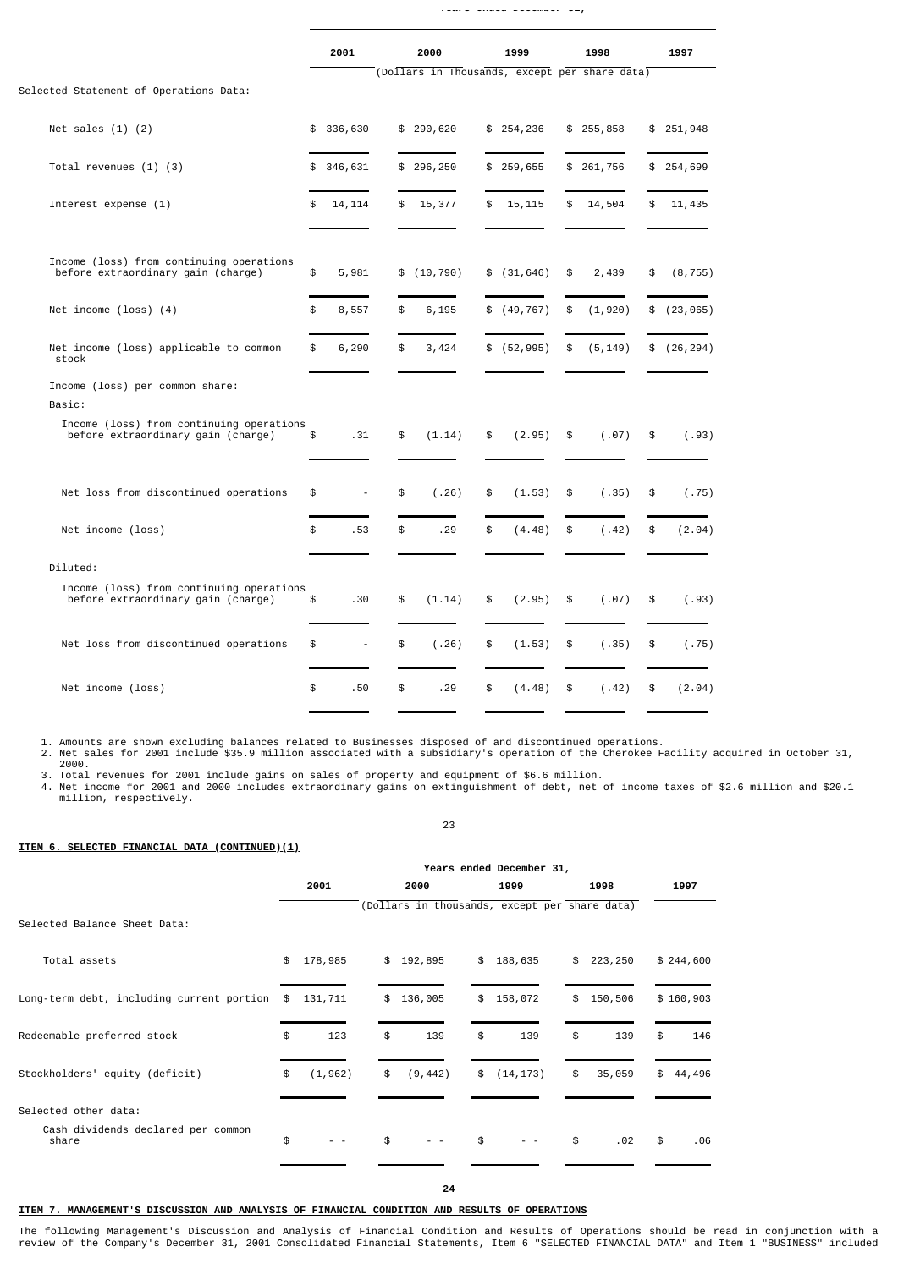|                                                                                | 2001                           | 2000                                          | 1999          | 1998           | 1997           |
|--------------------------------------------------------------------------------|--------------------------------|-----------------------------------------------|---------------|----------------|----------------|
| Selected Statement of Operations Data:                                         |                                | (Dollars in Thousands, except per share data) |               |                |                |
| Net sales $(1)$ $(2)$                                                          | \$336,630                      | \$290,620                                     | \$254,236     | \$255,858      | \$251,948      |
| Total revenues $(1)$ $(3)$                                                     | \$346,631                      | \$296, 250                                    | \$259,655     | \$261,756      | \$254,699      |
| Interest expense (1)                                                           | \$<br>14, 114                  | \$<br>15,377                                  | \$<br>15, 115 | \$<br>14,504   | \$<br>11,435   |
| Income (loss) from continuing operations<br>before extraordinary gain (charge) | \$<br>5,981                    | \$(10, 790)                                   | \$ (31, 646)  | \$<br>2,439    | \$<br>(8, 755) |
| Net income $(\text{loss})$ $(4)$                                               | \$<br>8,557                    | \$<br>6,195                                   | \$ (49, 767)  | \$<br>(1, 920) | \$(23, 065)    |
| Net income (loss) applicable to common<br>stock                                | \$<br>6,290                    | \$<br>3,424                                   | \$ (52, 995)  | \$<br>(5, 149) | \$(26, 294)    |
| Income (loss) per common share:<br>Basic:                                      |                                |                                               |               |                |                |
| Income (loss) from continuing operations<br>before extraordinary gain (charge) | \$<br>.31                      | \$<br>(1.14)                                  | \$<br>(2.95)  | \$<br>(.07)    | \$<br>(.93)    |
| Net loss from discontinued operations                                          | \$<br>÷,                       | \$<br>(.26)                                   | \$<br>(1.53)  | \$<br>(.35)    | \$<br>(.75)    |
| Net income (loss)                                                              | \$<br>.53                      | \$<br>.29                                     | \$<br>(4.48)  | \$<br>(.42)    | \$<br>(2.04)   |
| Diluted:                                                                       |                                |                                               |               |                |                |
| Income (loss) from continuing operations<br>before extraordinary gain (charge) | \$<br>.30                      | \$<br>(1.14)                                  | \$<br>(2.95)  | \$<br>(.07)    | \$<br>(.93)    |
| Net loss from discontinued operations                                          | \$<br>$\overline{\phantom{a}}$ | \$<br>(.26)                                   | \$<br>(1.53)  | \$<br>(.35)    | \$<br>(.75)    |
| Net income (loss)                                                              | \$<br>.50                      | \$<br>.29                                     | \$<br>(4.48)  | \$<br>(.42)    | \$<br>(2.04)   |
|                                                                                |                                |                                               |               |                |                |

**Years ended December 31,**

1. Amounts are shown excluding balances related to Businesses disposed of and discontinued operations.<br>2. Net sales for 2001 include \$35.9 million associated with a subsidiary's operation of the Cherokee Facility acquired

23

**ITEM 6. SELECTED FINANCIAL DATA (CONTINUED)(1)**

|                                             | Years ended December 31, |          |    |    |          |                |                                               |    |         |              |
|---------------------------------------------|--------------------------|----------|----|----|----------|----------------|-----------------------------------------------|----|---------|--------------|
|                                             |                          | 2001     |    |    | 2000     |                | 1999                                          |    | 1998    | 1997         |
|                                             |                          |          |    |    |          |                | (Dollars in thousands, except per share data) |    |         |              |
| Selected Balance Sheet Data:                |                          |          |    |    |          |                |                                               |    |         |              |
| Total assets                                | \$                       | 178,985  |    | \$ | 192,895  | \$             | 188,635                                       | \$ | 223,250 | \$244,600    |
| Long-term debt, including current portion   | \$                       | 131,711  | \$ |    | 136,005  | \$             | 158,072                                       | \$ | 150,506 | \$160,903    |
| Redeemable preferred stock                  | \$                       | 123      | \$ |    | 139      | \$             | 139                                           | \$ | 139     | \$<br>146    |
| Stockholders' equity (deficit)              | \$                       | (1, 962) | \$ |    | (9, 442) | $\mathfrak{S}$ | (14, 173)                                     | \$ | 35,059  | \$<br>44,496 |
| Selected other data:                        |                          |          |    |    |          |                |                                               |    |         |              |
| Cash dividends declared per common<br>share | \$                       |          | \$ |    |          | \$             |                                               | \$ | .02     | \$<br>.06    |
|                                             |                          |          |    |    |          |                |                                               |    |         |              |

# **ITEM 7. MANAGEMENT'S DISCUSSION AND ANALYSIS OF FINANCIAL CONDITION AND RESULTS OF OPERATIONS**

The following Management's Discussion and Analysis of Financial Condition and Results of Operations should be read in conjunction with a<br>review of the Company's December 31, 2001 Consolidated Financial Statements, Item 6 "

**24**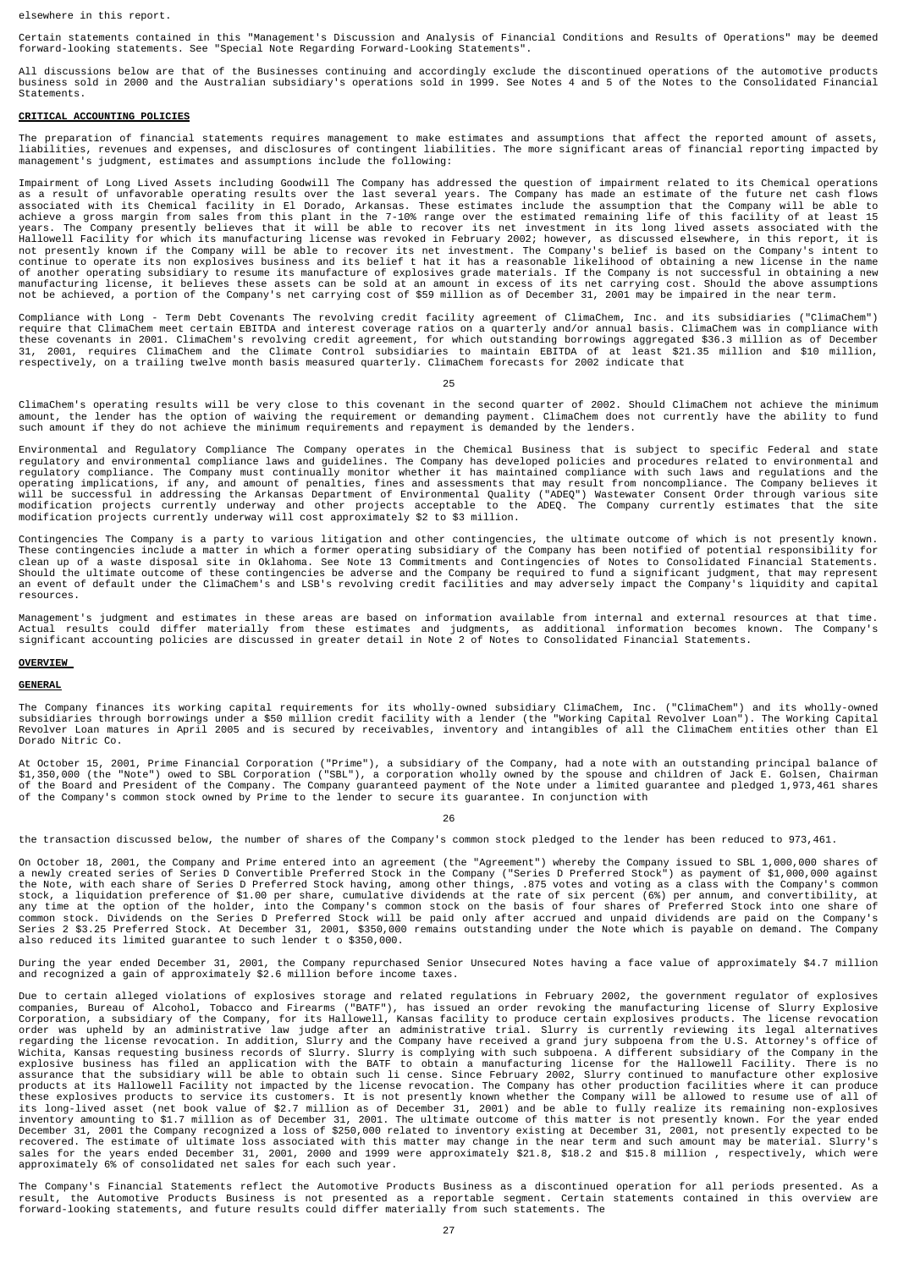elsewhere in this report.

Certain statements contained in this "Management's Discussion and Analysis of Financial Conditions and Results of Operations" may be deemed<br>forward-looking statements. See "Special Note Regarding Forward-Looking Statements

All discussions below are that of the Businesses continuing and accordingly exclude the discontinued operations of the automotive products<br>business sold in 2000 and the Australian subsidiary's operations sold in 1999. See Statements.

## **CRITICAL ACCOUNTING POLICIES**

The preparation of financial statements requires management to make estimates and assumptions that affect the reported amount of assets,<br>liabilities, revenues and expenses, and disclosures of contingent liabilities. The mo management's judgment, estimates and assumptions include the following:

Impairment of Long Lived Assets including Goodwill The Company has addressed the question of impairment related to its Chemical operations associated with its chemical operations associated with its chemical facility in El

Compliance with Long - Term Debt Covenants The revolving credit facility agreement of ClimaChem, Inc. and its subsidiaries ("ClimaChem") require that ClimaChem meet certain EBITDA and interest coverage ratios on a quarterly and/or annual basis. ClimaChem was in compliance with<br>these covenants in 2001. ClimaChem's revolving credit agreement, for which outsta respectively, on a trailing twelve month basis measured quarterly. ClimaChem forecasts for 2002 indicate that

 $25$ 

ClimaChem's operating results will be very close to this covenant in the second quarter of 2002. Should ClimaChem not achieve the minimum<br>amount, the lender has the option of waiving the requirement or demanding payment. C

Environmental and Regulatory Compliance The Company operates in the Chemical Business that is subject to specific Federal and state regulatory and environmental compliance .The Company must continually monitor whether it h

Contingencies The Company is a party to various litigation and other contingencies, the ultimate outcome of which is not presently known.<br>These contingencies include a matter in which a former operating subsidiary of the C an event of default under the ClimaChem's and LSB's revolving credit facilities and may adversely impact the Company's liquidity and capital resources.

Management's judgment and estimates in these areas are based on information available from internal and external resources at that time. Actual results could differ materially from these estimates and judgments, as additional information becomes known. The Company's<br>significant accounting policies are discussed in greater detail in Note 2 of Notes to Consol

## **OVERVIEW**

## **GENERAL**

The Company finances its working capital requirements for its wholly-owned subsidiary ClimaChem, Inc. ("ClimaChem") and its wholly-owned<br>subsidiaries through borrowings under a \$50 million credit facility with a lender (th Dorado Nitric Co.

At October 15, 2001, Prime Financial Corporation ("Prime"), a subsidiary of the Company, had a note with an outstanding principal balance of<br>\$1,350,000 (the "Note") owed to SBL Corporation ("SBL"), a corporation wholly own

26

the transaction discussed below, the number of shares of the Company's common stock pledged to the lender has been reduced to 973,461.

On October 18, 2001, the Company and Prime entered into an agreement (the "Agreement") whereby the Company issued to SBL 1,000,000 shares of a newly created series of Series D Convertible Preferred Stock in the Company ("Series D Preferred Stock") as payment of \$1,000,000 against<br>the Note, with each share of Series D Preferred Stock having, among other things, Series 2 \$3.25 Preferred Stock. At December 31, 2001, \$350,000 remains outstanding under the Note which is payable on demand. The Company<br>also reduced its limited guarantee to such lender t o \$350,000.

During the year ended December 31, 2001, the Company repurchased Senior Unsecured Notes having a face value of approximately \$4.7 million and recognized a gain of approximately \$2.6 million before income taxes.

Due to certain alleged violations of explosives storage and related regulations in February 2002, the government regulator of explosive scorpanies, Bureau of Alcohol, Tobacco and Firearms ("BATF"), has issued an order revo

The Company's Financial Statements reflect the Automotive Products Business as a discontinued operation for all periods presented. As a<br>result, the Automotive Products Business is not presented as a reportable segment. Cer forward-looking statements, and future results could differ materially from such statements. The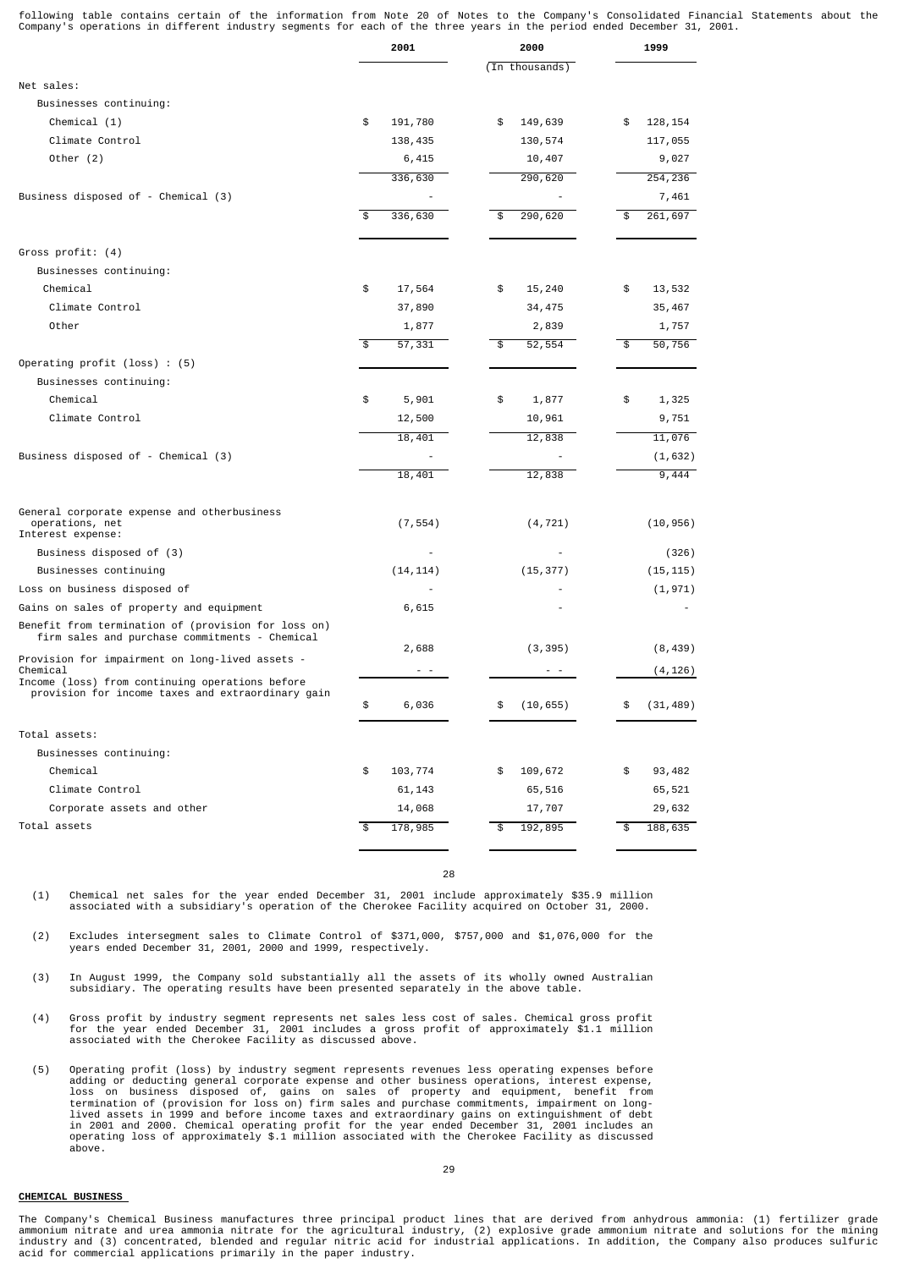following table contains certain of the information from Note 20 of Notes to the Company's Consolidated Financial Statements about the<br>Company's operations in different industry segments for each of the three years in the

|                                                                                                       | 2001          | 2000            | 1999            |
|-------------------------------------------------------------------------------------------------------|---------------|-----------------|-----------------|
|                                                                                                       |               | (In thousands)  |                 |
| Net sales:                                                                                            |               |                 |                 |
| Businesses continuing:                                                                                |               |                 |                 |
| Chemical (1)                                                                                          | \$<br>191,780 | \$<br>149,639   | 128, 154<br>\$  |
| Climate Control                                                                                       | 138,435       | 130,574         | 117,055         |
| Other $(2)$                                                                                           | 6,415         | 10,407          | 9,027           |
|                                                                                                       | 336,630       | 290,620         | 254,236         |
| Business disposed of - Chemical (3)                                                                   |               |                 | 7,461           |
|                                                                                                       | 336,630       | 290,620         | 261,697<br>\$   |
|                                                                                                       |               |                 |                 |
| Gross profit: (4)                                                                                     |               |                 |                 |
| Businesses continuing:                                                                                |               |                 |                 |
| Chemical                                                                                              | \$<br>17,564  | \$<br>15,240    | \$<br>13,532    |
| Climate Control                                                                                       | 37,890        | 34,475          | 35,467          |
| Other                                                                                                 | 1,877         | 2,839           | 1,757           |
|                                                                                                       | 57,331<br>\$  | 52,554<br>\$    | 50,756<br>\$    |
| Operating profit $(\text{loss})$ : $(5)$                                                              |               |                 |                 |
| Businesses continuing:                                                                                |               |                 |                 |
| Chemical                                                                                              | 5,901<br>\$   | \$<br>1,877     | \$<br>1,325     |
| Climate Control                                                                                       | 12,500        | 10,961          | 9,751           |
|                                                                                                       | 18,401        | 12,838          | 11,076          |
| Business disposed of - Chemical (3)                                                                   |               |                 | (1, 632)        |
|                                                                                                       | 18,401        | 12,838          | 9,444           |
| General corporate expense and otherbusiness<br>operations, net<br>Interest expense:                   | (7, 554)      | (4, 721)        | (10, 956)       |
| Business disposed of (3)                                                                              |               |                 | (326)           |
| Businesses continuing                                                                                 | (14, 114)     | (15, 377)       | (15, 115)       |
| Loss on business disposed of                                                                          |               |                 | (1, 971)        |
| Gains on sales of property and equipment                                                              | 6,615         |                 |                 |
| Benefit from termination of (provision for loss on)<br>firm sales and purchase commitments - Chemical |               |                 |                 |
| Provision for impairment on long-lived assets -                                                       | 2,688         | (3, 395)        | (8, 439)        |
| Chemical                                                                                              |               |                 | (4, 126)        |
| Income (loss) from continuing operations before<br>provision for income taxes and extraordinary gain  | \$<br>6,036   | (10, 655)<br>\$ | \$<br>(31, 489) |
| Total assets:                                                                                         |               |                 |                 |
| Businesses continuing:                                                                                |               |                 |                 |
| Chemical                                                                                              | 103,774<br>\$ | 109,672<br>\$   | \$<br>93,482    |
| Climate Control                                                                                       | 61,143        | 65,516          | 65,521          |
| Corporate assets and other                                                                            | 14,068        | 17,707          | 29,632          |
| Total assets                                                                                          | \$<br>178,985 | 192,895<br>\$   | 188,635<br>\$   |
|                                                                                                       |               |                 |                 |

28

(1) Chemical net sales for the year ended December 31, 2001 include approximately \$35.9 million associated with a subsidiary's operation of the Cherokee Facility acquired on October 31, 2000.

(2) Excludes intersegment sales to Climate Control of \$371,000, \$757,000 and \$1,076,000 for the years ended December 31, 2001, 2000 and 1999, respectively.

- (3) In August 1999, the Company sold substantially all the assets of its wholly owned Australian subsidiary. The operating results have been presented separately in the above table.
- (4) Gross profit by industry segment represents net sales less cost of sales. Chemical gross profit<br>for the year ended December 31, 2001 includes a gross profit of approximately \$1.1 million<br>associated with the Cherokee Fa
- (5) Operating profit (loss) by industry segment represents revenues less operating expenses before<br>adding or deducting general corporate expense and other business operations, interest expense,<br>loss on business disposed of above.

## **CHEMICAL BUSINESS**

The Company's Chemical Business manufactures three principal product lines that are derived from anhydrous ammonia: (1) fertilizer grade ammonium nitrate and urea ammonia nitrate for the agricultural industry, (2) explosive grade ammonium nitrate and solutions for the mining<br>industry and (3) concentrated, blended and regular nitric acid for industrial appli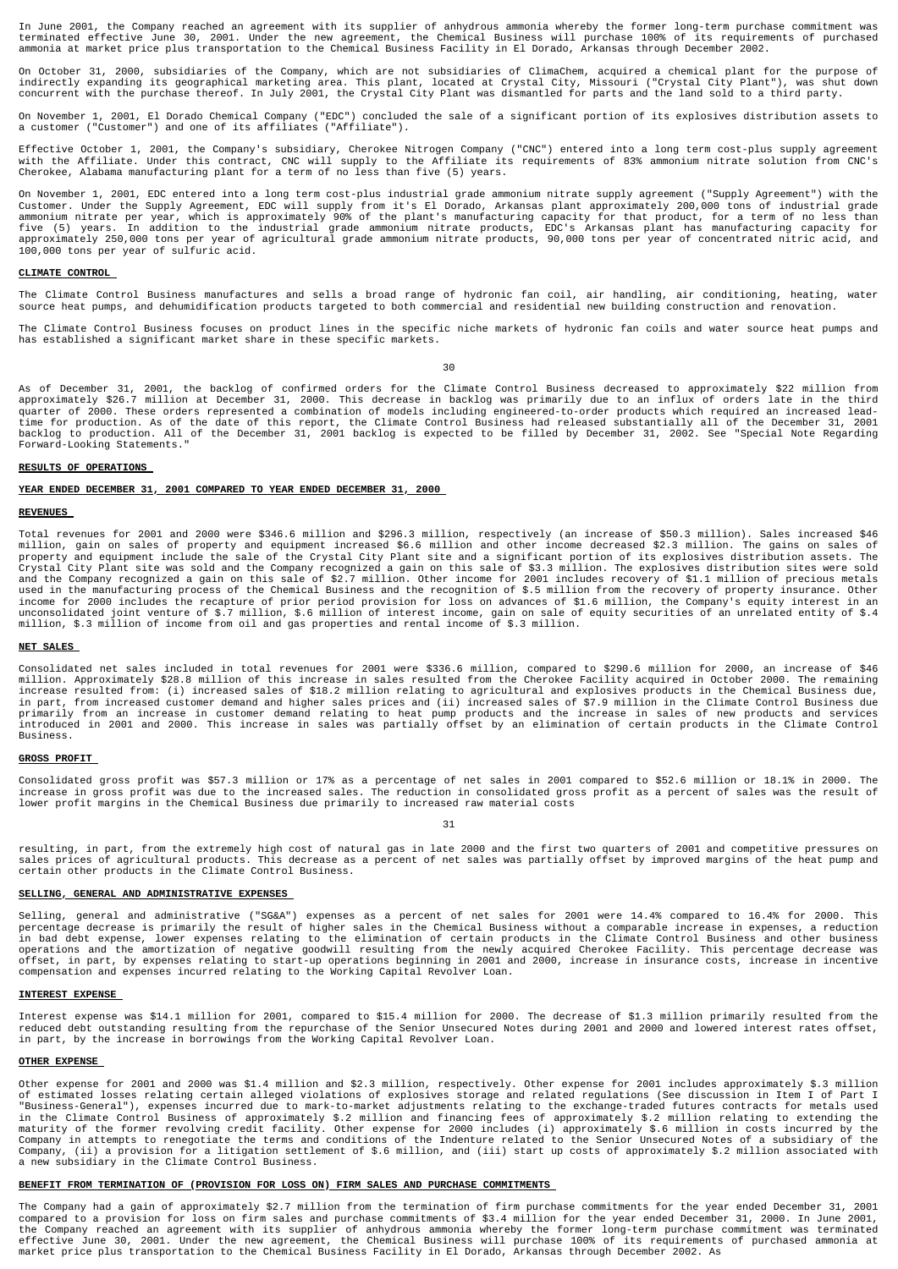In June 2001, the Company reached an agreement with its supplier of anhydrous ammonia whereby the former long-term purchase commitment was<br>terminated effective June 30, 2001. Under the new agreement, the Chemical Business ammonia at market price plus transportation to the Chemical Business Facility in El Dorado, Arkansas through December 2002.

On October 31, 2000, subsidiaries of the Company, which are not subsidiaries of ClimaChem, acquired a chemical plant for the purpose of<br>indirectly expanding its geographical marketing area. This plant, located at Crystal C

On November 1, 2001, El Dorado Chemical Company ("EDC") concluded the sale of a significant portion of its explosives distribution assets to a customer ("Customer") and one of its affiliates ("Affiliate").

Effective October 1, 2001, the Company's subsidiary, Cherokee Nitrogen Company ("CNC") entered into a long term cost-plus supply agreement<br>with the Affiliate. Under this contract, CNC will supply to the Affiliate its requi

On November 1, 2001, EDC entered into a long term cost-plus industrial grade ammonium nitrate supply agreement ("Supply Agreement") with the Customer. Under the Supply Agreement, EDC will supply from it's El Dorado, Arkansas plant approximately 200,000 tons of industrial grade<br>ammonium nitrate per year, which is approximately 90% of the plant's manufacturing ca

### **CLIMATE CONTROL**

The Climate Control Business manufactures and sells a broad range of hydronic fan coil, air handling, air conditioning, heating, water<br>source heat pumps, and dehumidification products targeted to both commercial and reside

The Climate Control Business focuses on product lines in the specific niche markets of hydronic fan coils and water source heat pumps and has established a significant market share in these specific markets.

30

As of December 31, 2001, the backlog of confirmed orders for the Climate Control Business decreased to approximately \$22 million from approximately \$26.7 million at December 31, 2000. This decrease in backlog was primarily due to an influx of orders late in the third<br>quarter of 2000. These orders represented a combination of models including engineered-t time for production. As of the date of this report, the Climate Control Business had released substantially all of the December 31, 2001<br>backlog to production. All of the December 31, 2001 backlog is expected to be filled

### **RESULTS OF OPERATIONS**

### **YEAR ENDED DECEMBER 31, 2001 COMPARED TO YEAR ENDED DECEMBER 31, 2000**

### **REVENUES**

Total revenues for 2001 and 2000 were \$346.6 million and \$296.3 million, respectively (an increase of \$50.3 million). Sales increased \$46<br>million, gain on sales of property and equipment increased \$6.6 million and other in Crystal City Plant site was sold and the Company recognized a gain on this sale of \$3.3 million. The explosives distribution sites were sold<br>and the Company recognized a gain on this sale of \$2.7 million. Other income for income for 2000 includes the recapture of prior period provision for loss on advances of \$1.6 million, the Company's equity interest in an<br>unconsolidated joint venture of \$.7 million, \$.6 million of interest income, gain o

### **NET SALES**

Consolidated net sales included in total revenues for 2001 were \$336.6 million, compared to \$290.6 million for 2000, an increase of \$46<br>million. Approximately \$28.8 million of this increase in sales resulted from the Chero Business.

## **GROSS PROFIT**

Consolidated gross profit was \$57.3 million or 17% as a percentage of net sales in 2001 compared to \$52.6 million or 18.1% in 2000. The<br>increase in gross profit was due to the increased sales. The reduction in consolidated lower profit margins in the Chemical Business due primarily to increased raw material costs

31

resulting, in part, from the extremely high cost of natural gas in late 2000 and the first two quarters of 2001 and competitive pressures on<br>sales prices of agricultural products. This decrease as a percent of net sales wa

## **SELLING, GENERAL AND ADMINISTRATIVE EXPENSES**

Selling, general and administrative ("SG&A") expenses as a percent of net sales for 2001 were 14.4% compared to 16.4% for 2000. This<br>percentage decrease is primarily the result of higher sales in the Chemical Business with compensation and expenses incurred relating to the Working Capital Revolver Loan.

### **INTEREST EXPENSE**

Interest expense was \$14.1 million for 2001, compared to \$15.4 million for 2000. The decrease of \$1.3 million primarily resulted from the<br>reduced debt outstanding resulting from the repurchase of the Senior Unsecured Notes in part, by the increase in borrowings from the Working Capital Revolver Loan.

## **OTHER EXPENSE**

Other expense for 2001 and 2000 was \$1.4 million and \$2.3 million, respectively. Other expense for 2001 includes approximately \$.3 million of estimated losses relating certain alleged violations of explosives storage and related regulations (See discussion in Item I of Part I<br>"Business-General"), expenses incurred due to mark-to-market adjustments relating to a new subsidiary in the Climate Control Business.

### **BENEFIT FROM TERMINATION OF (PROVISION FOR LOSS ON) FIRM SALES AND PURCHASE COMMITMENTS**

The Company had a gain of approximately \$2.7 million from the termination of firm purchase commitments for the year ended December 31, 2001 compared to a provision for loss on firm sales and purchase commitments of \$3.4 million for the year ended December 31, 2000. In June 2001,<br>the Company reached an agreement with its supplier of anhydrous ammonia whereby th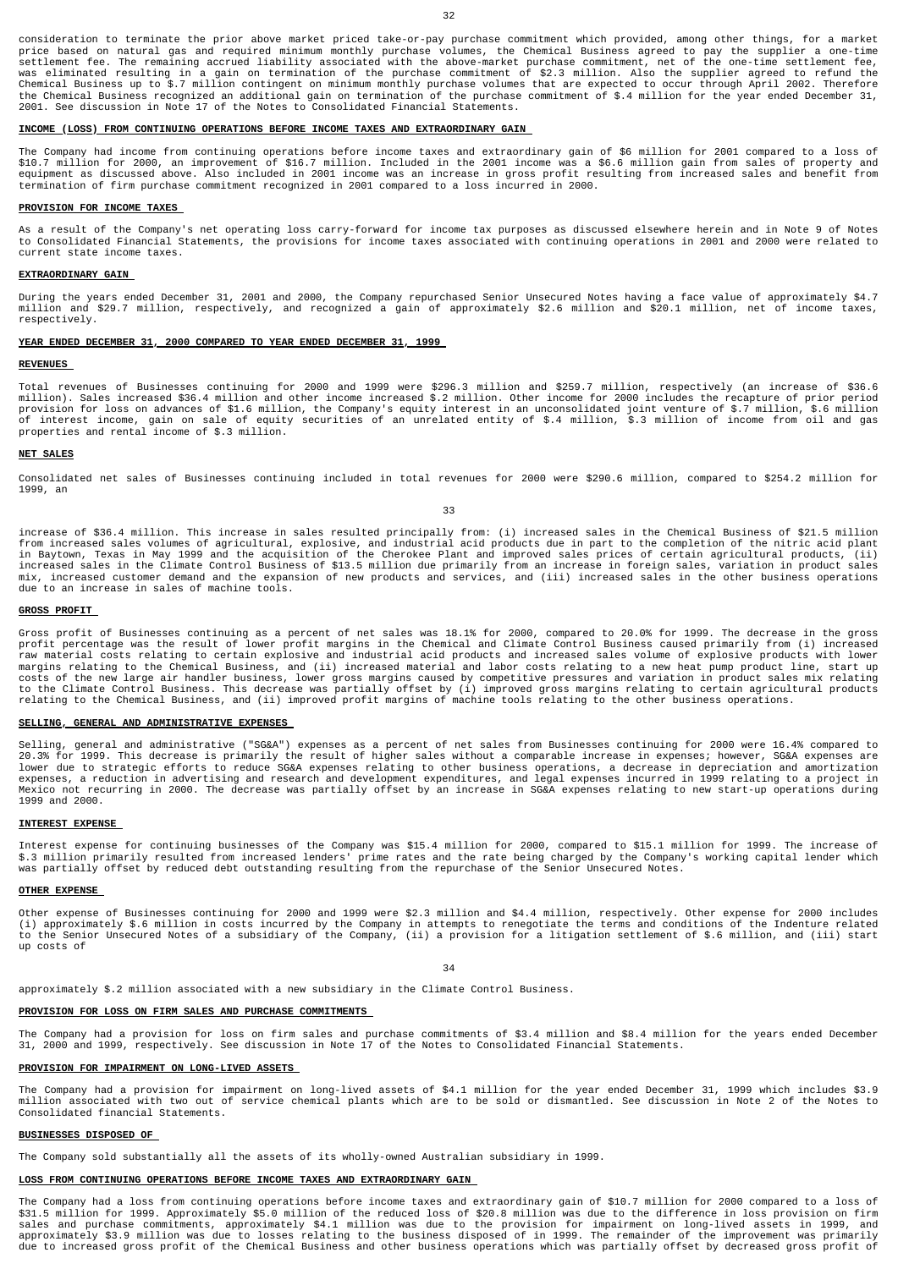consideration to terminate the prior above market priced take-or-pay purchase commitment which provided, among other things, for a market price based on natural gas and required minimum monthly purchase volumes, the Chemical Business agreed to pay the supplier a one-time<br>settlement fee. The remaining accrued liability associated with the above-market purchas Chemical Business up to \$.7 million contingent on minimum monthly purchase volumes that are expected to occur through April 2002. Therefore<br>the Chemical Business recognized an additional gain on termination of the purchase 2001. See discussion in Note 17 of the Notes to Consolidated Financial Statements.

### **INCOME (LOSS) FROM CONTINUING OPERATIONS BEFORE INCOME TAXES AND EXTRAORDINARY GAIN**

The Company had income from continuing operations before income taxes and extraordinary gain of \$6 million for 2001 compared to a loss of \$10.7 million for 2000, an improvement of \$16.7 million. Included in the 2001 income was a \$6.6 million gain from sales of property and<br>equipment as discussed above. Also included in 2001 income was an increase in gross pr termination of firm purchase commitment recognized in 2001 compared to a loss incurred in 2000.

### **PROVISION FOR INCOME TAXES**

As a result of the Company's net operating loss carry-forward for income tax purposes as discussed elsewhere herein and in Note 9 of Notes<br>to Consolidated Financial Statements, the provisions for income taxes associated wi current state income taxes.

### **EXTRAORDINARY GAIN**

During the years ended December 31, 2001 and 2000, the Company repurchased Senior Unsecured Notes having a face value of approximately \$4.7 million and \$29.7 million, respectively, and recognized a gain of approximately \$2.6 million and \$20.1 million, net of income taxes, respectively.

### **YEAR ENDED DECEMBER 31, 2000 COMPARED TO YEAR ENDED DECEMBER 31, 1999**

### **REVENUES**

Total revenues of Businesses continuing for 2000 and 1999 were \$296.3 million and \$259.7 million, respectively (an increase of \$36.6<br>million). Sales increased \$36.4 million and other income increased \$.2 million. Other inc properties and rental income of \$.3 million.

#### **NET SALES**

Consolidated net sales of Businesses continuing included in total revenues for 2000 were \$290.6 million, compared to \$254.2 million for 1999, an

33

increase of \$36.4 million. This increase in sales resulted principally from: (i) increased sales in the Chemical Business of \$21.5 million from increased sales volumes of agricultural, explosive, and industrial acid products due in part to the completion of the nitric acid plant<br>in Baytown, Texas in May 1999 and the acquisition of the Cherokee Plant and impro increased sales in the Climate Control Business of \$13.5 million due primarily from an increase in foreign sales, variation in product sales mix, increased customer demand and the expansion of new products and services, and (iii) increased sales in the other business operations due to an increase in sales of machine tools.

#### **GROSS PROFIT**

Gross profit of Businesses continuing as a percent of net sales was 18.1% for 2000, compared to 20.0% for 1999. The decrease in the gross<br>profit percentage was the result of lower profit margins in the Chemical and Climate margins relating to the Chemical Business, and (ii) increased material and labor costs relating to a new heat pump product line, start up<br>costs of the new large air handler business, lower gross margins caused by competiti relating to the Chemical Business, and (ii) improved profit margins of machine tools relating to the other business operations.

### **SELLING, GENERAL AND ADMINISTRATIVE EXPENSES**

Selling, general and administrative ("SG&A") expenses as a percent of net sales from Businesses continuing for 2000 were 16.4% compared to 20.3% for 1999. This decrease is primarily the result of higher sales without a comparable increase in expenses; however, SG&A expenses are<br>lower due to strategic efforts to reduce SG&A expenses relating to other business 1999 and 2000.

### **INTEREST EXPENSE**

Interest expense for continuing businesses of the Company was \$15.4 million for 2000, compared to \$15.1 million for 1999. The increase of<br>\$.3 million primarily resulted from increased lenders' prime rates and the rate bein

#### **OTHER EXPENSE**

Other expense of Businesses continuing for 2000 and 1999 were \$2.3 million and \$4.4 million, respectively. Other expense for 2000 includes (i) approximately \$.6 million in costs incurred by the Company in attempts to renegotiate the terms and conditions of the Indenture related<br>to the Senior Unsecured Notes of a subsidiary of the Company, (ii) a provision for up costs of

34

approximately \$.2 million associated with a new subsidiary in the Climate Control Business.

## **PROVISION FOR LOSS ON FIRM SALES AND PURCHASE COMMITMENTS**

The Company had a provision for loss on firm sales and purchase commitments of \$3.4 million and \$8.4 million for the years ended December 31, 2000 and 1999, respectively. See discussion in Note 17 of the Notes to Consolidated Financial Statements.

#### **PROVISION FOR IMPAIRMENT ON LONG-LIVED ASSETS**

The Company had a provision for impairment on long-lived assets of \$4.1 million for the year ended December 31, 1999 which includes \$3.9<br>million associated with two out of service chemical plants which are to be sold or di Consolidated financial Statements.

## **BUSINESSES DISPOSED OF**

The Company sold substantially all the assets of its wholly-owned Australian subsidiary in 1999.

## **LOSS FROM CONTINUING OPERATIONS BEFORE INCOME TAXES AND EXTRAORDINARY GAIN**

The Company had a loss from continuing operations before income taxes and extraordinary gain of \$10.7 million for 2000 compared to a loss of \$31.5 million for 1999. Approximately \$5.0 million of the reduced loss of \$20.8 million was due to the difference in loss provision on firm<br>sales and purchase commitments, approximately \$4.1 million was due to the provisio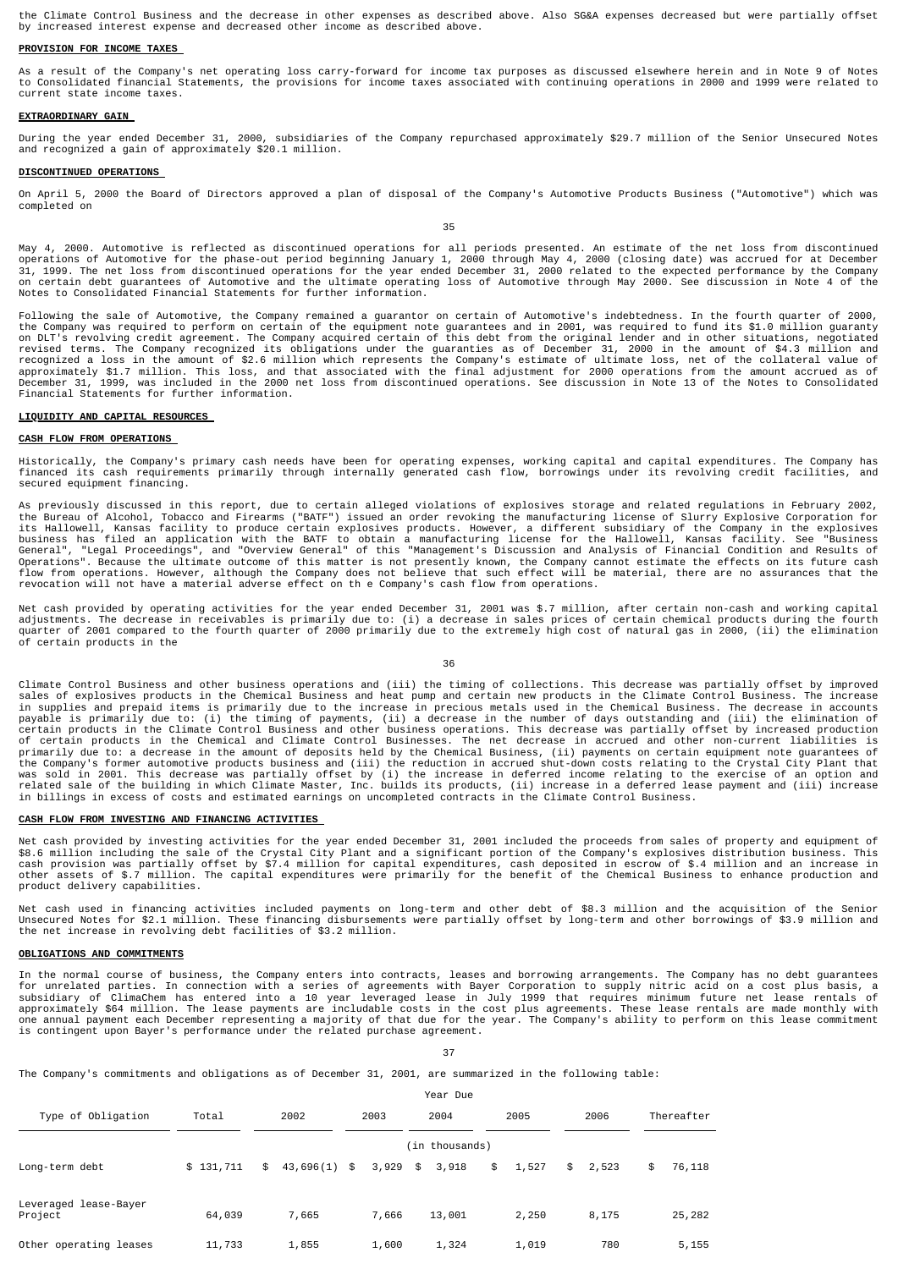the Climate Control Business and the decrease in other expenses as described above. Also SG&A expenses decreased but were partially offset<br>by increased interest expense and decreased other income as described above.

#### **PROVISION FOR INCOME TAXES**

As a result of the Company's net operating loss carry-forward for income tax purposes as discussed elsewhere herein and in Note 9 of Notes<br>to Consolidated financial Statements, the provisions for income taxes associated wi current state income taxes.

#### **EXTRAORDINARY GAIN**

During the year ended December 31, 2000, subsidiaries of the Company repurchased approximately \$29.7 million of the Senior Unsecured Notes and recognized a gain of approximately \$20.1 million.

## **DISCONTINUED OPERATIONS**

On April 5, 2000 the Board of Directors approved a plan of disposal of the Company's Automotive Products Business ("Automotive") which was completed on

35

May 4, 2000. Automotive is reflected as discontinued operations for all periods presented. An estimate of the net loss from discontinued<br>operations of Automotive for the phase-out period beginning January 1, 2000 through M on certain debt guarantees of Automotive and the ultimate operating loss of Automotive through May 2000. See discussion in Note 4 of the Notes to Consolidated Financial Statements for further information.

Following the sale of Automotive, the Company remained a guarantor on certain of Automotive's indebtedness. In the fourth quarter of 2000,<br>the Company was required to perform on certain of the equipment note guarantees and

#### **LIQUIDITY AND CAPITAL RESOURCES**

### **CASH FLOW FROM OPERATIONS**

Historically, the Company's primary cash needs have been for operating expenses, working capital and capital expenditures. The Company has<br>financed its cash requirements primarily through internally generated cash flow, bo secured equipment financing.

As previously discussed in this report, due to certain alleged violations of explosives storage and related regulations in February 2002, the Bureau of Alcohol, Tobacco and Firearms ("BATF") issued an order revoking the manufacturing license of Slurry Explosive Corporation for<br>its Hallowell, Kansas facility to produce crtain explosives products. However, a d

Net cash provided by operating activities for the year ended December 31, 2001 was \$.7 million, after certain non-cash and working capital<br>adjustments. The decrease in receivables is primarily due to: (i) a decrease in sal of certain products in the

36

Climate Control Business and other business operations and (iii) the timing of collections. This decrease was partially offset by improved sales of explosives products in the Chemical Business and heat pump and certain new products in the Climate Control Business. The increase<br>in supplies and prepaid items is primarily due to the increase in precious metals u primarily due to: a decrease in the amount of deposits held by the Chemical Business, (ii) payments on certain equipment note guarantees of the Company's former automotive products business and (iii) the reduction in accrued shut-down costs relating to the Crystal City Plant that<br>was sold in 2001. This decrease was partially offset by (i) the increase in defer

### **CASH FLOW FROM INVESTING AND FINANCING ACTIVITIES**

Net cash provided by investing activities for the year ended December 31, 2001 included the proceeds from sales of property and equipment of \$8.6 million including the sale of the Crystal City Plant and a significant portion of the Company's explosives distribution business. This<br>cash provision was partially offset by \$7.4 million for capital expenditures, cash product delivery capabilities.

Net cash used in financing activities included payments on long-term and other debt of \$8.3 million and the acquisition of the Senior<br>Unsecured Notes for \$2.1 million. These financing disbursements were partially offset by

#### **OBLIGATIONS AND COMMITMENTS**

In the normal course of business, the Company enters into contracts, leases and borrowing arrangements. The Company has no debt guarantees<br>for unrelated parties. In connection with a series of agreements with Bayer Corpora

37

Year Due

The Company's commitments and obligations as of December 31, 2001, are summarized in the following table:

|                                  |           |      |           |       |          |      | icui vuc       |      |       |      |       |              |
|----------------------------------|-----------|------|-----------|-------|----------|------|----------------|------|-------|------|-------|--------------|
| Type of Obligation               | Total     | 2002 |           | 2003  |          | 2004 |                | 2005 |       | 2006 |       | Thereafter   |
|                                  |           |      |           |       |          |      | (in thousands) |      |       |      |       |              |
| Long-term debt                   | \$131,711 | \$   | 43,696(1) | $5 -$ | 3,929 \$ |      | 3,918          | \$   | 1,527 | \$   | 2,523 | \$<br>76,118 |
| Leveraged lease-Bayer<br>Project | 64,039    |      | 7,665     |       | 7,666    |      | 13,001         |      | 2,250 |      | 8,175 | 25,282       |
| Other operating leases           | 11,733    |      | 1,855     |       | 1,600    |      | 1,324          |      | 1,019 |      | 780   | 5,155        |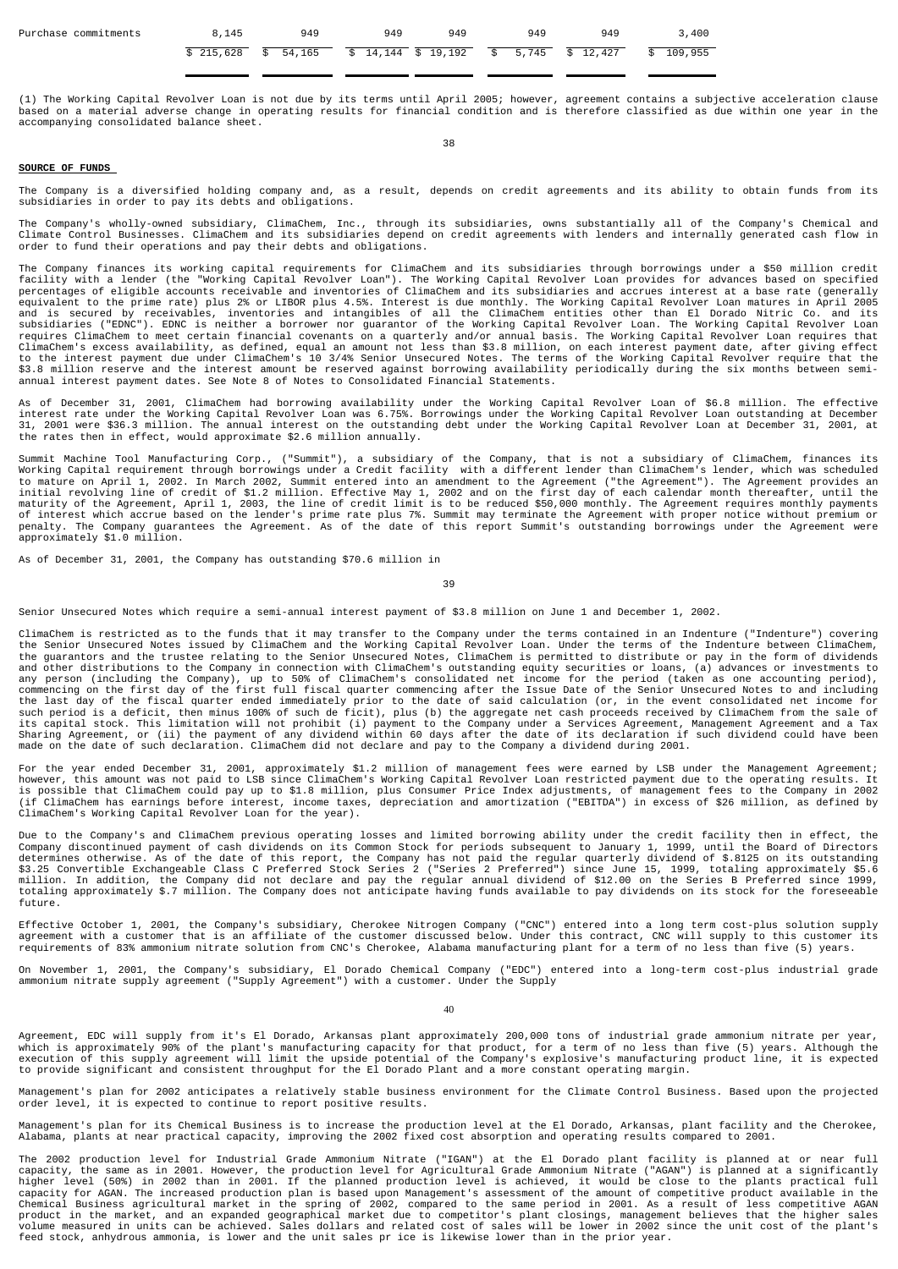| Purchase commitments | 8,145 | 949 | 949                                                         | 949 | 949 | 949 | 3,400     |
|----------------------|-------|-----|-------------------------------------------------------------|-----|-----|-----|-----------|
|                      |       |     | \$ 215,628 \$ 54,165 \$ 14,144 \$ 19,192 \$ 5,745 \$ 12,427 |     |     |     | \$109,955 |

(1) The Working Capital Revolver Loan is not due by its terms until April 2005; however, agreement contains a subjective acceleration clause<br>based on a material adverse change in operating results for financial condition a accompanying consolidated balance sheet.

38

### **SOURCE OF FUNDS**

The Company is a diversified holding company and, as a result, depends on credit agreements and its ability to obtain funds from its subsidiaries in order to pay its debts and obligations.

The Company's wholly-owned subsidiary, ClimaChem, Inc., through its subsidiaries, owns substantially all of the Company's Chemical and<br>Climate Control Businesses. ClimaChem and its subsidiaries depend on credit agreements

The Company finances its working capital requirements for ClimaChem and its subsidiaries through borrowings under a \$50 million credit<br>facility with a lender (the "Working Capital Revolver Loan"). The Working Capital Revol equivalent to the prime rate) plus 2% or LIBOR plus 4.5%. Interest is due monthly. The Working Capital Revolver Loan matures in April 2005<br>and is secured by receivables, inventories and intangibles of all the ClimaChem ent

As of December 31, 2001, ClimaChem had borrowing availability under the Working Capital Revolver Loan of \$6.8 million. The effective<br>interest rate under the Working Capital Revolver Loan was 6.75%. Borrowings under the Wor

Summit Machine Tool Manufacturing Corp., ("Summit"), a subsidiary of the Company, that is not a subsidiary of ClimaChem, finances its<br>Working Capital requirement through borrowings under a Credit facility with a different Working Capital requirement through borrowings under a Credit facility with a different lender than ClimaChem's lender, which was scheduled<br>to mature on April 1, 2002. In March 2002, Summit entered into an amendment to the

As of December 31, 2001, the Company has outstanding \$70.6 million in

39

Senior Unsecured Notes which require a semi-annual interest payment of \$3.8 million on June 1 and December 1, 2002.

ClimaChem is restricted as to the funds that it may transfer to the Company under the terms contained in an Indenture ("Indenture") covering the Senior Unsecured Notes issued by ClimaChem and the Working Capital Revolver Loan. Under the terms of the Indenture between ClimaChem,<br>the guarantors and the trustee relating to the Senior Unsecured Notes, ClimaChem is any person (including the Company), up to 50% of ClimaChem's consolidated net income for the period (taken as one accounting period),<br>commencing on the first day of the first full fiscal quarter commencing after the Issue the last day of the fiscal quarter ended immediately prior to the date of said calculation (or, in the event consolidated net income for<br>such period is a deficit, then minus 100% of such de ficit), plus (b) the aggregate n

For the year ended December 31, 2001, approximately \$1.2 million of management fees were earned by LSB under the Management Agreement;<br>is possible that ClimaChem could pay up to \$1.8 million, plus Consumer Price Index adju

Due to the Company's and ClimaChem previous operating losses and limited borrowing ability under the credit facility then in effect, the<br>Company discontinued payment of cash dividends on its Common Stock for periods subseq future.

Effective October 1, 2001, the Company's subsidiary, Cherokee Nitrogen Company ("CNC") entered into a long term cost-plus solution supply<br>agreement with a customer that is an affiliate of the customer discussed below. Unde

On November 1, 2001, the Company's subsidiary, El Dorado Chemical Company ("EDC") entered into a long-term cost-plus industrial grade ammonium nitrate supply agreement ("Supply Agreement") with a customer. Under the Supply

40

Agreement, EDC will supply from it's El Dorado, Arkansas plant approximately 200,000 tons of industrial grade ammonium nitrate per year, which is approximately 90% of the plant's manufacturing capacity for that product, for a term of no less than five (5) years. Although the<br>execution of this supply agreement will limit the upside potential of the Company's

Management's plan for 2002 anticipates a relatively stable business environment for the Climate Control Business. Based upon the projected order level, it is expected to continue to report positive results.

Management's plan for its Chemical Business is to increase the production level at the El Dorado, Arkansas, plant facility and the Cherokee,<br>Alabama, plants at near practical capacity, improving the 2002 fixed cost absorpt

The 2002 production level for Industrial Grade Ammonium Nitrate ("IGAN") at the El Dorado plant facility is planned at or near full capacity, the same as in 2001. However, the production level for Agricultural Grade Ammonium Nitrate ("AGAN") is planned at a significantly<br>higher level (50%) in 2002 than in 2001. If the planned production level is achiev Chemical Business agricultural market in the spring of 2002, compared to the same period in 2001. As a result of less competitive AGAN<br>product in the market, and an expanded geographical market due to competitor's plant cl feed stock, anhydrous ammonia, is lower and the unit sales pr ice is likewise lower than in the prior year.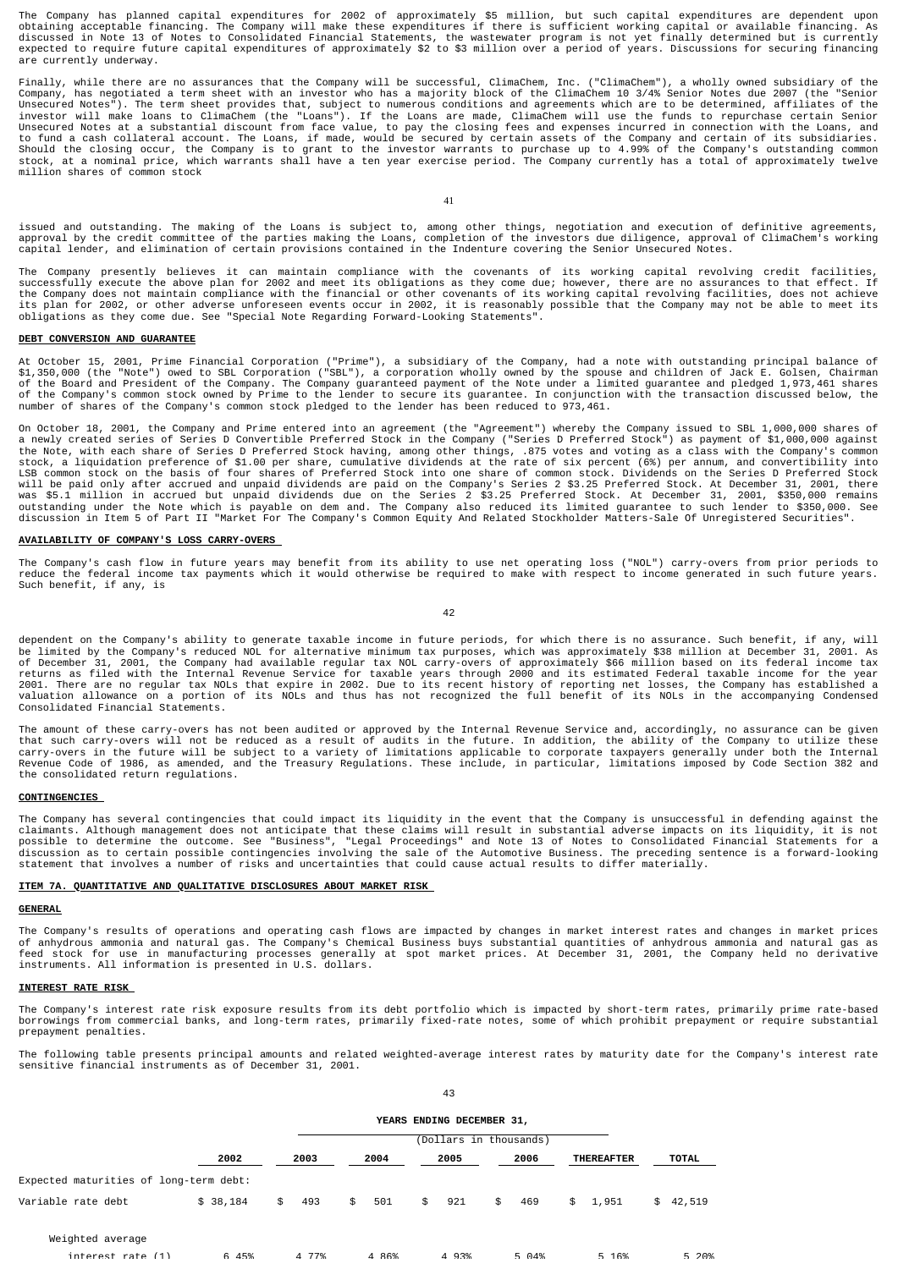The Company has planned capital expenditures for 2002 of approximately \$5 million, but such capital expenditures are dependent upon<br>obtaining acceptable financing. The Company will make these expenditures if there is suffi are currently underway.

Finally, while there are no assurances that the Company will be successful, ClimaChem, Inc. ("ClimaChem"), a wholly owned subsidiary of the<br>Company, has negotiated a term sheet with an investor who has a majority block of Unsecured Notes"). The term sheet provides that, subject to numerous conditions and agreements which are to be determined, affiliates of the<br>investor will make loans to ClimaChem (the "Loans"). If the Loans are made, Clima to fund a cash collateral account. The Loans, if made, would be secured by certain assets of the Company and certain of its subsidiaries.<br>Should the closing occur, the Company is to grant to the investor warrants to purcha million shares of common stock

41

issued and outstanding. The making of the Loans is subject to, among other things, negotiation and execution of definitive agreements,<br>approval by the credit committee of the parties making the Loans, completion of the inv

The Company presently believes it can maintain compliance with the covenants of its working capital revolving credit facilities,<br>successfully execute the above plan for 2002 and meet its obligations as they come due; howev obligations as they come due. See "Special Note Regarding Forward-Looking Statements".

## **DEBT CONVERSION AND GUARANTEE**

At October 15, 2001, Prime Financial Corporation ("Prime"), a subsidiary of the Company, had a note with outstanding principal balance of<br>\$1,350,000 (the "Note") owed to SBL Corporation ("SBL"), a corporation wholly owned

On October 18, 2001, the Company and Prime entered into an agreement (the "Agreement") whereby the Company issued to SBL 1,000,000 shares of<br>a newly created series of Series D Convertible Preferred Stock in the Company ("S the Note, with each share of Series D Preferred Stock having, among other things, .875 votes and voting as a class with the Company's common<br>stock, a liquidation preference of \$1.00 per share, cumulative dividends at the r

### **AVAILABILITY OF COMPANY'S LOSS CARRY-OVERS**

The Company's cash flow in future years may benefit from its ability to use net operating loss ("NOL") carry-overs from prior periods to<br>reduce the federal income tax payments which it would otherwise be required to make w Such benefit, if any, is

 $42$ 

dependent on the Company's ability to generate taxable income in future periods, for which there is no assurance. Such benefit, if any, will<br>be limited by the Company's reduced NOL for alternative minimum tax purposes, whi Consolidated Financial Statements.

The amount of these carry-overs has not been audited or approved by the Internal Revenue Service and, accordingly, no assurance can be given<br>that such carry-overs will not be reduced as a result of audits in the future. In Revenue Code of 1986, as amended, and the Treasury Regulations. These include, in particular, limitations imposed by Code Section 382 and the consolidated return regulations.

### **CONTINGENCIES**

The Company has several contingencies that could impact its liquidity in the event that the Company is unsuccessful in defending against the<br>claimants. Although management does not anticipate that these claims will result

### **ITEM 7A. QUANTITATIVE AND QUALITATIVE DISCLOSURES ABOUT MARKET RISK**

## **GENERAL**

The Company's results of operations and operating cash flows are impacted by changes in market interest rates and changes in market prices of anhydrous ammonia and natural gas. The Company's Chemical Business buys substantial quantities of anhydrous ammonia and natural gas as<br>feed stock for use in manufacturing processes generally at spot market prices. At De

# **INTEREST RATE RISK**

The Company's interest rate risk exposure results from its debt portfolio which is impacted by short-term rates, primarily prime rate-based<br>borrowings from commercial banks, and long-term rates, primarily fixed-rate notes, prepayment penalties.

The following table presents principal amounts and related weighted-average interest rates by maturity date for the Company's interest rate sensitive financial instruments as of December 31, 2001.

|                                        | YEARS ENDING DECEMBER 31, |           |           |           |           |                   |              |  |  |  |
|----------------------------------------|---------------------------|-----------|-----------|-----------|-----------|-------------------|--------------|--|--|--|
|                                        |                           |           |           |           |           |                   |              |  |  |  |
|                                        | 2002                      | 2003      | 2004      | 2005      | 2006      | <b>THEREAFTER</b> | <b>TOTAL</b> |  |  |  |
| Expected maturities of long-term debt: |                           |           |           |           |           |                   |              |  |  |  |
| Variable rate debt                     | \$38,184                  | 493<br>\$ | 501<br>\$ | \$<br>921 | 469<br>\$ | \$1,951           | \$42,519     |  |  |  |
| Weighted average                       |                           |           |           |           |           |                   |              |  |  |  |
| $intaract$ rate $(1)$                  | 6 45%                     | 4 77%     | 4.86%     | 4 93%     | 5 04%     | 5 16%             | 5 20%        |  |  |  |

43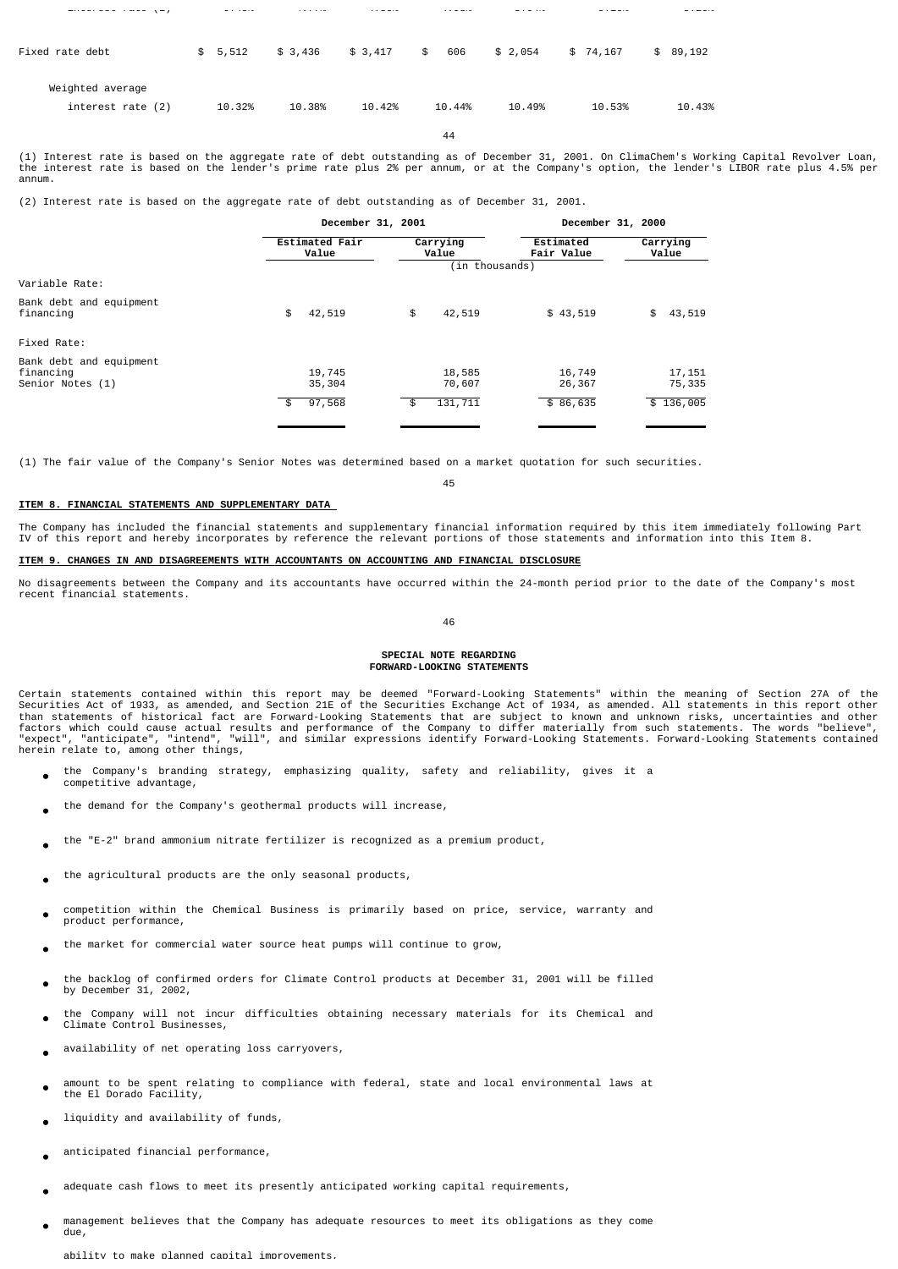| Fixed rate debt                       | \$5,512 | \$3,436 | \$3,417 | 606<br>\$ | \$2,054 | \$74,167 | \$89,192 |
|---------------------------------------|---------|---------|---------|-----------|---------|----------|----------|
| Weighted average<br>interest rate (2) | 10.32%  | 10.38%  | 10.42%  | 10.44%    | 10.49%  | 10.53%   | 10.43%   |
|                                       |         |         |         | 44        |         |          |          |

interest rate (1) 6.45% 4.77% 4.86% 4.93% 5.04% 5.16% 5.20%

(1) Interest rate is based on the aggregate rate of debt outstanding as of December 31, 2001. On ClimaChem's Working Capital Revolver Loan, the interest rate is based on the lender's prime rate plus 2% per annum, or at the Company's option, the lender's LIBOR rate plus 4.5% per annum.

(2) Interest rate is based on the aggregate rate of debt outstanding as of December 31, 2001.

|                                    |                                   | December 31, 2000            |                                |  |  |
|------------------------------------|-----------------------------------|------------------------------|--------------------------------|--|--|
| <b>Estimated Fair</b><br>Value     | Carrying<br>Value                 | Estimated<br>Fair Value      | Carrying<br>Value              |  |  |
|                                    |                                   |                              |                                |  |  |
|                                    |                                   |                              |                                |  |  |
| \$<br>42,519                       | \$<br>42,519                      | \$43,519                     | \$<br>43,519                   |  |  |
|                                    |                                   |                              |                                |  |  |
| 19,745<br>35,304<br>97,568<br>- \$ | 18,585<br>70,607<br>131,711<br>\$ | 16,749<br>26,367<br>\$86,635 | 17, 151<br>75,335<br>\$136,005 |  |  |
|                                    |                                   | December 31, 2001            | (in thousands)                 |  |  |

(1) The fair value of the Company's Senior Notes was determined based on a market quotation for such securities.

45

### **ITEM 8. FINANCIAL STATEMENTS AND SUPPLEMENTARY DATA**

The Company has included the financial statements and supplementary financial information required by this item immediately following Part<br>IV of this report and hereby incorporates by reference the relevant portions of tho

## **ITEM 9. CHANGES IN AND DISAGREEMENTS WITH ACCOUNTANTS ON ACCOUNTING AND FINANCIAL DISCLOSURE**

No disagreements between the Company and its accountants have occurred within the 24-month period prior to the date of the Company's most recent financial statements.

46

### **SPECIAL NOTE REGARDING FORWARD-LOOKING STATEMENTS**

Certain statements contained within this report may be deemed "Forward-Looking Statements" within the meaning of Section 27A of the<br>Securities Act of 1933, as amended, and Section 21E of the Securities Exchange Act of 1934 herein relate to, among other things,

- the Company's branding strategy, emphasizing quality, safety and reliability, gives it a competitive advantage,
- the demand for the Company's geothermal products will increase,
- the "E-2" brand ammonium nitrate fertilizer is recognized as a premium product,
- the agricultural products are the only seasonal products,
- competition within the Chemical Business is primarily based on price, service, warranty and product performance,
- the market for commercial water source heat pumps will continue to grow,
- the backlog of confirmed orders for Climate Control products at December 31, 2001 will be filled by December 31, 2002,  $\bullet$
- the Company will not incur difficulties obtaining necessary materials for its Chemical and Climate Control Businesses,
- availability of net operating loss carryovers,
- amount to be spent relating to compliance with federal, state and local environmental laws at the El Dorado Facility,
- liquidity and availability of funds,
- anticipated financial performance,
- adequate cash flows to meet its presently anticipated working capital requirements,
- management believes that the Company has adequate resources to meet its obligations as they come due,

ability to make planned capital improvements,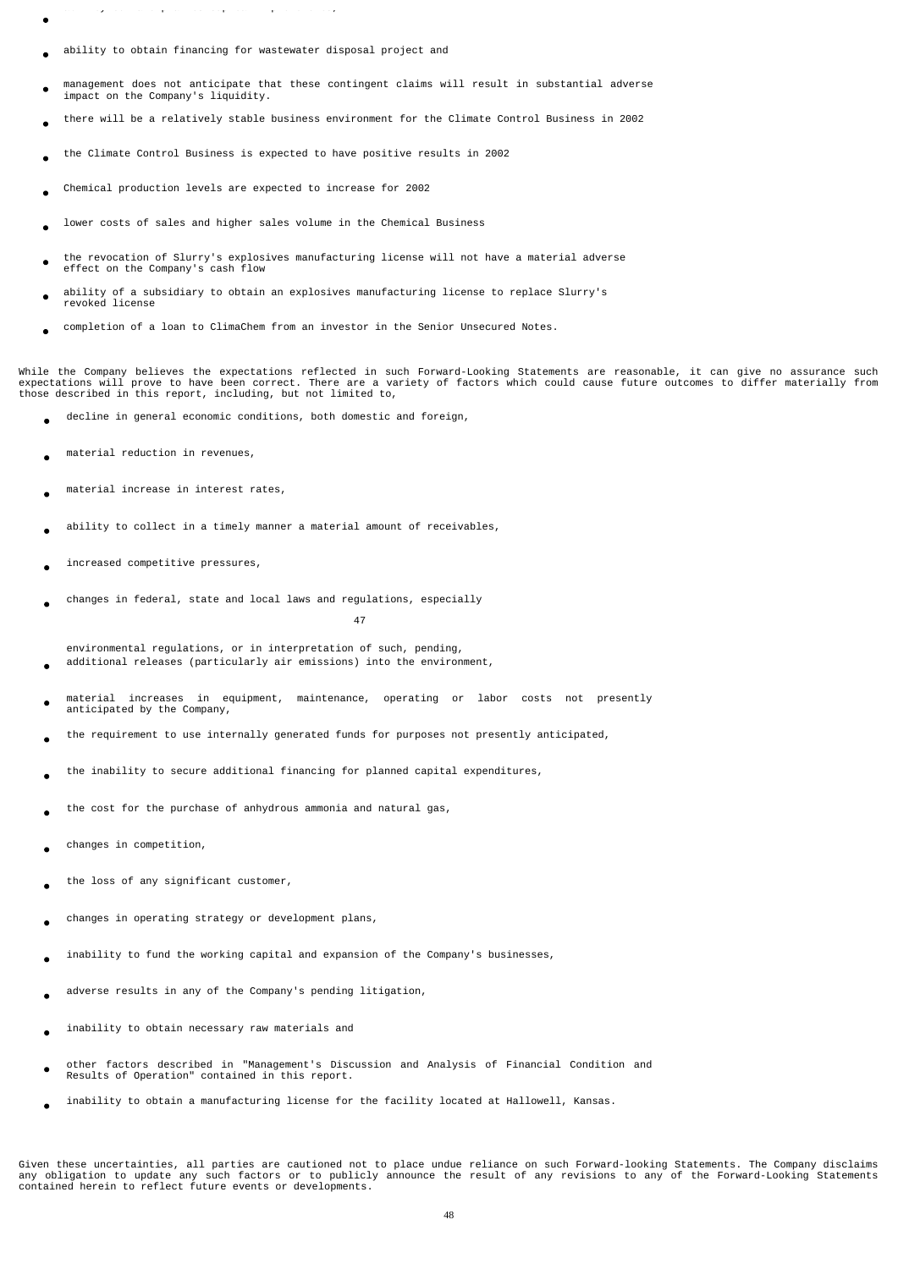- ab ty to a e p a ed cap ta p o e e ts,
- ability to obtain financing for wastewater disposal project and
- management does not anticipate that these contingent claims will result in substantial adverse impact on the Company's liquidity.
- there will be a relatively stable business environment for the Climate Control Business in 2002
- the Climate Control Business is expected to have positive results in 2002
- Chemical production levels are expected to increase for 2002
- lower costs of sales and higher sales volume in the Chemical Business
- the revocation of Slurry's explosives manufacturing license will not have a material adverse effect on the Company's cash flow
- ability of a subsidiary to obtain an explosives manufacturing license to replace Slurry's revoked license
- completion of a loan to ClimaChem from an investor in the Senior Unsecured Notes.

While the Company believes the expectations reflected in such Forward-Looking Statements are reasonable, it can give no assurance such expectations will prove to have been correct. There are a variety of factors which could cause future outcomes to differ materially from<br>those described in this report, including, but not limited to,

- decline in general economic conditions, both domestic and foreign,
- material reduction in revenues,
- material increase in interest rates,
- ability to collect in a timely manner a material amount of receivables,
- increased competitive pressures,
- changes in federal, state and local laws and regulations, especially

47

- environmental regulations, or in interpretation of such, pending, additional releases (particularly air emissions) into the environment,
- material increases in equipment, maintenance, operating or labor costs not presently anticipated by the Company,
- the requirement to use internally generated funds for purposes not presently anticipated,
- the inability to secure additional financing for planned capital expenditures,
- the cost for the purchase of anhydrous ammonia and natural gas,
- changes in competition,
- the loss of any significant customer,
- changes in operating strategy or development plans,
- inability to fund the working capital and expansion of the Company's businesses,
- adverse results in any of the Company's pending litigation,
- inability to obtain necessary raw materials and
- other factors described in "Management's Discussion and Analysis of Financial Condition and Results of Operation" contained in this report.
- inability to obtain a manufacturing license for the facility located at Hallowell, Kansas.

Given these uncertainties, all parties are cautioned not to place undue reliance on such Forward-looking Statements. The Company disclaims any obligation to update any such factors or to publicly announce the result of any revisions to any of the Forward-Looking Statements contained herein to reflect future events or developments.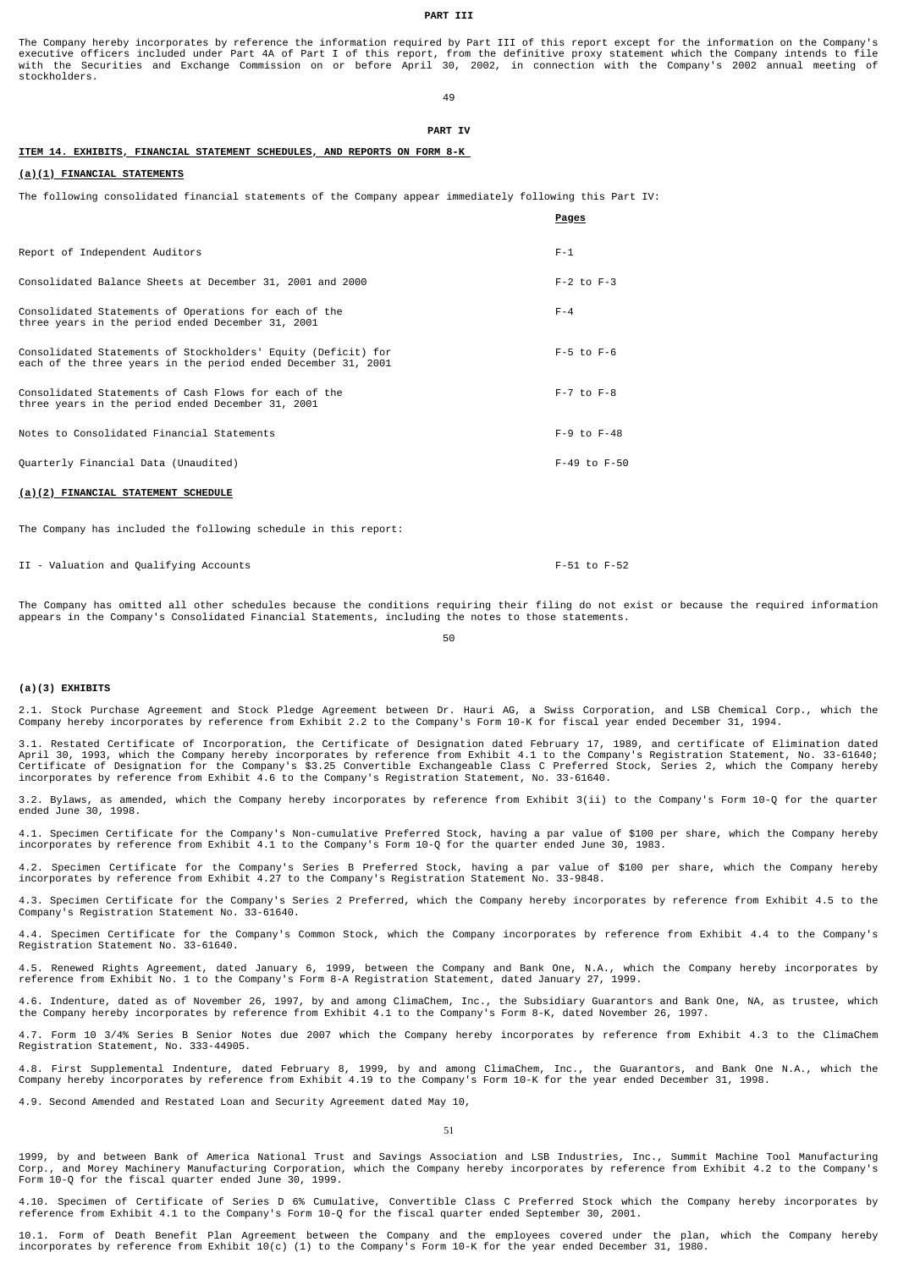### **PART III**

The Company hereby incorporates by reference the information required by Part III of this report except for the information on the Company's executive officers included under Part 4A of Part I of this report, from the definitive proxy statement which the Company intends to file<br>with the Securities and Exchange Commission on or before April 30, 2002, in connecti stockholders.

49

#### **PART IV**

**Pages**

### **ITEM 14. EXHIBITS, FINANCIAL STATEMENT SCHEDULES, AND REPORTS ON FORM 8-K**

### **(a)(1) FINANCIAL STATEMENTS**

The following consolidated financial statements of the Company appear immediately following this Part IV:

| Report of Independent Auditors                                                                                                 | $F - 1$            |
|--------------------------------------------------------------------------------------------------------------------------------|--------------------|
| Consolidated Balance Sheets at December 31, 2001 and 2000                                                                      | $F-2$ to $F-3$     |
| Consolidated Statements of Operations for each of the<br>three years in the period ended December 31, 2001                     | $F - 4$            |
| Consolidated Statements of Stockholders' Equity (Deficit) for<br>each of the three years in the period ended December 31, 2001 | $F-5$ to $F-6$     |
| Consolidated Statements of Cash Flows for each of the<br>three years in the period ended December 31, 2001                     | $F - 7$ to $F - 8$ |
| Notes to Consolidated Financial Statements                                                                                     | $F-9$ to $F-48$    |
| Quarterly Financial Data (Unaudited)                                                                                           | $F-49$ to $F-50$   |

#### **(a)(2) FINANCIAL STATEMENT SCHEDULE**

The Company has included the following schedule in this report:

II - Valuation and Qualifying Accounts F-51 to F-52

The Company has omitted all other schedules because the conditions requiring their filing do not exist or because the required information appears in the Company's Consolidated Financial Statements, including the notes to those statements.

50

### **(a)(3) EXHIBITS**

2.1. Stock Purchase Agreement and Stock Pledge Agreement between Dr. Hauri AG, a Swiss Corporation, and LSB Chemical Corp., which the Company hereby incorporates by reference from Exhibit 2.2 to the Company's Form 10-K for fiscal year ended December 31, 1994.

3.1. Restated Certificate of Incorporation, the Certificate of Designation dated February 17, 1989, and certificate of Elimination dated<br>April 30, 1993, which the Company hereby incorporates by reference from Exhibit 4.1 t incorporates by reference from Exhibit 4.6 to the Company's Registration Statement, No. 33-61640.

3.2. Bylaws, as amended, which the Company hereby incorporates by reference from Exhibit 3(ii) to the Company's Form 10-Q for the quarter ended June 30, 1998.

4.1. Specimen Certificate for the Company's Non-cumulative Preferred Stock, having a par value of \$100 per share, which the Company hereby incorporates by reference from Exhibit 4.1 to the Company's Form 10-Q for the quarter ended June 30, 1983.

4.2. Specimen Certificate for the Company's Series B Preferred Stock, having a par value of \$100 per share, which the Company hereby<br>incorporates by reference from Exhibit 4.27 to the Company's Registration Statement No. 3

4.3. Specimen Certificate for the Company's Series 2 Preferred, which the Company hereby incorporates by reference from Exhibit 4.5 to the Company's Registration Statement No. 33-61640.

4.4. Specimen Certificate for the Company's Common Stock, which the Company incorporates by reference from Exhibit 4.4 to the Company's Registration Statement No. 33-61640.

4.5. Renewed Rights Agreement, dated January 6, 1999, between the Company and Bank One, N.A., which the Company hereby incorporates by reference from Exhibit No. 1 to the Company's Form 8-A Registration Statement, dated January 27, 1999.

4.6. Indenture, dated as of November 26, 1997, by and among ClimaChem, Inc., the Subsidiary Guarantors and Bank One, NA, as trustee, which<br>the Company hereby incorporates by reference from Exhibit 4.1 to the Company's Form

4.7. Form 10 3/4% Series B Senior Notes due 2007 which the Company hereby incorporates by reference from Exhibit 4.3 to the ClimaChem Registration Statement, No. 333-44905.

4.8. First Supplemental Indenture, dated February 8, 1999, by and among ClimaChem, Inc., the Guarantors, and Bank One N.A., which the<br>Company hereby incorporates by reference from Exhibit 4.19 to the Company's Form 10-K fo

4.9. Second Amended and Restated Loan and Security Agreement dated May 10,

1999, by and between Bank of America National Trust and Savings Association and LSB Industries, Inc., Summit Machine Tool Manufacturing<br>Corp., and Morey Machinery Manufacturing Corporation, which the Company hereby incorpo Form 10-Q for the fiscal quarter ended June 30, 1999.

4.10. Specimen of Certificate of Series D 6% Cumulative, Convertible Class C Preferred Stock which the Company hereby incorporates by<br>reference from Exhibit 4.1 to the Company's Form 10-Q for the fiscal quarter ended Septe

10.1. Form of Death Benefit Plan Agreement between the Company and the employees covered under the plan, which the Company hereby incorporates by reference from Exhibit 10(c) (1) to the Company's Form 10-K for the year ended December 31, 1980.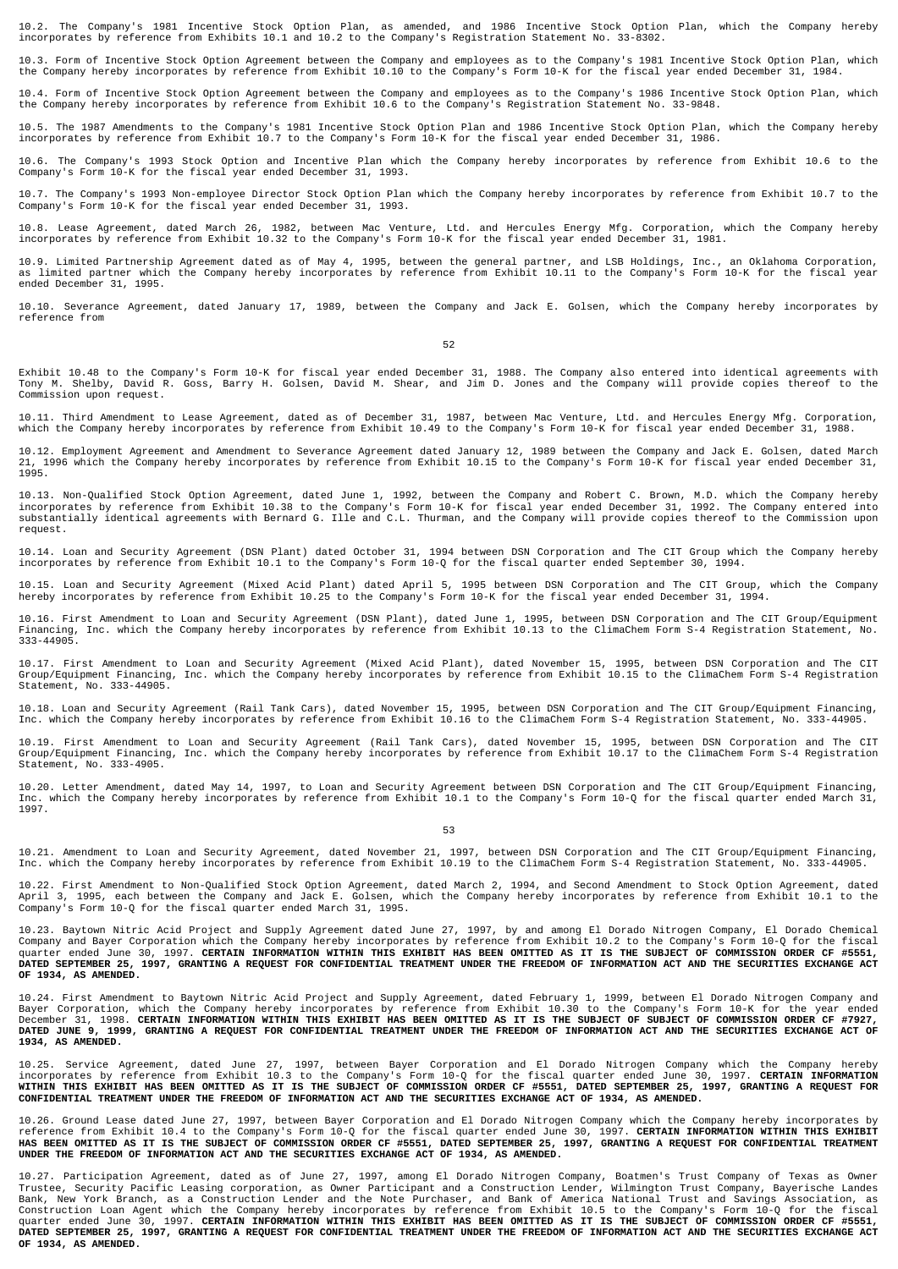10.2. The Company's 1981 Incentive Stock Option Plan, as amended, and 1986 Incentive Stock Option Plan, which the Company hereby incorporates by reference from Exhibits 10.1 and 10.2 to the Company's Registration Statement No. 33-8302.

10.3. Form of Incentive Stock Option Agreement between the Company and employees as to the Company's 1981 Incentive Stock Option Plan, which the Company hereby incorporates by reference from Exhibit 10.10 to the Company's Form 10-K for the fiscal year ended December 31, 1984.

10.4. Form of Incentive Stock Option Agreement between the Company and employees as to the Company's 1986 Incentive Stock Option Plan, which the Company hereby incorporates by reference from Exhibit 10.6 to the Company's Registration Statement No. 33-9848.

10.5. The 1987 Amendments to the Company's 1981 Incentive Stock Option Plan and 1986 Incentive Stock Option Plan, which the Company hereby incorporates by reference from Exhibit 10.7 to the Company's Form 10-K for the fiscal year ended December 31, 1986.

10.6. The Company's 1993 Stock Option and Incentive Plan which the Company hereby incorporates by reference from Exhibit 10.6 to the Company's Form 10-K for the fiscal year ended December 31, 1993.

10.7. The Company's 1993 Non-employee Director Stock Option Plan which the Company hereby incorporates by reference from Exhibit 10.7 to the Company's Form 10-K for the fiscal year ended December 31, 1993.

10.8. Lease Agreement, dated March 26, 1982, between Mac Venture, Ltd. and Hercules Energy Mfg. Corporation, which the Company hereby incorporates by reference from Exhibit 10.32 to the Company's Form 10-K for the fiscal year ended December 31, 1981.

10.9. Limited Partnership Agreement dated as of May 4, 1995, between the general partner, and LSB Holdings, Inc., an Oklahoma Corporation,<br>as limited partner which the Company hereby incorporates by reference from Exhibit ended December 31, 1995.

10.10. Severance Agreement, dated January 17, 1989, between the Company and Jack E. Golsen, which the Company hereby incorporates by reference from

52

Exhibit 10.48 to the Company's Form 10-K for fiscal year ended December 31, 1988. The Company also entered into identical agreements with<br>Tony M. Shelby, David R. Goss, Barry H. Golsen, David M. Shear, and Jim D. Jones and Commission upon request.

10.11. Third Amendment to Lease Agreement, dated as of December 31, 1987, between Mac Venture, Ltd. and Hercules Energy Mfg. Corporation,<br>which the Company hereby incorporates by reference from Exhibit 10.49 to the Company

10.12. Employment Agreement and Amendment to Severance Agreement dated January 12, 1989 between the Company and Jack E. Golsen, dated March<br>21, 1996 which the Company hereby incorporates by reference from Exhibit 10.15 to 1995.

10.13. Non-Qualified Stock Option Agreement, dated June 1, 1992, between the Company and Robert C. Brown, M.D. which the Company hereby<br>incorporates by reference from Exhibit 10.38 to the Company's Form 10-K for fiscal yea request.

10.14. Loan and Security Agreement (DSN Plant) dated October 31, 1994 between DSN Corporation and The CIT Group which the Company hereby<br>incorporates by reference from Exhibit 10.1 to the Company's Form 10-Q for the fiscal

10.15. Loan and Security Agreement (Mixed Acid Plant) dated April 5, 1995 between DSN Corporation and The CIT Group, which the Company<br>hereby incorporates by reference from Exhibit 10.25 to the Company's Form 10-K for the

10.16. First Amendment to Loan and Security Agreement (DSN Plant), dated June 1, 1995, between DSN Corporation and The CIT Group/Equipment<br>Financing, Inc. which the Company hereby incorporates by reference from Exhibit 10.

10.17. First Amendment to Loan and Security Agreement (Mixed Acid Plant), dated November 15, 1995, between DSN Corporation and The CIT<br>Group/Equipment Financing, Inc. which the Company hereby incorporates by reference from Statement, No. 333-44905.

10.18. Loan and Security Agreement (Rail Tank Cars), dated November 15, 1995, between DSN Corporation and The CIT Group/Equipment Financing, Inc. which the Company hereby incorporates by reference from Exhibit 10.16 to the ClimaChem Form S-4 Registration Statement, No. 333-44905.

10.19. First Amendment to Loan and Security Agreement (Rail Tank Cars), dated November 15, 1995, between DSN Corporation and The CIT<br>Group/Equipment Financing, Inc. which the Company hereby incorporates by reference from E Statement, No. 333-4905.

10.20. Letter Amendment, dated May 14, 1997, to Loan and Security Agreement between DSN Corporation and The CIT Group/Equipment Financing,<br>Inc. which the Company hereby incorporates by reference from Exhibit 10.1 to the Co

53

10.21. Amendment to Loan and Security Agreement, dated November 21, 1997, between DSN Corporation and The CIT Group/Equipment Financing,<br>Inc. which the Company hereby incorporates by reference from Exhibit 10.19 to the Cli

10.22. First Amendment to Non-Qualified Stock Option Agreement, dated March 2, 1994, and Second Amendment to Stock Option Agreement, dated<br>April 3, 1995, each between the Company and Jack E. Golsen, which the Company hereb

10.23. Baytown Nitric Acid Project and Supply Agreement dated June 27, 1997, by and among El Dorado Nitrogen Company, El Dorado Chemical<br>Company and Bayer Corporation which the Company hereby incorporates by reference fro **OF 1934, AS AMENDED.**

10.24. First Amendment to Baytown Nitric Acid Project and Supply Agreement, dated February 1, 1999, between El Dorado Nitrogen Company and<br>Bayer Corporation, which the Company hereby incorporates by reference from Exhibit **1934, AS AMENDED.**

10.25. Service Agreement, dated June 27, 1997, between Bayer Corporation and El Dorado Nitrogen Company which the Company hereby<br>incorporates by reference from Exhibit 10.3 to the Company's Form 10-Q for the fiscal quarter **CONFIDENTIAL TREATMENT UNDER THE FREEDOM OF INFORMATION ACT AND THE SECURITIES EXCHANGE ACT OF 1934, AS AMENDED.**

10.26. Ground Lease dated June 27, 1997, between Bayer Corporation and El Dorado Nitrogen Company which the Company hereby incorporates by<br>reference from Exhibit 10.4 to the Company's Form 10-Q for the fiscal quarter ended

10.27. Participation Agreement, dated as of June 27, 1997, among El Dorado Nitrogen Company, Boatmen's Trust Company of Texas as Owner<br>Trustee, Security Pacific Leasing corporation, as Owner Participant and a Construction **OF 1934, AS AMENDED.**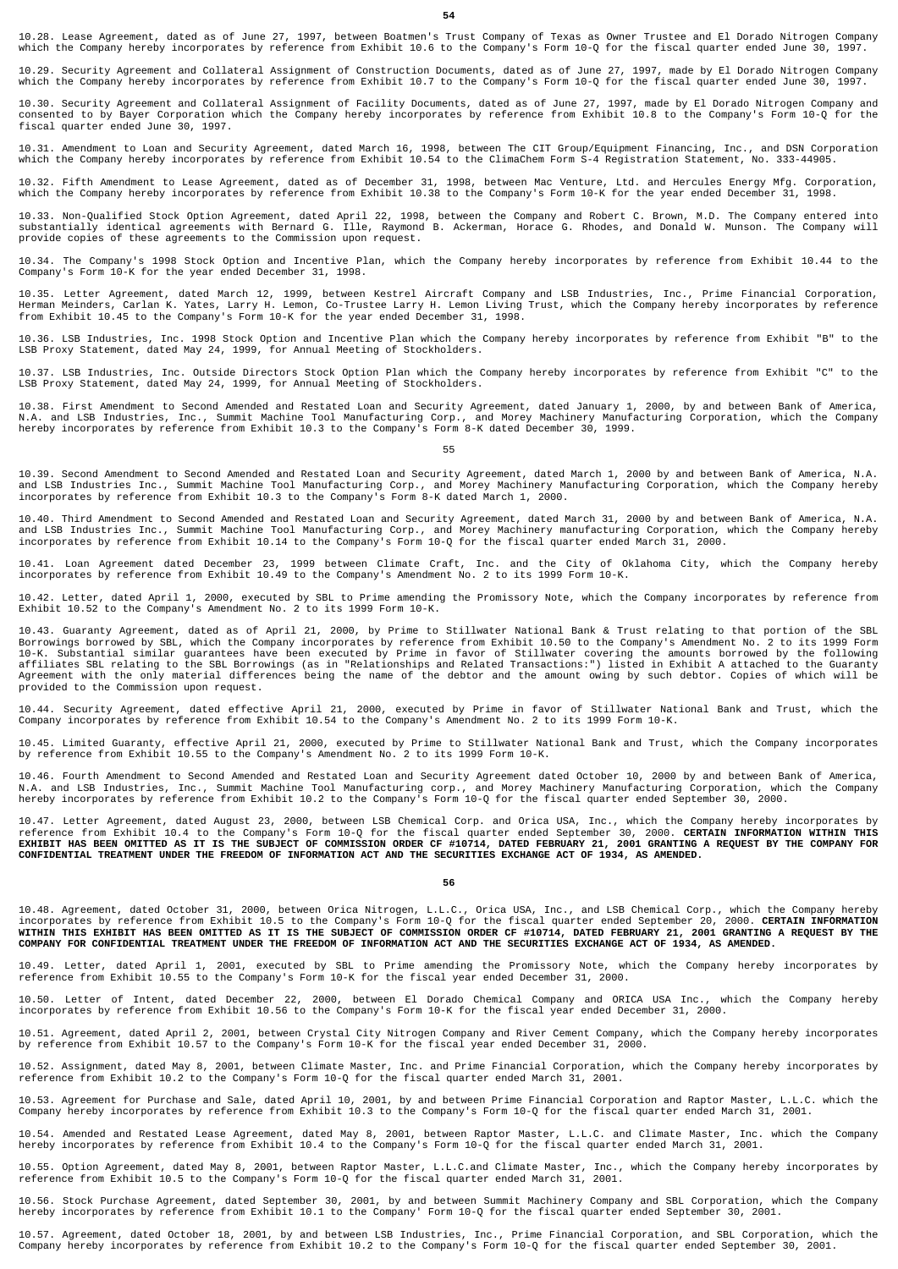10.28. Lease Agreement, dated as of June 27, 1997, between Boatmen's Trust Company of Texas as Owner Trustee and El Dorado Nitrogen Company<br>which the Company hereby incorporates by reference from Exhibit 10.6 to the Compan

10.29. Security Agreement and Collateral Assignment of Construction Documents, dated as of June 27, 1997, made by El Dorado Nitrogen Company<br>which the Company hereby incorporates by reference from Exhibit 10.7 to the Compa

10.30. Security Agreement and Collateral Assignment of Facility Documents, dated as of June 27, 1997, made by El Dorado Nitrogen Company and<br>consented to by Bayer Corporation which the Company hereby incorporates by refere fiscal quarter ended June 30, 1997.

10.31. Amendment to Loan and Security Agreement, dated March 16, 1998, between The CIT Group/Equipment Financing, Inc., and DSN Corporation<br>which the Company hereby incorporates by reference from Exhibit 10.54 to the Clima

10.32. Fifth Amendment to Lease Agreement, dated as of December 31, 1998, between Mac Venture, Ltd. and Hercules Energy Mfg. Corporation, which the Company hereby incorporates by reference from Exhibit 10.38 to the Company's Form 10-K for the year ended December 31, 1998.

10.33. Non-Qualified Stock Option Agreement, dated April 22, 1998, between the Company and Robert C. Brown, M.D. The Company entered into<br>substantially identical agreements with Bernard G. Ille, Raymond B. Ackerman, Horace

10.34. The Company's 1998 Stock Option and Incentive Plan, which the Company hereby incorporates by reference from Exhibit 10.44 to the Company's Form 10-K for the year ended December 31, 1998.

10.35. Letter Agreement, dated March 12, 1999, between Kestrel Aircraft Company and LSB Industries, Inc., Prime Financial Corporation,<br>Herman Meinders, Carlan K. Yates, Larry H. Lemon, Co-Trustee Larry H. Lemon Living Trus

10.36. LSB Industries, Inc. 1998 Stock Option and Incentive Plan which the Company hereby incorporates by reference from Exhibit "B" to the LSB Proxy Statement, dated May 24, 1999, for Annual Meeting of Stockholders.

10.37. LSB Industries, Inc. Outside Directors Stock Option Plan which the Company hereby incorporates by reference from Exhibit "C" to the LSB Proxy Statement, dated May 24, 1999, for Annual Meeting of Stockholders.

10.38. First Amendment to Second Amended and Restated Loan and Security Agreement, dated January 1, 2000, by and between Bank of America,<br>N.A. and LSB Industries, Inc., Summit Machine Tool Manufacturing Corp., and Morey Ma

55

10.39. Second Amendment to Second Amended and Restated Loan and Security Agreement, dated March 1, 2000 by and between Bank of America, N.A. and LSB Industries Inc., Summit Machine Tool Manufacturing Corp., and Morey Machinery Manufacturing Corporation, which the Company hereby incorporates by reference from Exhibit 10.3 to the Company's Form 8-K dated March 1, 2000.

10.40. Third Amendment to Second Amended and Restated Loan and Security Agreement, dated March 31, 2000 by and between Bank of America, N.A.<br>and LSB Industries Inc., Summit Machine Tool Manufacturing Corp., and Morey Machi

10.41. Loan Agreement dated December 23, 1999 between Climate Craft, Inc. and the City of Oklahoma City, which the Company hereby<br>incorporates by reference from Exhibit 10.49 to the Company's Amendment No. 2 to its 1999 Fo

10.42. Letter, dated April 1, 2000, executed by SBL to Prime amending the Promissory Note, which the Company incorporates by reference from Exhibit 10.52 to the Company's Amendment No. 2 to its 1999 Form 10-K.

10.43. Guaranty Agreement, dated as of April 21, 2000, by Prime to Stillwater National Bank & Trust relating to that portion of the SBL Borrowings borrowed by SBL, which the Company incorporates by reference from Exhibit 10.50 to the Company's Amendment No. 2 to its 1999 Form<br>10-K. Substantial similar guarantees have been executed by Prime in favor of Stil Agreement with the only material differences being the name of the debtor and the amount owing by such debtor. Copies of which will be provided to the Commission upon request.

10.44. Security Agreement, dated effective April 21, 2000, executed by Prime in favor of Stillwater National Bank and Trust, which the<br>Company incorporates by reference from Exhibit 10.54 to the Company's Amendment No. 2 t

10.45. Limited Guaranty, effective April 21, 2000, executed by Prime to Stillwater National Bank and Trust, which the Company incorporates<br>by reference from Exhibit 10.55 to the Company's Amendment No. 2 to its 1999 Form 1

10.46. Fourth Amendment to Second Amended and Restated Loan and Security Agreement dated October 10, 2000 by and between Bank of America,<br>N.A. and LSB Industries, Inc., Summit Machine Tool Manufacturing corp., and Morey Ma

10.47. Letter Agreement, dated August 23, 2000, between LSB Chemical Corp. and Orica USA, Inc., which the Company hereby incorporates by<br>reference from Exhibit 10.4 to the Company's Form 10-Q for the fiscal quarter ended

### **56**

10.48. Agreement, dated October 31, 2000, between Orica Nitrogen, L.L.C., Orica USA, Inc., and LSB Chemical Corp., which the Company hereby<br>incorporates by reference from Exhibit 10.5 to the Company's Form 10-Q for the fis

10.49. Letter, dated April 1, 2001, executed by SBL to Prime amending the Promissory Note, which the Company hereby incorporates by<br>reference from Exhibit 10.55 to the Company's Form 10-K for the fiscal year ended December

10.50. Letter of Intent, dated December 22, 2000, between El Dorado Chemical Company and ORICA USA Inc., which the Company hereby<br>incorporates by reference from Exhibit 10.56 to the Company's Form 10-K for the fiscal year

10.51. Agreement, dated April 2, 2001, between Crystal City Nitrogen Company and River Cement Company, which the Company hereby incorporates by reference from Exhibit 10.57 to the Company's Form 10-K for the fiscal year ended December 31, 2000.

10.52. Assignment, dated May 8, 2001, between Climate Master, Inc. and Prime Financial Corporation, which the Company hereby incorporates by reference from Exhibit 10.2 to the Company's Form 10-Q for the fiscal quarter ended March 31, 2001.

10.53. Agreement for Purchase and Sale, dated April 10, 2001, by and between Prime Financial Corporation and Raptor Master, L.L.C. which the Company hereby incorporates by reference from Exhibit 10.3 to the Company's Form 10-Q for the fiscal quarter ended March 31, 2001.

10.54. Amended and Restated Lease Agreement, dated May 8, 2001, between Raptor Master, L.L.C. and Climate Master, Inc. which the Company<br>hereby incorporates by reference from Exhibit 10.4 to the Company's Form 10-Q for the

10.55. Option Agreement, dated May 8, 2001, between Raptor Master, L.L.C.and Climate Master, Inc., which the Company hereby incorporates by reference from Exhibit 10.5 to the Company's Form 10-Q for the fiscal quarter ended March 31, 2001.

10.56. Stock Purchase Agreement, dated September 30, 2001, by and between Summit Machinery Company and SBL Corporation, which the Company<br>hereby incorporates by reference from Exhibit 10.1 to the Company' Form 10-Q for the

10.57. Agreement, dated October 18, 2001, by and between LSB Industries, Inc., Prime Financial Corporation, and SBL Corporation, which the<br>Company hereby incorporates by reference from Exhibit 10.2 to the Company's Form 10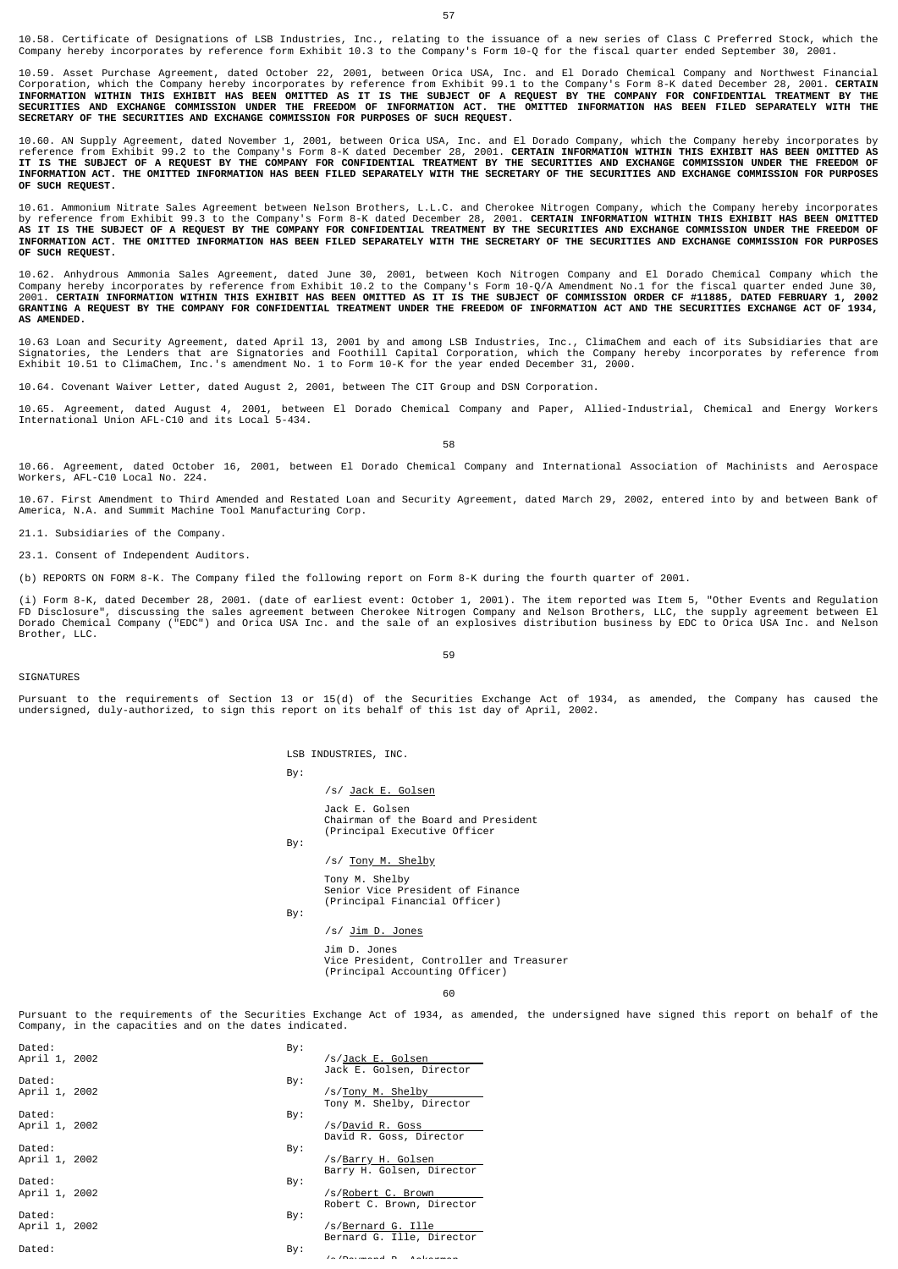10.59. Asset Purchase Agreement, dated October 22, 2001, between Orica USA, Inc. and El Dorado Chemical Company and Northwest Financial<br>Corporation, which the Company hereby incorporates by reference from Exhibit 99.1 to t **SECRETARY OF THE SECURITIES AND EXCHANGE COMMISSION FOR PURPOSES OF SUCH REQUEST.**

10.60. AN Supply Agreement, dated November 1, 2001, between Orica USA, Inc. and El Dorado Company, which the Company hereby incorporates by<br>reference from Exhibit 99.2 to the Company's Form 8-K dated December 28, 2001. **CE OF SUCH REQUEST.**

10.61. Ammonium Nitrate Sales Agreement between Nelson Brothers, L.L.C. and Cherokee Nitrogen Company, which the Company hereby incorporates<br>by reference from Exhibit 99.3 to the Company's Form 8-K dated December 28, 2001. **OF SUCH REQUEST.**

10.62. Anhydrous Ammonia Sales Agreement, dated June 30, 2001, between Koch Nitrogen Company and El Dorado Chemical Company which the<br>Company hereby incorporates by reference from Exhibit 10.2 to the Company's Form 10-Q/A **AS AMENDED.** 

10.63 Loan and Security Agreement, dated April 13, 2001 by and among LSB Industries, Inc., ClimaChem and each of its Subsidiaries that are<br>Signatories, the Lenders that are Signatories and Foothill Capital Corporation, whi

10.64. Covenant Waiver Letter, dated August 2, 2001, between The CIT Group and DSN Corporation.

10.65. Agreement, dated August 4, 2001, between El Dorado Chemical Company and Paper, Allied-Industrial, Chemical and Energy Workers International Union AFL-C10 and its Local 5-434.

58

10.66. Agreement, dated October 16, 2001, between El Dorado Chemical Company and International Association of Machinists and Aerospace Workers, AFL-C10 Local No. 224.

10.67. First Amendment to Third Amended and Restated Loan and Security Agreement, dated March 29, 2002, entered into by and between Bank of America, N.A. and Summit Machine Tool Manufacturing Corp.

21.1. Subsidiaries of the Company.

23.1. Consent of Independent Auditors.

(b) REPORTS ON FORM 8-K. The Company filed the following report on Form 8-K during the fourth quarter of 2001.

(i) Form 8-K, dated December 28, 2001. (date of earliest event: October 1, 2001). The item reported was Item 5, "Other Events and Regulation<br>FD Disclosure", discussing the sales agreement between Cherokee Nitrogen Company Brother, LLC.

59

### **SIGNATURES**

Pursuant to the requirements of Section 13 or 15(d) of the Securities Exchange Act of 1934, as amended, the Company has caused the undersigned, duly-authorized, to sign this report on its behalf of this 1st day of April, 2002.

LSB INDUSTRIES, INC.

/s/ Jack E. Golsen Jack E. Golsen Chairman of the Board and President (Principal Executive Officer /s/ Tony M. Shelby Tony M. Shelby

Senior Vice President of Finance (Principal Financial Officer)

By:

By:

By:

/s/ Jim D. Jones

Jim D. Jones Vice President, Controller and Treasurer (Principal Accounting Officer)

#### 60

Pursuant to the requirements of the Securities Exchange Act of 1934, as amended, the undersigned have signed this report on behalf of the Company, in the capacities and on the dates indicated.

| Dated:<br>April 1, 2002 | By: | /s/Jack E. Golsen<br>Jack E. Golsen, Director   |
|-------------------------|-----|-------------------------------------------------|
| Dated:<br>April 1, 2002 | By: | /s/Tony M. Shelby<br>Tony M. Shelby, Director   |
| Dated:<br>April 1, 2002 | By: | /s/David R. Goss<br>David R. Goss, Director     |
| Dated:<br>April 1, 2002 | By: | /s/Barry H. Golsen<br>Barry H. Golsen, Director |
| Dated:<br>April 1, 2002 | By: | /s/Robert C. Brown<br>Robert C. Brown, Director |
| Dated:<br>April 1, 2002 | By: | /s/Bernard G. Ille<br>Bernard G. Ille, Director |
| Dated:                  | By: | $\sqrt{2}$                                      |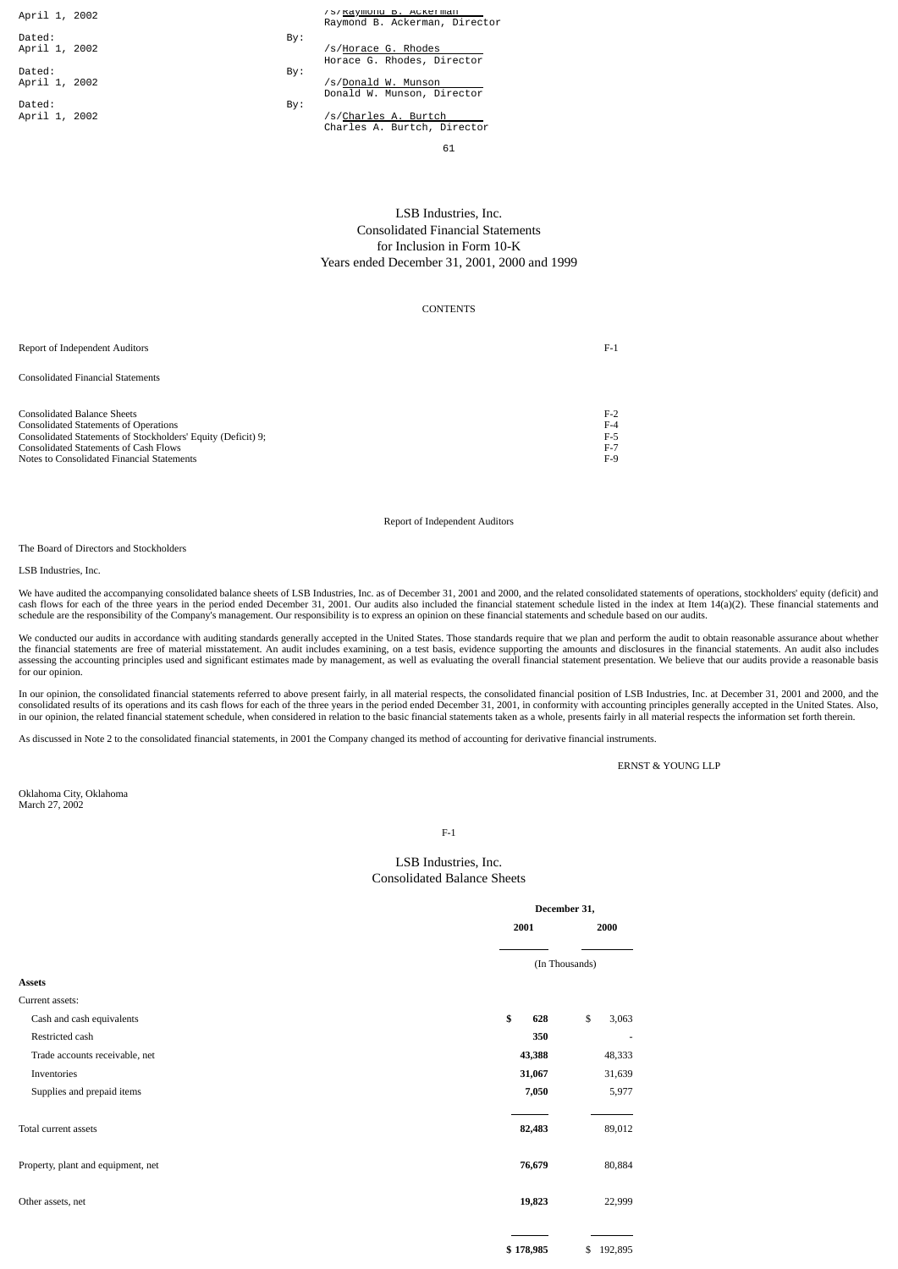April 1, 2002 Dated: By: April 1, 2002 /s/Horace G. Rhodes Dated: By April 1, 2002 Dated: By:

|  | /S/Kaymond B. ACKET man       |  |
|--|-------------------------------|--|
|  | Raymond B. Ackerman, Director |  |
|  |                               |  |

|    | /s/Horace G. Rhodes        |  |
|----|----------------------------|--|
|    | Horace G. Rhodes, Director |  |
| ٠: | /c/Donald W Muncon         |  |

Donald W. Munson, Director

April 1, 2002 /s/Charles A. Burtch Charles A. Burtch, Director

61

# LSB Industries, Inc. Consolidated Financial Statements for Inclusion in Form 10-K Years ended December 31, 2001, 2000 and 1999

## **CONTENTS**

| Report of Independent Auditors                               | $F-1$ |
|--------------------------------------------------------------|-------|
| Consolidated Financial Statements                            |       |
| Consolidated Balance Sheets                                  | $F-2$ |
| <b>Consolidated Statements of Operations</b>                 | $F-4$ |
| Consolidated Statements of Stockholders' Equity (Deficit) 9; | F-5   |
| Consolidated Statements of Cash Flows                        | $F-7$ |
| Notes to Consolidated Financial Statements                   | F-9   |
|                                                              |       |

## Report of Independent Auditors

The Board of Directors and Stockholders

LSB Industries, Inc.

We have audited the accompanying consolidated balance sheets of LSB Industries, Inc. as of December 31, 2001 and 2000, and the related consolidated statements of operations, stockholders' equity (deficit) and cash flows for each of the three years in the period ended December 31, 2001. Our audits also included the financial statement schedule listed in the index at Item 14(a)(2). These financial statements and schedule are the responsibility of the Company's management. Our responsibility is to express an opinion on these financial statements and schedule based on our audits.

We conducted our audits in accordance with auditing standards generally accepted in the United States. Those standards require that we plan and perform the audit to obtain reasonable assurance about whether the financial statements are free of material misstatement. An audit includes examining, on a test basis, evidence supporting the amounts and disclosures in the financial statements. An audit also includes exassing the acc for our opinion.

In our opinion, the consolidated financial statements referred to above present fairly, in all material respects, the consolidated financial position of LSB Industries, Inc. at December 31, 2001 and 2000, and the consolidated results of its operations and its cash flows for each of the three years in the period ended December 31, 2001, in conformity with accounting principles generally accepted in the United States. Also,<br>in our op

As discussed in Note 2 to the consolidated financial statements, in 2001 the Company changed its method of accounting for derivative financial instruments.

ERNST & YOUNG LLP

Oklahoma City, Oklahoma March 27, 2002

F-1

# LSB Industries, Inc. Consolidated Balance Sheets

|                                    |           | December 31,   |
|------------------------------------|-----------|----------------|
|                                    | 2001      | 2000           |
|                                    |           | (In Thousands) |
| Assets                             |           |                |
| Current assets:                    |           |                |
| Cash and cash equivalents          | \$<br>628 | \$<br>3,063    |
| Restricted cash                    | 350       |                |
| Trade accounts receivable, net     | 43,388    | 48,333         |
| Inventories                        | 31,067    | 31,639         |
| Supplies and prepaid items         | 7,050     | 5,977          |
| Total current assets               | 82,483    | 89,012         |
| Property, plant and equipment, net | 76,679    | 80,884         |
| Other assets, net                  | 19,823    | 22,999         |
|                                    | \$178,985 | \$192,895      |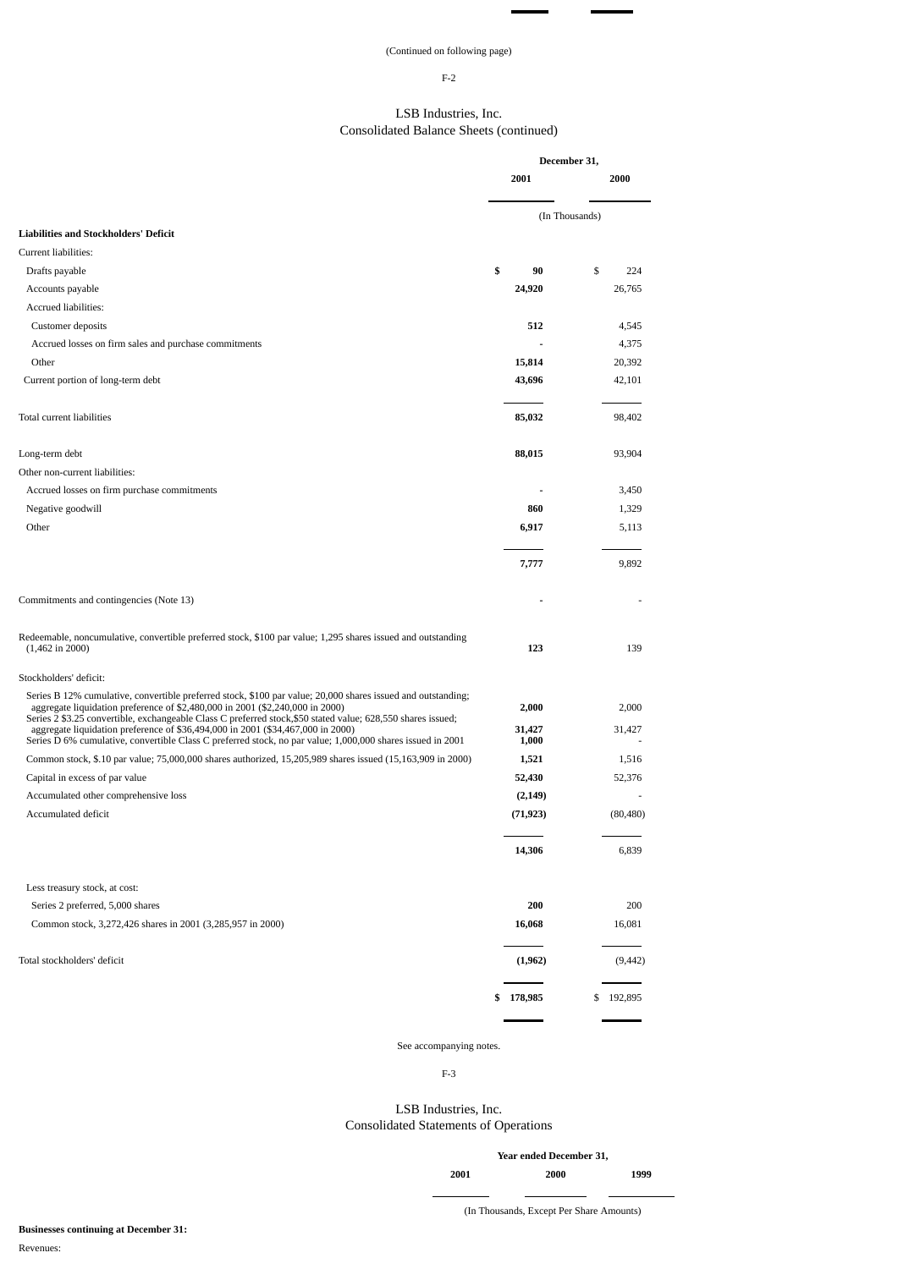# (Continued on following page)

÷.

# F-2

# LSB Industries, Inc. Consolidated Balance Sheets (continued)

|                                                                                                                                                                                                                                                                                                                |           | December 31,    |                |           |
|----------------------------------------------------------------------------------------------------------------------------------------------------------------------------------------------------------------------------------------------------------------------------------------------------------------|-----------|-----------------|----------------|-----------|
|                                                                                                                                                                                                                                                                                                                |           | 2001            |                | 2000      |
|                                                                                                                                                                                                                                                                                                                |           |                 | (In Thousands) |           |
| <b>Liabilities and Stockholders' Deficit</b>                                                                                                                                                                                                                                                                   |           |                 |                |           |
| Current liabilities:                                                                                                                                                                                                                                                                                           |           |                 |                |           |
| Drafts payable                                                                                                                                                                                                                                                                                                 | \$        | 90              | \$             | 224       |
| Accounts payable                                                                                                                                                                                                                                                                                               |           | 24,920          |                | 26,765    |
| Accrued liabilities:                                                                                                                                                                                                                                                                                           |           |                 |                |           |
| Customer deposits                                                                                                                                                                                                                                                                                              |           | 512             |                | 4,545     |
| Accrued losses on firm sales and purchase commitments                                                                                                                                                                                                                                                          |           |                 |                | 4,375     |
| Other                                                                                                                                                                                                                                                                                                          |           | 15,814          |                | 20,392    |
| Current portion of long-term debt                                                                                                                                                                                                                                                                              |           | 43,696          |                | 42,101    |
| Total current liabilities                                                                                                                                                                                                                                                                                      |           | 85,032          |                | 98,402    |
| Long-term debt                                                                                                                                                                                                                                                                                                 |           | 88,015          |                | 93,904    |
| Other non-current liabilities:                                                                                                                                                                                                                                                                                 |           |                 |                |           |
| Accrued losses on firm purchase commitments                                                                                                                                                                                                                                                                    |           |                 |                | 3,450     |
| Negative goodwill                                                                                                                                                                                                                                                                                              |           | 860             |                | 1,329     |
| Other                                                                                                                                                                                                                                                                                                          |           | 6,917           |                | 5,113     |
|                                                                                                                                                                                                                                                                                                                |           | 7,777           |                | 9,892     |
| Commitments and contingencies (Note 13)                                                                                                                                                                                                                                                                        |           |                 |                |           |
| Redeemable, noncumulative, convertible preferred stock, \$100 par value; 1,295 shares issued and outstanding<br>$(1,462 \text{ in } 2000)$                                                                                                                                                                     |           | 123             |                | 139       |
| Stockholders' deficit:                                                                                                                                                                                                                                                                                         |           |                 |                |           |
| Series B 12% cumulative, convertible preferred stock, \$100 par value; 20,000 shares issued and outstanding;<br>aggregate liquidation preference of \$2,480,000 in 2001 (\$2,240,000 in 2000)                                                                                                                  |           | 2,000           |                | 2,000     |
| Series 2 \$3.25 convertible, exchangeable Class C preferred stock, \$50 stated value; 628, 550 shares issued;<br>aggregate liquidation preference of \$36,494,000 in 2001 (\$34,467,000 in 2000)<br>Series D 6% cumulative, convertible Class C preferred stock, no par value; 1,000,000 shares issued in 2001 |           | 31,427<br>1,000 |                | 31,427    |
| Common stock, \$.10 par value; 75,000,000 shares authorized, 15,205,989 shares issued (15,163,909 in 2000)                                                                                                                                                                                                     |           | 1,521           |                | 1,516     |
| Capital in excess of par value                                                                                                                                                                                                                                                                                 |           | 52,430          |                | 52,376    |
| Accumulated other comprehensive loss                                                                                                                                                                                                                                                                           |           | (2, 149)        |                |           |
| Accumulated deficit                                                                                                                                                                                                                                                                                            |           | (71, 923)       |                | (80, 480) |
|                                                                                                                                                                                                                                                                                                                |           | 14,306          |                | 6,839     |
| Less treasury stock, at cost:                                                                                                                                                                                                                                                                                  |           |                 |                |           |
| Series 2 preferred, 5,000 shares                                                                                                                                                                                                                                                                               |           | 200             |                | 200       |
| Common stock, 3,272,426 shares in 2001 (3,285,957 in 2000)                                                                                                                                                                                                                                                     |           | 16,068          |                | 16,081    |
| Total stockholders' deficit                                                                                                                                                                                                                                                                                    |           | (1,962)         |                | (9, 442)  |
|                                                                                                                                                                                                                                                                                                                | \$178,985 |                 | \$             | 192,895   |
|                                                                                                                                                                                                                                                                                                                |           |                 |                |           |

# See accompanying notes.

F-3

# LSB Industries, Inc. Consolidated Statements of Operations

|      | Year ended December 31, |      |
|------|-------------------------|------|
| 2001 | 2000                    | 1999 |
|      |                         |      |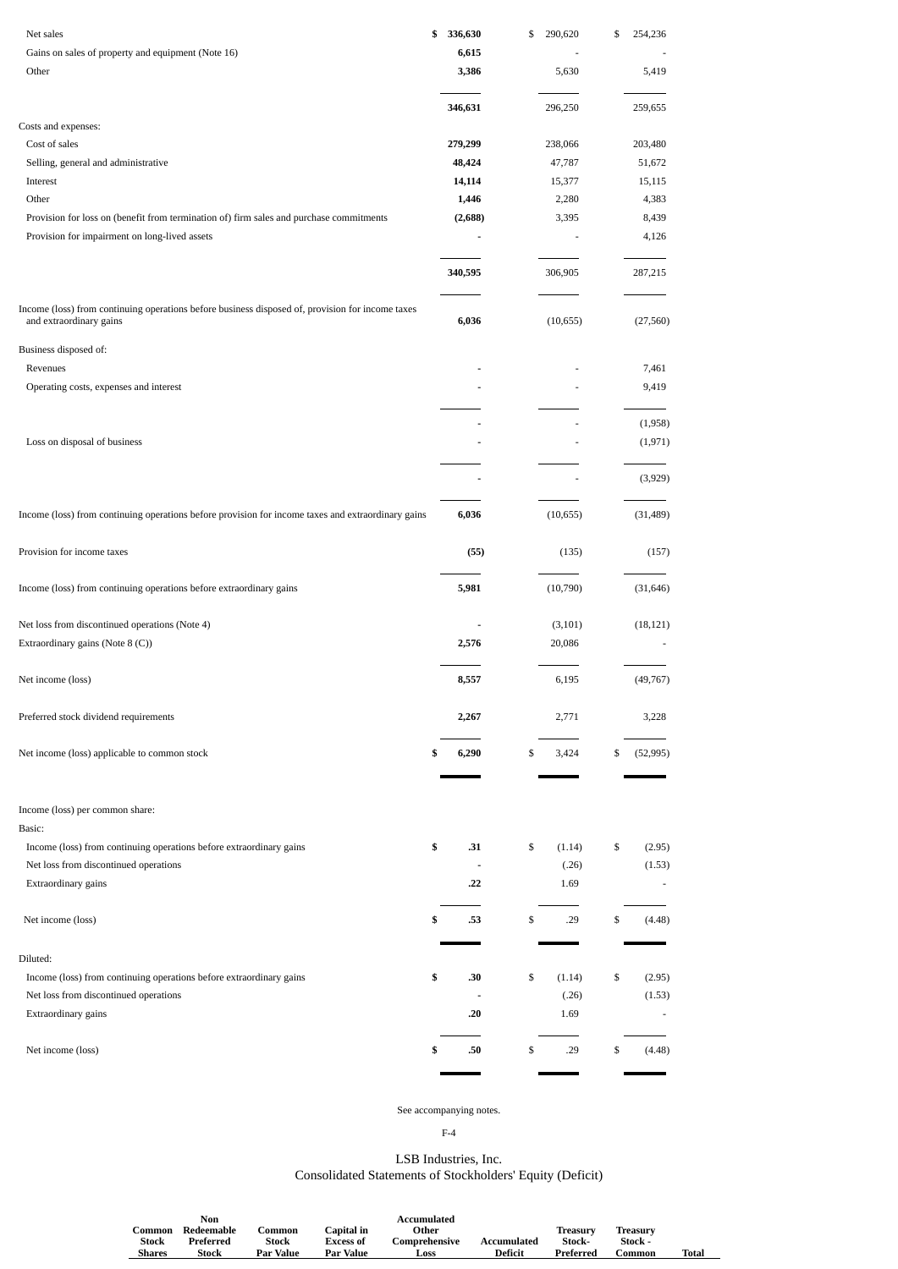| Net sales                                                                                                                   | \$<br>336,630 | \$<br>290,620 | \$<br>254,236            |
|-----------------------------------------------------------------------------------------------------------------------------|---------------|---------------|--------------------------|
| Gains on sales of property and equipment (Note 16)                                                                          | 6,615         |               |                          |
| Other                                                                                                                       | 3,386         | 5,630         | 5,419                    |
|                                                                                                                             |               |               |                          |
| Costs and expenses:                                                                                                         | 346,631       | 296,250       | 259,655                  |
| Cost of sales                                                                                                               | 279,299       | 238,066       | 203,480                  |
| Selling, general and administrative                                                                                         | 48,424        | 47,787        | 51,672                   |
| Interest                                                                                                                    | 14,114        | 15,377        | 15,115                   |
| Other                                                                                                                       | 1,446         | 2,280         | 4,383                    |
| Provision for loss on (benefit from termination of) firm sales and purchase commitments                                     | (2,688)       | 3,395         | 8,439                    |
| Provision for impairment on long-lived assets                                                                               |               |               | 4,126                    |
|                                                                                                                             |               |               |                          |
|                                                                                                                             | 340,595       | 306,905       | 287,215                  |
| Income (loss) from continuing operations before business disposed of, provision for income taxes<br>and extraordinary gains | 6,036         | (10, 655)     | (27, 560)                |
| Business disposed of:                                                                                                       |               |               |                          |
| Revenues                                                                                                                    |               |               | 7,461                    |
| Operating costs, expenses and interest                                                                                      |               |               | 9,419                    |
|                                                                                                                             |               |               | (1,958)                  |
| Loss on disposal of business                                                                                                |               |               | (1, 971)                 |
|                                                                                                                             |               |               | (3,929)                  |
| Income (loss) from continuing operations before provision for income taxes and extraordinary gains                          | 6,036         | (10, 655)     | (31, 489)                |
| Provision for income taxes                                                                                                  | (55)          | (135)         | (157)                    |
|                                                                                                                             |               |               |                          |
| Income (loss) from continuing operations before extraordinary gains                                                         | 5,981         | (10,790)      | (31, 646)                |
| Net loss from discontinued operations (Note 4)                                                                              |               | (3, 101)      | (18, 121)                |
| Extraordinary gains (Note 8 (C))                                                                                            | 2,576         | 20,086        |                          |
| Net income (loss)                                                                                                           | 8,557         | 6,195         | (49, 767)                |
| Preferred stock dividend requirements                                                                                       | 2,267         | 2,771         | 3,228                    |
| Net income (loss) applicable to common stock                                                                                | \$<br>6,290   | \$<br>3,424   | \$<br>(52, 995)          |
|                                                                                                                             |               |               |                          |
| Income (loss) per common share:                                                                                             |               |               |                          |
| Basic:                                                                                                                      |               |               |                          |
| Income (loss) from continuing operations before extraordinary gains                                                         | \$<br>.31     | \$<br>(1.14)  | \$<br>(2.95)             |
| Net loss from discontinued operations                                                                                       | ÷,            | (.26)         | (1.53)                   |
| Extraordinary gains                                                                                                         | .22           | 1.69          | $\overline{\phantom{a}}$ |
| Net income (loss)                                                                                                           | \$<br>.53     | \$<br>.29     | \$<br>(4.48)             |
| Diluted:                                                                                                                    |               |               |                          |
| Income (loss) from continuing operations before extraordinary gains                                                         | \$<br>.30     | \$<br>(1.14)  | \$<br>(2.95)             |
| Net loss from discontinued operations                                                                                       | ÷,            | (.26)         | (1.53)                   |
| Extraordinary gains                                                                                                         | .20           | 1.69          | $\overline{\phantom{a}}$ |
| Net income (loss)                                                                                                           | \$<br>.50     | \$<br>.29     | \$<br>(4.48)             |
|                                                                                                                             |               |               |                          |

# See accompanying notes.

F-4

# LSB Industries, Inc. Consolidated Statements of Stockholders' Equity (Deficit)

|        | Non        |               |                  | Accumulated   |             |           |          |       |
|--------|------------|---------------|------------------|---------------|-------------|-----------|----------|-------|
| Common | Redeemable | <b>∴ommon</b> | Capital in       | Other         |             | Treasurv  | Treasurv |       |
| Stock  | Preferred  | Stock         | <b>Excess of</b> | Comprehensive | Accumulated | Stock-    | Stock -  |       |
| Shares | Stock      | Par Value     | Par Value        | Loss          | Deficit     | Preferred | ∴ommon   | Total |
|        |            |               |                  |               |             |           |          |       |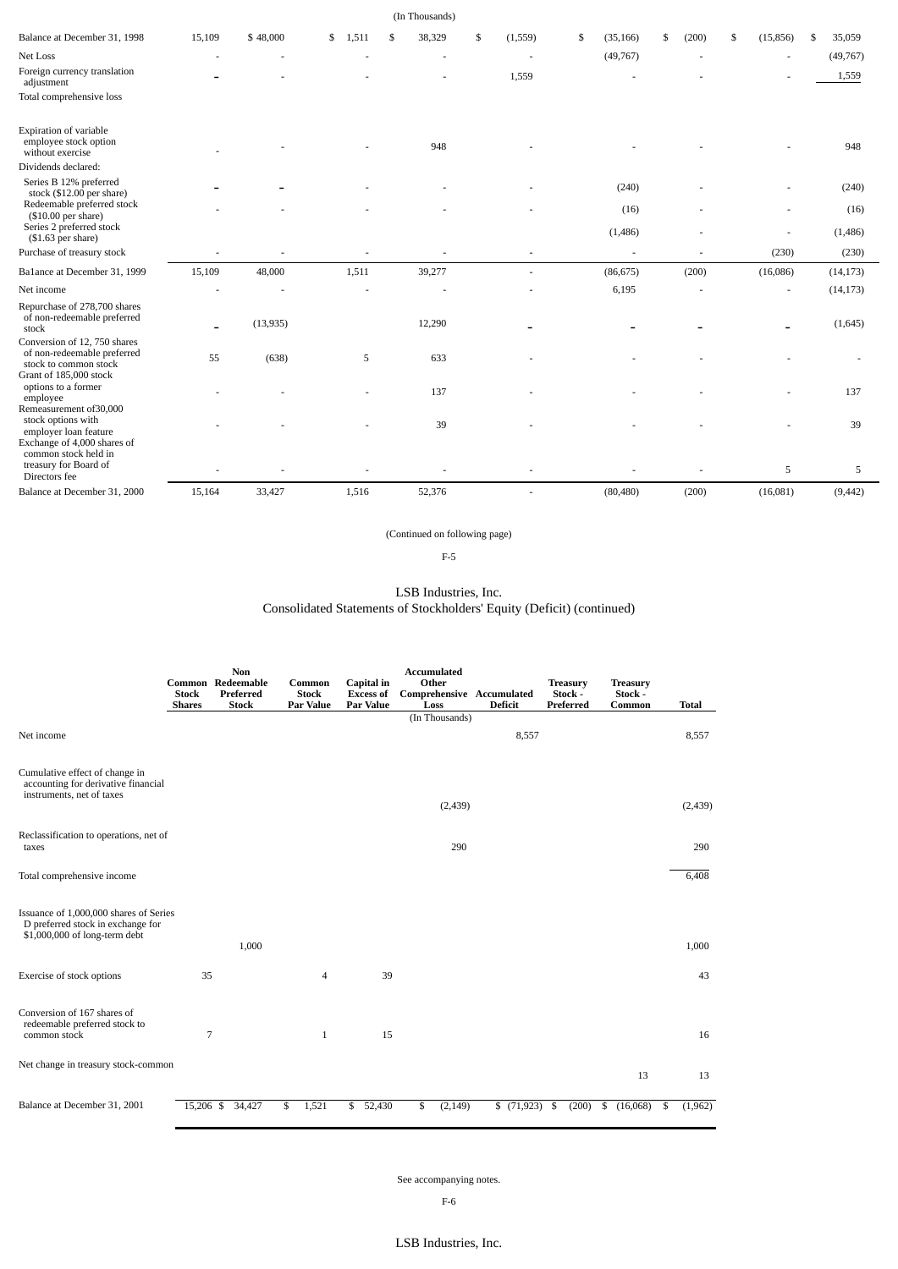|                                                                                                                |        |           |             | (In Thousands) |                |                 |             |                 |                 |
|----------------------------------------------------------------------------------------------------------------|--------|-----------|-------------|----------------|----------------|-----------------|-------------|-----------------|-----------------|
| Balance at December 31, 1998                                                                                   | 15,109 | \$48,000  | \$<br>1,511 | 38,329<br>\$   | \$<br>(1, 559) | \$<br>(35, 166) | \$<br>(200) | \$<br>(15, 856) | 35,059<br>\$    |
| Net Loss                                                                                                       |        |           |             |                |                | (49,767)        |             |                 | (49, 767)       |
| Foreign currency translation<br>adjustment<br>Total comprehensive loss                                         |        |           |             |                | 1,559          |                 |             |                 | 1,559           |
| Expiration of variable<br>employee stock option<br>without exercise<br>Dividends declared:                     |        |           |             | 948            |                |                 |             |                 | 948             |
| Series B 12% preferred<br>stock (\$12.00 per share)                                                            |        |           |             |                |                | (240)           |             |                 | (240)           |
| Redeemable preferred stock<br>$($10.00$ per share)<br>Series 2 preferred stock<br>$($1.63$ per share)          |        |           |             |                |                | (16)<br>(1,486) |             |                 | (16)<br>(1,486) |
| Purchase of treasury stock                                                                                     |        |           |             |                |                | $\sim$          |             | (230)           | (230)           |
| Ba1ance at December 31, 1999                                                                                   | 15,109 | 48,000    | 1,511       | 39,277         |                | (86, 675)       | (200)       | (16,086)        | (14, 173)       |
| Net income                                                                                                     |        |           |             |                |                | 6,195           |             |                 | (14, 173)       |
| Repurchase of 278,700 shares<br>of non-redeemable preferred<br>stock                                           |        | (13, 935) |             | 12,290         |                |                 |             | $\blacksquare$  | (1,645)         |
| Conversion of 12, 750 shares<br>of non-redeemable preferred<br>stock to common stock<br>Grant of 185,000 stock | 55     | (638)     | 5           | 633            |                |                 |             |                 |                 |
| options to a former<br>employee<br>Remeasurement of 30,000                                                     |        |           |             | 137            |                |                 |             |                 | 137             |
| stock options with<br>employer loan feature<br>Exchange of 4,000 shares of<br>common stock held in             |        |           |             | 39             |                |                 |             |                 | 39              |
| treasury for Board of<br>Directors fee                                                                         |        |           |             |                |                |                 |             | 5               | 5               |
| Balance at December 31, 2000                                                                                   | 15,164 | 33,427    | 1,516       | 52,376         |                | (80, 480)       | (200)       | (16,081)        | (9, 442)        |

(Continued on following page)

F-5

# LSB Industries, Inc. Consolidated Statements of Stockholders' Equity (Deficit) (continued)

|                                                                                                              | <b>Stock</b><br><b>Shares</b> | Non<br>Common Redeemable<br>Preferred<br><b>Stock</b> | Common<br><b>Stock</b><br>Par Value | Capital in<br><b>Excess of</b><br>Par Value | <b>Accumulated</b><br>Other<br>Comprehensive Accumulated<br>Loss | <b>Deficit</b> | <b>Treasury</b><br>Stock -<br>Preferred | <b>Treasury</b><br>Stock -<br>Common | <b>Total</b>  |
|--------------------------------------------------------------------------------------------------------------|-------------------------------|-------------------------------------------------------|-------------------------------------|---------------------------------------------|------------------------------------------------------------------|----------------|-----------------------------------------|--------------------------------------|---------------|
|                                                                                                              |                               |                                                       |                                     |                                             | (In Thousands)                                                   |                |                                         |                                      |               |
| Net income                                                                                                   |                               |                                                       |                                     |                                             |                                                                  | 8,557          |                                         |                                      | 8,557         |
|                                                                                                              |                               |                                                       |                                     |                                             |                                                                  |                |                                         |                                      |               |
| Cumulative effect of change in<br>accounting for derivative financial<br>instruments, net of taxes           |                               |                                                       |                                     |                                             |                                                                  |                |                                         |                                      |               |
|                                                                                                              |                               |                                                       |                                     |                                             | (2, 439)                                                         |                |                                         |                                      | (2, 439)      |
|                                                                                                              |                               |                                                       |                                     |                                             |                                                                  |                |                                         |                                      |               |
| Reclassification to operations, net of<br>taxes                                                              |                               |                                                       |                                     |                                             | 290                                                              |                |                                         |                                      | 290           |
|                                                                                                              |                               |                                                       |                                     |                                             |                                                                  |                |                                         |                                      |               |
| Total comprehensive income                                                                                   |                               |                                                       |                                     |                                             |                                                                  |                |                                         |                                      | 6,408         |
|                                                                                                              |                               |                                                       |                                     |                                             |                                                                  |                |                                         |                                      |               |
| Issuance of 1,000,000 shares of Series<br>D preferred stock in exchange for<br>\$1,000,000 of long-term debt |                               |                                                       |                                     |                                             |                                                                  |                |                                         |                                      |               |
|                                                                                                              |                               | 1,000                                                 |                                     |                                             |                                                                  |                |                                         |                                      | 1,000         |
|                                                                                                              |                               |                                                       |                                     |                                             |                                                                  |                |                                         |                                      |               |
| Exercise of stock options                                                                                    | 35                            |                                                       | $\overline{4}$                      | 39                                          |                                                                  |                |                                         |                                      | 43            |
|                                                                                                              |                               |                                                       |                                     |                                             |                                                                  |                |                                         |                                      |               |
| Conversion of 167 shares of<br>redeemable preferred stock to                                                 |                               |                                                       |                                     |                                             |                                                                  |                |                                         |                                      |               |
| common stock                                                                                                 | $\overline{7}$                |                                                       | $\mathbf{1}$                        | 15                                          |                                                                  |                |                                         |                                      | 16            |
| Net change in treasury stock-common                                                                          |                               |                                                       |                                     |                                             |                                                                  |                |                                         | 13                                   | 13            |
|                                                                                                              |                               |                                                       |                                     |                                             |                                                                  |                |                                         |                                      |               |
| Balance at December 31, 2001                                                                                 |                               | 15,206 \$ 34,427                                      | 1,521<br>\$                         | \$52,430                                    | \$<br>(2, 149)                                                   | \$(71,923)     | (200)<br>- \$                           | (16,068)<br>\$                       | \$<br>(1,962) |

See accompanying notes.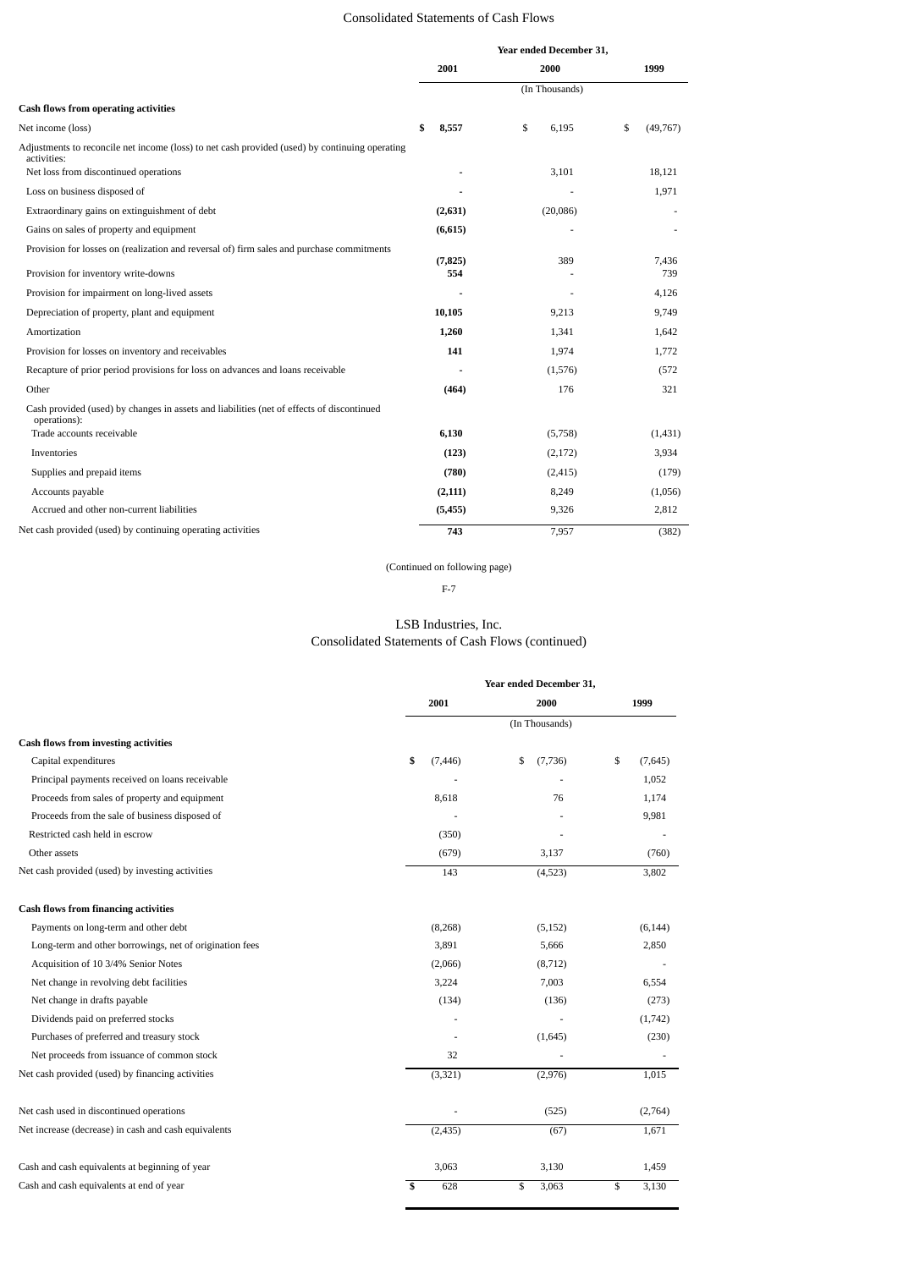# Consolidated Statements of Cash Flows

|                                                                                                               |             | Year ended December 31, |                |
|---------------------------------------------------------------------------------------------------------------|-------------|-------------------------|----------------|
|                                                                                                               | 2001        | 2000                    | 1999           |
|                                                                                                               |             | (In Thousands)          |                |
| <b>Cash flows from operating activities</b>                                                                   |             |                         |                |
| Net income (loss)                                                                                             | \$<br>8,557 | \$<br>6.195             | \$<br>(49,767) |
| Adjustments to reconcile net income (loss) to net cash provided (used) by continuing operating<br>activities: |             |                         |                |
| Net loss from discontinued operations                                                                         |             | 3,101                   | 18,121         |
| Loss on business disposed of                                                                                  |             |                         | 1,971          |
| Extraordinary gains on extinguishment of debt                                                                 | (2,631)     | (20,086)                |                |
| Gains on sales of property and equipment                                                                      | (6,615)     |                         |                |
| Provision for losses on (realization and reversal of) firm sales and purchase commitments                     | (7, 825)    | 389                     | 7,436          |
| Provision for inventory write-downs                                                                           | 554         |                         | 739            |
| Provision for impairment on long-lived assets                                                                 |             |                         | 4,126          |
| Depreciation of property, plant and equipment                                                                 | 10,105      | 9,213                   | 9,749          |
| Amortization                                                                                                  | 1,260       | 1,341                   | 1,642          |
| Provision for losses on inventory and receivables                                                             | 141         | 1,974                   | 1,772          |
| Recapture of prior period provisions for loss on advances and loans receivable                                |             | (1,576)                 | (572)          |
| Other                                                                                                         | (464)       | 176                     | 321            |
| Cash provided (used) by changes in assets and liabilities (net of effects of discontinued<br>operations):     |             |                         |                |
| Trade accounts receivable                                                                                     | 6,130       | (5,758)                 | (1, 431)       |
| Inventories                                                                                                   | (123)       | (2, 172)                | 3,934          |
| Supplies and prepaid items                                                                                    | (780)       | (2, 415)                | (179)          |
| Accounts payable                                                                                              | (2, 111)    | 8,249                   | (1,056)        |
| Accrued and other non-current liabilities                                                                     | (5, 455)    | 9,326                   | 2,812          |
| Net cash provided (used) by continuing operating activities                                                   | 743         | 7.957                   | (382)          |

(Continued on following page)

F-7

# LSB Industries, Inc. Consolidated Statements of Cash Flows (continued)

|                                                         |                | Year ended December 31, |               |  |  |  |
|---------------------------------------------------------|----------------|-------------------------|---------------|--|--|--|
|                                                         | 2001           | 2000                    | 1999          |  |  |  |
|                                                         |                | (In Thousands)          |               |  |  |  |
| <b>Cash flows from investing activities</b>             |                |                         |               |  |  |  |
| Capital expenditures                                    | \$<br>(7, 446) | \$<br>(7,736)           | \$<br>(7,645) |  |  |  |
| Principal payments received on loans receivable         |                |                         | 1,052         |  |  |  |
| Proceeds from sales of property and equipment           | 8,618          | 76                      | 1,174         |  |  |  |
| Proceeds from the sale of business disposed of          |                |                         | 9,981         |  |  |  |
| Restricted cash held in escrow                          | (350)          |                         |               |  |  |  |
| Other assets                                            | (679)          | 3,137                   | (760)         |  |  |  |
| Net cash provided (used) by investing activities        | 143            | (4,523)                 | 3,802         |  |  |  |
| <b>Cash flows from financing activities</b>             |                |                         |               |  |  |  |
| Payments on long-term and other debt                    | (8, 268)       | (5, 152)                | (6, 144)      |  |  |  |
| Long-term and other borrowings, net of origination fees | 3,891          | 5,666                   | 2,850         |  |  |  |
| Acquisition of 10 3/4% Senior Notes                     | (2,066)        | (8, 712)                |               |  |  |  |
| Net change in revolving debt facilities                 | 3,224          | 7,003                   | 6,554         |  |  |  |
| Net change in drafts payable                            | (134)          | (136)                   | (273)         |  |  |  |
| Dividends paid on preferred stocks                      |                |                         | (1,742)       |  |  |  |
| Purchases of preferred and treasury stock               | ٠              | (1,645)                 | (230)         |  |  |  |
| Net proceeds from issuance of common stock              | 32             |                         |               |  |  |  |
| Net cash provided (used) by financing activities        | (3, 321)       | (2,976)                 | 1,015         |  |  |  |
| Net cash used in discontinued operations                |                | (525)                   | (2,764)       |  |  |  |
| Net increase (decrease) in cash and cash equivalents    | (2, 435)       | (67)                    | 1,671         |  |  |  |
| Cash and cash equivalents at beginning of year          | 3,063          | 3,130                   | 1,459         |  |  |  |
| Cash and cash equivalents at end of year                | \$<br>628      | \$<br>3,063             | \$<br>3,130   |  |  |  |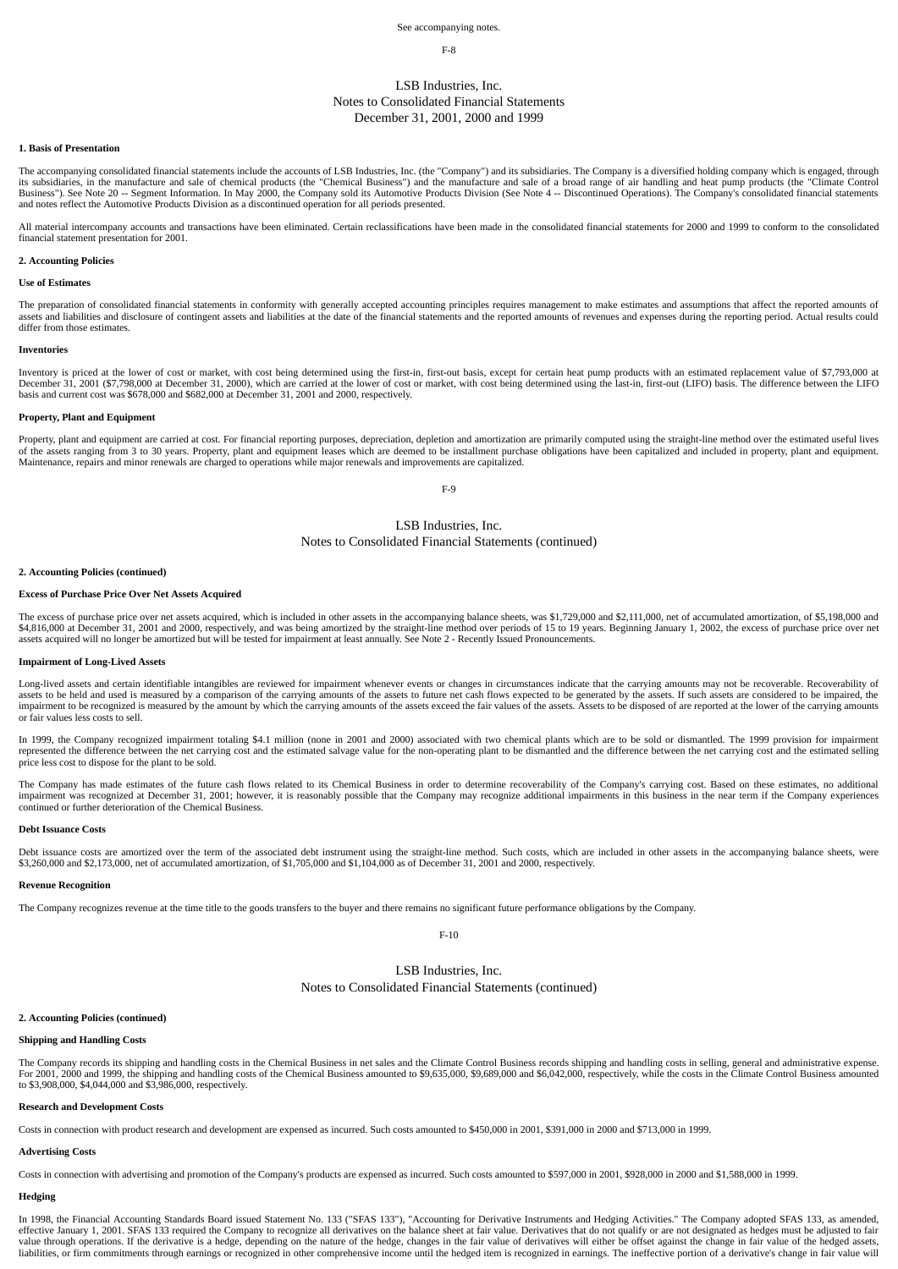#### See accompanying notes.

### F-8

# LSB Industries, Inc. Notes to Consolidated Financial Statements December 31, 2001, 2000 and 1999

## **1. Basis of Presentation**

The accompanying consolidated financial statements include the accounts of LSB Industries, Inc. (the "Company") and its subsidiaries. The Company is a diversified holding company which is engaged, through its subsidiaries, in the manufacture and sale of chemical products (the "Chemical Business") and the manufacture and sale of a broad range of air handling and heat pump products (the "Climate Control Business"). See Note 20 -- Segment Information. In May 2000, the Company sold its Automotive Products Division (See Note 4 -- Discontinued Operations). The Company's consolidated financial statements and notes reflect the Automotive Products Division as a discontinued operation for all periods presented.

All material intercompany accounts and transactions have been eliminated. Certain reclassifications have been made in the consolidated financial statements for 2000 and 1999 to conform to the consolidated financial statement presentation for 2001.

### **2. Accounting Policies**

### **Use of Estimates**

The preparation of consolidated financial statements in conformity with generally accepted accounting principles requires management to make estimates and assumptions that affect the reported amounts of assets and liabilities and disclosure of contingent assets and liabilities at the date of the financial statements and the reported amounts of revenues and expenses during the reporting period. Actual results could differ from those estimates.

#### **Inventories**

Inventory is priced at the lower of cost or market, with cost being determined using the first-in, first-out basis, except for certain heat pump products with an estimated replacement value of \$7,793,000 at December 31, 2001 (\$7,798,000 at December 31, 2000), which are carried at the lower of cost or market, with cost being determined using the last-in, first-out (LIFO) basis. The difference between the LIFO basis and current cost was \$678,000 and \$682,000 at December 31, 2001 and 2000, respectively.

## **Property, Plant and Equipment**

Property, plant and equipment are carried at cost. For financial reporting purposes, depreciation, depletion and amortization are primarily computed using the straight-line method over the estimated useful lives of the assets ranging from 3 to 30 years. Property, plant and equipment leases which are deemed to be installment purchase obligations have been capitalized and included in property, plant and equipment.<br>Maintenance, repai

 $F-9$ 

# LSB Industries, Inc.

Notes to Consolidated Financial Statements (continued)

### **2. Accounting Policies (continued)**

#### **Excess of Purchase Price Over Net Assets Acquired**

The excess of purchase price over net assets acquired, which is included in other assets in the accompanying balance sheets, was \$1,729,000 and \$2,111,000, net of accumulated amortization, of \$5,198,000 and \$4,816,000 at December 31, 2001 and 2000, respectively, and was being amortized by the straight-line method over periods of 15 to 19 years. Beginning January 1, 2002, the excess of purchase price over net<br>assets acquired w

#### **Impairment of Long-Lived Assets**

Long-lived assets and certain identifiable intangibles are reviewed for impairment whenever events or changes in circumstances indicate that the carrying amounts may not be recoverable. Recoverability of<br>assets to be held or fair values less costs to sell.

In 1999, the Company recognized impairment totaling \$4.1 million (none in 2001 and 2000) associated with two chemical plants which are to be sold or dismantled. The 1999 provision for impairment represented the difference between the net carrying cost and the estimated salvage value for the non-operating plant to be dismantled and the difference between the net carrying cost and the estimated selling price less cost to dispose for the plant to be sold.

The Company has made estimates of the future cash flows related to its Chemical Business in order to determine recoverability of the Company's carrying cost. Based on these estimates, no additional impairment was recognized at December 31, 2001; however, it is reasonably possible that the Company may recognize additional impairments in this business in the near term if the Company experiences continued or further deterioration of the Chemical Business.

### **Debt Issuance Costs**

Debt issuance costs are amortized over the term of the associated debt instrument using the straight-line method. Such costs, which are included in other assets in the accompanying balance sheets, were \$3,260,000 and \$2,173,000, net of accumulated amortization, of \$1,705,000 and \$1,104,000 as of December 31, 2001 and 2000, respectively.

#### **Revenue Recognition**

The Company recognizes revenue at the time title to the goods transfers to the buyer and there remains no significant future performance obligations by the Company.

F-10

## LSB Industries, Inc.

Notes to Consolidated Financial Statements (continued)

### **2. Accounting Policies (continued)**

### **Shipping and Handling Costs**

The Company records its shipping and handling costs in the Chemical Business in net sales and the Climate Control Business records shipping and handling costs in selling, general and administrative expense. For 2001, 2000 and 1999, the shipping and handling costs of the Chemical Business amounted to \$9,635,000, \$9,689,000 and \$6,042,000, respectively, while the costs in the Climate Control Business amounted<br>to \$3,908,000, \$4,

### **Research and Development Costs**

Costs in connection with product research and development are expensed as incurred. Such costs amounted to \$450,000 in 2001, \$391,000 in 2000 and \$713,000 in 1999.

## **Advertising Costs**

Costs in connection with advertising and promotion of the Company's products are expensed as incurred. Such costs amounted to \$597,000 in 2001, \$928,000 in 2000 and \$1,588,000 in 1999.

### **Hedging**

In 1998, the Financial Accounting Standards Board issued Statement No. 133 ("SFAS 133"), "Accounting for Derivative Instruments and Hedging Activities." The Company adopted SFAS 133, as amended, effective January 1, 2001. SFAS 133 required the Company to recognize all derivatives on the balance sheet at fair value. Derivatives that do not qualify or are not designated as hedges must be adjusted to fair value through operations. If the derivative is a hedge, depending on the nature of the hedge, changes in the fair value of derivatives will either be offset against the change in fair value of the hedged assets,<br>liabilitie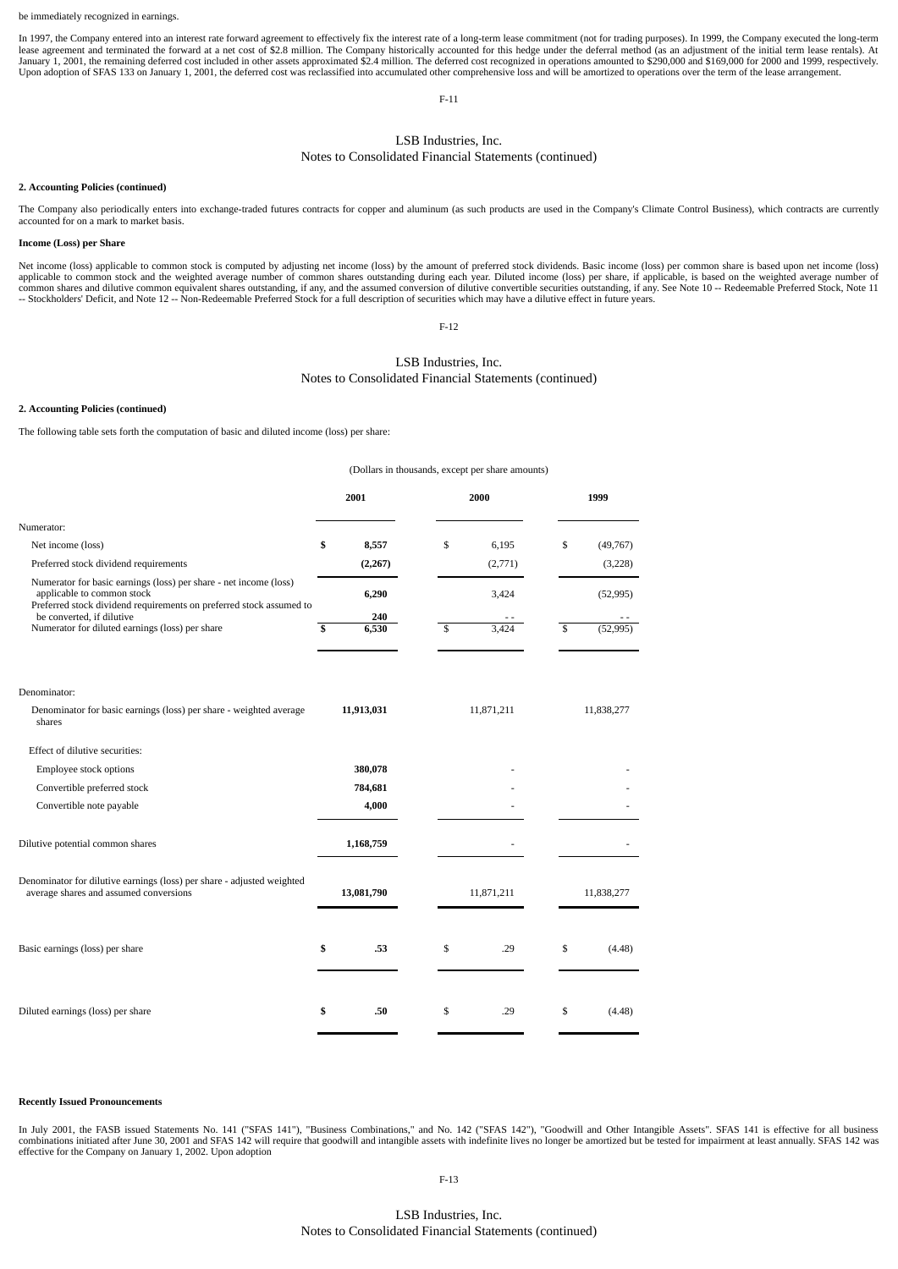In 1997, the Company entered into an interest rate forward agreement to effectively fix the interest rate of a long-term lease commitment (not for trading purposes). In 1999, the Company executed the long-term lease agreement and terminated the forward at a net cost of \$2.8 million. The Company historically accounted for this hedge under the deferral method (as an adjustment of the initial term lease rentals). At<br>January 1, 2001

F-11

# LSB Industries, Inc.

# Notes to Consolidated Financial Statements (continued)

### **2. Accounting Policies (continued)**

The Company also periodically enters into exchange-traded futures contracts for copper and aluminum (as such products are used in the Company's Climate Control Business), which contracts are currently accounted for on a ma

### **Income (Loss) per Share**

Net income (loss) applicable to common stock is computed by adjusting net income (loss) by the amount of preferred stock dividends. Basic income (loss) per common share is based upon net income (loss) applicable to common stock and the weighted average number of common shares outstanding during each year. Diluted income (loss) per share, if applicable, is based on the weighted average number of<br>common shares and dilutiv -- Stockholders' Deficit, and Note 12 -- Non-Redeemable Preferred Stock for a full description of securities which may have a dilutive effect in future years.

F-12

# LSB Industries, Inc. Notes to Consolidated Financial Statements (continued)

### **2. Accounting Policies (continued)**

The following table sets forth the computation of basic and diluted income (loss) per share:

|                                                                                                                                                                                                     | (Dollars in thousands, except per share amounts) |             |              |            |
|-----------------------------------------------------------------------------------------------------------------------------------------------------------------------------------------------------|--------------------------------------------------|-------------|--------------|------------|
|                                                                                                                                                                                                     | 2001                                             | 2000        |              | 1999       |
| Numerator:                                                                                                                                                                                          |                                                  |             |              |            |
| Net income (loss)                                                                                                                                                                                   | \$<br>8,557                                      | \$<br>6.195 | \$           | (49, 767)  |
| Preferred stock dividend requirements                                                                                                                                                               | (2,267)                                          | (2,771)     |              | (3,228)    |
| Numerator for basic earnings (loss) per share - net income (loss)<br>applicable to common stock<br>Preferred stock dividend requirements on preferred stock assumed to<br>be converted, if dilutive | 6,290<br>240                                     | 3,424       |              | (52, 995)  |
| Numerator for diluted earnings (loss) per share                                                                                                                                                     | \$<br>6,530                                      | \$<br>3.424 | $\mathbb{S}$ | (52, 995)  |
| Denominator:                                                                                                                                                                                        |                                                  |             |              |            |
| Denominator for basic earnings (loss) per share - weighted average<br>shares                                                                                                                        | 11,913,031                                       | 11,871,211  |              | 11,838,277 |
| Effect of dilutive securities:                                                                                                                                                                      |                                                  |             |              |            |
| Employee stock options                                                                                                                                                                              | 380,078                                          |             |              |            |
| Convertible preferred stock                                                                                                                                                                         | 784,681                                          |             |              |            |
| Convertible note payable                                                                                                                                                                            | 4,000                                            |             |              |            |
| Dilutive potential common shares                                                                                                                                                                    | 1,168,759                                        |             |              |            |
| Denominator for dilutive earnings (loss) per share - adjusted weighted<br>average shares and assumed conversions                                                                                    | 13,081,790                                       | 11,871,211  |              | 11,838,277 |
| Basic earnings (loss) per share                                                                                                                                                                     | \$<br>.53                                        | \$<br>.29   | \$           | (4.48)     |
| Diluted earnings (loss) per share                                                                                                                                                                   | \$<br>.50                                        | \$<br>.29   | \$           | (4.48)     |

#### **Recently Issued Pronouncements**

In July 2001, the FASB issued Statements No. 141 ("SFAS 141"), "Business Combinations," and No. 142 ("SFAS 142"), "Goodwill and Other Intangible Assets". SFAS 141 is effective for all business combinations initiated after June 30, 2001 and SFAS 142 will require that goodwill and intangible assets with indefinite lives no longer be amortized but be tested for impairment at least annually. SFAS 142 was effective for the Company on January 1, 2002. Upon adoption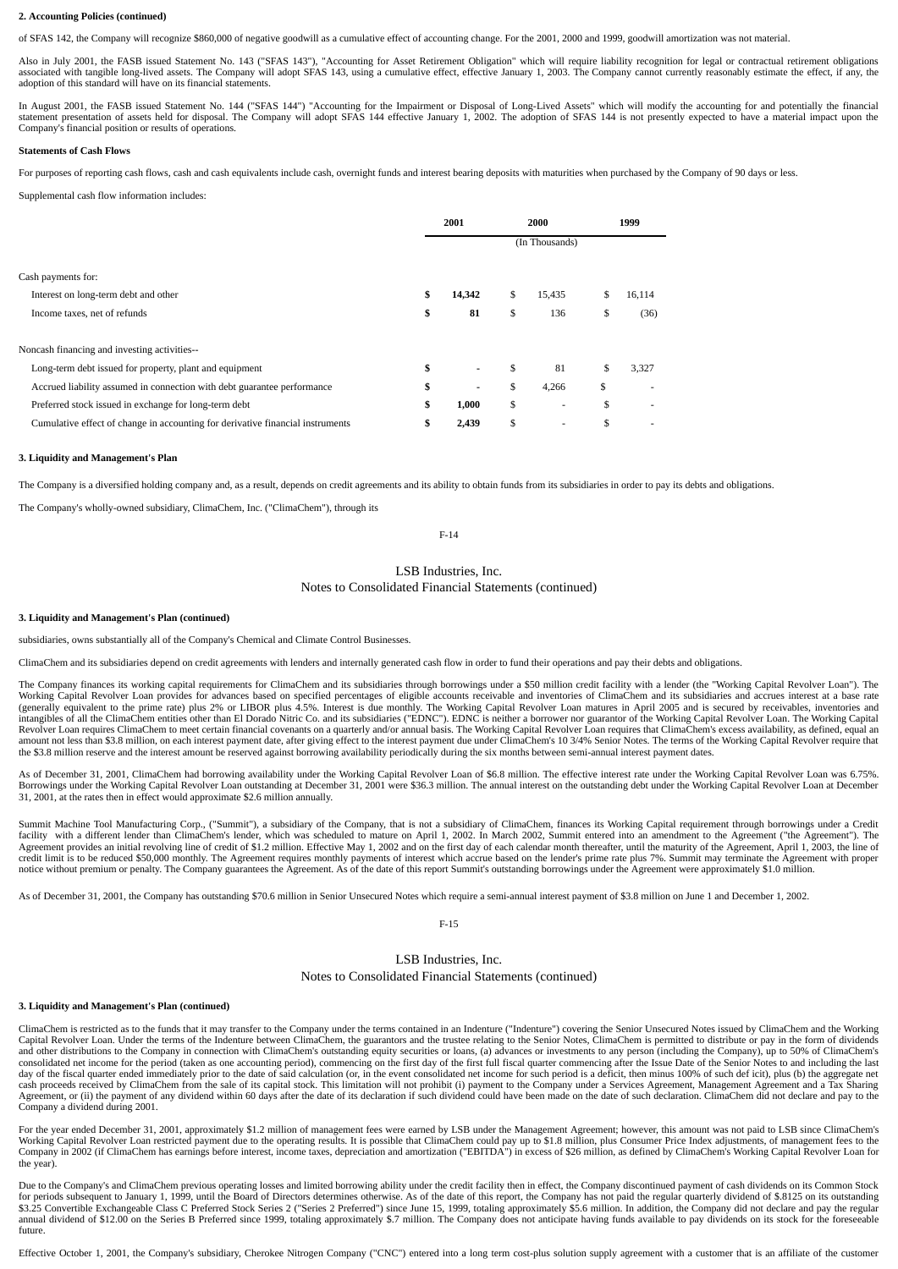## **2. Accounting Policies (continued)**

of SFAS 142, the Company will recognize \$860,000 of negative goodwill as a cumulative effect of accounting change. For the 2001, 2000 and 1999, goodwill amortization was not material.

Also in July 2001, the FASB issued Statement No. 143 ("SFAS 143"), "Accounting for Asset Retirement Obligation" which will require liability recognition for legal or contractual retirement obligations associated with tangible long-lived assets. The Company will adopt SFAS 143, using a cumulative effect, effective January 1, 2003. The Company cannot currently reasonably estimate the effect, if any, the adoption of this standard will have on its financial statements.

In August 2001, the FASB issued Statement No. 144 ("SFAS 144") "Accounting for the Impairment or Disposal of Long-Lived Assets" which will modify the accounting for and potentially the financial statement presentation of assets held for disposal. The Company will adopt SFAS 144 effective January 1, 2002. The adoption of SFAS 144 is not presently expected to have a material impact upon the Company's financial position or results of operations.

### **Statements of Cash Flows**

For purposes of reporting cash flows, cash and cash equivalents include cash, overnight funds and interest bearing deposits with maturities when purchased by the Company of 90 days or less.

Supplemental cash flow information includes:

|                                                                                |                | 2001                     | 2000 |                          |     | 1999   |
|--------------------------------------------------------------------------------|----------------|--------------------------|------|--------------------------|-----|--------|
|                                                                                | (In Thousands) |                          |      |                          |     |        |
| Cash payments for:                                                             |                |                          |      |                          |     |        |
| Interest on long-term debt and other                                           | \$             | 14,342                   | \$   | 15,435                   | \$. | 16,114 |
| Income taxes, net of refunds                                                   | \$             | 81                       | \$   | 136                      | \$  | (36)   |
|                                                                                |                |                          |      |                          |     |        |
| Noncash financing and investing activities--                                   |                |                          |      |                          |     |        |
| Long-term debt issued for property, plant and equipment                        | \$             |                          | \$   | 81                       | \$  | 3,327  |
| Accrued liability assumed in connection with debt guarantee performance        | \$             | $\overline{\phantom{a}}$ | \$   | 4,266                    | \$  |        |
| Preferred stock issued in exchange for long-term debt                          | \$             | 1,000                    | \$   |                          | \$  |        |
| Cumulative effect of change in accounting for derivative financial instruments | S              | 2,439                    | \$   | $\overline{\phantom{a}}$ | \$  |        |

### **3. Liquidity and Management's Plan**

The Company is a diversified holding company and, as a result, depends on credit agreements and its ability to obtain funds from its subsidiaries in order to pay its debts and obligations.

The Company's wholly-owned subsidiary, ClimaChem, Inc. ("ClimaChem"), through its

### F-14

# LSB Industries, Inc. Notes to Consolidated Financial Statements (continued)

## **3. Liquidity and Management's Plan (continued)**

subsidiaries, owns substantially all of the Company's Chemical and Climate Control Businesses.

ClimaChem and its subsidiaries depend on credit agreements with lenders and internally generated cash flow in order to fund their operations and pay their debts and obligations.

The Company finances its working capital requirements for ClimaChem and its subsidiaries through borrowings under a \$50 million credit facility with a lender (the "Working Capital Revolver Loan"). The Working Capital Revolver Loan provides for advances based on specified percentages of eligible accounts receivable and inventories of ClimaChem and its subsidiaries and accrues interest at a base rate<br>(generally equivalent intangibles of all the ClimaChem entities other than El Dorado Nitric Co. and its subsidiaries ("EDNC"). EDNC is neither a borrower nor guarantor of the Working Capital Revolver Loan. The Working Capital Revolver Loan requires ClimaChem to meet certain financial covenants on a quarterly and/or annual basis. The Working Capital Revolver Loan requires that ClimaChem's excess availability, as defined, equal an<br>amount not less the \$3.8 million reserve and the interest amount be reserved against borrowing availability periodically during the six months between semi-annual interest payment dates.

As of December 31, 2001, ClimaChem had borrowing availability under the Working Capital Revolver Loan of \$6.8 million. The effective interest rate under the Working Capital Revolver Loan was 6.75%. Borrowings under the Working Capital Revolver Loan outstanding at December 31, 2001 were \$36.3 million. The annual interest on the outstanding debt under the Working Capital Revolver Loan at December 31, 2001, at the rates then in effect would approximate \$2.6 million annually.

Summit Machine Tool Manufacturing Corp., ("Summit"), a subsidiary of the Company, that is not a subsidiary of ClimaChem, finances its Working Capital requirement through borrowings under a Credit facility with a different lender than ClimaChem's lender, which was scheduled to mature on April 1, 2002. In March 2002, Summit entered into an amendment to the Agreement ("the Agreement"). The<br>Agreement provides an initia credit limit is to be reduced \$50,000 monthly. The Agreement requires monthly payments of interest which accrue based on the lender's prime rate plus 7%. Summit may terminate the Agreement with proper notice without premium or penalty. The Company guarantees the Agreement. As of the date of this report Summit's outstanding borrowings under the Agreement were approximately \$1.0 million.

As of December 31, 2001, the Company has outstanding \$70.6 million in Senior Unsecured Notes which require a semi-annual interest payment of \$3.8 million on June 1 and December 1, 2002.

#### F-15

## LSB Industries, Inc.

## Notes to Consolidated Financial Statements (continued)

### **3. Liquidity and Management's Plan (continued)**

ClimaChem is restricted as to the funds that it may transfer to the Company under the terms contained in an Indenture ("Indenture") covering the Senior Unsecured Notes issued by ClimaChem and the Working Capital Revolver Loan. Under the terms of the Indenture between ClimaChem, the guarantors and the trustee relating to the Senior Notes, ClimaChem is permitted to distribute or pay in the form of dividends and other distrib day of the fiscal quarter ended immediately prior to the date of said calculation (or, in the event consolidated net income for such period is a deficit, then minus 100% of such def icit), plus (b) the aggregate net cash proceeds received by ClimaChem from the sale of its capital stock. This limitation will not prohibit (i) payment to the Company under a Services Agreement, Management Agreement and a Tax Sharing<br>Agreement, or (ii) the Company a dividend during 2001.

For the year ended December 31, 2001, approximately \$1.2 million of management fees were earned by LSB under the Management Agreement; however, this amount was not paid to LSB since ClimaChem's Working Capital Revolver Loan restricted payment due to the operating results. It is possible that ClimaChem could pay up to \$1.8 million, plus Consumer Price Index adjustments, of management fees to the Company in 2002 (if ClimaChem has earnings before interest, income taxes, depreciation and amortization ("EBITDA") in excess of \$26 million, as defined by ClimaChem's Working Capital Revolver Loan for the year).

Due to the Company's and ClimaChem previous operating losses and limited borrowing ability under the credit facility then in effect, the Company discontinued payment of cash dividends on its Common Stock for periods subsequent to January 1, 1999, until the Board of Directors determines otherwise. As of the date of this report, the Company has not paid the regular quarterly dividend of \$.8125 on its outstanding \$3.25 Convertible Exchangeable Class C Preferred Stock Series 2 ("Series 2 Preferred") since June 15, 1999, totaling approximately \$5.6 million. In addition, the Company did not declare and pay the regular annual dividend

Effective October 1, 2001, the Company's subsidiary, Cherokee Nitrogen Company ("CNC") entered into a long term cost-plus solution supply agreement with a customer that is an affiliate of the customer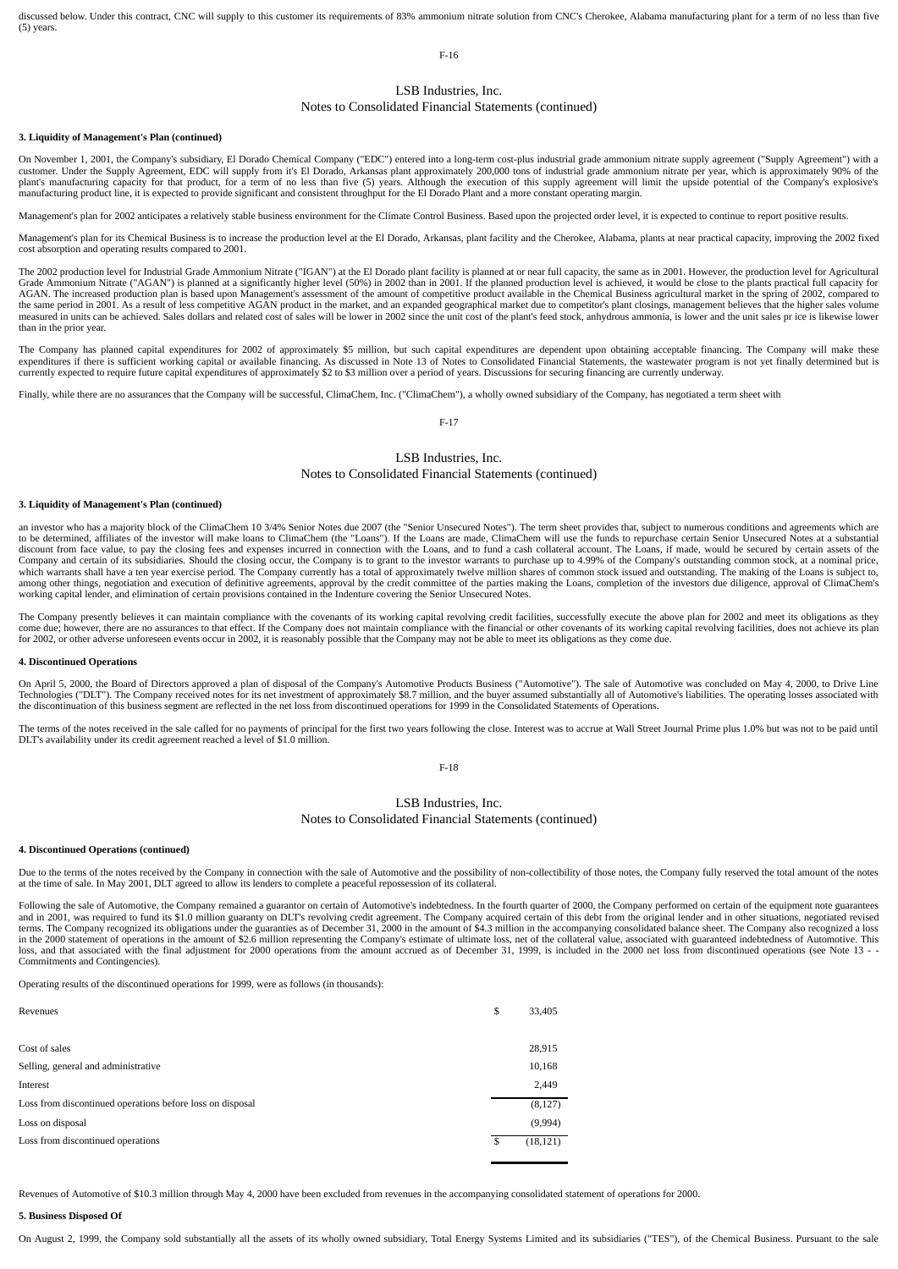discussed below. Under this contract, CNC will supply to this customer its requirements of 83% ammonium nitrate solution from CNC's Cherokee, Alabama manufacturing plant for a term of no less than five (5) years.

F-16

## LSB Industries, Inc.

# Notes to Consolidated Financial Statements (continued)

### **3. Liquidity of Management's Plan (continued)**

On November 1, 2001, the Company's subsidiary, El Dorado Chemical Company ("EDC") entered into a long-term cost-plus industrial grade ammonium nitrate supply agreement ("Supply Agreement") with a customer. Under the Supply Agreement, EDC will supply from it's El Dorado, Arkansas plant approximately 200,000 tons of industrial grade ammonium nitrate per year, which is approximately 90% of the<br>plant's manufacturing ca manufacturing product line, it is expected to provide significant and consistent throughput for the El Dorado Plant and a more constant operating margin.

Management's plan for 2002 anticipates a relatively stable business environment for the Climate Control Business. Based upon the projected order level, it is expected to continue to report positive results.

Management's plan for its Chemical Business is to increase the production level at the El Dorado, Arkansas, plant facility and the Cherokee, Alabama, plants at near practical capacity, improving the 2002 fixed cost absorption and operating results compared to 2001.

The 2002 production level for Industrial Grade Ammonium Nitrate ("IGAN") at the El Dorado plant facility is planned at or near full capacity, the same as in 2001. However, the production level for Agricultural<br>Grade Ammoni AGAN. The increased production plan is based upon Management's assessment of the amount of competitive product available in the Chemical Business agricultural market in the spring of 2002, compared to the same period in 2001. As a result of less competitive AGAN product in the market, and an expanded geographical market due to competitor's plant closings, management believes that the higher sales volume measured in units can be achieved. Sales dollars and related cost of sales will be lower in 2002 since the unit cost of the plant's feed stock, anhydrous ammonia, is lower and the unit sales pr ice is likewise lower than in the prior year.

The Company has planned capital expenditures for 2002 of approximately \$5 million, but such capital expenditures are dependent upon obtaining acceptable financing. The Company will make these expenditures if there is sufficient working capital or available financing. As discussed in Note 13 of Notes to Consolidated Financial Statements, the wastewater program is not yet finally determined but is<br>currently expec

Finally, while there are no assurances that the Company will be successful, ClimaChem, Inc. ("ClimaChem"), a wholly owned subsidiary of the Company, has negotiated a term sheet with

### F-17

# LSB Industries, Inc. Notes to Consolidated Financial Statements (continued)

#### **3. Liquidity of Management's Plan (continued)**

an investor who has a majority block of the ClimaChem 10 3/4% Senior Notes due 2007 (the "Senior Unsecured Notes"). The term sheet provides that, subject to numerous conditions and agreements which are to be determined, af Company and certain of its subsidiaries. Should the closing occur, the Company is to grant to the investor warrants to purchase up to 4.99% of the Company's outstanding common stock, at a nominal price,<br>which warrants shal among other things, negotiation and execution of definitive agreements, approval by the credit committee of the parties making the Loans, completion of the investors due diligence, approval of ClimaChem's working capital lender, and elimination of certain provisions contained in the Indenture covering the Senior Unsecured Notes.

The Company presently believes it can maintain compliance with the covenants of its working capital revolving credit facilities, successfully execute the above plan for 2002 and meet its obligations as they come due; however, there are no assurances to that effect. If the Company does not maintain compliance with the financial or other covenants of its working capital revolving facilities, does not achieve its plan<br>for 2002,

#### **4. Discontinued Operations**

On April 5, 2000, the Board of Directors approved a plan of disposal of the Company's Automotive Products Business ("Automotive"). The sale of Automotive was concluded on May 4, 2000, to Drive Line Technologies ("DLT"). The Company received notes for its net investment of approximately \$8.7 million, and the buyer assumed substantially all of Automotive's liabilities. The operating losses associated with<br>the discontin

The terms of the notes received in the sale called for no payments of principal for the first two years following the close. Interest was to accrue at Wall Street Journal Prime plus 1.0% but was not to be paid until<br>DLT's

F-18

# LSB Industries, Inc.

# Notes to Consolidated Financial Statements (continued)

### **4. Discontinued Operations (continued)**

Due to the terms of the notes received by the Company in connection with the sale of Automotive and the possibility of non-collectibility of those notes, the Company fully reserved the total amount of the notes at the time of sale. In May 2001, DLT agreed to allow its lenders to complete a peaceful repossession of its collateral.

Following the sale of Automotive, the Company remained a guarantor on certain of Automotive's indebtedness. In the fourth quarter of 2000, the Company performed on certain of the equipment note guarantees and in 2001, was required to fund its \$1.0 million guaranty on DLT's revolving credit agreement. The Company acquired certain of this debt from the original lender and in other situations, negotiated revised<br>terms. The Com loss, and that associated with the final adjustment for 2000 operations from the amount accrued as of December 31, 1999, is included in the 2000 net loss from discontinued operations (see Note 13 -Commitments and Contingencies).

Operating results of the discontinued operations for 1999, were as follows (in thousands):

| Revenues                                                  | \$<br>33,405 |
|-----------------------------------------------------------|--------------|
|                                                           |              |
| Cost of sales                                             | 28,915       |
| Selling, general and administrative                       | 10,168       |
| Interest                                                  | 2,449        |
| Loss from discontinued operations before loss on disposal | (8,127)      |
| Loss on disposal                                          | (9,994)      |
| Loss from discontinued operations                         | (18, 121)    |
|                                                           |              |

Revenues of Automotive of \$10.3 million through May 4, 2000 have been excluded from revenues in the accompanying consolidated statement of operations for 2000.

#### **5. Business Disposed Of**

On August 2, 1999, the Company sold substantially all the assets of its wholly owned subsidiary, Total Energy Systems Limited and its subsidiaries ("TES"), of the Chemical Business. Pursuant to the sale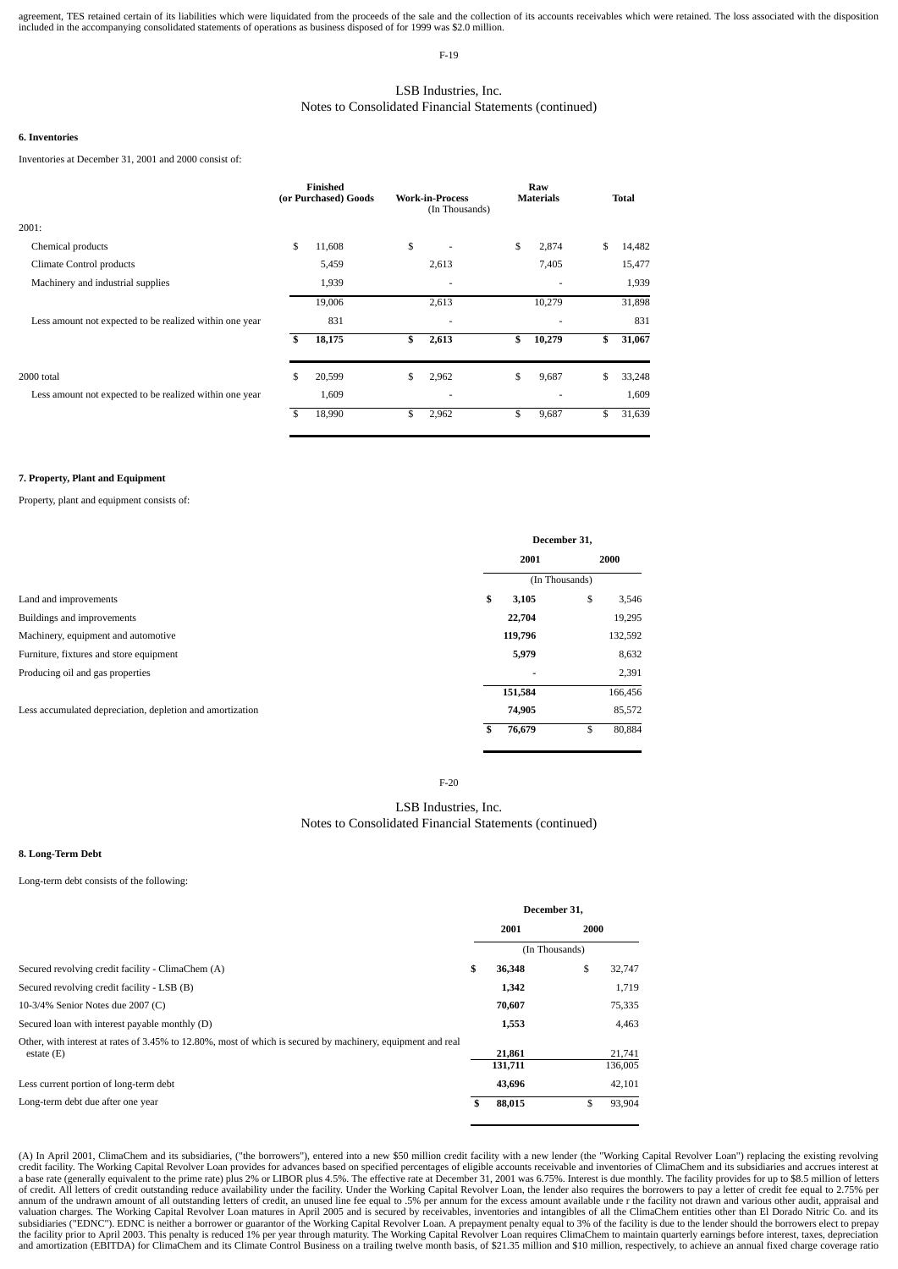agreement, TES retained certain of its liabilities which were liquidated from the proceeds of the sale and the collection of its accounts receivables which were retained. The loss associated with the disposition included i

F-19

# LSB Industries, Inc. Notes to Consolidated Financial Statements (continued)

### **6. Inventories**

Inventories at December 31, 2001 and 2000 consist of:

|                                                         |    | Finished<br>(or Purchased) Goods | <b>Work-in-Process</b><br>(In Thousands) | Raw<br><b>Materials</b> | <b>Total</b> |
|---------------------------------------------------------|----|----------------------------------|------------------------------------------|-------------------------|--------------|
| 2001:                                                   |    |                                  |                                          |                         |              |
| Chemical products                                       | \$ | 11,608                           | \$                                       | \$<br>2,874             | \$<br>14,482 |
| Climate Control products                                |    | 5,459                            | 2,613                                    | 7,405                   | 15,477       |
| Machinery and industrial supplies                       |    | 1,939                            | ٠                                        |                         | 1,939        |
|                                                         |    | 19,006                           | 2,613                                    | 10,279                  | 31,898       |
| Less amount not expected to be realized within one year |    | 831                              | ٠                                        | -                       | 831          |
|                                                         | S  | 18,175                           | \$<br>2,613                              | \$<br>10,279            | \$<br>31,067 |
| 2000 total                                              | \$ | 20,599                           | \$<br>2,962                              | \$<br>9,687             | \$<br>33,248 |
| Less amount not expected to be realized within one year |    | 1,609                            | ۰                                        |                         | 1,609        |
|                                                         | \$ | 18,990                           | \$<br>2,962                              | \$<br>9,687             | \$<br>31,639 |

### **7. Property, Plant and Equipment**

Property, plant and equipment consists of:

|                                                           |    | December 31,   |    |         |  |
|-----------------------------------------------------------|----|----------------|----|---------|--|
|                                                           |    | 2001           |    | 2000    |  |
|                                                           |    | (In Thousands) |    |         |  |
| Land and improvements                                     | \$ | 3,105          | \$ | 3,546   |  |
| Buildings and improvements                                |    | 22,704         |    | 19,295  |  |
| Machinery, equipment and automotive                       |    | 119,796        |    | 132,592 |  |
| Furniture, fixtures and store equipment                   |    | 5,979          |    | 8,632   |  |
| Producing oil and gas properties                          |    | -              |    | 2,391   |  |
|                                                           |    | 151,584        |    | 166,456 |  |
| Less accumulated depreciation, depletion and amortization |    | 74,905         |    | 85,572  |  |
|                                                           |    | 76,679         | \$ | 80,884  |  |

F-20

# LSB Industries, Inc. Notes to Consolidated Financial Statements (continued)

# **8. Long-Term Debt**

### Long-term debt consists of the following:

|                                                                                                                             | December 31.      |                |                   |  |
|-----------------------------------------------------------------------------------------------------------------------------|-------------------|----------------|-------------------|--|
|                                                                                                                             | 2001              | 2000           |                   |  |
|                                                                                                                             |                   | (In Thousands) |                   |  |
| Secured revolving credit facility - ClimaChem (A)                                                                           | \$<br>36,348      | \$             | 32,747            |  |
| Secured revolving credit facility - LSB (B)                                                                                 | 1,342             |                | 1,719             |  |
| 10-3/4% Senior Notes due 2007 (C)                                                                                           | 70,607            |                | 75,335            |  |
| Secured loan with interest payable monthly (D)                                                                              | 1,553             |                | 4,463             |  |
| Other, with interest at rates of 3.45% to 12.80%, most of which is secured by machinery, equipment and real<br>estate $(E)$ | 21,861<br>131,711 |                | 21,741<br>136,005 |  |
| Less current portion of long-term debt                                                                                      | 43,696            |                | 42,101            |  |
| Long-term debt due after one year                                                                                           | \$<br>88,015      | \$             | 93,904            |  |

(A) In April 2001, ClimaChem and its subsidiaries, ("the borrowers"), entered into a new \$50 million credit facility with a new lender (the "Working Capital Revolver Loan") replacing the existing revolving credit facility. The Working Capital Revolver Loan provides for advances based on specified percentages of eligible accounts receivable and inventories of ClimaChem and its subsidiaries and accrues interest at a base rate (generally equivalent to the prime rate) plus 2% or LIBOR plus 4.5%. The effective rate at December 31, 2001 was 6.75%. Interest is due monthly. The facility provides for up to \$8.5 million of letters of credit valuation charges. The Working Capital Revolver Loan matures in April 2005 and is secured by receivables, inventories and intangibles of all the ClimaChem entities other than El Dorado Nitric Co. and its subsidiaries ("EDN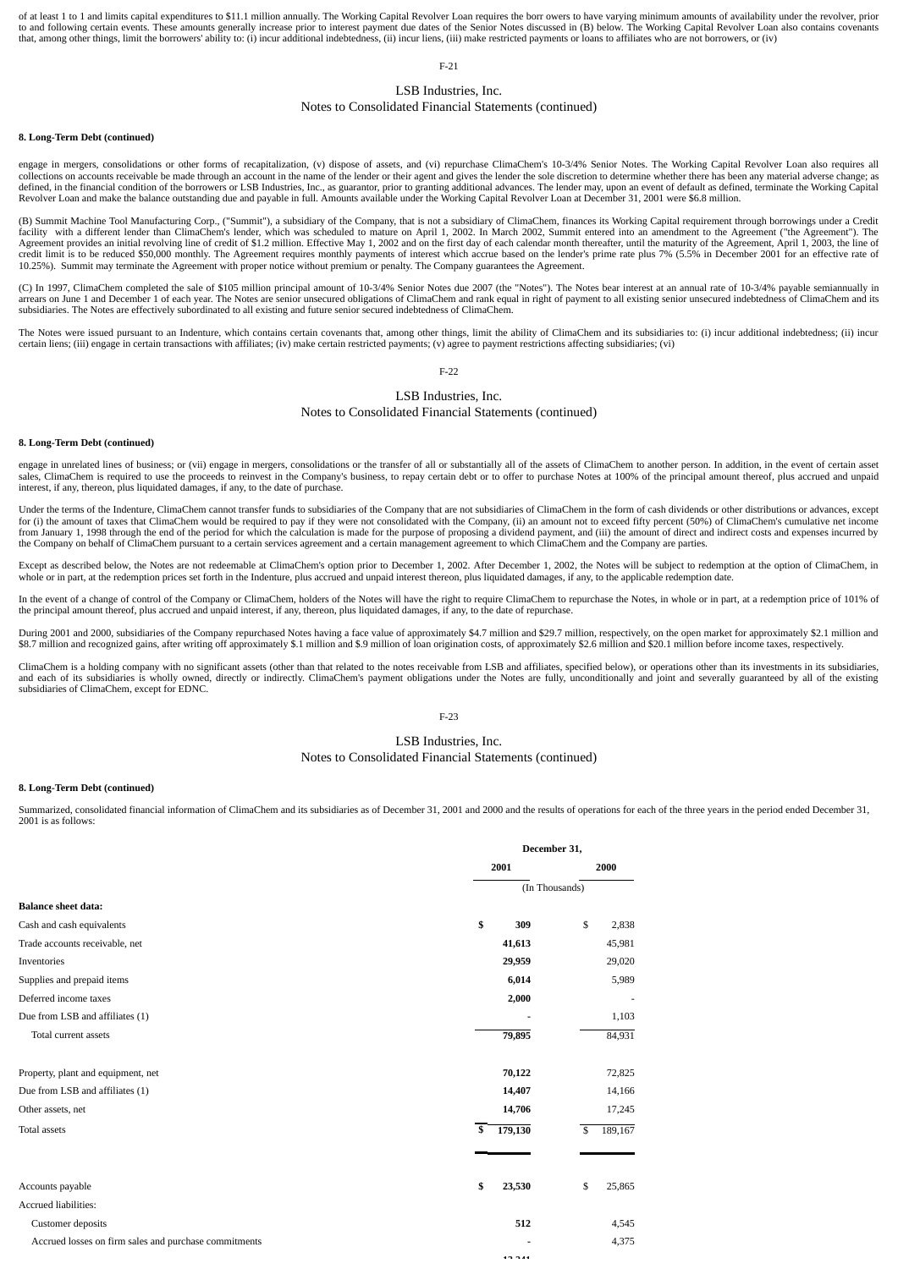of at least 1 to 1 and limits capital expenditures to \$11.1 million annually. The Working Capital Revolver Loan requires the borr owers to have varying minimum amounts of availability under the revolver, prior to and following certain events. These amounts generally increase prior to interest payment due dates of the Senior Notes discussed in (B) below. The Working Capital Revolver Loan also contains covenants<br>that, among other

F-21

# LSB Industries, Inc.

# Notes to Consolidated Financial Statements (continued)

### **8. Long-Term Debt (continued)**

engage in mergers, consolidations or other forms of recapitalization, (v) dispose of assets, and (vi) repurchase ClimaChem's 10-3/4% Senior Notes. The Working Capital Revolver Loan also requires all collections on accounts receivable be made through an account in the name of the lender or their agent and gives the lender the sole discretion to determine whether there has been any material adverse change; as defined, in the financial condition of the borrowers or LSB Industries, Inc., as guarantor, prior to granting additional advances. The lender may, upon an event of default as defined, terminate the Working Capital<br>Revolver

(B) Summit Machine Tool Manufacturing Corp., ("Summit"), a subsidiary of the Company, that is not a subsidiary of ClimaChem, finances its Working Capital requirement through borrowings under a Credit facility with a different lender than ClimaChem's lender, which was scheduled to mature on April 1, 2002. In March 2002, Summit entered into an amendment to the Agreement ("the Agreement"). The<br>Agreement provides an initia credit limit is to be reduced \$50,000 monthly. The Agreement requires monthly payments of interest which accrue based on the lender's prime rate plus 7% (5.5% in December 2001 for an effective rate of 10.25%). Summit may terminate the Agreement with proper notice without premium or penalty. The Company guarantees the Agreement.

(C) In 1997, ClimaChem completed the sale of \$105 million principal amount of 10-3/4% Senior Notes due 2007 (the "Notes"). The Notes bear interest at an annual rate of 10-3/4% payable semiannually in arrears on June 1 and December 1 of each year. The Notes are senior unsecured obligations of ClimaChem and rank equal in right of payment to all existing senior unsecured indebtedness of ClimaChem and its subsidiaries. The Notes are effectively subordinated to all existing and future senior secured indebtedness of ClimaChem.

The Notes were issued pursuant to an Indenture, which contains certain covenants that, among other things, limit the ability of ClimaChem and its subsidiaries to: (i) incur additional indebtedness; (ii) incur additional in

# F-22

# LSB Industries, Inc.

### Notes to Consolidated Financial Statements (continued)

### **8. Long-Term Debt (continued)**

engage in unrelated lines of business; or (vii) engage in mergers, consolidations or the transfer of all or substantially all of the assets of ClimaChem to another person. In addition, in the event of certain asset sales, ClimaChem is required to use the proceeds to reinvest in the Company's business, to repay certain debt or to offer to purchase Notes at 100% of the principal amount thereof, plus accrued and unpaid interest, if any,

Under the terms of the Indenture, ClimaChem cannot transfer funds to subsidiaries of the Company that are not subsidiaries of ClimaChem in the form of cash dividends or other distributions or advances, except for (i) the amount of taxes that ClimaChem would be required to pay if they were not consolidated with the Company, (ii) an amount not to exceed fifty percent (50%) of ClimaChem's cumulative net income from January 1, 1998 through the end of the period for which the calculation is made for the purpose of proposing a dividend payment, and (iii) the amount of direct and indirect costs and expenses incurred by the Company on behalf of ClimaChem pursuant to a certain services agreement and a certain management agreement to which ClimaChem and the Company are parties.

Except as described below, the Notes are not redeemable at ClimaChem's option prior to December 1, 2002. After December 1, 2002, the Notes will be subject to redemption at the option of ClimaChem, in whole or in part, at the redemption prices set forth in the Indenture, plus accrued and unpaid interest thereon, plus liquidated damages, if any, to the applicable redemption date.

In the event of a change of control of the Company or ClimaChem, holders of the Notes will have the right to require ClimaChem to repurchase the Notes, in whole or in part, at a redemption price of 101% of the principal amount thereof, plus accrued and unpaid interest, if any, thereon, plus liquidated damages, if any, to the date of repurchase.

During 2001 and 2000, subsidiaries of the Company repurchased Notes having a face value of approximately \$4.7 million and \$29.7 million, respectively, on the open market for approximately \$2.1 million and \$8.7 million and recognized gains, after writing off approximately \$.1 million and \$.9 million of loan origination costs, of approximately \$2.6 million and \$20.1 million before income taxes, respectively.

ClimaChem is a holding company with no significant assets (other than that related to the notes receivable from LSB and affiliates, specified below), or operations other than its investments in its subsidiaries, and each of its subsidiaries is wholly owned, directly or indirectly. ClimaChem's payment obligations under the Notes are fully, unconditionally and joint and severally guaranteed by all of the existing subsidiaries of ClimaChem, except for EDNC.

## F-23

## LSB Industries, Inc. Notes to Consolidated Financial Statements (continued)

### **8. Long-Term Debt (continued)**

Summarized, consolidated financial information of ClimaChem and its subsidiaries as of December 31, 2001 and 2000 and the results of operations for each of the three years in the period ended December 31, 2001 is as follows:

|                                                       | December 31,   |               |
|-------------------------------------------------------|----------------|---------------|
|                                                       | 2001           | 2000          |
|                                                       | (In Thousands) |               |
| <b>Balance sheet data:</b>                            |                |               |
| Cash and cash equivalents                             | \$<br>309      | \$<br>2,838   |
| Trade accounts receivable, net                        | 41,613         | 45,981        |
| Inventories                                           | 29,959         | 29,020        |
| Supplies and prepaid items                            | 6,014          | 5,989         |
| Deferred income taxes                                 | 2,000          |               |
| Due from LSB and affiliates (1)                       |                | 1,103         |
| Total current assets                                  | 79,895         | 84,931        |
| Property, plant and equipment, net                    | 70,122         | 72,825        |
| Due from LSB and affiliates (1)                       | 14,407         | 14,166        |
| Other assets, net                                     | 14,706         | 17,245        |
| <b>Total assets</b>                                   | \$<br>179,130  | 189,167<br>\$ |
|                                                       |                |               |
| Accounts payable                                      | \$<br>23,530   | \$<br>25,865  |
| Accrued liabilities:                                  |                |               |
| Customer deposits                                     | 512            | 4,545         |
| Accrued losses on firm sales and purchase commitments |                | 4,375         |
|                                                       | 19.944         |               |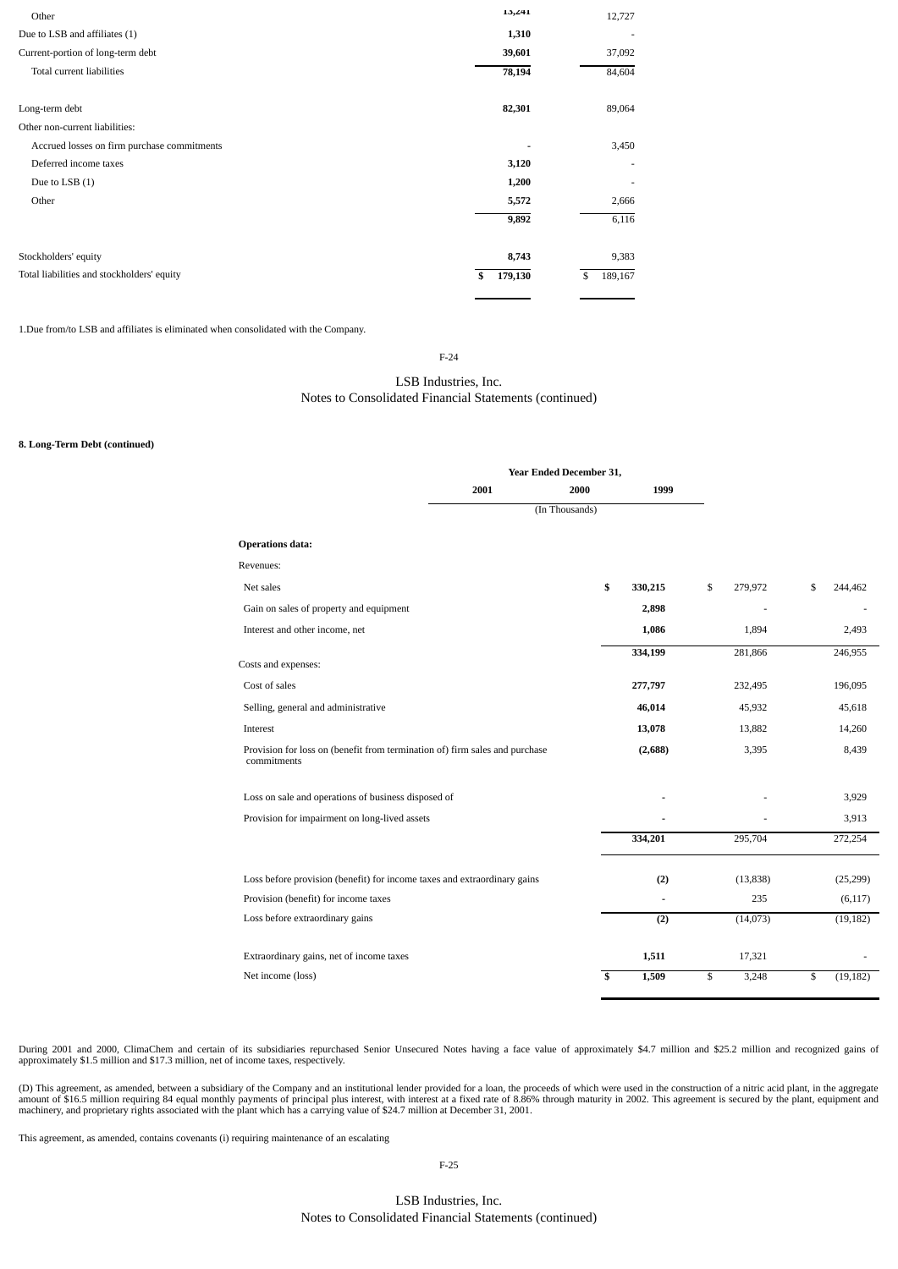| Other                                       | 15,441        | 12,727        |
|---------------------------------------------|---------------|---------------|
| Due to LSB and affiliates (1)               | 1,310         | ۰             |
| Current-portion of long-term debt           | 39,601        | 37,092        |
| Total current liabilities                   | 78,194        | 84,604        |
| Long-term debt                              | 82,301        | 89,064        |
| Other non-current liabilities:              |               |               |
| Accrued losses on firm purchase commitments |               | 3,450         |
| Deferred income taxes                       | 3,120         |               |
| Due to LSB (1)                              | 1,200         | ٠             |
| Other                                       | 5,572         | 2,666         |
|                                             | 9,892         | 6,116         |
| Stockholders' equity                        | 8,743         | 9,383         |
| Total liabilities and stockholders' equity  | 179,130<br>\$ | 189,167<br>\$ |

1.Due from/to LSB and affiliates is eliminated when consolidated with the Company.

F-24

# LSB Industries, Inc. Notes to Consolidated Financial Statements (continued)

## **8. Long-Term Debt (continued)**

|                                                                                            |      | Year Ended December 31, |         |               |                 |
|--------------------------------------------------------------------------------------------|------|-------------------------|---------|---------------|-----------------|
|                                                                                            | 2001 | 2000                    | 1999    |               |                 |
|                                                                                            |      | (In Thousands)          |         |               |                 |
| <b>Operations data:</b>                                                                    |      |                         |         |               |                 |
| Revenues:                                                                                  |      |                         |         |               |                 |
| Net sales                                                                                  |      | \$                      | 330,215 | \$<br>279,972 | \$<br>244,462   |
| Gain on sales of property and equipment                                                    |      |                         | 2,898   | ٠             |                 |
| Interest and other income, net                                                             |      |                         | 1,086   | 1,894         | 2,493           |
|                                                                                            |      |                         | 334,199 | 281,866       | 246,955         |
| Costs and expenses:                                                                        |      |                         |         |               |                 |
| Cost of sales                                                                              |      |                         | 277,797 | 232,495       | 196,095         |
| Selling, general and administrative                                                        |      |                         | 46,014  | 45,932        | 45,618          |
| Interest                                                                                   |      |                         | 13,078  | 13,882        | 14,260          |
| Provision for loss on (benefit from termination of) firm sales and purchase<br>commitments |      |                         | (2,688) | 3,395         | 8,439           |
| Loss on sale and operations of business disposed of                                        |      |                         |         |               | 3,929           |
| Provision for impairment on long-lived assets                                              |      |                         |         |               | 3,913           |
|                                                                                            |      |                         | 334,201 | 295,704       | 272,254         |
| Loss before provision (benefit) for income taxes and extraordinary gains                   |      |                         | (2)     | (13, 838)     | (25, 299)       |
| Provision (benefit) for income taxes                                                       |      |                         |         | 235           | (6, 117)        |
| Loss before extraordinary gains                                                            |      |                         | (2)     | (14,073)      | (19, 182)       |
| Extraordinary gains, net of income taxes                                                   |      |                         | 1,511   | 17,321        |                 |
| Net income (loss)                                                                          |      | \$                      | 1,509   | \$<br>3,248   | \$<br>(19, 182) |

During 2001 and 2000, ClimaChem and certain of its subsidiaries repurchased Senior Unsecured Notes having a face value of approximately \$4.7 million and \$25.2 million and recognized gains of approximately \$1.5 million and \$17.3 million, net of income taxes, respectively.

(D) This agreement, as amended, between a subsidiary of the Company and an institutional lender provided for a loan, the proceeds of which were used in the construction of a nitric acid plant, in the aggregate amount of \$1

This agreement, as amended, contains covenants (i) requiring maintenance of an escalating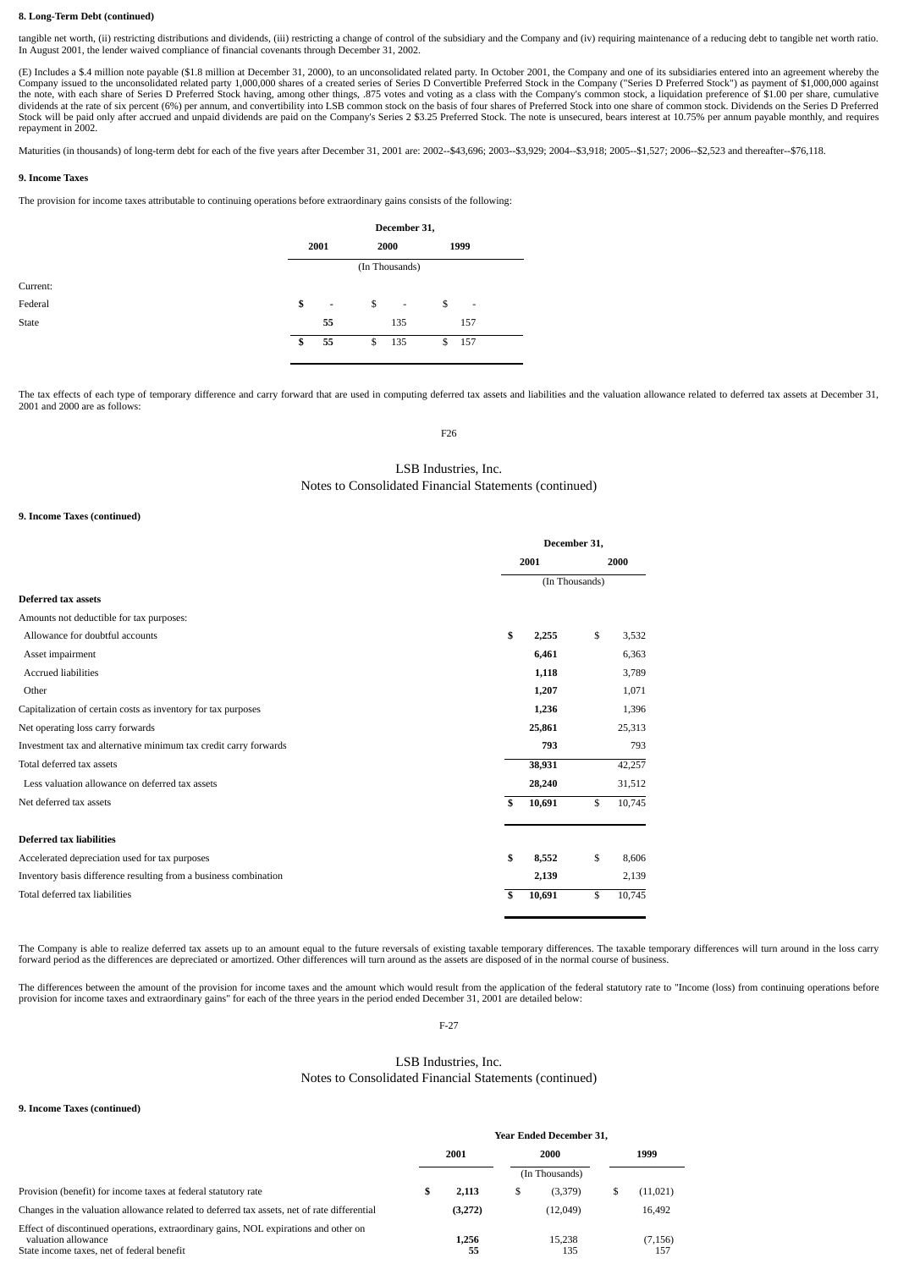## **8. Long-Term Debt (continued)**

tangible net worth, (ii) restricting distributions and dividends, (iii) restricting a change of control of the subsidiary and the Company and (iv) requiring maintenance of a reducing debt to tangible net worth ratio. In August 2001, the lender waived compliance of financial covenants through December 31, 2002.

(E) Includes a \$.4 million note payable (\$1.8 million at December 31, 2000), to an unconsolidated related party. In October 2001, the Company and one of its subsidiaries entered into an agreement whereby the Company issued to the unconsolidated related party 1,000,000 shares of a created series of Series D Convertible Preferred Stock in the Company ("Series D Preferred Stock") as payment of \$1,000,000 against<br>the note, with ea Stock will be paid only after accrued and unpaid dividends are paid on the Company's Series 2 \$3.25 Preferred Stock. The note is unsecured, bears interest at 10.75% per annum payable monthly, and requires repayment in 2002.

Maturities (in thousands) of long-term debt for each of the five years after December 31, 2001 are: 2002--\$43,696; 2003--\$3,929; 2004--\$3,918; 2005--\$1,527; 2006--\$2,523 and thereafter--\$76,118.

## **9. Income Taxes**

The provision for income taxes attributable to continuing operations before extraordinary gains consists of the following:

|          | December 31,                   |    |                          |      |                          |  |  |
|----------|--------------------------------|----|--------------------------|------|--------------------------|--|--|
|          | 2001<br>2000                   |    |                          | 1999 |                          |  |  |
|          | (In Thousands)                 |    |                          |      |                          |  |  |
| Current: |                                |    |                          |      |                          |  |  |
| Federal  | \$<br>$\overline{\phantom{a}}$ | \$ | $\overline{\phantom{a}}$ | \$   | $\overline{\phantom{a}}$ |  |  |
| State    | 55                             |    | 135                      |      | 157                      |  |  |
|          | \$<br>55                       | \$ | 135                      | \$   | 157                      |  |  |
|          |                                |    |                          |      |                          |  |  |

The tax effects of each type of temporary difference and carry forward that are used in computing deferred tax assets and liabilities and the valuation allowance related to deferred tax assets at December 31, 2001 and 2000 are as follows:

F26

# LSB Industries, Inc. Notes to Consolidated Financial Statements (continued)

### **9. Income Taxes (continued)**

|                                                                  | December 31, |                |        |
|------------------------------------------------------------------|--------------|----------------|--------|
|                                                                  | 2001         |                | 2000   |
|                                                                  |              | (In Thousands) |        |
| Deferred tax assets                                              |              |                |        |
| Amounts not deductible for tax purposes:                         |              |                |        |
| Allowance for doubtful accounts                                  | \$<br>2,255  | \$             | 3,532  |
| Asset impairment                                                 | 6,461        |                | 6,363  |
| <b>Accrued liabilities</b>                                       | 1,118        |                | 3,789  |
| Other                                                            | 1,207        |                | 1,071  |
| Capitalization of certain costs as inventory for tax purposes    | 1,236        |                | 1,396  |
| Net operating loss carry forwards                                | 25,861       |                | 25,313 |
| Investment tax and alternative minimum tax credit carry forwards | 793          |                | 793    |
| Total deferred tax assets                                        | 38,931       |                | 42,257 |
| Less valuation allowance on deferred tax assets                  | 28,240       |                | 31,512 |
| Net deferred tax assets                                          | \$<br>10,691 | \$             | 10,745 |
| <b>Deferred tax liabilities</b>                                  |              |                |        |
| Accelerated depreciation used for tax purposes                   | \$<br>8,552  | \$             | 8,606  |
| Inventory basis difference resulting from a business combination | 2,139        |                | 2,139  |
| Total deferred tax liabilities                                   | \$<br>10,691 | \$             | 10,745 |

The Company is able to realize deferred tax assets up to an amount equal to the future reversals of existing taxable temporary differences. The taxable temporary differences will turn around in the loss carry forward period as the differences are depreciated or amortized. Other differences will turn around as the assets are disposed of in the normal course of business.

The differences between the amount of the provision for income taxes and the amount which would result from the application of the federal statutory rate to "Income (loss) from continuing operations before provision for in

F-27

# LSB Industries, Inc. Notes to Consolidated Financial Statements (continued)

**9. Income Taxes (continued)**

|                                                                                                                                                           | <b>Year Ended December 31.</b> |             |   |                |  |                 |  |  |  |
|-----------------------------------------------------------------------------------------------------------------------------------------------------------|--------------------------------|-------------|---|----------------|--|-----------------|--|--|--|
|                                                                                                                                                           |                                | 2001        |   | 2000           |  | 1999            |  |  |  |
|                                                                                                                                                           |                                |             |   | (In Thousands) |  |                 |  |  |  |
| Provision (benefit) for income taxes at federal statutory rate                                                                                            | S                              | 2,113       | S | (3,379)        |  | (11, 021)       |  |  |  |
| Changes in the valuation allowance related to deferred tax assets, net of rate differential                                                               |                                | (3,272)     |   | (12,049)       |  | 16,492          |  |  |  |
| Effect of discontinued operations, extraordinary gains, NOL expirations and other on<br>valuation allowance<br>State income taxes, net of federal benefit |                                | 1.256<br>55 |   | 15.238<br>135  |  | (7, 156)<br>157 |  |  |  |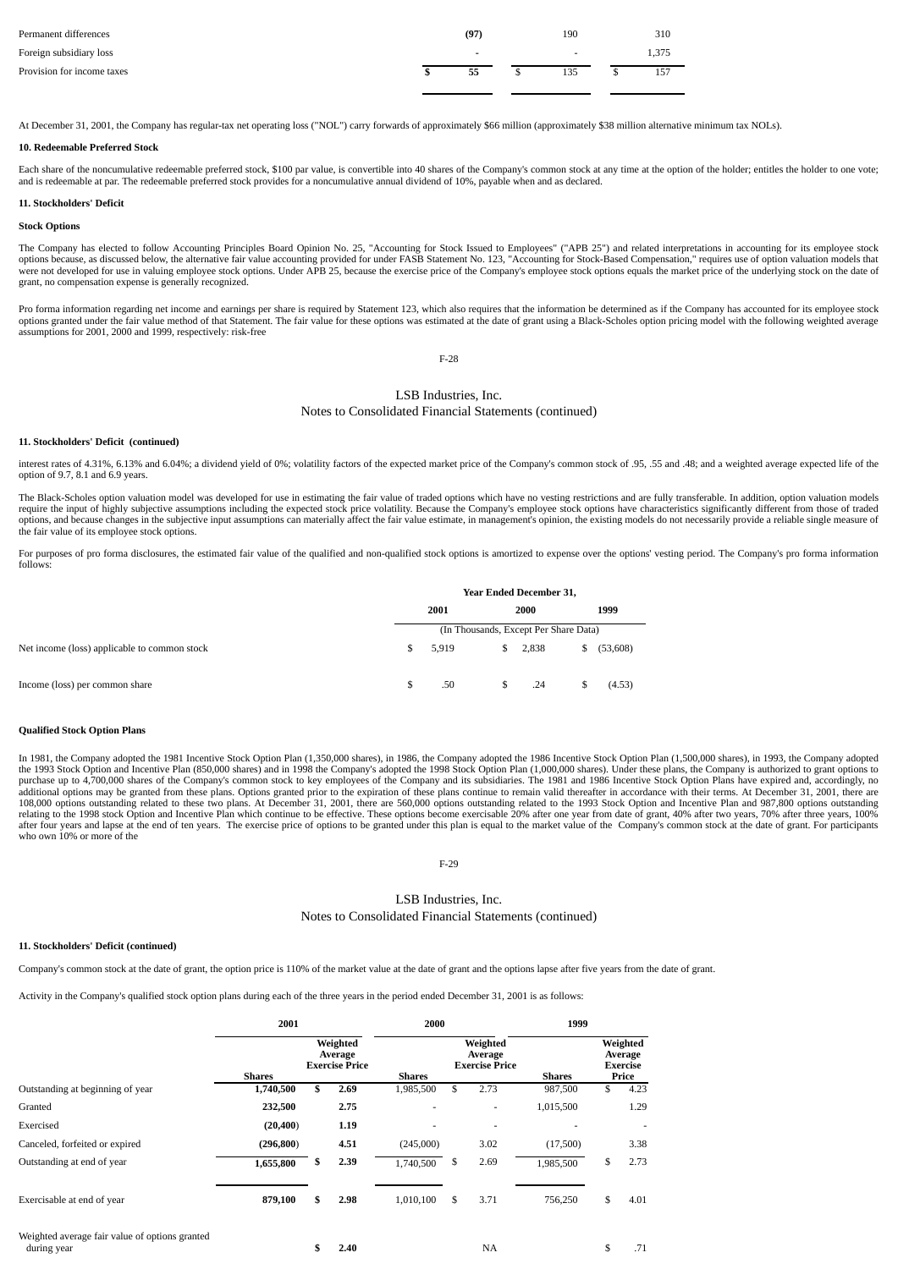| Permanent differences      | (97)                     | 190 | 310   |
|----------------------------|--------------------------|-----|-------|
| Foreign subsidiary loss    | $\overline{\phantom{0}}$ |     | 1.375 |
| Provision for income taxes | 55                       | 135 | 157   |

At December 31, 2001, the Company has regular-tax net operating loss ("NOL") carry forwards of approximately \$66 million (approximately \$38 million alternative minimum tax NOLs).

### **10. Redeemable Preferred Stock**

Each share of the noncumulative redeemable preferred stock, \$100 par value, is convertible into 40 shares of the Company's common stock at any time at the option of the holder; entitles the holder to one vote; and is redeemable at par. The redeemable preferred stock provides for a noncumulative annual dividend of 10%, payable when and as declared.

### **11. Stockholders' Deficit**

### **Stock Options**

The Company has elected to follow Accounting Principles Board Opinion No. 25, "Accounting for Stock Issued to Employees" ("APB 25") and related interpretations in accounting for its employee stock<br>options because, as discu were not developed for use in valuing employee stock options. Under APB 25, because the exercise price of the Company's employee stock options equals the market price of the underlying stock on the date of grant, no compensation expense is generally recognized.

Pro forma information regarding net income and earnings per share is required by Statement 123, which also requires that the information be determined as if the Company has accounted for its employee stock options granted under the fair value method of that Statement. The fair value for these options was estimated at the date of grant using a Black-Scholes option pricing model with the following weighted average assumptions for 2001, 2000 and 1999, respectively: risk-free

F-28

# LSB Industries, Inc.

# Notes to Consolidated Financial Statements (continued)

#### **11. Stockholders' Deficit (continued)**

interest rates of 4.31%, 6.13% and 6.04%; a dividend yield of 0%; volatility factors of the expected market price of the Company's common stock of .95, .55 and .48; and a weighted average expected life of the option of 9.7, 8.1 and 6.9 years.

The Black-Scholes option valuation model was developed for use in estimating the fair value of traded options which have no vesting restrictions and are fully transferable. In addition, option valuation models require the input of highly subjective assumptions including the expected stock price volatility. Because the Company's employee stock options have characteristics significantly different from those of traded options, and because changes in the subjective input assumptions can materially affect the fair value estimate, in management's opinion, the existing models do not necessarily provide a reliable single measure of options, the fair value of its employee stock options.

For purposes of pro forma disclosures, the estimated fair value of the qualified and non-qualified stock options is amortized to expense over the options' vesting period. The Company's pro forma information follows:

|                                              | <b>Year Ended December 31,</b>        |       |    |         |    |          |  |  |
|----------------------------------------------|---------------------------------------|-------|----|---------|----|----------|--|--|
|                                              | 2001                                  |       |    | 2000    |    | 1999     |  |  |
|                                              | (In Thousands, Except Per Share Data) |       |    |         |    |          |  |  |
| Net income (loss) applicable to common stock | \$.                                   | 5.919 |    | \$2,838 | S. | (53,608) |  |  |
| Income (loss) per common share               | \$                                    | .50   | S. | .24     |    | (4.53)   |  |  |

## **Qualified Stock Option Plans**

In 1981, the Company adopted the 1981 Incentive Stock Option Plan (1,350,000 shares), in 1986, the Company adopted the 1986 Incentive Stock Option Plan (1,500,000 shares), in 1993, the Company adopted the 1993 Stock Option and Incentive Plan (850,000 shares) and in 1998 the Company's adopted the 1998 Stock Option Plan (1,000,000 shares). Under these plans, the Company is authorized to grant options to purchase up to 4,700,000 shares of the Company's common stock to key employees of the Company and its subsidiaries. The 1981 and 1986 Incentive Stock Option Plans have expired and, accordingly, no additional options may be 108,000 options outstanding related to these two plans. At December 31, 2001, there are 560,000 options outstanding related to the 1993 Stock Option and Incentive Plan and 987,800 options outstanding relating to the 1998 stock Option and Incentive Plan which continue to be effective. These options become exercisable 20% after one year from date of grant, 40% after two years, 70% after three years, 100% after three year who own 10% or more of the

## F-29

# LSB Industries, Inc. Notes to Consolidated Financial Statements (continued)

## **11. Stockholders' Deficit (continued)**

Company's common stock at the date of grant, the option price is 110% of the market value at the date of grant and the options lapse after five years from the date of grant.

Activity in the Company's qualified stock option plans during each of the three years in the period ended December 31, 2001 is as follows:

|                                                               | 2001       |                                              |      | 2000          |    |                                              | 1999      |                                                 |      |  |
|---------------------------------------------------------------|------------|----------------------------------------------|------|---------------|----|----------------------------------------------|-----------|-------------------------------------------------|------|--|
|                                                               | Shares     | Weighted<br>Average<br><b>Exercise Price</b> |      | <b>Shares</b> |    | Weighted<br>Average<br><b>Exercise Price</b> | Shares    | Weighted<br>Average<br><b>Exercise</b><br>Price |      |  |
| Outstanding at beginning of year                              | 1,740,500  | \$                                           | 2.69 | 1,985,500     | \$ | 2.73                                         | 987,500   | \$                                              | 4.23 |  |
| Granted                                                       | 232,500    |                                              | 2.75 |               |    | ٠                                            | 1,015,500 |                                                 | 1.29 |  |
| Exercised                                                     | (20, 400)  |                                              | 1.19 |               |    |                                              |           |                                                 |      |  |
| Canceled, forfeited or expired                                | (296, 800) |                                              | 4.51 | (245,000)     |    | 3.02                                         | (17,500)  |                                                 | 3.38 |  |
| Outstanding at end of year                                    | 1,655,800  | S.                                           | 2.39 | 1,740,500     | S  | 2.69                                         | 1,985,500 | \$                                              | 2.73 |  |
| Exercisable at end of year                                    | 879,100    | \$                                           | 2.98 | 1,010,100     | \$ | 3.71                                         | 756,250   | \$                                              | 4.01 |  |
| Weighted average fair value of options granted<br>during year |            |                                              | 2.40 |               |    | NA                                           |           | \$                                              | .71  |  |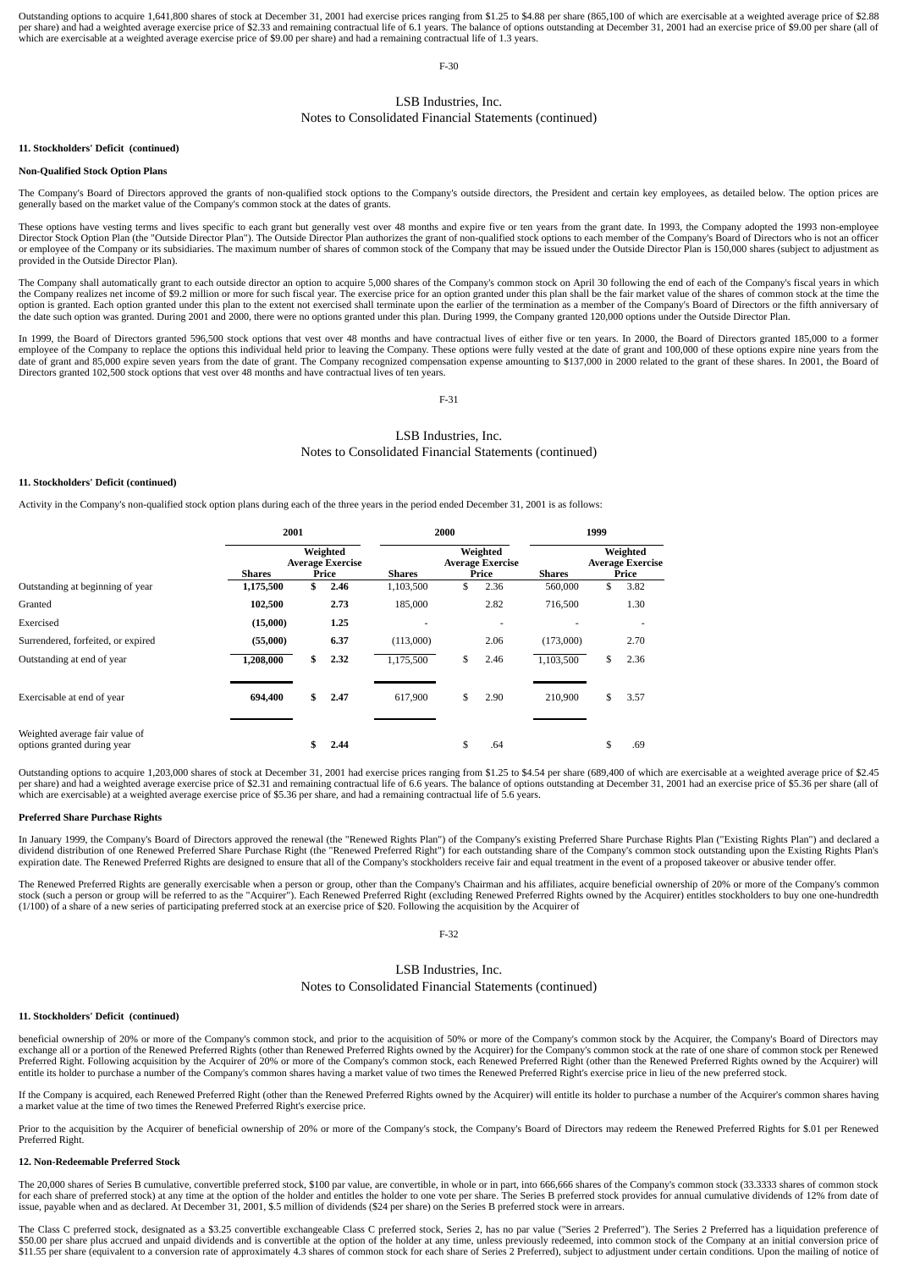Outstanding options to acquire 1,641,800 shares of stock at December 31, 2001 had exercise prices ranging from \$1.25 to \$4.88 per share (865,100 of which are exercisable at a weighted average price of \$2.88 per share) and had a weighted average exercise price of \$2.33 and remaining contractual life of 6.1 years. The balance of options outstanding at December 31, 2001 had an exercise price of \$9.00 per share (all of<br>which are

F-30

#### LSB Industries, Inc.

#### Notes to Consolidated Financial Statements (continued)

#### **11. Stockholders' Deficit (continued)**

#### **Non-Qualified Stock Option Plans**

The Company's Board of Directors approved the grants of non-qualified stock options to the Company's outside directors, the President and certain key employees, as detailed below. The option prices are generally based on the market value of the Company's common stock at the dates of grants.

These options have vesting terms and lives specific to each grant but generally vest over 48 months and expire five or ten years from the grant date. In 1993, the Company adopted the 1993 non-employee Director Stock Option Plan (the "Outside Director Plan"). The Outside Director Plan authorizes the grant of non-qualified stock options to each member of the Company's Board of Directors who is not an officer or employee of the Company or its subsidiaries. The maximum number of shares of common stock of the Company that may be issued under the Outside Director Plan is 150,000 shares (subject to adjustment as provided in the Outside Director Plan).

The Company shall automatically grant to each outside director an option to acquire 5,000 shares of the Company's common stock on April 30 following the end of each of the Company's fiscal years in which the Company realizes net income of \$9.2 million or more for such fiscal year. The exercise price for an option granted under this plan shall be the fair market value of the shares of common stock at the time the the the te the date such option was granted. During 2001 and 2000, there were no options granted under this plan. During 1999, the Company granted 120,000 options under the Outside Director Plan.

In 1999, the Board of Directors granted 596,500 stock options that vest over 48 months and have contractual lives of either five or ten years. In 2000, the Board of Directors granted 185,000 to a former employee of the Company to replace the options this individual held prior to leaving the Company. These options were fully vested at the date of grant and 100,000 of these options expire nine years from the date of grant a

F-31

#### LSB Industries, Inc. Notes to Consolidated Financial Statements (continued)

#### **11. Stockholders' Deficit (continued)**

Activity in the Company's non-qualified stock option plans during each of the three years in the period ended December 31, 2001 is as follows:

|                                                               | 2001          |                                              |      |           | 2000 |                                              | 1999      |    |                                              |  |
|---------------------------------------------------------------|---------------|----------------------------------------------|------|-----------|------|----------------------------------------------|-----------|----|----------------------------------------------|--|
|                                                               | <b>Shares</b> | Weighted<br><b>Average Exercise</b><br>Price |      |           |      | Weighted<br><b>Average Exercise</b><br>Price | Shares    |    | Weighted<br><b>Average Exercise</b><br>Price |  |
| Outstanding at beginning of year                              | 1,175,500     |                                              | 2.46 | 1,103,500 | \$   | 2.36                                         | 560,000   | \$ | 3.82                                         |  |
| Granted                                                       | 102,500       |                                              | 2.73 | 185,000   |      | 2.82                                         | 716,500   |    | 1.30                                         |  |
| Exercised                                                     | (15,000)      |                                              | 1.25 |           |      |                                              |           |    |                                              |  |
| Surrendered, forfeited, or expired                            | (55,000)      |                                              | 6.37 | (113,000) |      | 2.06                                         | (173,000) |    | 2.70                                         |  |
| Outstanding at end of year                                    | 1,208,000     | \$                                           | 2.32 | 1,175,500 | \$   | 2.46                                         | 1,103,500 | S  | 2.36                                         |  |
| Exercisable at end of year                                    | 694,400       |                                              | 2.47 | 617.900   | \$   | 2.90                                         | 210,900   | \$ | 3.57                                         |  |
| Weighted average fair value of<br>options granted during year |               |                                              | 2.44 |           | J.   | .64                                          |           | J. | .69                                          |  |

Outstanding options to acquire 1,203,000 shares of stock at December 31, 2001 had exercise prices ranging from \$1.25 to \$4.54 per share (689,400 of which are exercisable at a weighted average price of \$2.45 per share) and had a weighted average exercise price of \$2.31 and remaining contractual life of 6.6 years. The balance of options outstanding at December 31, 2001 had an exercise price of \$5.36 per share (all of<br>which are

#### **Preferred Share Purchase Rights**

In January 1999, the Company's Board of Directors approved the renewal (the "Renewed Rights Plan") of the Company's existing Preferred Share Purchase Rights Plan ("Existing Rights Plan") and declared a<br>dividend distributio expiration date. The Renewed Preferred Rights are designed to ensure that all of the Company's stockholders receive fair and equal treatment in the event of a proposed takeover or abusive tender offer

The Renewed Preferred Rights are generally exercisable when a person or group, other than the Company's Chairman and his affiliates, acquire beneficial ownership of 20% or more of the Company's common<br>stock (such a person (1/100) of a share of a new series of participating preferred stock at an exercise price of \$20. Following the acquisition by the Acquirer of

F-32

#### LSB Industries, Inc.

Notes to Consolidated Financial Statements (continued)

#### **11. Stockholders' Deficit (continued)**

beneficial ownership of 20% or more of the Company's common stock, and prior to the acquisition of 50% or more of the Company's common stock by the Acquirer, the Company's Board of Directors may exchange all or a portion of the Renewed Preferred Rights (other than Renewed Preferred Rights owned by the Acquirer) for the Company's common stock at the rate of one share of common stock per Renewed<br>Preferred Right. Fol entitle its holder to purchase a number of the Company's common shares having a market value of two times the Renewed Preferred Right's exercise price in lieu of the new preferred stock.

If the Company is acquired, each Renewed Preferred Right (other than the Renewed Preferred Rights owned by the Acquirer) will entitle its holder to purchase a number of the Acquirer's common shares having a market value at the time of two times the Renewed Preferred Right's exercise price.

Prior to the acquisition by the Acquirer of beneficial ownership of 20% or more of the Company's stock, the Company's Board of Directors may redeem the Renewed Preferred Rights for \$.01 per Renewed Preferred Right.

#### **12. Non-Redeemable Preferred Stock**

The 20,000 shares of Series B cumulative, convertible preferred stock, \$100 par value, are convertible, in whole or in part, into 666,666 shares of the Company's common stock (33.3333 shares of common stock for each share of preferred stock) at any time at the option of the holder and entitles the holder to one vote per share. The Series B preferred stock provides for annual cumulative dividends of 12% from date of issue, payable when and as declared. At December 31, 2001, \$.5 million of dividends (\$24 per share) on the Series B preferred stock were in arrears.

The Class C preferred stock, designated as a \$3.25 convertible exchangeable Class C preferred stock, Series 2, has no par value ("Series 2 Preferred"). The Series 2 Preferred has a liquidation preference of \$50.00 per share plus accrued and unpaid dividends and is convertible at the option of the holder at any time, unless previously redeemed, into common stock of the Company at an initial conversion price of \$11.55 per share (equivalent to a conversion rate of approximately 4.3 shares of common stock for each share of Series 2 Preferred), subject to adjustment under certain conditions. Upon the mailing of notice of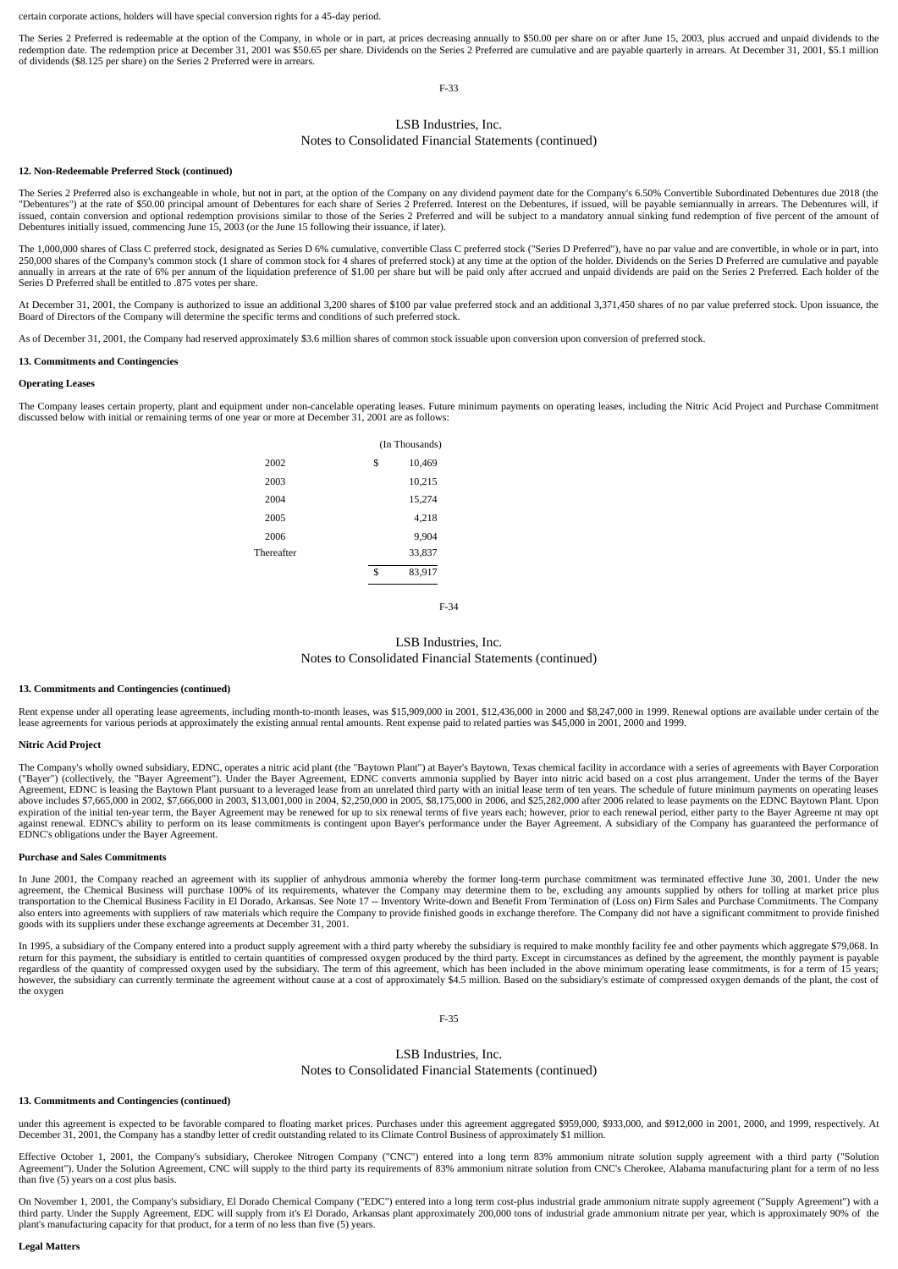certain corporate actions, holders will have special conversion rights for a 45-day period.

The Series 2 Preferred is redeemable at the option of the Company, in whole or in part, at prices decreasing annually to \$50.00 per share on or after June 15, 2003, plus accrued and unpaid dividends to the redemption date. The redemption price at December 31, 2001 was \$50.65 per share. Dividends on the Series 2 Preferred are cumulative and are payable quarterly in arrears. At December 31, 2001, \$5.1 million of dividends (\$8.125 per share) on the Series 2 Preferred were in arrears.

F-33

#### LSB Industries, Inc.

#### Notes to Consolidated Financial Statements (continued)

#### **12. Non-Redeemable Preferred Stock (continued)**

The Series 2 Preferred also is exchangeable in whole, but not in part, at the option of the Company on any dividend payment date for the Company's 6.50% Convertible Subordinated Debentures due 2018 (the "Debentures") at the rate of \$50.00 principal amount of Debentures for each share of Series 2 Preferred. Interest on the Debentures, if issued, will be payable semiannually in arrears. The Debentures will, if<br>issued, conta Debentures initially issued, commencing June 15, 2003 (or the June 15 following their issuance, if later).

The 1,000,000 shares of Class C preferred stock, designated as Series D 6% cumulative, convertible Class C preferred stock ("Series D Preferred"), have no par value and are convertible, in whole or in part, into 250,000 shares of the Company's common stock (1 share of common stock for 4 shares of preferred stock) at any time at the option of the holder. Dividends on the Series D Preferred are cumulative and payable annually in arr

At December 31, 2001, the Company is authorized to issue an additional 3,200 shares of \$100 par value preferred stock and an additional 3,371,450 shares of no par value preferred stock. Upon issuance, the Board of Directors of the Company will determine the specific terms and conditions of such preferred stock.

As of December 31, 2001, the Company had reserved approximately \$3.6 million shares of common stock issuable upon conversion upon conversion of preferred stock.

#### **13. Commitments and Contingencies**

#### **Operating Leases**

The Company leases certain property, plant and equipment under non-cancelable operating leases. Future minimum payments on operating leases, including the Nitric Acid Project and Purchase Commitment discussed below with initial or remaining terms of one year or more at December 31, 2001 are as follows:

|            | (In Thousands) |
|------------|----------------|
| 2002       | \$<br>10,469   |
| 2003       | 10,215         |
| 2004       | 15,274         |
| 2005       | 4,218          |
| 2006       | 9,904          |
| Thereafter | 33,837         |
|            | \$<br>83,917   |
|            |                |

F-34

#### LSB Industries, Inc. Notes to Consolidated Financial Statements (continued)

#### **13. Commitments and Contingencies (continued)**

Rent expense under all operating lease agreements, including month-to-month leases, was \$15,909,000 in 2001, \$12,436,000 in 2000 and \$8,247,000 in 1999. Renewal options are available under certain of the lease agreements for various periods at approximately the existing annual rental amounts. Rent expense paid to related parties was \$45,000 in 2001, 2000 and 1999.

#### **Nitric Acid Project**

The Company's wholly owned subsidiary, EDNC, operates a nitric acid plant (the "Baytown Plant") at Bayer's Baytown, Texas chemical facility in accordance with a series of agreements with Bayer Corporation ("Bayer") (collectively, the "Bayer Agreement"). Under the Bayer Agreement, EDNC converts ammonia supplied by Bayer into nitric acid based on a cost plus arrangement. Under the terms of the Bayer Agreement, EDNC is leasing the Baytown Plant pursuant to a leveraged lease from an unrelated third party with an initial lease term of ten years. The schedule of future minimum payments on operating leases<br>above includes \$ against renewal. EDNC's ability to perform on its lease commitments is contingent upon Bayer's performance under the Bayer Agreement. A subsidiary of the Company has guaranteed the performance of<br>EDNC's obligations under t

#### **Purchase and Sales Commitments**

In June 2001, the Company reached an agreement with its supplier of anhydrous ammonia whereby the former long-term purchase commitment was terminated effective June 30, 2001. Under the new agreement, the Chemical Business will purchase 100% of its requirements, whatever the Company may determine them to be, excluding any amounts supplied by others for tolling at market price plus<br>transportation to the Chemic also enters into agreements with suppliers of raw materials which require the Company to provide finished goods in exchange therefore. The Company did not have a significant commitment to provide finished goods with its suppliers under these exchange agreements at December 31, 2001.

In 1995, a subsidiary of the Company entered into a product supply agreement with a third party whereby the subsidiary is required to make monthly facility fee and other payments which aggregate \$79,068. In return for this payment, the subsidiary is entitled to certain quantities of compressed oxygen produced by the third party. Except in circumstances as defined by the agreement, the monthly payment is payable regardless of however, the subsidiary can currently terminate the agreement without cause at a cost of approximately \$4.5 million. Based on the subsidiary's estimate of compressed oxygen demands of the plant, the cost of the oxygen

F-35

LSB Industries, Inc. Notes to Consolidated Financial Statements (continued)

#### **13. Commitments and Contingencies (continued)**

under this agreement is expected to be favorable compared to floating market prices. Purchases under this agreement aggregated \$959,000, \$933,000, and \$912,000 in 2001, 2000, and 1999, respectively. At December 31, 2001, the Company has a standby letter of credit outstanding related to its Climate Control Business of approximately \$1 million.

Effective October 1, 2001, the Company's subsidiary, Cherokee Nitrogen Company ("CNC") entered into a long term 83% ammonium nitrate solution supply agreement with a third party ("Solution<br>Agreement"). Under the Solution A than five (5) years on a cost plus basis.

On November 1, 2001, the Company's subsidiary, El Dorado Chemical Company ("EDC") entered into a long term cost-plus industrial grade ammonium nitrate supply agreement ("Supply Agreement") with a third party. Under the Supply Agreement, EDC will supply from it's El Dorado, Arkansas plant approximately 200,000 tons of industrial grade ammonium nitrate per year, which is approximately 90% of the plant's manufacturing capacity for that product, for a term of no less than five (5) years.

#### **Legal Matters**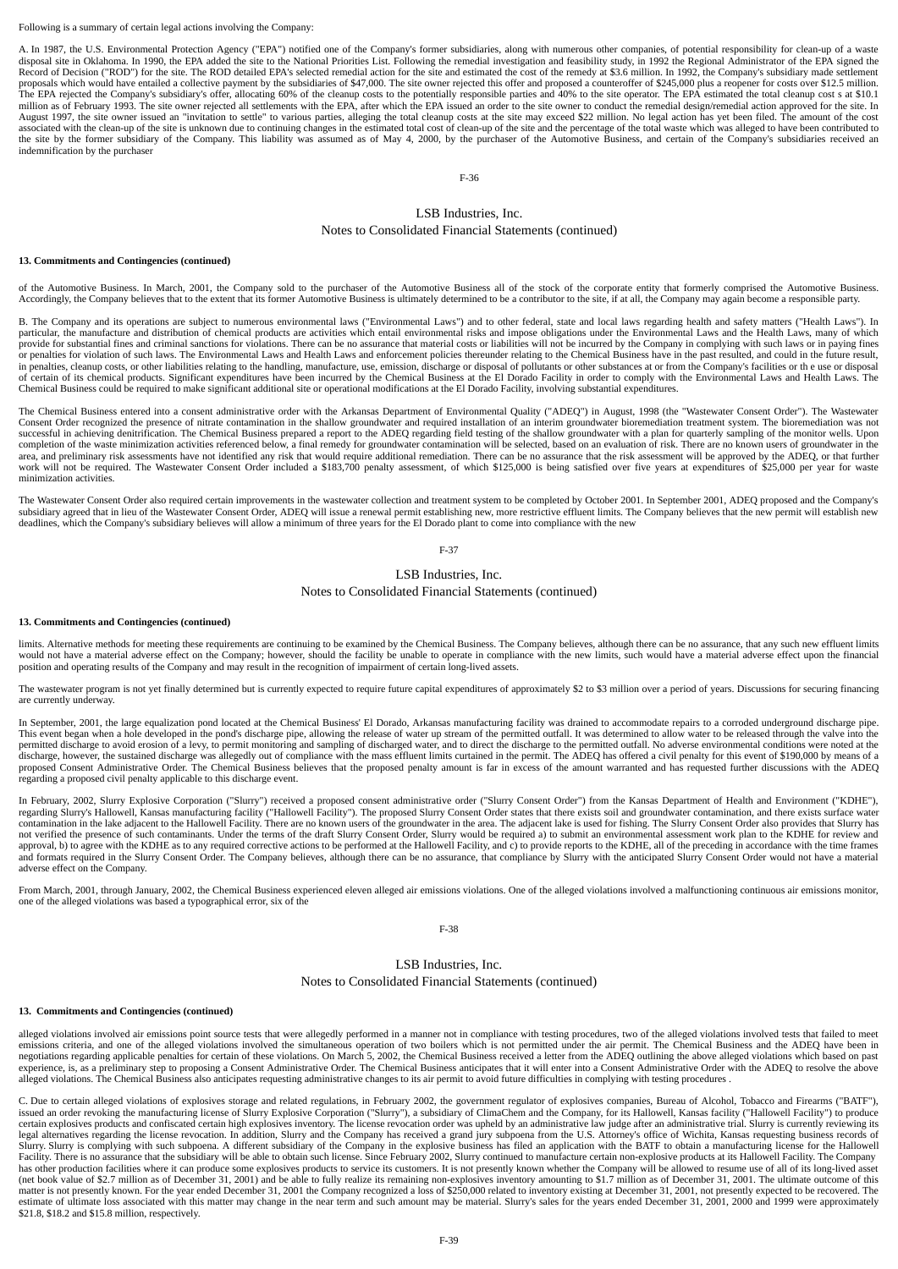#### Following is a summary of certain legal actions involving the Company:

A. In 1987, the U.S. Environmental Protection Agency ("EPA") notified one of the Company's former subsidiaries, along with numerous other companies, of potential responsibility for clean-up of a waste disposal site in Oklahoma. In 1990, the EPA added the site to the National Priorities List. Following the remedial investigation and feasibility study, in 1992 the Regional Administrator of the EPA signed the<br>Record of Dec proposals which would have entailed a collective payment by the subsidiaries of \$47,000. The site owner rejected this offer and proposed a counteroffer of \$245,000 plus a reopener for costs over \$12.5 million. The EPA rejected the Company's subsidiary's offer, allocating 60% of the cleanup costs to the potentially responsible parties and 40% to the site operator. The EPA estimated the total cleanup cost s at \$10.1<br>million as of August 1997, the site owner issued an "invitation to settle" to various parties, alleging the total cleanup costs at the site may exceed \$22 million. No legal action has yet been filed. The amount of the cost associated with the clean-up of the site is unknown due to continuing changes in the estimated total cost of clean-up of the site and the percentage of the total waste which was alleged to have been contributed to the Site indemnification by the purchaser

F-36

#### LSB Industries, Inc. Notes to Consolidated Financial Statements (continued)

#### **13. Commitments and Contingencies (continued)**

of the Automotive Business. In March, 2001, the Company sold to the purchaser of the Automotive Business all of the stock of the corporate entity that formerly comprised the Automotive Business. Accordingly, the Company believes that to the extent that its former Automotive Business is ultimately determined to be a contributor to the site, if at all, the Company may again become a responsible party.

B. The Company and its operations are subject to numerous environmental laws ("Environmental Laws") and to other federal, state and local laws regarding health and safety matters ("Health Laws"). In particular, the manufacture and distribution of chemical products are activities which entail environmental risks and impose obligations under the Environmental Laws and the Health Laws, many of which<br>provide for substanti or penalties for violation of such laws. The Environmental Laws and Health Laws and enforcement policies thereunder relating to the Chemical Business have in the past resulted, and could in the future result, in penalties, cleanup costs, or other liabilities relating to the handling, manufacture, use, emission, discharge or disposal of pollutants or other substances at or from the Company's facilities or th e use or disposal<br>of Chemical Business could be required to make significant additional site or operational modifications at the El Dorado Facility, involving substantial expenditures.

The Chemical Business entered into a consent administrative order with the Arkansas Department of Environmental Quality ("ADEQ") in August, 1998 (the "Wastewater Consent Order"). The Wastewater Consent Order recognized the presence of nitrate contamination in the shallow groundwater and required installation of an interim groundwater bioremediation treatment system. The bioremediation was not successful in achieving denitrification. The Chemical Business prepared a report to the ADEQ regarding field testing of the shallow groundwater with a plan for quarterly sampling of the monitor wells. Upon completion of th minimization activities.

The Wastewater Consent Order also required certain improvements in the wastewater collection and treatment system to be completed by October 2001. In September 2001, ADEQ proposed and the Company's subsidiary agreed that in lieu of the Wastewater Consent Order, ADEQ will issue a renewal permit establishing new, more restrictive effluent limits. The Company believes that the new permit will establish new deadlines, which the Company's subsidiary believes will allow a minimum of three years for the El Dorado plant to come into compliance with the new

F-37

#### LSB Industries, Inc. Notes to Consolidated Financial Statements (continued)

#### **13. Commitments and Contingencies (continued)**

limits. Alternative methods for meeting these requirements are continuing to be examined by the Chemical Business. The Company believes, although there can be no assurance, that any such new effluent limits would not have a material adverse effect on the Company; however, should the facility be unable to operate in compliance with the new limits, such would have a material adverse effect upon the financial position and operating results of the Company and may result in the recognition of impairment of certain long-lived assets.

The wastewater program is not yet finally determined but is currently expected to require future capital expenditures of approximately \$2 to \$3 million over a period of years. Discussions for securing financing are currently underway.

In September, 2001, the large equalization pond located at the Chemical Business' El Dorado, Arkansas manufacturing facility was drained to accommodate repairs to a corroded underground discharge pipe.<br>This event began whe discharge, however, the sustained discharge was allegedly out of compliance with the mass effluent limits curtained in the permit. The ADEQ has offered a civil penalty for this event of \$190,000 by means of a proposed Consent Administrative Order. The Chemical Business believes that the proposed penalty amount is far in excess of the amount warranted and has requested further discussions with the ADEQ regarding a proposed civil penalty applicable to this discharge event.

In February, 2002, Slurry Explosive Corporation ("Slurry") received a proposed consent administrative order ("Slurry Consent Order") from the Kansas Department of Health and Environment ("KDHE"),<br>regarding Slurry's Hallowe contamination in the lake adjacent to the Hallowell Facility. There are no known users of the groundwater in the area. The adjacent lake is used for fishing. The Slurry Consent Order also provides that Slurry has not verified the presence of such contaminants. Under the terms of the draft Slurry Consent Order, Slurry would be required a) to submit an environmental assessment work plan to the KDHE for review and approval, b) to agree with the KDHE as to any required corrective actions to be performed at the Hallowell Facility, and c) to provide reports to the KDHE, all of the preceding in accordance with the time frames<br>and format adverse effect on the Company.

From March, 2001, through January, 2002, the Chemical Business experienced eleven alleged air emissions violations. One of the alleged violations involved a malfunctioning continuous air emissions monitor,<br>one of the alleg

F-38

#### LSB Industries, Inc.

Notes to Consolidated Financial Statements (continued)

#### **13. Commitments and Contingencies (continued)**

alleged violations involved air emissions point source tests that were allegedly performed in a manner not in compliance with testing procedures, two of the alleged violations involved tests that failed to meet<br>emissions c negotiations regarding applicable penalties for certain of these violations. On March 5, 2002, the Chemical Business received a letter from the ADEQ outlining the above alleged violations which based on past experience, is, as a preliminary step to proposing a Consent Administrative Order. The Chemical Business anticipates that it will enter into a Consent Administrative Order with the ADEQ to resolve the above<br>alleged violati

C. Due to certain alleged violations of explosives storage and related regulations, in February 2002, the government regulator of explosives companies, Bureau of Alcohol, Tobacco and Firearms ("BATF"), the state of Alcohol certain explosives products and confiscated certain high explosives inventory. The license revocation order was upheld by an administrative law judge after an administrative trial. Slurry is currently reviewing its<br>legal a Slurry. Slurry is complying with such subpoena. A different subsidiary of the Company in the explosive business has filed an application with the BATF to obtain a manufacturing license for the Hallowell Slurry. Slurry is c Facility. There is no assurance that the subsidiary will be able to obtain such license. Since February 2002, Slurry continued to manufacture certain non-explosive products at its Hallowell Facility. The Company has other production facilities where it can produce some explosives products to service its customers. It is not presently known whether the Company will be allowed to resume use of all of its long-lived asset<br>(net book v matter is not presently known. For the year ended December 31, 2001 the Company recognized a loss of \$250,000 related to inventory existing at December 31, 2001, not presently expected to be recovered. The<br>estimate of ulti \$21.8, \$18.2 and \$15.8 million, respectively.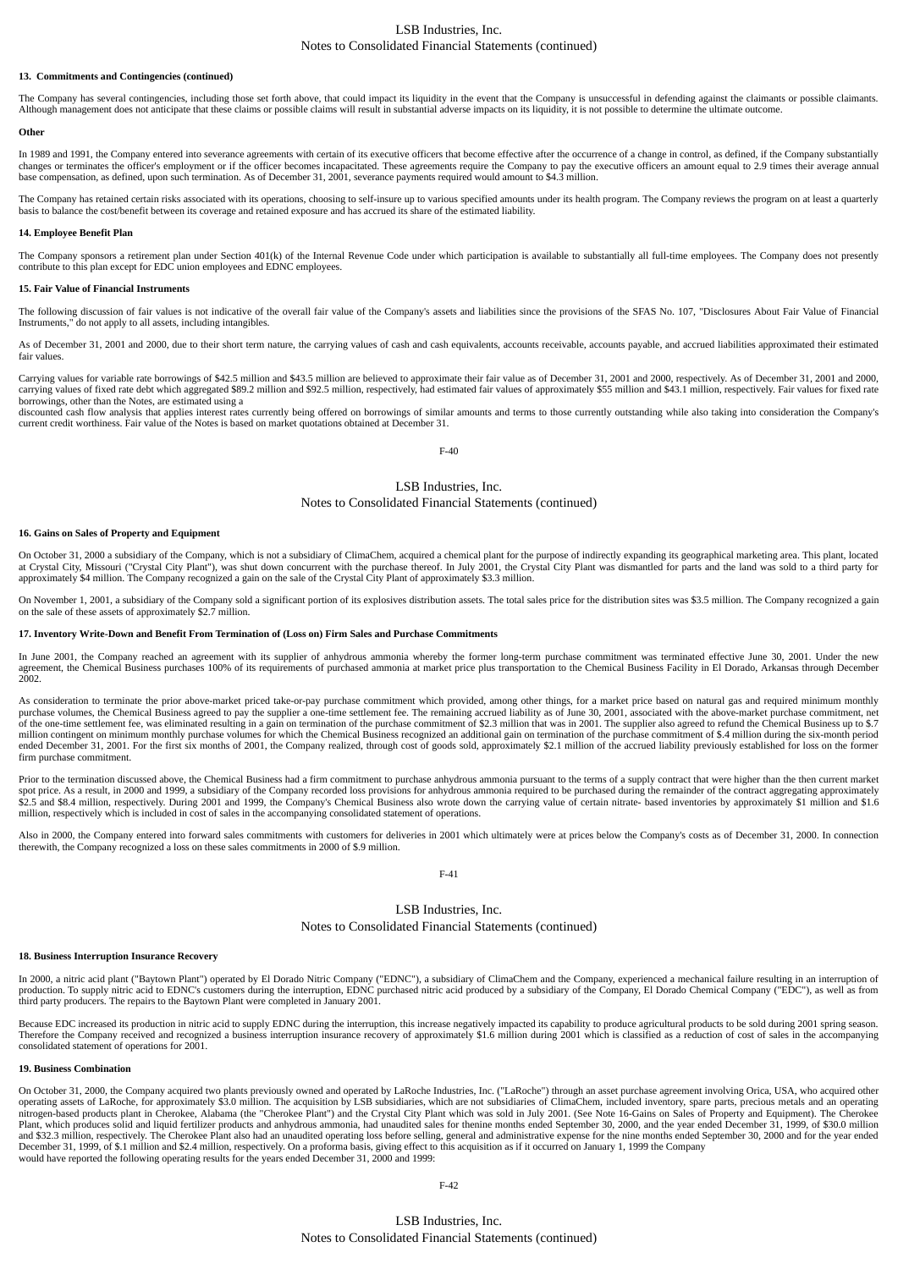#### LSB Industries, Inc. Notes to Consolidated Financial Statements (continued)

#### **13. Commitments and Contingencies (continued)**

The Company has several contingencies, including those set forth above, that could impact its liquidity in the event that the Company is unsuccessful in defending against the claimants or possible claimants. Although management does not anticipate that these claims or possible claims will result in substantial adverse impacts on its liquidity, it is not possible to determine the ultimate outcome.

#### **Other**

In 1989 and 1991, the Company entered into severance agreements with certain of its executive officers that become effective after the occurrence of a change in control, as defined, if the Company substantially changes or terminates the officer's employment or if the officer becomes incapacitated. These agreements require the Company to pay the executive officers an amount equal to 2.9 times their average annual to 2.9 times thei base compensation, as defined, upon such termination. As of December 31, 2001, severance payments required would amount to \$4.3 million.

The Company has retained certain risks associated with its operations, choosing to self-insure up to various specified amounts under its health program. The Company reviews the program on at least a quarterly basis to bala

#### **14. Employee Benefit Plan**

The Company sponsors a retirement plan under Section 401(k) of the Internal Revenue Code under which participation is available to substantially all full-time employees. The Company does not presently contribute to this plan except for EDC union employees and EDNC employees.

#### **15. Fair Value of Financial Instruments**

The following discussion of fair values is not indicative of the overall fair value of the Company's assets and liabilities since the provisions of the SFAS No. 107, "Disclosures About Fair Value of Financial Instruments," do not apply to all assets, including intangibles.

As of December 31, 2001 and 2000, due to their short term nature, the carrying values of cash and cash equivalents, accounts receivable, accounts payable, and accrued liabilities approximated their estimated fair values.

Carrying values for variable rate borrowings of \$42.5 million and \$43.5 million are believed to approximate their fair value as of December 31, 2001 and 2000, respectively. As of December 31, 2001 and 2000, carrying values of fixed rate debt which aggregated \$89.2 million and \$92.5 million, respectively, had estimated fair values of approximately \$55 million and \$43.1 million, respectively. Fair values for fixed rate borrowings, other than the Notes, are estimated using a

discounted cash flow analysis that applies interest rates currently being offered on borrowings of similar amounts and terms to those currently outstanding while also taking into consideration the Company's current credit worthiness. Fair value of the Notes is based on market quotations obtained at December 31.

#### F-40

#### LSB Industries, Inc.

#### Notes to Consolidated Financial Statements (continued)

#### **16. Gains on Sales of Property and Equipment**

On October 31, 2000 a subsidiary of the Company, which is not a subsidiary of ClimaChem, acquired a chemical plant for the purpose of indirectly expanding its geographical marketing area. This plant, located at Crystal City, Missouri ("Crystal City Plant"), was shut down concurrent with the purchase thereof. In July 2001, the Crystal City Plant was dismantled for parts and the land was sold to a third party for approximately \$4 million. The Company recognized a gain on the sale of the Crystal City Plant of approximately \$3.3 million.

On November 1, 2001, a subsidiary of the Company sold a significant portion of its explosives distribution assets. The total sales price for the distribution sites was \$3.5 million. The Company recognized a gain on the sale of these assets of approximately \$2.7 million.

#### **17. Inventory Write-Down and Benefit From Termination of (Loss on) Firm Sales and Purchase Commitments**

In June 2001, the Company reached an agreement with its supplier of anhydrous ammonia whereby the former long-term purchase commitment was terminated effective June 30, 2001. Under the new agreement, the Chemical Business purchases 100% of its requirements of purchased ammonia at market price plus transportation to the Chemical Business Facility in El Dorado, Arkansas through December 2002.

As consideration to terminate the prior above-market priced take-or-pay purchase commitment which provided, among other things, for a market price based on natural gas and required minimum monthly purchase volumes, the Chemical Business agreed to pay the supplier a one-time settlement fee. The remaining accrued liability as of June 30, 2001, associated with the above-market purchase commitment, net<br>of the one-time s million contingent on minimum monthly purchase volumes for which the Chemical Business recognized an additional gain on termination of the purchase commitment of \$.4 million during the six-month period ended December 31, 2001. For the first six months of 2001, the Company realized, through cost of goods sold, approximately \$2.1 million of the accrued liability previously established for loss on the former firm purchase commitment.

Prior to the termination discussed above, the Chemical Business had a firm commitment to purchase anhydrous ammonia pursuant to the terms of a supply contract that were higher than the then current market spot price. As a result, in 2000 and 1999, a subsidiary of the Company recorded loss provisions for anhydrous ammonia required to be purchased during the remainder of the contract aggregating approximately \$2.5 and \$8.4 million, respectively. During 2001 and 1999, the Company's Chemical Business also wrote down the carrying value of certain nitrate- based inventories by approximately \$1 million and \$1.6 million, respectively which is included in cost of sales in the accompanying consolidated statement of operations.

Also in 2000, the Company entered into forward sales commitments with customers for deliveries in 2001 which ultimately were at prices below the Company's costs as of December 31, 2000. In connection therewith, the Company

#### F-41

#### LSB Industries, Inc.

#### Notes to Consolidated Financial Statements (continued)

#### **18. Business Interruption Insurance Recovery**

In 2000, a nitric acid plant ("Baytown Plant") operated by El Dorado Nitric Company ("EDNC"), a subsidiary of ClimaChem and the Company, experienced a mechanical failure resulting in an interruption of<br>production. To suppl third party producers. The repairs to the Baytown Plant were completed in January 2001.

Because EDC increased its production in nitric acid to supply EDNC during the interruption, this increase negatively impacted its capability to produce agricultural products to be sold during 2001 spring season. Therefore the Company received and recognized a business interruption insurance recovery of approximately \$1.6 million during 2001 which is classified as a reduction of cost of sales in the accompanying consolidated statement of operations for 2001.

#### **19. Business Combination**

On October 31, 2000, the Company acquired two plants previously owned and operated by LaRoche Industries, Inc. ("LaRoche") through an asset purchase agreement involving Orica, USA, who acquired other operating assets of La Plant, which produces solid and liquid fertilizer products and anhydrous ammonia, had unaudited sales for thenine months ended September 30, 2000, and the year ended December 31, 1999, of \$30.0 million and \$32.3 million, respectively. The Cherokee Plant also had an unaudited operating loss before selling, general and administrative expense for the nine months ended September 30, 2000 and for the year ended<br>December 31, 1 would have reported the following operating results for the years ended December 31, 2000 and 1999: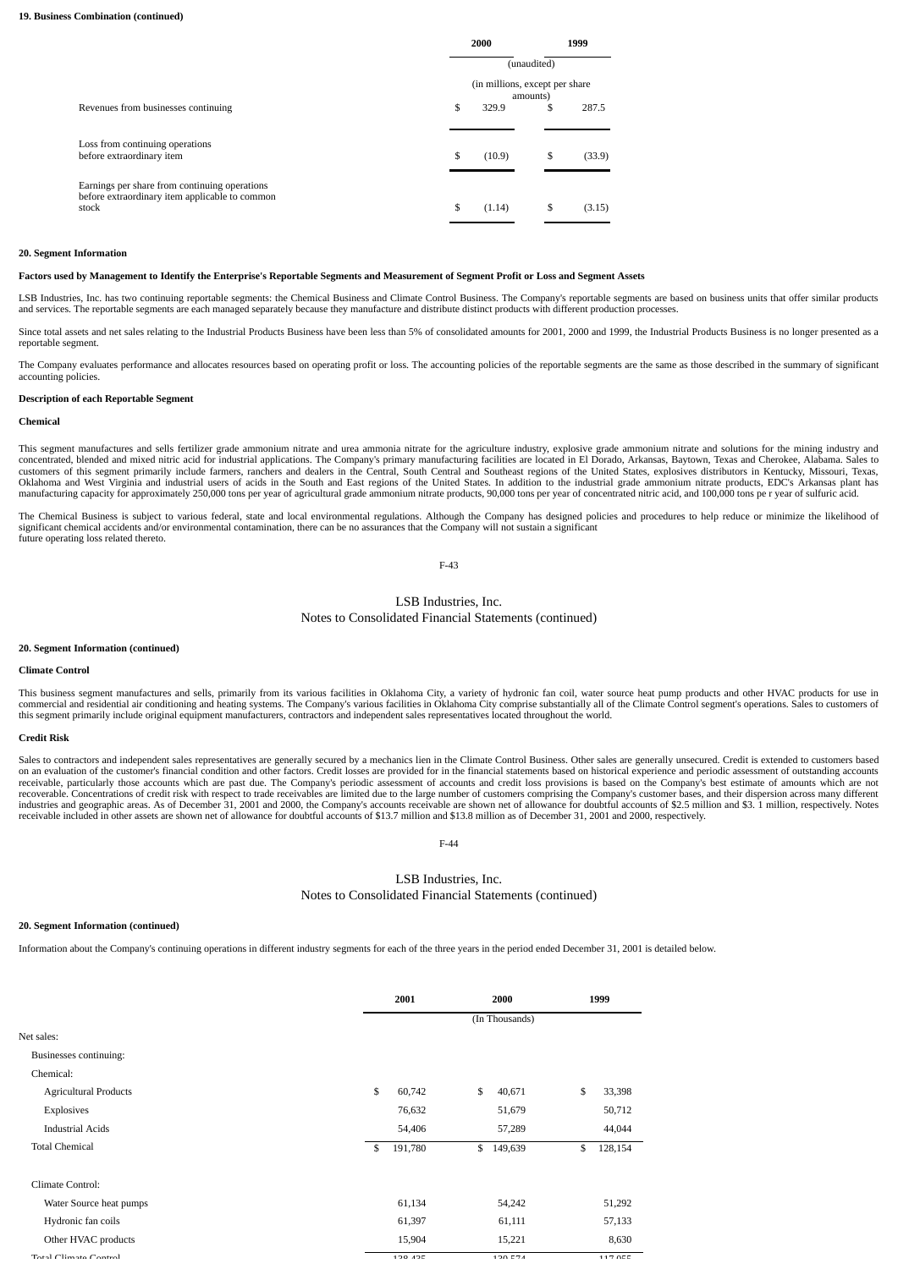|                                                                                                          | 2000                                        | 1999        |        |  |  |  |
|----------------------------------------------------------------------------------------------------------|---------------------------------------------|-------------|--------|--|--|--|
|                                                                                                          |                                             | (unaudited) |        |  |  |  |
|                                                                                                          | (in millions, except per share)<br>amounts) |             |        |  |  |  |
| Revenues from businesses continuing                                                                      | \$<br>329.9                                 | \$          | 287.5  |  |  |  |
| Loss from continuing operations<br>before extraordinary item                                             | \$<br>(10.9)                                | \$          | (33.9) |  |  |  |
| Earnings per share from continuing operations<br>before extraordinary item applicable to common<br>stock | \$<br>(1.14)                                | S           | (3.15) |  |  |  |

#### **20. Segment Information**

**Factors used by Management to Identify the Enterprise's Reportable Segments and Measurement of Segment Profit or Loss and Segment Assets**

LSB Industries, Inc. has two continuing reportable segments: the Chemical Business and Climate Control Business. The Company's reportable segments are based on business units that offer similar products and services. The reportable segments are each managed separately because they manufacture and distribute distinct products with different production processes.

Since total assets and net sales relating to the Industrial Products Business have been less than 5% of consolidated amounts for 2001, 2000 and 1999, the Industrial Products Business is no longer presented as a reportable segment.

The Company evaluates performance and allocates resources based on operating profit or loss. The accounting policies of the reportable segments are the same as those described in the summary of significant accounting policies.

#### **Description of each Reportable Segment**

#### **Chemical**

This segment manufactures and sells fertilizer grade ammonium nitrate and urea ammonia nitrate for the agriculture industry, explosive grade ammonium nitrate and solutions for the mining industry and concentrated, blended and mixed nitric acid for industrial applications. The Company's primary manufacturing facilities are located in El Dorado, Arkansas, Baytown, Texas and Cherokee, Alabama. Sales to customers of this segment primarily include farmers, ranchers and dealers in the Central, South Central and Southeast regions of the United States, explosives distributors in Kentucky, Missouri, Texas, Oklahoma and West Virginia and industrial users of acids in the South and East regions of the United States. In addition to the industrial grade ammonium nitrate products, EDC's Arkansas plant has manufacturing capacity for approximately 250,000 tons per year of agricultural grade ammonium nitrate products, 90,000 tons per year of concentrated nitric acid, and 100,000 tons pe r year of sulfuric acid.

The Chemical Business is subject to various federal, state and local environmental regulations. Although the Company has designed policies and procedures to help reduce or minimize the likelihood of significant chemical accidents and/or environmental contamination, there can be no assurances that the Company will not sustain a significant future operating loss related thereto.

F-43

## LSB Industries, Inc.

Notes to Consolidated Financial Statements (continued)

#### **20. Segment Information (continued)**

#### **Climate Control**

This business segment manufactures and sells, primarily from its various facilities in Oklahoma City, a variety of hydronic fan coil, water source heat pump products and other HVAC products for use in commercial and residential air conditioning and heating systems. The Company's various facilities in Oklahoma City comprise substantially all of the Climate Control segment's operations. Sales to customers of<br>this segment

#### **Credit Risk**

Sales to contractors and independent sales representatives are generally secured by a mechanics lien in the Climate Control Business. Other sales are generally unsecured. Credit is extended to customers based on an evaluation of the customer's financial condition and other factors. Credit losses are provided for in the financial statements based on historical experience and periodic assessment of outstanding accounts<br>receivable recoverable. Concentrations of credit risk with respect to trade receivables are limited due to the large number of customers comprising the Company's customer bases, and their dispersion across many different<br>industries a receivable included in other assets are shown net of allowance for doubtful accounts of \$13.7 million and \$13.8 million as of December 31, 2001 and 2000, respectively.

F-44

#### LSB Industries, Inc. Notes to Consolidated Financial Statements (continued)

#### **20. Segment Information (continued)**

Information about the Company's continuing operations in different industry segments for each of the three years in the period ended December 31, 2001 is detailed below.

|                              | 2001          |    | 2000           | 1999 |         |
|------------------------------|---------------|----|----------------|------|---------|
|                              |               |    | (In Thousands) |      |         |
| Net sales:                   |               |    |                |      |         |
| Businesses continuing:       |               |    |                |      |         |
| Chemical:                    |               |    |                |      |         |
| <b>Agricultural Products</b> | \$<br>60,742  | \$ | 40,671         | \$   | 33,398  |
| Explosives                   | 76,632        |    | 51,679         |      | 50,712  |
| <b>Industrial Acids</b>      | 54,406        |    | 57,289         |      | 44,044  |
| <b>Total Chemical</b>        | \$<br>191,780 | \$ | 149,639        | \$   | 128,154 |
| Climate Control:             |               |    |                |      |         |
| Water Source heat pumps      | 61,134        |    | 54,242         |      | 51,292  |
| Hydronic fan coils           | 61,397        |    | 61,111         |      | 57,133  |
| Other HVAC products          | 15,904        |    | 15,221         |      | 8,630   |
| Total Climato Control        | 100 40E       |    | 120E74         |      | 117 OEE |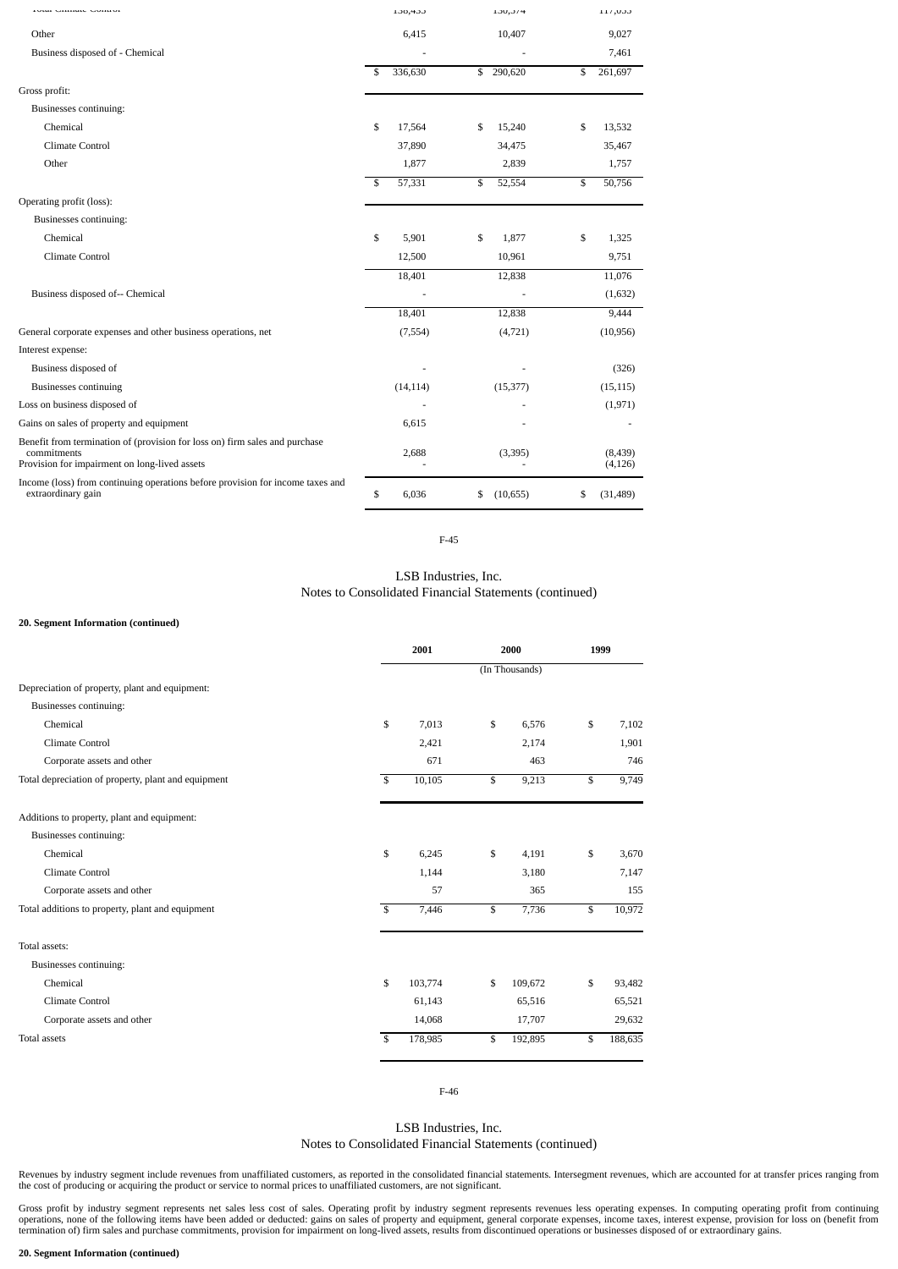| roun Cimina Comron                                                                                                                          | 100,400       | 130,374         | 11/100              |
|---------------------------------------------------------------------------------------------------------------------------------------------|---------------|-----------------|---------------------|
| Other                                                                                                                                       | 6,415         | 10,407          | 9,027               |
| Business disposed of - Chemical                                                                                                             |               |                 | 7,461               |
|                                                                                                                                             | \$<br>336,630 | \$<br>290,620   | \$<br>261,697       |
| Gross profit:                                                                                                                               |               |                 |                     |
| Businesses continuing:                                                                                                                      |               |                 |                     |
| Chemical                                                                                                                                    | \$<br>17,564  | \$<br>15,240    | \$<br>13,532        |
| Climate Control                                                                                                                             | 37,890        | 34,475          | 35,467              |
| Other                                                                                                                                       | 1,877         | 2,839           | 1,757               |
|                                                                                                                                             | \$<br>57,331  | \$<br>52,554    | \$<br>50,756        |
| Operating profit (loss):                                                                                                                    |               |                 |                     |
| Businesses continuing:                                                                                                                      |               |                 |                     |
| Chemical                                                                                                                                    | \$<br>5,901   | \$<br>1,877     | \$<br>1,325         |
| Climate Control                                                                                                                             | 12,500        | 10,961          | 9,751               |
|                                                                                                                                             | 18,401        | 12,838          | 11,076              |
| Business disposed of-- Chemical                                                                                                             |               |                 | (1,632)             |
|                                                                                                                                             | 18.401        | 12,838          | 9,444               |
| General corporate expenses and other business operations, net                                                                               | (7, 554)      | (4, 721)        | (10, 956)           |
| Interest expense:                                                                                                                           |               |                 |                     |
| Business disposed of                                                                                                                        |               |                 | (326)               |
| <b>Businesses continuing</b>                                                                                                                | (14, 114)     | (15, 377)       | (15, 115)           |
| Loss on business disposed of                                                                                                                |               |                 | (1, 971)            |
| Gains on sales of property and equipment                                                                                                    | 6,615         |                 |                     |
| Benefit from termination of (provision for loss on) firm sales and purchase<br>commitments<br>Provision for impairment on long-lived assets | 2,688         | (3,395)         | (8,439)<br>(4, 126) |
| Income (loss) from continuing operations before provision for income taxes and<br>extraordinary gain                                        | \$<br>6,036   | \$<br>(10, 655) | \$<br>(31, 489)     |

F-45

LSB Industries, Inc. Notes to Consolidated Financial Statements (continued)

#### **20. Segment Information (continued)**

|                                                     |                         | 2001    |    | 2000           |    | 1999    |  |  |
|-----------------------------------------------------|-------------------------|---------|----|----------------|----|---------|--|--|
|                                                     |                         |         |    | (In Thousands) |    |         |  |  |
| Depreciation of property, plant and equipment:      |                         |         |    |                |    |         |  |  |
| Businesses continuing:                              |                         |         |    |                |    |         |  |  |
| Chemical                                            | \$                      | 7.013   | \$ | 6,576          | \$ | 7,102   |  |  |
| Climate Control                                     |                         | 2,421   |    | 2,174          |    | 1,901   |  |  |
| Corporate assets and other                          |                         | 671     |    | 463            |    | 746     |  |  |
| Total depreciation of property, plant and equipment | $\overline{\mathbf{s}}$ | 10,105  | \$ | 9,213          | \$ | 9,749   |  |  |
| Additions to property, plant and equipment:         |                         |         |    |                |    |         |  |  |
| Businesses continuing:                              |                         |         |    |                |    |         |  |  |
| Chemical                                            | \$                      | 6,245   | \$ | 4,191          | \$ | 3,670   |  |  |
| Climate Control                                     |                         | 1,144   |    | 3,180          |    | 7,147   |  |  |
| Corporate assets and other                          |                         | 57      |    | 365            |    | 155     |  |  |
| Total additions to property, plant and equipment    | $\mathbf S$             | 7,446   | \$ | 7,736          | \$ | 10,972  |  |  |
| Total assets:                                       |                         |         |    |                |    |         |  |  |
| Businesses continuing:                              |                         |         |    |                |    |         |  |  |
| Chemical                                            | \$                      | 103,774 | \$ | 109,672        | \$ | 93,482  |  |  |
| Climate Control                                     |                         | 61,143  |    | 65,516         |    | 65,521  |  |  |
| Corporate assets and other                          |                         | 14,068  |    | 17,707         |    | 29,632  |  |  |
| <b>Total assets</b>                                 | \$                      | 178,985 | \$ | 192,895        | \$ | 188,635 |  |  |

F-46

# LSB Industries, Inc.

Notes to Consolidated Financial Statements (continued)

Revenues by industry segment include revenues from unaffiliated customers, as reported in the consolidated financial statements. Intersegment revenues, which are accounted for at transfer prices ranging from<br>the cost of pr

Gross profit by industry segment represents net sales less cost of sales. Operating profit by industry segment represents revenues less operating expenses. In computing operating profit from continuing operations, none of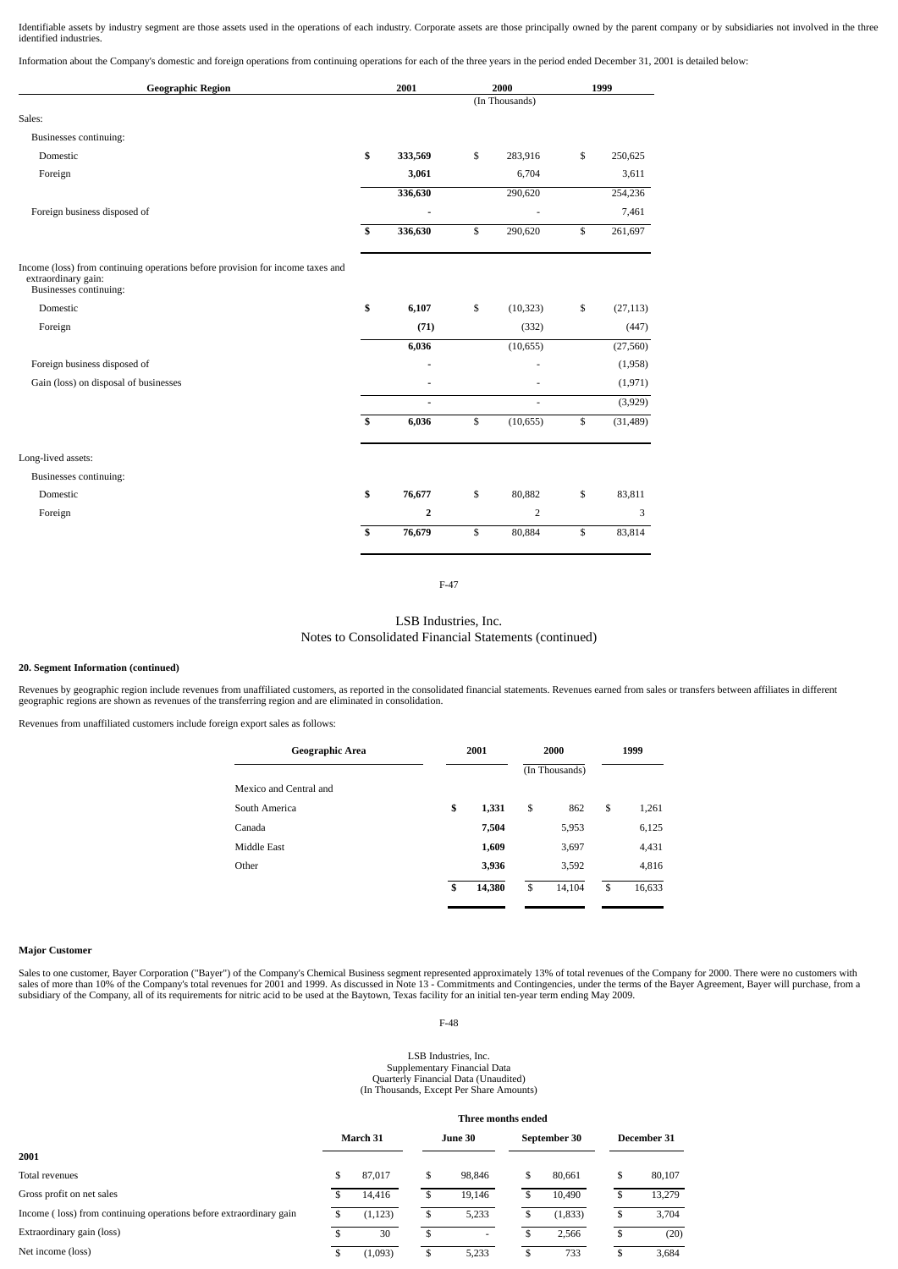Identifiable assets by industry segment are those assets used in the operations of each industry. Corporate assets are those principally owned by the parent company or by subsidiaries not involved in the three identified industries.

Information about the Company's domestic and foreign operations from continuing operations for each of the three years in the period ended December 31, 2001 is detailed below:

| <b>Geographic Region</b>                                                                                                        |                         | 2001           |    | 2000                     | 1999 |           |  |
|---------------------------------------------------------------------------------------------------------------------------------|-------------------------|----------------|----|--------------------------|------|-----------|--|
|                                                                                                                                 |                         |                |    | (In Thousands)           |      |           |  |
| Sales:                                                                                                                          |                         |                |    |                          |      |           |  |
| Businesses continuing:                                                                                                          |                         |                |    |                          |      |           |  |
| Domestic                                                                                                                        | \$                      | 333,569        | \$ | 283,916                  | \$   | 250,625   |  |
| Foreign                                                                                                                         |                         | 3,061          |    | 6,704                    |      | 3,611     |  |
|                                                                                                                                 |                         | 336,630        |    | 290,620                  |      | 254,236   |  |
| Foreign business disposed of                                                                                                    |                         |                |    | ä,                       |      | 7,461     |  |
|                                                                                                                                 | $\mathbf{s}$            | 336,630        | \$ | 290,620                  | \$   | 261,697   |  |
| Income (loss) from continuing operations before provision for income taxes and<br>extraordinary gain:<br>Businesses continuing: |                         |                |    |                          |      |           |  |
| Domestic                                                                                                                        | \$                      | 6,107          | \$ | (10, 323)                | \$   | (27, 113) |  |
| Foreign                                                                                                                         |                         | (71)           |    | (332)                    |      | (447)     |  |
|                                                                                                                                 |                         | 6,036          |    | (10, 655)                |      | (27, 560) |  |
| Foreign business disposed of                                                                                                    |                         |                |    |                          |      | (1,958)   |  |
| Gain (loss) on disposal of businesses                                                                                           |                         |                |    |                          |      | (1, 971)  |  |
|                                                                                                                                 |                         | $\blacksquare$ |    | $\overline{\phantom{a}}$ |      | (3,929)   |  |
|                                                                                                                                 | $\mathbf{s}$            | 6,036          | \$ | (10, 655)                | \$   | (31, 489) |  |
| Long-lived assets:                                                                                                              |                         |                |    |                          |      |           |  |
| Businesses continuing:                                                                                                          |                         |                |    |                          |      |           |  |
| Domestic                                                                                                                        | \$                      | 76,677         | \$ | 80,882                   | \$   | 83,811    |  |
| Foreign                                                                                                                         |                         | $\overline{2}$ |    | 2                        |      | 3         |  |
|                                                                                                                                 | $\overline{\mathbf{s}}$ | 76,679         | \$ | 80,884                   | \$   | 83,814    |  |
|                                                                                                                                 |                         |                |    |                          |      |           |  |

F-47

LSB Industries, Inc. Notes to Consolidated Financial Statements (continued)

#### **20. Segment Information (continued)**

Revenues by geographic region include revenues from unaffiliated customers, as reported in the consolidated financial statements. Revenues earned from sales or transfers between affiliates in different geographic regions are shown as revenues of the transferring region and are eliminated in consolidation.

Revenues from unaffiliated customers include foreign export sales as follows:

| Geographic Area        | 2001         |    | 2000           | 1999 |        |  |
|------------------------|--------------|----|----------------|------|--------|--|
|                        |              |    | (In Thousands) |      |        |  |
| Mexico and Central and |              |    |                |      |        |  |
| South America          | \$<br>1,331  | \$ | 862            | \$   | 1,261  |  |
| Canada                 | 7,504        |    | 5,953          |      | 6,125  |  |
| Middle East            | 1,609        |    | 3,697          |      | 4,431  |  |
| Other                  | 3,936        |    | 3,592          |      | 4,816  |  |
|                        | \$<br>14,380 | S  | 14,104         | \$   | 16,633 |  |

#### **Major Customer**

Sales to one customer, Bayer Corporation ("Bayer") of the Company's Chemical Business segment represented approximately 13% of total revenues of the Company for 2000. There were no customers with<br>sales of more than 10% of

F-48

# LSB Industries, Inc. Supplementary Financial Data Quarterly Financial Data (Unaudited) (In Thousands, Except Per Share Amounts)

|  | (in Thousanus, Except Fer Share Amounts) |  |  |
|--|------------------------------------------|--|--|
|  |                                          |  |  |
|  |                                          |  |  |

| March 31 |          |    | June 30 |    |         | December 31                        |        |  |  |
|----------|----------|----|---------|----|---------|------------------------------------|--------|--|--|
|          |          |    |         |    |         |                                    |        |  |  |
| \$       | 87,017   | \$ | 98,846  | S  | 80.661  | \$                                 | 80,107 |  |  |
|          | 14.416   | S  | 19,146  |    | 10.490  | D                                  | 13,279 |  |  |
|          | (1, 123) | \$ | 5,233   |    | (1,833) | S                                  | 3,704  |  |  |
|          | 30       | S  | ۰       |    | 2.566   | \$                                 | (20)   |  |  |
|          | (1,093)  | \$ | 5,233   | \$ | 733     | \$                                 | 3,684  |  |  |
|          |          |    |         |    |         | Three months ended<br>September 30 |        |  |  |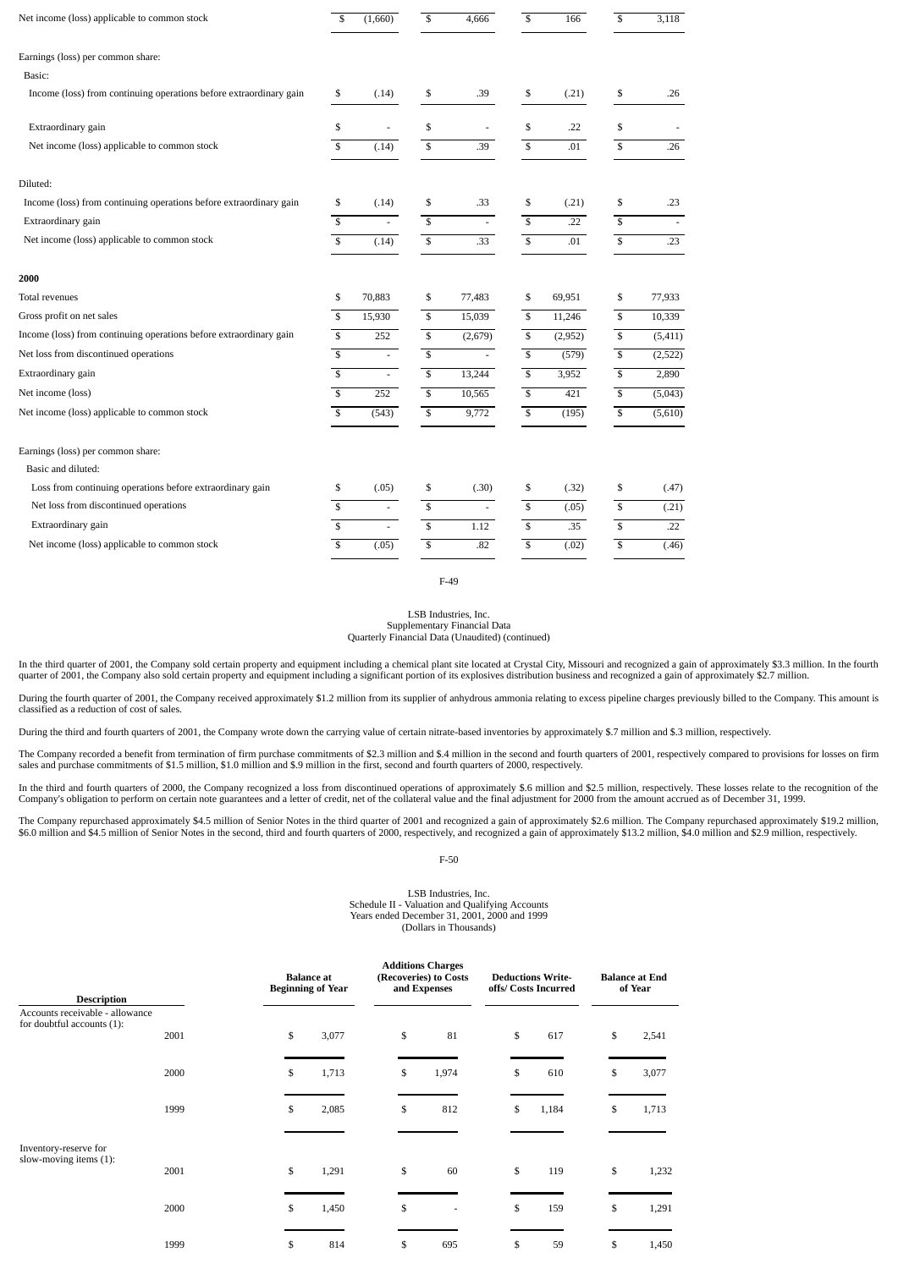| Net income (loss) applicable to common stock                       | \$                       | (1,660)                  | \$                      | 4,666                    | \$                       | 166     | \$                      | 3,118    |
|--------------------------------------------------------------------|--------------------------|--------------------------|-------------------------|--------------------------|--------------------------|---------|-------------------------|----------|
| Earnings (loss) per common share:                                  |                          |                          |                         |                          |                          |         |                         |          |
| Basic:                                                             |                          |                          |                         |                          |                          |         |                         |          |
| Income (loss) from continuing operations before extraordinary gain | \$                       | (.14)                    | \$                      | .39                      | \$                       | (.21)   | \$                      | .26      |
| Extraordinary gain                                                 | \$                       | ä,                       | \$                      | $\overline{\phantom{a}}$ | \$                       | .22     | \$                      |          |
| Net income (loss) applicable to common stock                       | \$                       | (.14)                    | \$                      | .39                      | \$                       | .01     | \$                      | .26      |
| Diluted:                                                           |                          |                          |                         |                          |                          |         |                         |          |
| Income (loss) from continuing operations before extraordinary gain | \$                       | (.14)                    | \$                      | .33                      | \$                       | (.21)   | \$                      | .23      |
| Extraordinary gain                                                 | $\overline{s}$           | ÷.                       | $\overline{\mathbf{s}}$ | $\mathcal{L}$            | $\overline{\mathbb{S}}$  | .22     | $\overline{\mathbb{S}}$ | $\sim$   |
| Net income (loss) applicable to common stock                       | $\overline{\mathbf{s}}$  | (.14)                    | $\overline{\mathbf{s}}$ | .33                      | $\overline{\mathcal{S}}$ | .01     | \$                      | .23      |
| 2000                                                               |                          |                          |                         |                          |                          |         |                         |          |
| <b>Total revenues</b>                                              | \$                       | 70,883                   | \$                      | 77,483                   | \$                       | 69,951  | \$                      | 77,933   |
| Gross profit on net sales                                          | $\overline{\mathcal{S}}$ | 15,930                   | \$                      | 15,039                   | \$                       | 11,246  | \$                      | 10,339   |
| Income (loss) from continuing operations before extraordinary gain | $\overline{\mathbf{s}}$  | 252                      | ${\mathbb S}$           | (2,679)                  | \$                       | (2,952) | $\overline{\mathbb{S}}$ | (5, 411) |
| Net loss from discontinued operations                              | $\overline{\mathbf{s}}$  | $\overline{\phantom{a}}$ | \$                      |                          | $\mathbb{S}$             | (579)   | \$                      | (2,522)  |
| Extraordinary gain                                                 | $\overline{\mathcal{S}}$ | $\mathbf{r}$             | $\overline{\mathbf{s}}$ | 13,244                   | \$                       | 3,952   | $\overline{\mathsf{s}}$ | 2,890    |
| Net income (loss)                                                  | $\overline{\mathbb{S}}$  | 252                      | $\overline{\mathbf{s}}$ | 10,565                   | $\mathbb{S}$             | 421     | $\overline{\mathbb{S}}$ | (5,043)  |
| Net income (loss) applicable to common stock                       | $\mathbf{s}$             | (543)                    | $\overline{\mathbf{s}}$ | 9,772                    | $\overline{\mathbf{s}}$  | (195)   | \$                      | (5,610)  |
| Earnings (loss) per common share:                                  |                          |                          |                         |                          |                          |         |                         |          |
| Basic and diluted:                                                 |                          |                          |                         |                          |                          |         |                         |          |
| Loss from continuing operations before extraordinary gain          | \$                       | (.05)                    | \$                      | (.30)                    | \$                       | (.32)   | \$                      | (.47)    |
| Net loss from discontinued operations                              | $\overline{\mathbb{S}}$  | ÷.                       | $\overline{\mathbb{S}}$ |                          | $\overline{\mathbb{S}}$  | (0.05)  | $\overline{\mathsf{s}}$ | (.21)    |
| Extraordinary gain                                                 | $\overline{\mathbb{S}}$  |                          | $\overline{\mathbb{S}}$ | 1.12                     | $\overline{\mathsf{s}}$  | .35     | $\overline{\mathbb{S}}$ | .22      |
| Net income (loss) applicable to common stock                       | \$                       | (.05)                    | \$                      | .82                      | \$                       | (.02)   | \$                      | (.46)    |
|                                                                    |                          |                          |                         |                          |                          |         |                         |          |

F-49

#### LSB Industries, Inc. Supplementary Financial Data

Quarterly Financial Data (Unaudited) (continued)

In the third quarter of 2001, the Company sold certain property and equipment including a chemical plant site located at Crystal City, Missouri and recognized a gain of approximately \$3.3 million. In the fourth quarter of 2001, the Company also sold certain property and equipment including a significant portion of its explosives distribution business and recognized a gain of approximately \$2.7 million.

During the fourth quarter of 2001, the Company received approximately \$1.2 million from its supplier of anhydrous ammonia relating to excess pipeline charges previously billed to the Company. This amount is classified as a reduction of cost of sales.

During the third and fourth quarters of 2001, the Company wrote down the carrying value of certain nitrate-based inventories by approximately \$.7 million and \$.3 million, respectively.

The Company recorded a benefit from termination of firm purchase commitments of \$2.3 million and \$.4 million in the second and fourth quarters of 2001, respectively compared to provisions for losses on firm sales and purchase commitments of \$1.5 million, \$1.0 million and \$.9 million in the first, second and fourth quarters of 2000, respectively.

In the third and fourth quarters of 2000, the Company recognized a loss from discontinued operations of approximately \$.6 million and \$2.5 million, respectively. These losses relate to the recognition of the Company's obligation to perform on certain note guarantees and a letter of credit, net of the collateral value and the final adjustment for 2000 from the amount accrued as of December 31, 1999.

The Company repurchased approximately \$4.5 million of Senior Notes in the third quarter of 2001 and recognized a gain of approximately \$2.6 million. The Company repurchased approximately \$19.2 million, in the Songhorn and

F-50

#### LSB Industries, Inc. Schedule II - Valuation and Qualifying Accounts Years ended December 31, 2001, 2000 and 1999 (Dollars in Thousands)

|                                                               |      | <b>Balance</b> at<br><b>Beginning of Year</b> |    |       |  | <b>Additions Charges</b><br>(Recoveries) to Costs<br>and Expenses | <b>Deductions Write-</b><br>offs/ Costs Incurred |  | <b>Balance at End</b><br>of Year |       |    |       |
|---------------------------------------------------------------|------|-----------------------------------------------|----|-------|--|-------------------------------------------------------------------|--------------------------------------------------|--|----------------------------------|-------|----|-------|
| <b>Description</b>                                            |      |                                               |    |       |  |                                                                   |                                                  |  |                                  |       |    |       |
| Accounts receivable - allowance<br>for doubtful accounts (1): |      |                                               |    |       |  |                                                                   |                                                  |  |                                  |       |    |       |
|                                                               | 2001 |                                               | \$ | 3,077 |  | \$                                                                | 81                                               |  | \$                               | 617   | \$ | 2,541 |
|                                                               |      |                                               |    |       |  |                                                                   |                                                  |  |                                  |       |    |       |
|                                                               | 2000 |                                               | \$ | 1,713 |  | \$                                                                | 1,974                                            |  | \$                               | 610   | \$ | 3,077 |
|                                                               | 1999 |                                               | \$ | 2,085 |  | \$                                                                | 812                                              |  | \$                               | 1,184 | \$ | 1,713 |
| Inventory-reserve for                                         |      |                                               |    |       |  |                                                                   |                                                  |  |                                  |       |    |       |
| slow-moving items (1):                                        | 2001 |                                               | \$ | 1,291 |  | \$                                                                | 60                                               |  | \$                               | 119   | \$ | 1,232 |
|                                                               | 2000 |                                               | \$ | 1,450 |  | \$                                                                | ٠                                                |  | \$                               | 159   | \$ | 1,291 |
|                                                               | 1999 |                                               | \$ | 814   |  | \$                                                                | 695                                              |  | \$                               | 59    | \$ | 1,450 |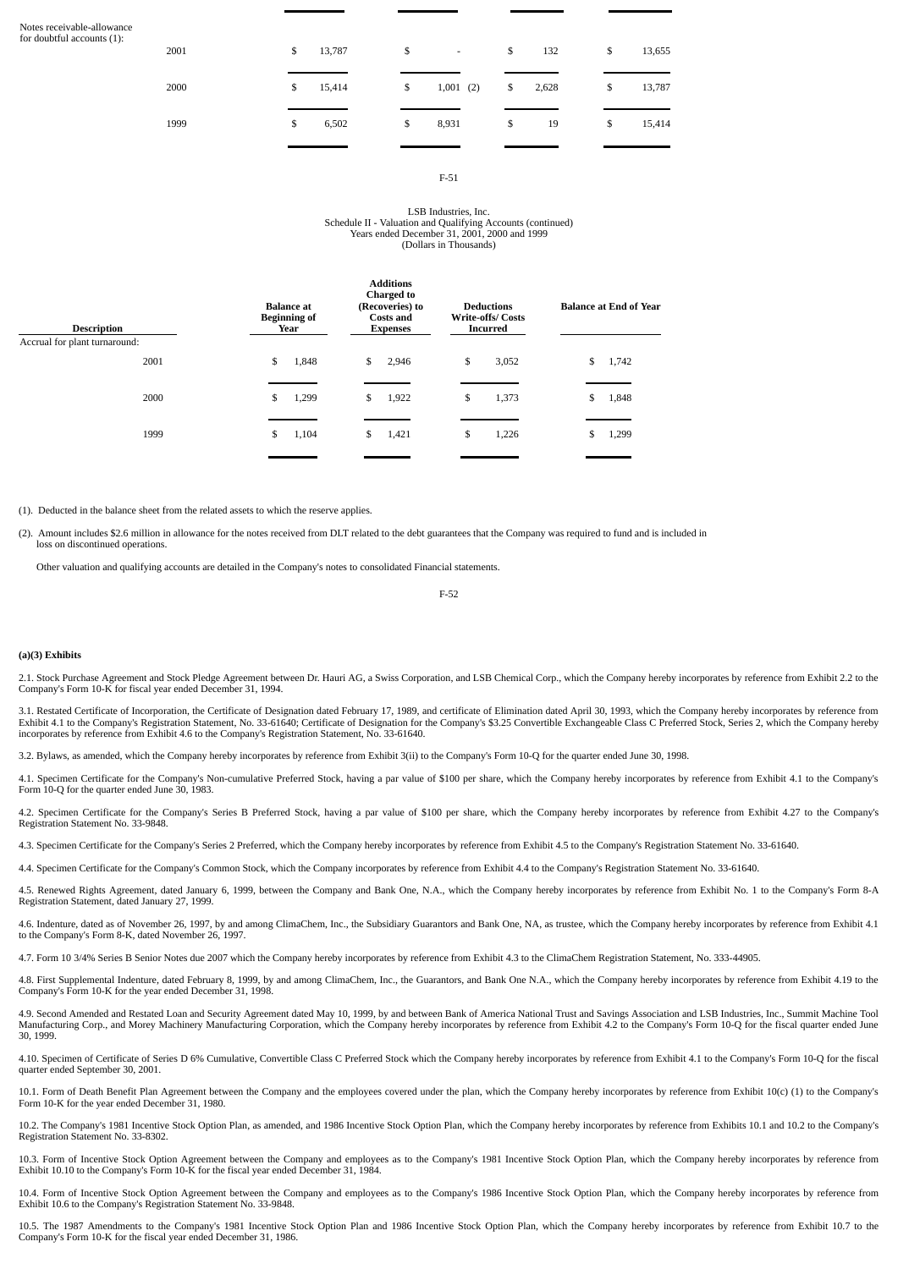| Notes receivable-allowance |
|----------------------------|
| for doubtful accounts (1): |

| 2001 | \$<br>13,787 | \$ | $\overline{\phantom{a}}$ | \$<br>132   | \$ | 13,655 |
|------|--------------|----|--------------------------|-------------|----|--------|
| 2000 | \$<br>15,414 | \$ | 1,001(2)                 | \$<br>2,628 | \$ | 13,787 |
| 1999 | \$<br>6,502  | \$ | 8,931                    | \$<br>19    | \$ | 15,414 |

#### F-51

#### LSB Industries, Inc. Schedule II - Valuation and Qualifying Accounts (continued) Years ended December 31, 2001, 2000 and 1999 (Dollars in Thousands)

| <b>Description</b><br>Accrual for plant turnaround: | <b>Balance</b> at<br><b>Beginning of</b><br>Year | <b>Additions</b><br><b>Charged to</b><br>(Recoveries) to<br><b>Costs and</b><br><b>Expenses</b> | <b>Deductions</b><br><b>Write-offs/Costs</b><br><b>Incurred</b> | <b>Balance at End of Year</b> |
|-----------------------------------------------------|--------------------------------------------------|-------------------------------------------------------------------------------------------------|-----------------------------------------------------------------|-------------------------------|
| 2001                                                | \$                                               | \$                                                                                              | \$                                                              | \$                            |
|                                                     | 1,848                                            | 2,946                                                                                           | 3,052                                                           | 1,742                         |
| 2000                                                | \$                                               | \$                                                                                              | \$                                                              | \$                            |
|                                                     | 1,299                                            | 1,922                                                                                           | 1,373                                                           | 1,848                         |
| 1999                                                | \$                                               | \$                                                                                              | \$                                                              | 1,299                         |
|                                                     | 1,104                                            | 1,421                                                                                           | 1,226                                                           | S                             |
|                                                     |                                                  |                                                                                                 |                                                                 |                               |

(1). Deducted in the balance sheet from the related assets to which the reserve applies.

(2). Amount includes \$2.6 million in allowance for the notes received from DLT related to the debt guarantees that the Company was required to fund and is included in loss on discontinued operations.

Other valuation and qualifying accounts are detailed in the Company's notes to consolidated Financial statements.

F-52

#### **(a)(3) Exhibits**

2.1. Stock Purchase Agreement and Stock Pledge Agreement between Dr. Hauri AG, a Swiss Corporation, and LSB Chemical Corp., which the Company hereby incorporates by reference from Exhibit 2.2 to the Company's Form 10-K for fiscal year ended December 31, 1994.

3.1. Restated Certificate of Incorporation, the Certificate of Designation dated February 17, 1989, and certificate of Elimination dated April 30, 1993, which the Company hereby incorporates by reference from Exhibit 4.1 to the Company's Registration Statement, No. 33-61640; Certificate of Designation for the Company's \$3.25 Convertible Exchangeable Class C Preferred Stock, Series 2, which the Company hereby incorporates by ref

3.2. Bylaws, as amended, which the Company hereby incorporates by reference from Exhibit 3(ii) to the Company's Form 10-Q for the quarter ended June 30, 1998.

4.1. Specimen Certificate for the Company's Non-cumulative Preferred Stock, having a par value of \$100 per share, which the Company hereby incorporates by reference from Exhibit 4.1 to the Company's Form 10-Q for the quarter ended June 30, 1983.

4.2. Specimen Certificate for the Company's Series B Preferred Stock, having a par value of \$100 per share, which the Company hereby incorporates by reference from Exhibit 4.27 to the Company's Registration Statement No. 33-9848.

4.3. Specimen Certificate for the Company's Series 2 Preferred, which the Company hereby incorporates by reference from Exhibit 4.5 to the Company's Registration Statement No. 33-61640.

4.4. Specimen Certificate for the Company's Common Stock, which the Company incorporates by reference from Exhibit 4.4 to the Company's Registration Statement No. 33-61640.

4.5. Renewed Rights Agreement, dated January 6, 1999, between the Company and Bank One, N.A., which the Company hereby incorporates by reference from Exhibit No. 1 to the Company's Form 8-A Registration Statement, dated January 27, 1999.

4.6. Indenture, dated as of November 26, 1997, by and among ClimaChem, Inc., the Subsidiary Guarantors and Bank One, NA, as trustee, which the Company hereby incorporates by reference from Exhibit 4.1 to the Company's Form 8-K, dated November 26, 1997.

4.7. Form 10 3/4% Series B Senior Notes due 2007 which the Company hereby incorporates by reference from Exhibit 4.3 to the ClimaChem Registration Statement, No. 333-44905.

4.8. First Supplemental Indenture, dated February 8, 1999, by and among ClimaChem, Inc., the Guarantors, and Bank One N.A., which the Company hereby incorporates by reference from Exhibit 4.19 to the Company's Form 10-K for the year ended December 31, 1998.

4.9. Second Amended and Restated Loan and Security Agreement dated May 10, 1999, by and between Bank of America National Trust and Savings Association and LSB Industries, Inc., Summit Machine Tool Manufacturing Corp., and Morey Machinery Manufacturing Corporation, which the Company hereby incorporates by reference from Exhibit 4.2 to the Company's Form 10-Q for the fiscal quarter ended June 30, 1999.

4.10. Specimen of Certificate of Series D 6% Cumulative, Convertible Class C Preferred Stock which the Company hereby incorporates by reference from Exhibit 4.1 to the Company's Form 10-Q for the fiscal quarter ended September 30, 2001.

10.1. Form of Death Benefit Plan Agreement between the Company and the employees covered under the plan, which the Company hereby incorporates by reference from Exhibit 10(c) (1) to the Company's Form 10-K for the year ended December 31, 1980.

10.2. The Company's 1981 Incentive Stock Option Plan, as amended, and 1986 Incentive Stock Option Plan, which the Company hereby incorporates by reference from Exhibits 10.1 and 10.2 to the Company's Registration Statement No. 33-8302.

10.3. Form of Incentive Stock Option Agreement between the Company and employees as to the Company's 1981 Incentive Stock Option Plan, which the Company hereby incorporates by reference from Exhibit 10.10 to the Company's Form 10-K for the fiscal year ended December 31, 1984.

10.4. Form of Incentive Stock Option Agreement between the Company and employees as to the Company's 1986 Incentive Stock Option Plan, which the Company hereby incorporates by reference from Exhibit 10.6 to the Company's Registration Statement No. 33-9848.

10.5. The 1987 Amendments to the Company's 1981 Incentive Stock Option Plan and 1986 Incentive Stock Option Plan, which the Company hereby incorporates by reference from Exhibit 10.7 to the Company's Form 10-K for the fiscal year ended December 31, 1986.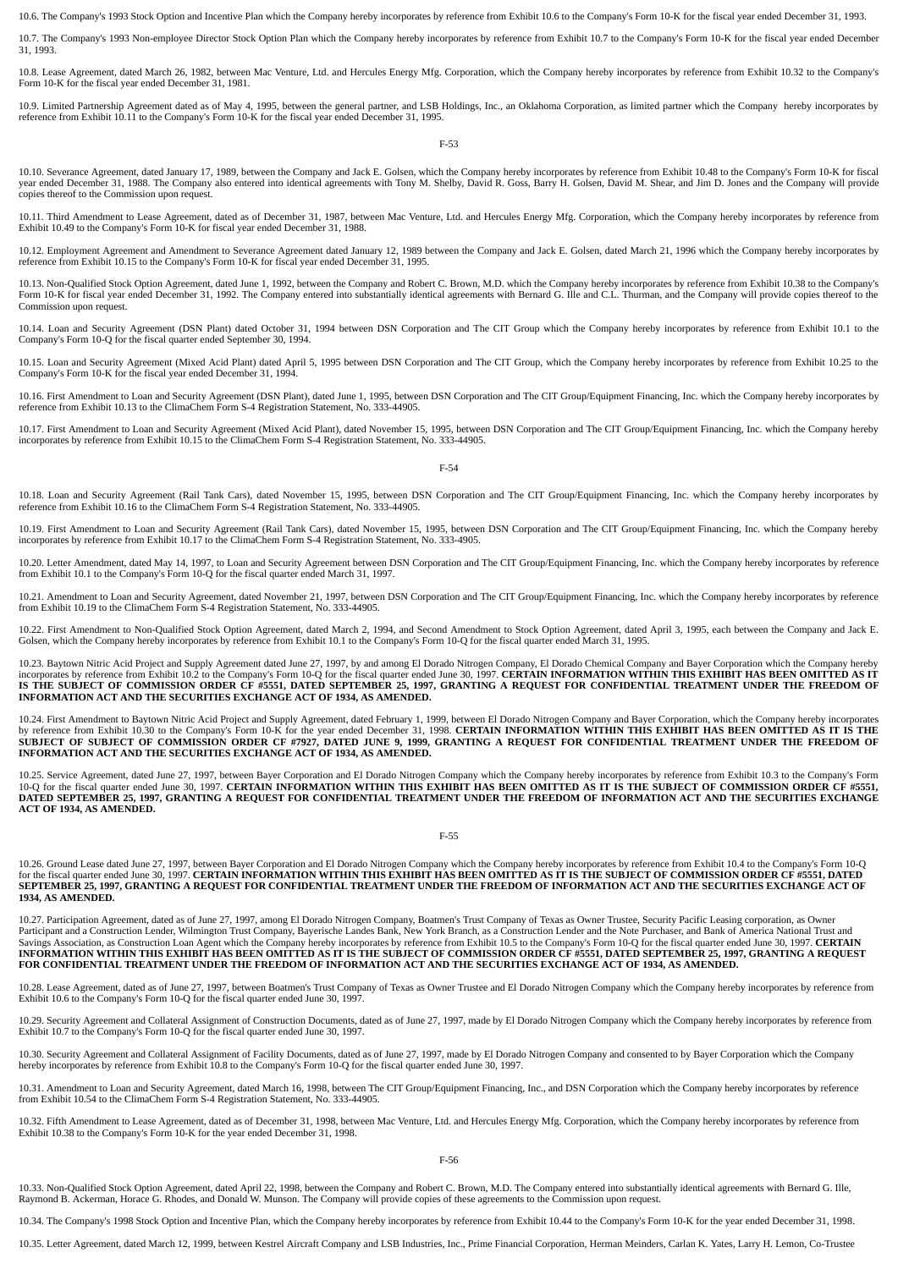10.6. The Company's 1993 Stock Option and Incentive Plan which the Company hereby incorporates by reference from Exhibit 10.6 to the Company's Form 10-K for the fiscal year ended December 31, 1993.

10.7. The Company's 1993 Non-employee Director Stock Option Plan which the Company hereby incorporates by reference from Exhibit 10.7 to the Company's Form 10-K for the fiscal year ended December 31, 1993.

10.8. Lease Agreement, dated March 26, 1982, between Mac Venture, Ltd. and Hercules Energy Mfg. Corporation, which the Company hereby incorporates by reference from Exhibit 10.32 to the Company's Form 10-K for the fiscal year ended December 31, 1981.

10.9. Limited Partnership Agreement dated as of May 4, 1995, between the general partner, and LSB Holdings, Inc., an Oklahoma Corporation, as limited partner which the Company hereby incorporates by reference from Exhibit 10.11 to the Company's Form 10-K for the fiscal year ended December 31, 1995.

#### F-53

10.10. Severance Agreement, dated January 17, 1989, between the Company and Jack E. Golsen, which the Company hereby incorporates by reference from Exhibit 10.48 to the Company's Form 10-K for fiscal<br>year ended December 31 copies thereof to the Commission upon request.

10.11. Third Amendment to Lease Agreement, dated as of December 31, 1987, between Mac Venture, Ltd. and Hercules Energy Mfg. Corporation, which the Company hereby incorporates by reference from Exhibit 10.49 to the Company's Form 10-K for fiscal year ended December 31, 1988.

10.12. Employment Agreement and Amendment to Severance Agreement dated January 12, 1989 between the Company and Jack E. Golsen, dated March 21, 1996 which the Company hereby incorporates by reference from Exhibit 10.15 to the Company's Form 10-K for fiscal year ended December 31, 1995.

10.13. Non-Qualified Stock Option Agreement, dated June 1, 1992, between the Company and Robert C. Brown, M.D. which the Company hereby incorporates by reference from Exhibit 10.38 to the Company's Form 10-K for fiscal year ended December 31, 1992. The Company entered into substantially identical agreements with Bernard G. Ille and C.L. Thurman, and the Company will provide copies thereof to the Commission upon request.

10.14. Loan and Security Agreement (DSN Plant) dated October 31, 1994 between DSN Corporation and The CIT Group which the Company hereby incorporates by reference from Exhibit 10.1 to the Company's Form 10-Q for the fiscal quarter ended September 30, 1994.

10.15. Loan and Security Agreement (Mixed Acid Plant) dated April 5, 1995 between DSN Corporation and The CIT Group, which the Company hereby incorporates by reference from Exhibit 10.25 to the Company's Form 10-K for the fiscal year ended December 31, 1994.

10.16. First Amendment to Loan and Security Agreement (DSN Plant), dated June 1, 1995, between DSN Corporation and The CIT Group/Equipment Financing, Inc. which the Company hereby incorporates by reference from Exhibit 10.13 to the ClimaChem Form S-4 Registration Statement, No. 333-44905.

10.17. First Amendment to Loan and Security Agreement (Mixed Acid Plant), dated November 15, 1995, between DSN Corporation and The CIT Group/Equipment Financing, Inc. which the Company hereby incorporates by reference from Exhibit 10.15 to the ClimaChem Form S-4 Registration Statement, No. 333-44905.

#### F-54

10.18. Loan and Security Agreement (Rail Tank Cars), dated November 15, 1995, between DSN Corporation and The CIT Group/Equipment Financing, Inc. which the Company hereby incorporates by reference from Exhibit 10.16 to the ClimaChem Form S-4 Registration Statement, No. 333-44905.

10.19. First Amendment to Loan and Security Agreement (Rail Tank Cars), dated November 15, 1995, between DSN Corporation and The CIT Group/Equipment Financing, Inc. which the Company hereby incorporates by reference from Exhibit 10.17 to the ClimaChem Form S-4 Registration Statement, No. 333-4905.

10.20. Letter Amendment, dated May 14, 1997, to Loan and Security Agreement between DSN Corporation and The CIT Group/Equipment Financing, Inc. which the Company hereby incorporates by reference from Exhibit 10.1 to the Company's Form 10-Q for the fiscal quarter ended March 31, 1997.

10.21. Amendment to Loan and Security Agreement, dated November 21, 1997, between DSN Corporation and The CIT Group/Equipment Financing, Inc. which the Company hereby incorporates by reference from Exhibit 10.19 to the ClimaChem Form S-4 Registration Statement, No. 333-44905.

10.22. First Amendment to Non-Qualified Stock Option Agreement, dated March 2, 1994, and Second Amendment to Stock Option Agreement, dated April 3, 1995, each between the Company and Jack E.<br>Golsen, which the Company hereb

10.23. Baytown Nitric Acid Project and Supply Agreement dated June 27, 1997, by and among El Dorado Nitrogen Company, El Dorado Chemical Company and Bayer Corporation which the Company hereby<br>incorporates by reference from **INFORMATION ACT AND THE SECURITIES EXCHANGE ACT OF 1934, AS AMENDED.**

10.24. First Amendment to Baytown Nitric Acid Project and Supply Agreement, dated February 1, 1999, between El Dorado Nitrogen Company and Bayer Corporation, which the Company hereby incorporates by reference from Exhibit 10.30 to the Company's Form 10-K for the year ended December 31, 1998. CERTAIN INFORMATION WITHIN THIS EXHIBIT HAS BEEN OMITTED AS IT IS THE<br>SUBJECT OF SUBJECT OF COMMISSION ORDER CF #7927, DATED **INFORMATION ACT AND THE SECURITIES EXCHANGE ACT OF 1934, AS AMENDED.**

10.25. Service Agreement, dated June 27, 1997, between Bayer Corporation and El Dorado Nitrogen Company which the Company hereby incorporates by reference from Exhibit 10.3 to the Company's Form 10-Q for the fiscal quarter ended June 30, 1997. **CERTAIN INFORMATION WITHIN THIS EXHIBIT HAS BEEN OMITTED AS IT IS THE SUBJECT OF COMMISSION ORDER CF #5551, 10-Q for the fiscal quarter ended June 30, 1997. <b>CERTAIN INFORM DATED SEPTEMBER 25, 1997, GRANTING A REQUEST FOR CONFIDENTIAL TREATMENT UNDER THE FREEDOM OF INFORMATION ACT AND THE SECURITIES EXCHANGE ACT OF 1934, AS AMENDED.**

#### F-55

10.26. Ground Lease dated June 27, 1997, between Bayer Corporation and El Dorado Nitrogen Company which the Company hereby incorporates by reference from Exhibit 10.4 to the Company's Form 10-Q for the fiscal quarter ended June 30, 1997. **CERTAIN INFORMATION WITHIN THIS EXHIBIT HAS BEEN OMITTED AS IT IS THE SUBJECT OF COMMISSION ORDER CF #5551, DATED SEPTEMBER 25, 1997, GRANTING A REQUEST FOR CONFIDENTIAL TREATMENT UNDER THE FREEDOM OF INFORMATION ACT AND THE SECURITIES EXCHANGE ACT OF 1934, AS AMENDED.**

10.27. Participation Agreement, dated as of June 27, 1997, among El Dorado Nitrogen Company, Boatmen's Trust Company of Texas as Owner Trustee, Security Pacific Leasing corporation, as Owner<br>Participant and a Construction Savings Association, as Construction Loan Agent which the Company hereby incorporates by reference from Exhibit 10.5 to the Company's Form 10-Q for the fiscal quarter ended June 30, 1997. **CERTAIN**<br>INFORMATION WITHIN THIS **FOR CONFIDENTIAL TREATMENT UNDER THE FREEDOM OF INFORMATION ACT AND THE SECURITIES EXCHANGE ACT OF 1934, AS AMENDED.**

10.28. Lease Agreement, dated as of June 27, 1997, between Boatmen's Trust Company of Texas as Owner Trustee and El Dorado Nitrogen Company which the Company hereby incorporates by reference from Exhibit 10.6 to the Company's Form 10-Q for the fiscal quarter ended June 30, 1997.

10.29. Security Agreement and Collateral Assignment of Construction Documents, dated as of June 27, 1997, made by El Dorado Nitrogen Company which the Company hereby incorporates by reference from Exhibit 10.7 to the Company's Form 10-Q for the fiscal quarter ended June 30, 1997.

10.30. Security Agreement and Collateral Assignment of Facility Documents, dated as of June 27, 1997, made by El Dorado Nitrogen Company and consented to by Bayer Corporation which the Company hereby incorporates by reference from Exhibit 10.8 to the Company's Form 10-Q for the fiscal quarter ended June 30, 1997.

10.31. Amendment to Loan and Security Agreement, dated March 16, 1998, between The CIT Group/Equipment Financing, Inc., and DSN Corporation which the Company hereby incorporates by reference from Exhibit 10.54 to the ClimaChem Form S-4 Registration Statement, No. 333-44905.

10.32. Fifth Amendment to Lease Agreement, dated as of December 31, 1998, between Mac Venture, Ltd. and Hercules Energy Mfg. Corporation, which the Company hereby incorporates by reference from Exhibit 10.38 to the Company's Form 10-K for the year ended December 31, 1998.

10.33. Non-Qualified Stock Option Agreement, dated April 22, 1998, between the Company and Robert C. Brown, M.D. The Company entered into substantially identical agreements with Bernard G. Ille, Raymond B. Ackerman, Horace G. Rhodes, and Donald W. Munson. The Company will provide copies of these agreements to the Commission upon request.

10.34. The Company's 1998 Stock Option and Incentive Plan, which the Company hereby incorporates by reference from Exhibit 10.44 to the Company's Form 10-K for the year ended December 31, 1998.

10.35. Letter Agreement, dated March 12, 1999, between Kestrel Aircraft Company and LSB Industries, Inc., Prime Financial Corporation, Herman Meinders, Carlan K. Yates, Larry H. Lemon, Co-Trustee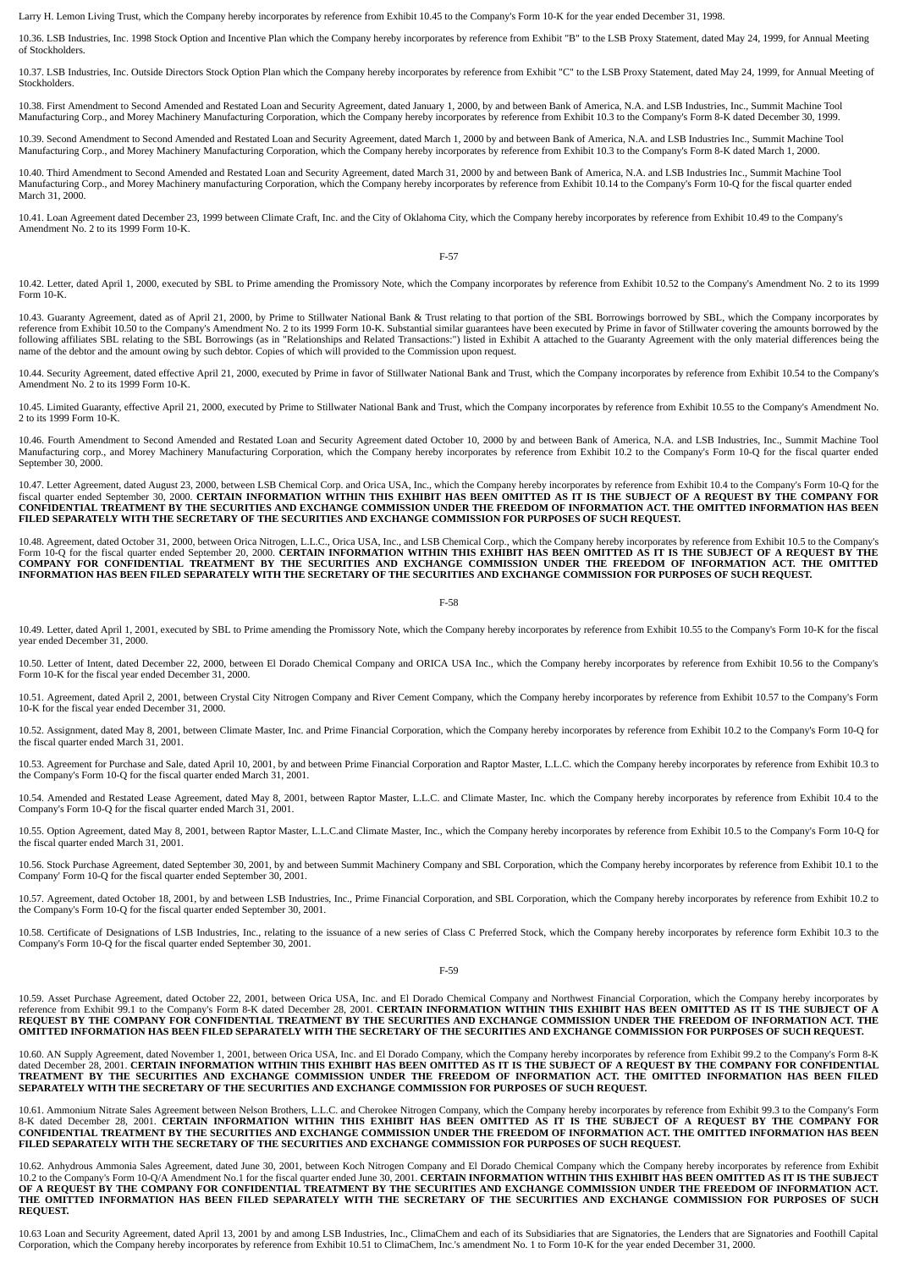Larry H. Lemon Living Trust, which the Company hereby incorporates by reference from Exhibit 10.45 to the Company's Form 10-K for the year ended December 31, 1998.

10.36. LSB Industries, Inc. 1998 Stock Option and Incentive Plan which the Company hereby incorporates by reference from Exhibit "B" to the LSB Proxy Statement, dated May 24, 1999, for Annual Meeting of Stockholders.

10.37. LSB Industries, Inc. Outside Directors Stock Option Plan which the Company hereby incorporates by reference from Exhibit "C" to the LSB Proxy Statement, dated May 24, 1999, for Annual Meeting of **Stockholders** 

10.38. First Amendment to Second Amended and Restated Loan and Security Agreement, dated January 1, 2000, by and between Bank of America, N.A. and LSB Industries, Inc., Summit Machine Tool Manufacturing Corp., and Morey Machinery Manufacturing Corporation, which the Company hereby incorporates by reference from Exhibit 10.3 to the Company's Form 8-K dated December 30, 1999.

10.39. Second Amendment to Second Amended and Restated Loan and Security Agreement, dated March 1, 2000 by and between Bank of America, N.A. and LSB Industries Inc., Summit Machine Tool Manufacturing Corp., and Morey Machinery Manufacturing Corporation, which the Company hereby incorporates by reference from Exhibit 10.3 to the Company's Form 8-K dated March 1, 2000.

10.40. Third Amendment to Second Amended and Restated Loan and Security Agreement, dated March 31, 2000 by and between Bank of America, N.A. and LSB Industries Inc., Summit Machine Tool Manufacturing Corp., and Morey Machinery manufacturing Corporation, which the Company hereby incorporates by reference from Exhibit 10.14 to the Company's Form 10-Q for the fiscal quarter ended March 31, 2000.

10.41. Loan Agreement dated December 23, 1999 between Climate Craft, Inc. and the City of Oklahoma City, which the Company hereby incorporates by reference from Exhibit 10.49 to the Company's Amendment No. 2 to its 1999 Form 10-K.

F-57

10.42. Letter, dated April 1, 2000, executed by SBL to Prime amending the Promissory Note, which the Company incorporates by reference from Exhibit 10.52 to the Company's Amendment No. 2 to its 1999 Form 10-K.

10.43. Guaranty Agreement, dated as of April 21, 2000, by Prime to Stillwater National Bank & Trust relating to that portion of the SBL Borrowings borrowed by SBL, which the Company incorporates by reference from Exhibit 10.50 to the Company's Amendment No. 2 to its 1999 Form 10-K. Substantial similar guarantees have been executed by Prime in favor of Stillwater covering the amounts borrowed by the<br>following affiliat name of the debtor and the amount owing by such debtor. Copies of which will provided to the Commission upon request.

10.44. Security Agreement, dated effective April 21, 2000, executed by Prime in favor of Stillwater National Bank and Trust, which the Company incorporates by reference from Exhibit 10.54 to the Company's Amendment No. 2 to its 1999 Form 10-K.

10.45. Limited Guaranty, effective April 21, 2000, executed by Prime to Stillwater National Bank and Trust, which the Company incorporates by reference from Exhibit 10.55 to the Company's Amendment No. 2 to its 1999 Form 10-K.

10.46. Fourth Amendment to Second Amended and Restated Loan and Security Agreement dated October 10, 2000 by and between Bank of America, N.A. and LSB Industries, Inc., Summit Machine Tool Manufacturing corp., and Morey Machinery Manufacturing Corporation, which the Company hereby incorporates by reference from Exhibit 10.2 to the Company's Form 10-Q for the fiscal quarter ended September 30, 2000.

10.47. Letter Agreement, dated August 23, 2000, between LSB Chemical Corp. and Orica USA, Inc., which the Company bereby incorporates by reference from Exhibit 10.4 to the Company's Form 10-Q for the<br>fiscal quarter ended S **FILED SEPARATELY WITH THE SECRETARY OF THE SECURITIES AND EXCHANGE COMMISSION FOR PURPOSES OF SUCH REQUEST.**

10.48. Agreement, dated October 31, 2000, between Orica Nitrogen, L.L.C., Orica USA, Inc., and LSB Chemical Corp., which the Company hereby incorporates by reference from Exhibit 10.5 to the Company's Form 10-Q for the fiscal quarter ended September 20, 2000. CERTAIN INFORMATION WITHIN THIS EXHIBIT HAS BEEN OMITTED AS IT IS THE SUBJECT OF A REQUEST BY THE<br>COMPANY FOR CONFIDENTIAL TREATMENT BY THE SECURITIES AND EXCHANGE **INFORMATION HAS BEEN FILED SEPARATELY WITH THE SECRETARY OF THE SECURITIES AND EXCHANGE COMMISSION FOR PURPOSES OF SUCH REQUEST.**

F-58

10.49. Letter, dated April 1, 2001, executed by SBL to Prime amending the Promissory Note, which the Company hereby incorporates by reference from Exhibit 10.55 to the Company's Form 10-K for the fiscal year ended December 31, 2000.

10.50. Letter of Intent, dated December 22, 2000, between El Dorado Chemical Company and ORICA USA Inc., which the Company hereby incorporates by reference from Exhibit 10.56 to the Company's Form 10-K for the fiscal year ended December 31, 2000.

10.51. Agreement, dated April 2, 2001, between Crystal City Nitrogen Company and River Cement Company, which the Company hereby incorporates by reference from Exhibit 10.57 to the Company's Form 10-K for the fiscal year ended December 31, 2000.

10.52. Assignment, dated May 8, 2001, between Climate Master, Inc. and Prime Financial Corporation, which the Company hereby incorporates by reference from Exhibit 10.2 to the Company's Form 10-Q for the fiscal quarter ended March 31, 2001.

10.53. Agreement for Purchase and Sale, dated April 10, 2001, by and between Prime Financial Corporation and Raptor Master, L.L.C. which the Company hereby incorporates by reference from Exhibit 10.3 to the Company's Form 10-Q for the fiscal quarter ended March 31, 2001.

10.54. Amended and Restated Lease Agreement, dated May 8, 2001, between Raptor Master, L.L.C. and Climate Master, Inc. which the Company hereby incorporates by reference from Exhibit 10.4 to the Company's Form 10-Q for the fiscal quarter ended March 31, 2001.

10.55. Option Agreement, dated May 8, 2001, between Raptor Master, L.L.C.and Climate Master, Inc., which the Company hereby incorporates by reference from Exhibit 10.5 to the Company's Form 10-Q for the fiscal quarter ended March 31, 2001.

10.56. Stock Purchase Agreement, dated September 30, 2001, by and between Summit Machinery Company and SBL Corporation, which the Company hereby incorporates by reference from Exhibit 10.1 to the Company' Form 10-Q for the fiscal quarter ended September 30, 2001.

10.57. Agreement, dated October 18, 2001, by and between LSB Industries, Inc., Prime Financial Corporation, and SBL Corporation, which the Company hereby incorporates by reference from Exhibit 10.2 to the Company's Form 10-Q for the fiscal quarter ended September 30, 2001.

10.58. Certificate of Designations of LSB Industries, Inc., relating to the issuance of a new series of Class C Preferred Stock, which the Company hereby incorporates by reference form Exhibit 10.3 to the Company's Form 10-Q for the fiscal quarter ended September 30, 2001.

F-59

10.59. Asset Purchase Agreement, dated October 22, 2001, between Orica USA, Inc. and El Dorado Chemical Company and Northwest Financial Corporation, which the Company hereby incorporates by reference from Exhibit 99.1 to the Company's Form 8-K dated December 28, 2001. CERTAIN INFORMATION WITHIN THIS EXHIBIT HAS BEEN OMITTED AS IT IS THE SUBJECT OF A<br>REQUEST BY THE COMPANY FOR CONFIDENTIAL TREATMENT BY THE SEC **OMITTED INFORMATION HAS BEEN FILED SEPARATELY WITH THE SECRETARY OF THE SECURITIES AND EXCHANGE COMMISSION FOR PURPOSES OF SUCH REQUEST.**

10.60. AN Supply Agreement, dated November 1, 2001, between Orica USA, Inc. and El Dorado Company, which the Company hereby incorporates by reference from Exhibit 99.2 to the Company's Form 8-K dated December 28, 2001. **CERTAIN INFORMATION WITHIN THIS EXHIBIT HAS BEEN OMITTED AS IT IS THE SUBJECT OF A REQUEST BY THE COMPANY FOR CONFIDENTIAL** TREATMENT BY THE SECURITIES AND EXCHANGE COMMISSION UNDER THE FREEDOM OF INFORMATION ACT. THE OMITTED INFORMATION HAS BEEN FILED<br>SEPARATELY WITH THE SECRETARY OF THE SECURITIES AND EXCHANGE COMMISSION FOR PURPOSES OF SUCH

10.61. Ammonium Nitrate Sales Agreement between Nelson Brothers, L.L.C. and Cherokee Nitrogen Company, which the Company hereby incorporates by reference from Exhibit 99.3 to the Company's Form<br>8-K dated December 28, 2001. CONFIDENTIAL TREATMENT BY THE SECURITIES AND EXCHANGE COMMISSION UNDER THE FREEDOM OF INFORMATION ACT. THE OMITTED INFORMATION HAS BEEN<br>FILED SEPARATELY WITH THE SECRETARY OF THE SECURITIES AND EXCHANGE COMMISSION FOR PURP

10.62. Anhydrous Ammonia Sales Agreement, dated June 30, 2001, between Koch Nitrogen Company and El Dorado Chemical Company which the Company hereby incorporates by reference from Exhibit<br>10.2 to the Company's Form 10-Q/A **THE OMITTED INFORMATION HAS BEEN FILED SEPARATELY WITH THE SECRETARY OF THE SECURITIES AND EXCHANGE COMMISSION FOR PURPOSES OF SUCH REQUEST.**

10.63 Loan and Security Agreement, dated April 13, 2001 by and among LSB Industries, Inc., ClimaChem and each of its Subsidiaries that are Signatories, the Lenders that are Signatories and Foothill Capital Corporation, which the Company hereby incorporates by reference from Exhibit 10.51 to ClimaChem, Inc.'s amendment No. 1 to Form 10-K for the year ended December 31, 2000.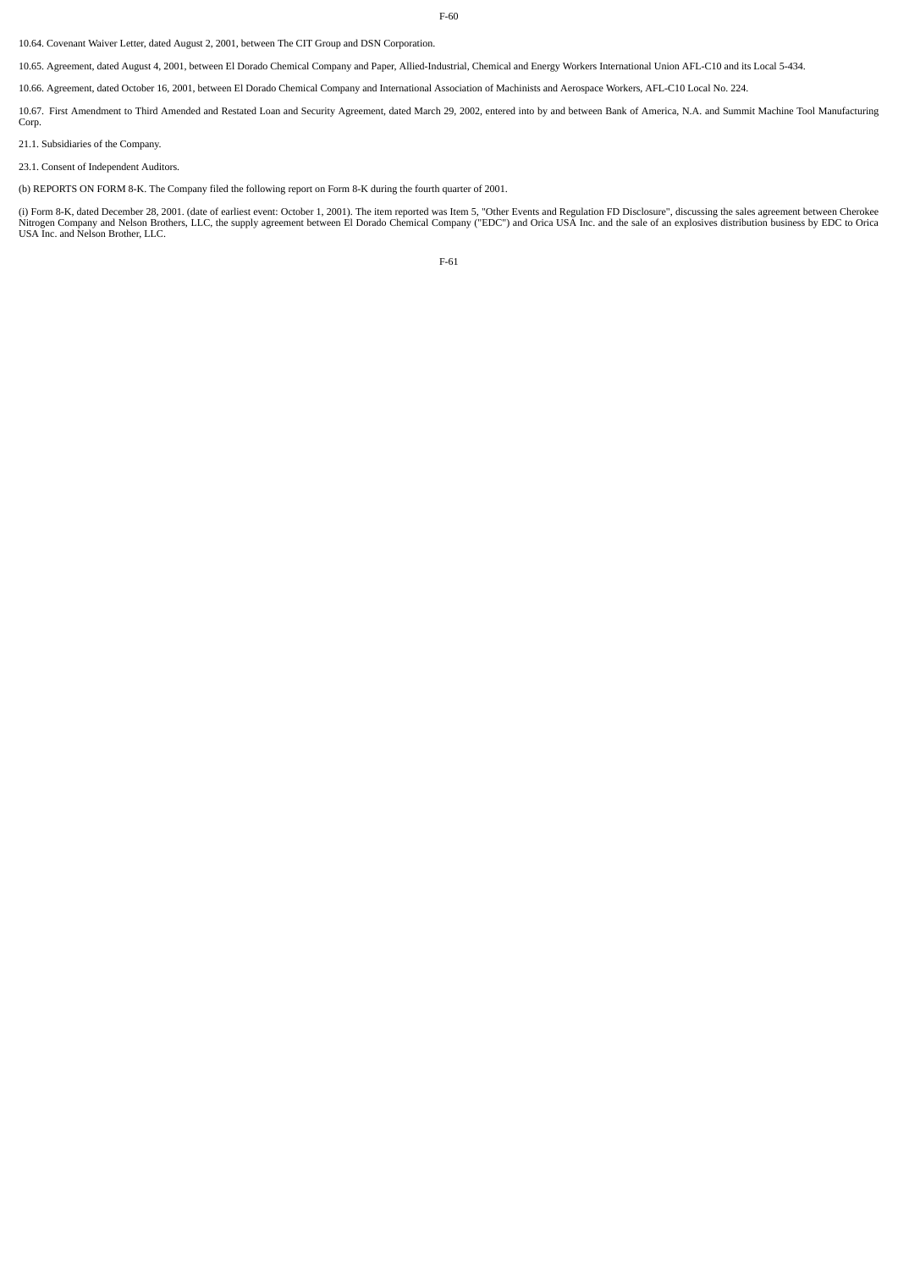F-60

10.64. Covenant Waiver Letter, dated August 2, 2001, between The CIT Group and DSN Corporation.

10.65. Agreement, dated August 4, 2001, between El Dorado Chemical Company and Paper, Allied-Industrial, Chemical and Energy Workers International Union AFL-C10 and its Local 5-434.

10.66. Agreement, dated October 16, 2001, between El Dorado Chemical Company and International Association of Machinists and Aerospace Workers, AFL-C10 Local No. 224.

10.67. First Amendment to Third Amended and Restated Loan and Security Agreement, dated March 29, 2002, entered into by and between Bank of America, N.A. and Summit Machine Tool Manufacturing Corp.

21.1. Subsidiaries of the Company.

23.1. Consent of Independent Auditors.

(b) REPORTS ON FORM 8-K. The Company filed the following report on Form 8-K during the fourth quarter of 2001.

(i) Form 8-K, dated December 28, 2001. (date of earliest event: October 1, 2001). The item reported was Item 5, "Other Events and Regulation FD Disclosure", discussing the sales agreement between Cherokee<br>Nitrogen Company

F-61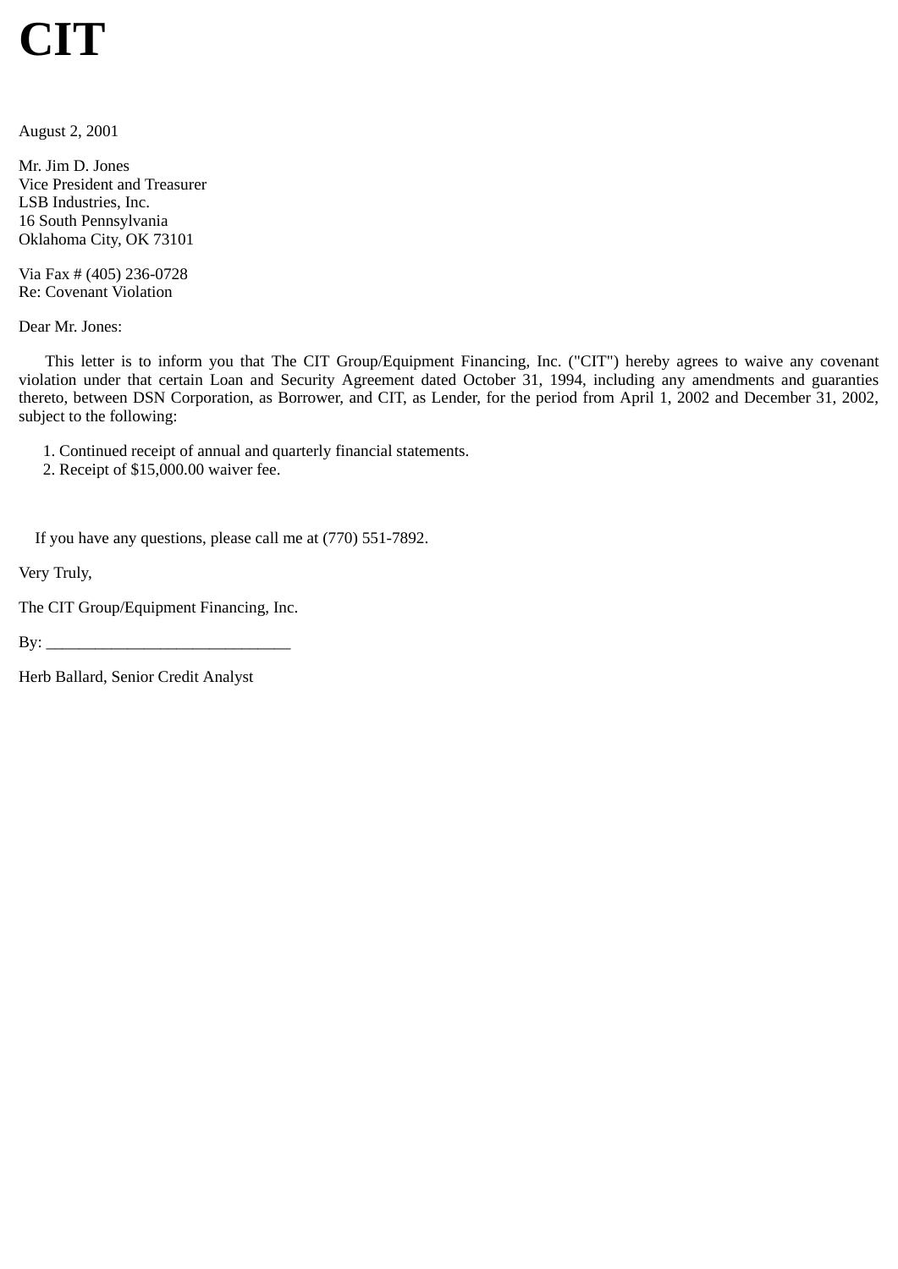# **CIT**

August 2, 2001

Mr. Jim D. Jones Vice President and Treasurer LSB Industries, Inc. 16 South Pennsylvania Oklahoma City, OK 73101

Via Fax # (405) 236-0728 Re: Covenant Violation

Dear Mr. Jones:

This letter is to inform you that The CIT Group/Equipment Financing, Inc. ("CIT") hereby agrees to waive any covenant violation under that certain Loan and Security Agreement dated October 31, 1994, including any amendments and guaranties thereto, between DSN Corporation, as Borrower, and CIT, as Lender, for the period from April 1, 2002 and December 31, 2002, subject to the following:

1. Continued receipt of annual and quarterly financial statements.

2. Receipt of \$15,000.00 waiver fee.

If you have any questions, please call me at (770) 551-7892.

Very Truly,

The CIT Group/Equipment Financing, Inc.

 $\text{By:}\_\_\_\_\_\_\_\$ 

Herb Ballard, Senior Credit Analyst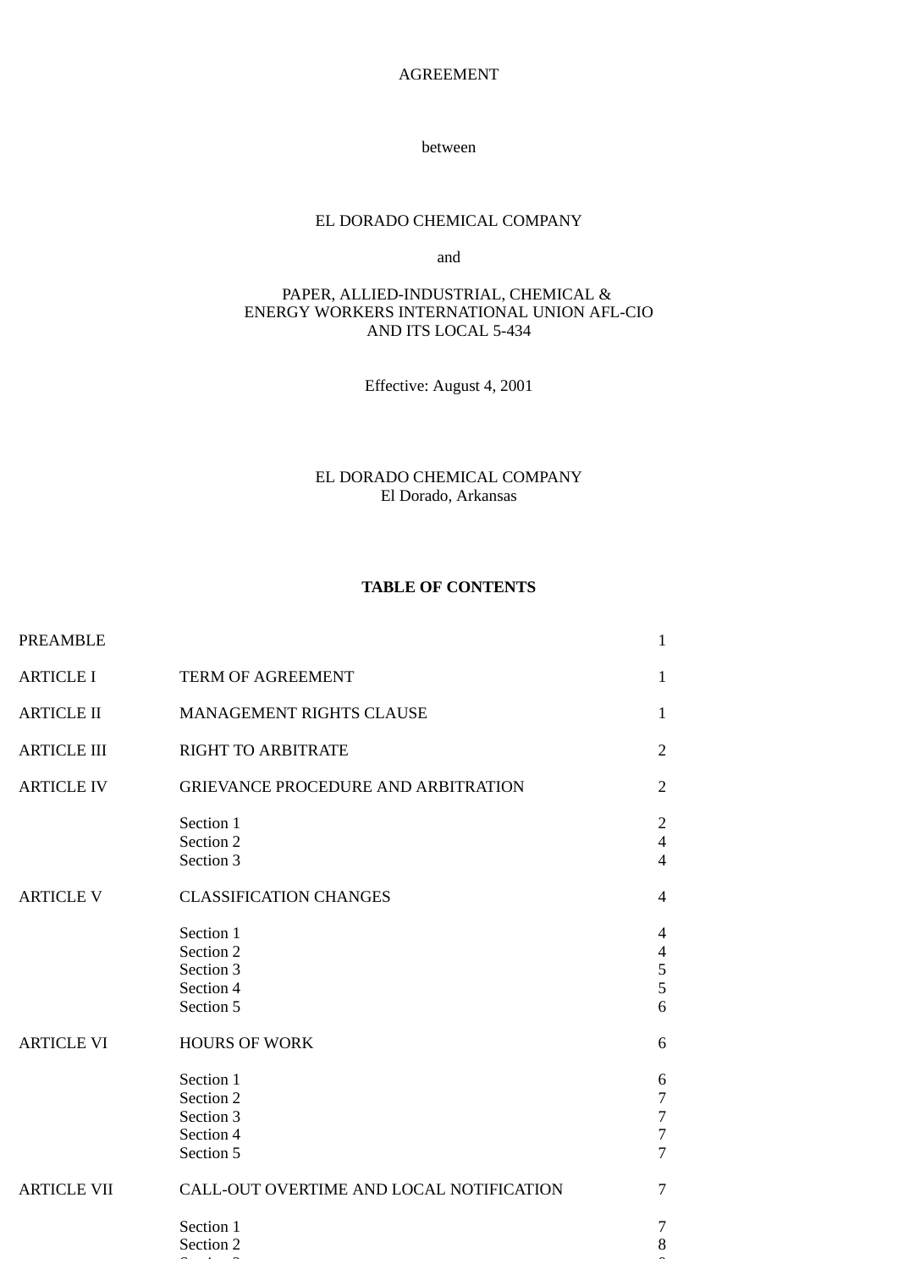AGREEMENT

between

# EL DORADO CHEMICAL COMPANY

and

# PAPER, ALLIED-INDUSTRIAL, CHEMICAL & ENERGY WORKERS INTERNATIONAL UNION AFL-CIO AND ITS LOCAL 5-434

Effective: August 4, 2001

EL DORADO CHEMICAL COMPANY El Dorado, Arkansas

# **TABLE OF CONTENTS**

| <b>PREAMBLE</b>    |                                                               | $\mathbf{1}$                                                                |
|--------------------|---------------------------------------------------------------|-----------------------------------------------------------------------------|
| <b>ARTICLE I</b>   | TERM OF AGREEMENT                                             | $\mathbf{1}$                                                                |
| <b>ARTICLE II</b>  | MANAGEMENT RIGHTS CLAUSE                                      | $\mathbf{1}$                                                                |
| <b>ARTICLE III</b> | <b>RIGHT TO ARBITRATE</b>                                     | $\overline{2}$                                                              |
| <b>ARTICLE IV</b>  | <b>GRIEVANCE PROCEDURE AND ARBITRATION</b>                    | 2                                                                           |
|                    | Section 1<br>Section 2<br>Section 3                           | $\overline{2}$<br>$\overline{4}$<br>$\overline{4}$                          |
| <b>ARTICLE V</b>   | <b>CLASSIFICATION CHANGES</b>                                 | $\overline{4}$                                                              |
|                    | Section 1<br>Section 2<br>Section 3<br>Section 4<br>Section 5 | $\overline{4}$<br>$\overline{4}$<br>5<br>5<br>6                             |
| <b>ARTICLE VI</b>  | <b>HOURS OF WORK</b>                                          | 6                                                                           |
|                    | Section 1<br>Section 2<br>Section 3<br>Section 4<br>Section 5 | 6<br>$\overline{7}$<br>$\boldsymbol{7}$<br>$\overline{7}$<br>$\overline{7}$ |
| <b>ARTICLE VII</b> | CALL-OUT OVERTIME AND LOCAL NOTIFICATION                      | 7                                                                           |
|                    | Section 1<br>Section 2                                        | 7<br>$\, 8$                                                                 |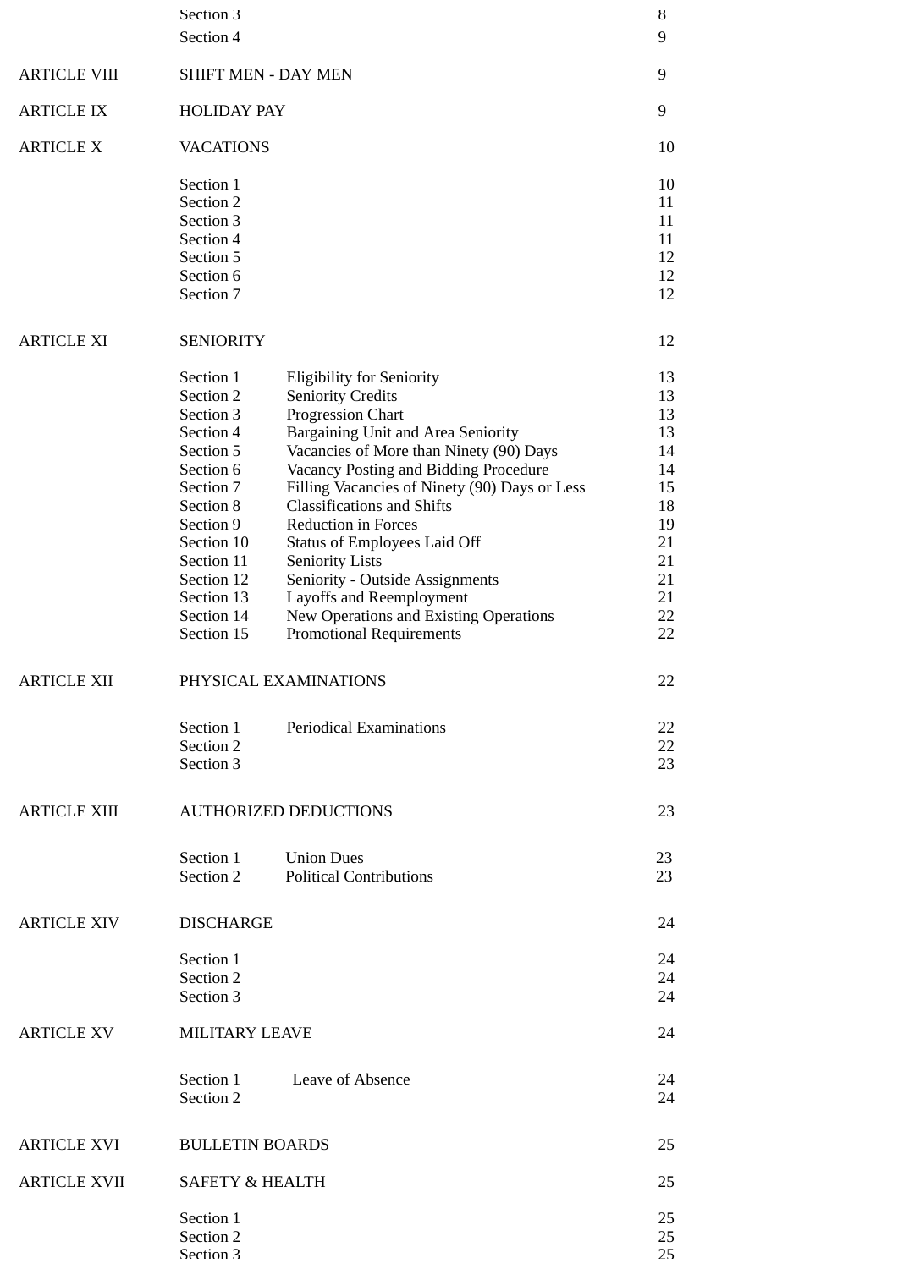|                     | Section 3                  |                                                                                    | ୪         |
|---------------------|----------------------------|------------------------------------------------------------------------------------|-----------|
|                     | Section 4                  |                                                                                    | 9         |
|                     |                            |                                                                                    |           |
| <b>ARTICLE VIII</b> | <b>SHIFT MEN - DAY MEN</b> |                                                                                    | 9         |
| <b>ARTICLE IX</b>   | <b>HOLIDAY PAY</b>         |                                                                                    | 9         |
|                     |                            |                                                                                    |           |
| <b>ARTICLE X</b>    | <b>VACATIONS</b>           |                                                                                    | 10        |
|                     |                            |                                                                                    |           |
|                     | Section 1                  |                                                                                    | 10        |
|                     | Section 2                  |                                                                                    | 11        |
|                     | Section 3                  |                                                                                    | 11        |
|                     | Section 4<br>Section 5     |                                                                                    | 11<br>12  |
|                     | Section 6                  |                                                                                    | 12        |
|                     | Section 7                  |                                                                                    | 12        |
|                     |                            |                                                                                    |           |
| <b>ARTICLE XI</b>   | <b>SENIORITY</b>           |                                                                                    | 12        |
|                     |                            |                                                                                    |           |
|                     | Section 1                  | <b>Eligibility for Seniority</b>                                                   | 13        |
|                     | Section 2                  | <b>Seniority Credits</b>                                                           | 13        |
|                     | Section 3                  | <b>Progression Chart</b>                                                           | 13        |
|                     | Section 4                  | Bargaining Unit and Area Seniority                                                 | 13        |
|                     | Section 5                  | Vacancies of More than Ninety (90) Days                                            | 14        |
|                     | Section 6                  | Vacancy Posting and Bidding Procedure                                              | 14        |
|                     | Section 7                  | Filling Vacancies of Ninety (90) Days or Less<br><b>Classifications and Shifts</b> | 15<br>18  |
|                     | Section 8<br>Section 9     | <b>Reduction in Forces</b>                                                         | 19        |
|                     | Section 10                 | <b>Status of Employees Laid Off</b>                                                | 21        |
|                     | Section 11                 | <b>Seniority Lists</b>                                                             | 21        |
|                     | Section 12                 | Seniority - Outside Assignments                                                    | 21        |
|                     | Section 13                 | Layoffs and Reemployment                                                           | 21        |
|                     | Section 14                 | New Operations and Existing Operations                                             | 22        |
|                     | Section 15                 | <b>Promotional Requirements</b>                                                    | 22        |
|                     |                            |                                                                                    |           |
| ARTICLE XII         |                            | PHYSICAL EXAMINATIONS                                                              | 22        |
|                     |                            |                                                                                    |           |
|                     | Section 1                  | <b>Periodical Examinations</b>                                                     | 22        |
|                     | Section 2                  |                                                                                    | 22        |
|                     | Section 3                  |                                                                                    | 23        |
|                     |                            |                                                                                    |           |
| <b>ARTICLE XIII</b> |                            | <b>AUTHORIZED DEDUCTIONS</b>                                                       | 23        |
|                     |                            |                                                                                    |           |
|                     | Section 1                  | <b>Union Dues</b>                                                                  | 23        |
|                     | Section 2                  | <b>Political Contributions</b>                                                     | 23        |
|                     |                            |                                                                                    |           |
| <b>ARTICLE XIV</b>  | <b>DISCHARGE</b>           |                                                                                    | 24        |
|                     | Section 1                  |                                                                                    | 24        |
|                     | Section 2                  |                                                                                    | 24        |
|                     | Section 3                  |                                                                                    | 24        |
|                     |                            |                                                                                    |           |
| <b>ARTICLE XV</b>   | MILITARY LEAVE             |                                                                                    | 24        |
|                     |                            |                                                                                    |           |
|                     | Section 1                  | <b>Leave of Absence</b>                                                            | 24        |
|                     | Section 2                  |                                                                                    | 24        |
|                     |                            |                                                                                    |           |
| <b>ARTICLE XVI</b>  | <b>BULLETIN BOARDS</b>     |                                                                                    | 25        |
| <b>ARTICLE XVII</b> | <b>SAFETY &amp; HEALTH</b> |                                                                                    | 25        |
|                     |                            |                                                                                    |           |
|                     | Section 1                  |                                                                                    | 25        |
|                     | Section 2<br>Section 3     |                                                                                    | 25<br>25. |
|                     |                            |                                                                                    |           |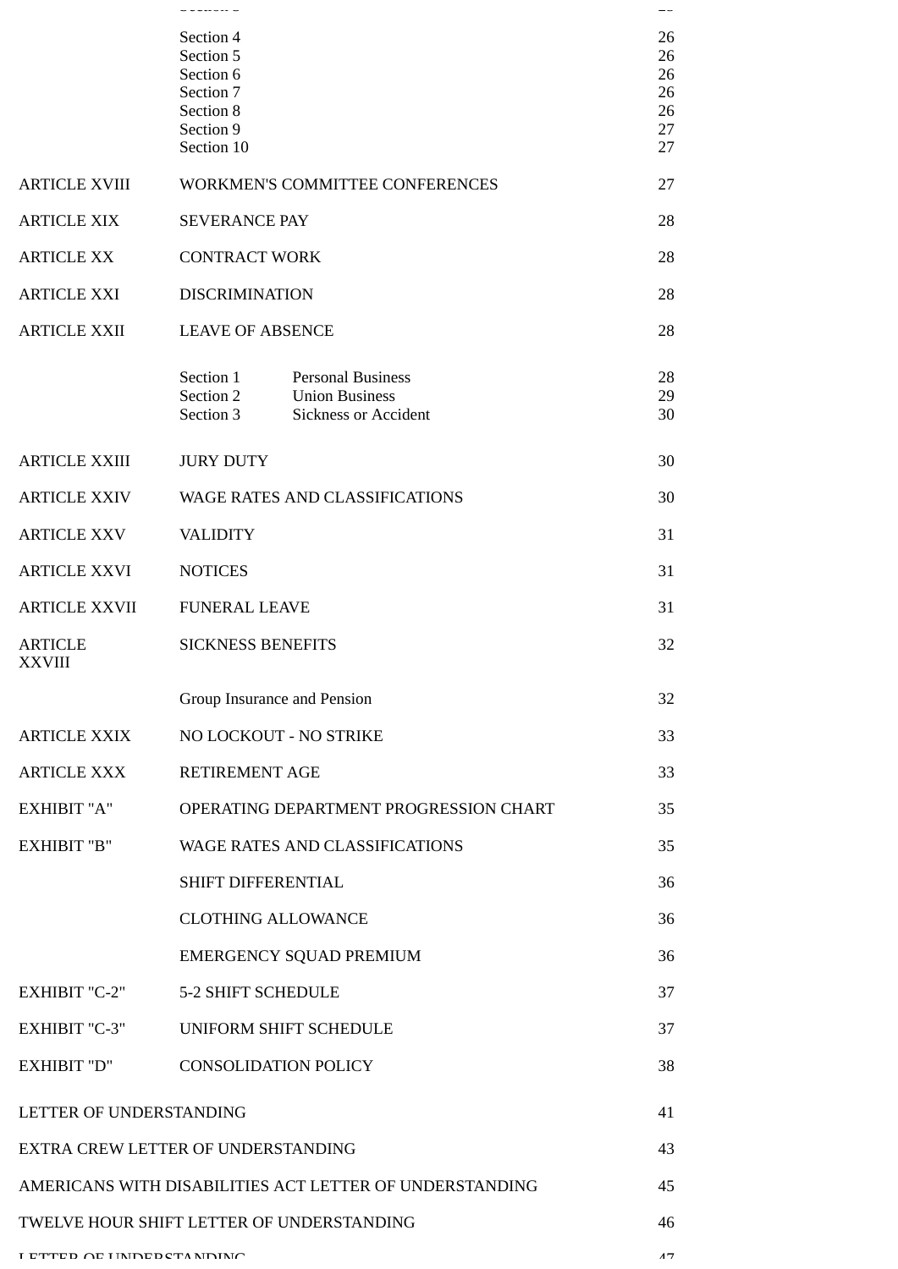|                                           | --------                    |                                                         | --       |
|-------------------------------------------|-----------------------------|---------------------------------------------------------|----------|
|                                           | Section 4                   |                                                         | 26       |
|                                           | Section 5<br>Section 6      |                                                         | 26<br>26 |
|                                           | Section 7                   |                                                         | 26       |
|                                           | Section 8                   |                                                         | 26       |
|                                           | Section 9<br>Section 10     |                                                         | 27<br>27 |
|                                           |                             |                                                         |          |
| <b>ARTICLE XVIII</b>                      |                             | WORKMEN'S COMMITTEE CONFERENCES                         | 27       |
| <b>ARTICLE XIX</b>                        | <b>SEVERANCE PAY</b>        |                                                         | 28       |
| <b>ARTICLE XX</b>                         | <b>CONTRACT WORK</b>        |                                                         | 28       |
| <b>ARTICLE XXI</b>                        | <b>DISCRIMINATION</b>       |                                                         | 28       |
| <b>ARTICLE XXII</b>                       | <b>LEAVE OF ABSENCE</b>     |                                                         | 28       |
|                                           | Section 1                   | <b>Personal Business</b>                                | 28       |
|                                           | Section 2<br>Section 3      | <b>Union Business</b><br><b>Sickness or Accident</b>    | 29<br>30 |
|                                           |                             |                                                         |          |
| <b>ARTICLE XXIII</b>                      | <b>JURY DUTY</b>            |                                                         | 30       |
| <b>ARTICLE XXIV</b>                       |                             | WAGE RATES AND CLASSIFICATIONS                          | 30       |
| <b>ARTICLE XXV</b>                        | <b>VALIDITY</b>             |                                                         | 31       |
| <b>ARTICLE XXVI</b>                       | <b>NOTICES</b>              |                                                         | 31       |
| <b>ARTICLE XXVII</b>                      | <b>FUNERAL LEAVE</b>        |                                                         | 31       |
| <b>ARTICLE</b><br><b>XXVIII</b>           | <b>SICKNESS BENEFITS</b>    |                                                         | 32       |
|                                           | Group Insurance and Pension |                                                         | 32       |
| <b>ARTICLE XXIX</b>                       | NO LOCKOUT - NO STRIKE      |                                                         | 33       |
| <b>ARTICLE XXX</b>                        | <b>RETIREMENT AGE</b>       |                                                         | 33       |
| <b>EXHIBIT "A"</b>                        |                             | OPERATING DEPARTMENT PROGRESSION CHART                  | 35       |
| <b>EXHIBIT "B"</b>                        |                             | <b>WAGE RATES AND CLASSIFICATIONS</b>                   | 35       |
|                                           | SHIFT DIFFERENTIAL          |                                                         | 36       |
|                                           | <b>CLOTHING ALLOWANCE</b>   |                                                         | 36       |
|                                           |                             | EMERGENCY SQUAD PREMIUM                                 | 36       |
| EXHIBIT "C-2"                             | <b>5-2 SHIFT SCHEDULE</b>   |                                                         | 37       |
| <b>EXHIBIT "C-3"</b>                      | UNIFORM SHIFT SCHEDULE      |                                                         | 37       |
| EXHIBIT "D"                               | <b>CONSOLIDATION POLICY</b> |                                                         | 38       |
| LETTER OF UNDERSTANDING                   |                             |                                                         | 41       |
| EXTRA CREW LETTER OF UNDERSTANDING        |                             |                                                         | 43       |
|                                           |                             | AMERICANS WITH DISABILITIES ACT LETTER OF UNDERSTANDING | 45       |
| TWELVE HOUR SHIFT LETTER OF UNDERSTANDING |                             |                                                         | 46       |
| I ETTED OE HNDEDCTANDING                  |                             |                                                         | 17       |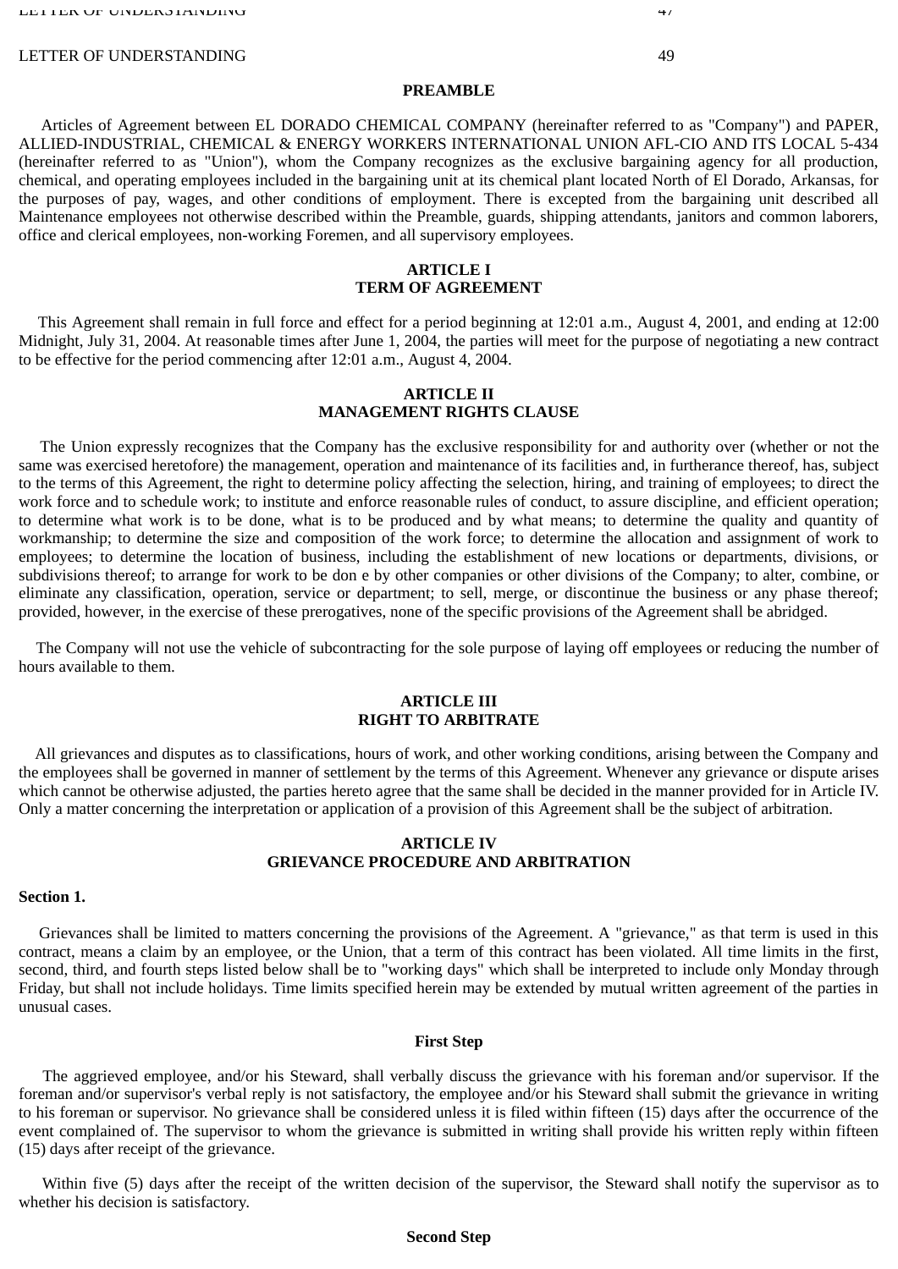#### LETTER OF UNDERSTANDING 49

### **PREAMBLE**

Articles of Agreement between EL DORADO CHEMICAL COMPANY (hereinafter referred to as "Company") and PAPER, ALLIED-INDUSTRIAL, CHEMICAL & ENERGY WORKERS INTERNATIONAL UNION AFL-CIO AND ITS LOCAL 5-434 (hereinafter referred to as "Union"), whom the Company recognizes as the exclusive bargaining agency for all production, chemical, and operating employees included in the bargaining unit at its chemical plant located North of El Dorado, Arkansas, for the purposes of pay, wages, and other conditions of employment. There is excepted from the bargaining unit described all Maintenance employees not otherwise described within the Preamble, guards, shipping attendants, janitors and common laborers, office and clerical employees, non-working Foremen, and all supervisory employees.

## **ARTICLE I TERM OF AGREEMENT**

This Agreement shall remain in full force and effect for a period beginning at 12:01 a.m., August 4, 2001, and ending at 12:00 Midnight, July 31, 2004. At reasonable times after June 1, 2004, the parties will meet for the purpose of negotiating a new contract to be effective for the period commencing after 12:01 a.m., August 4, 2004.

# **ARTICLE II MANAGEMENT RIGHTS CLAUSE**

The Union expressly recognizes that the Company has the exclusive responsibility for and authority over (whether or not the same was exercised heretofore) the management, operation and maintenance of its facilities and, in furtherance thereof, has, subject to the terms of this Agreement, the right to determine policy affecting the selection, hiring, and training of employees; to direct the work force and to schedule work; to institute and enforce reasonable rules of conduct, to assure discipline, and efficient operation; to determine what work is to be done, what is to be produced and by what means; to determine the quality and quantity of workmanship; to determine the size and composition of the work force; to determine the allocation and assignment of work to employees; to determine the location of business, including the establishment of new locations or departments, divisions, or subdivisions thereof; to arrange for work to be don e by other companies or other divisions of the Company; to alter, combine, or eliminate any classification, operation, service or department; to sell, merge, or discontinue the business or any phase thereof; provided, however, in the exercise of these prerogatives, none of the specific provisions of the Agreement shall be abridged.

The Company will not use the vehicle of subcontracting for the sole purpose of laying off employees or reducing the number of hours available to them.

# **ARTICLE III RIGHT TO ARBITRATE**

 All grievances and disputes as to classifications, hours of work, and other working conditions, arising between the Company and the employees shall be governed in manner of settlement by the terms of this Agreement. Whenever any grievance or dispute arises which cannot be otherwise adjusted, the parties hereto agree that the same shall be decided in the manner provided for in Article IV. Only a matter concerning the interpretation or application of a provision of this Agreement shall be the subject of arbitration.

# **ARTICLE IV GRIEVANCE PROCEDURE AND ARBITRATION**

## **Section 1.**

Grievances shall be limited to matters concerning the provisions of the Agreement. A "grievance," as that term is used in this contract, means a claim by an employee, or the Union, that a term of this contract has been violated. All time limits in the first, second, third, and fourth steps listed below shall be to "working days" which shall be interpreted to include only Monday through Friday, but shall not include holidays. Time limits specified herein may be extended by mutual written agreement of the parties in unusual cases.

#### **First Step**

The aggrieved employee, and/or his Steward, shall verbally discuss the grievance with his foreman and/or supervisor. If the foreman and/or supervisor's verbal reply is not satisfactory, the employee and/or his Steward shall submit the grievance in writing to his foreman or supervisor. No grievance shall be considered unless it is filed within fifteen (15) days after the occurrence of the event complained of. The supervisor to whom the grievance is submitted in writing shall provide his written reply within fifteen (15) days after receipt of the grievance.

Within five (5) days after the receipt of the written decision of the supervisor, the Steward shall notify the supervisor as to whether his decision is satisfactory.

## **Second Step**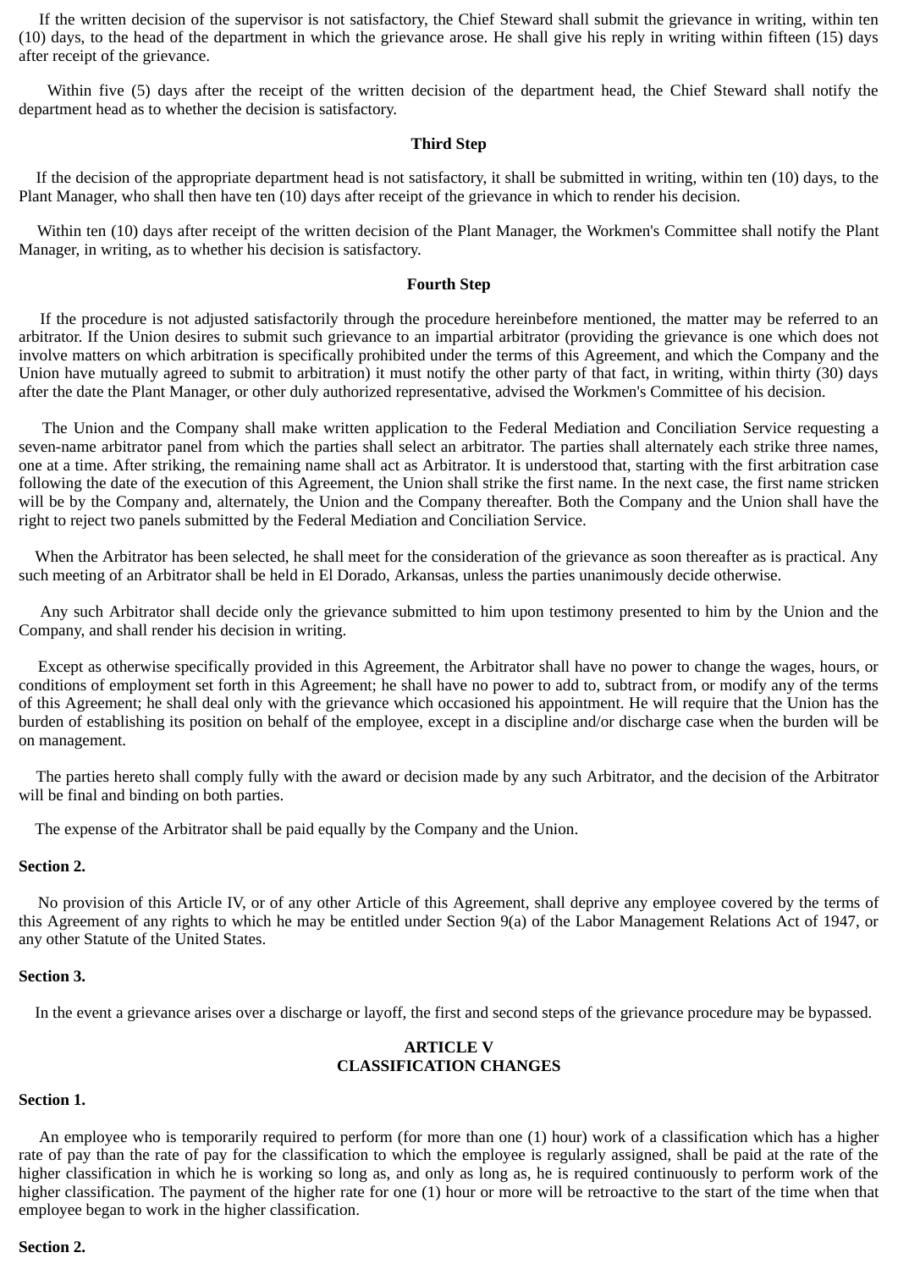If the written decision of the supervisor is not satisfactory, the Chief Steward shall submit the grievance in writing, within ten (10) days, to the head of the department in which the grievance arose. He shall give his reply in writing within fifteen (15) days after receipt of the grievance.

Within five (5) days after the receipt of the written decision of the department head, the Chief Steward shall notify the department head as to whether the decision is satisfactory.

## **Third Step**

If the decision of the appropriate department head is not satisfactory, it shall be submitted in writing, within ten (10) days, to the Plant Manager, who shall then have ten (10) days after receipt of the grievance in which to render his decision.

Within ten (10) days after receipt of the written decision of the Plant Manager, the Workmen's Committee shall notify the Plant Manager, in writing, as to whether his decision is satisfactory.

## **Fourth Step**

If the procedure is not adjusted satisfactorily through the procedure hereinbefore mentioned, the matter may be referred to an arbitrator. If the Union desires to submit such grievance to an impartial arbitrator (providing the grievance is one which does not involve matters on which arbitration is specifically prohibited under the terms of this Agreement, and which the Company and the Union have mutually agreed to submit to arbitration) it must notify the other party of that fact, in writing, within thirty (30) days after the date the Plant Manager, or other duly authorized representative, advised the Workmen's Committee of his decision.

The Union and the Company shall make written application to the Federal Mediation and Conciliation Service requesting a seven-name arbitrator panel from which the parties shall select an arbitrator. The parties shall alternately each strike three names, one at a time. After striking, the remaining name shall act as Arbitrator. It is understood that, starting with the first arbitration case following the date of the execution of this Agreement, the Union shall strike the first name. In the next case, the first name stricken will be by the Company and, alternately, the Union and the Company thereafter. Both the Company and the Union shall have the right to reject two panels submitted by the Federal Mediation and Conciliation Service.

 When the Arbitrator has been selected, he shall meet for the consideration of the grievance as soon thereafter as is practical. Any such meeting of an Arbitrator shall be held in El Dorado, Arkansas, unless the parties unanimously decide otherwise.

Any such Arbitrator shall decide only the grievance submitted to him upon testimony presented to him by the Union and the Company, and shall render his decision in writing.

Except as otherwise specifically provided in this Agreement, the Arbitrator shall have no power to change the wages, hours, or conditions of employment set forth in this Agreement; he shall have no power to add to, subtract from, or modify any of the terms of this Agreement; he shall deal only with the grievance which occasioned his appointment. He will require that the Union has the burden of establishing its position on behalf of the employee, except in a discipline and/or discharge case when the burden will be on management.

The parties hereto shall comply fully with the award or decision made by any such Arbitrator, and the decision of the Arbitrator will be final and binding on both parties.

The expense of the Arbitrator shall be paid equally by the Company and the Union.

#### **Section 2.**

No provision of this Article IV, or of any other Article of this Agreement, shall deprive any employee covered by the terms of this Agreement of any rights to which he may be entitled under Section 9(a) of the Labor Management Relations Act of 1947, or any other Statute of the United States.

## **Section 3.**

In the event a grievance arises over a discharge or layoff, the first and second steps of the grievance procedure may be bypassed.

# **ARTICLE V CLASSIFICATION CHANGES**

# **Section 1.**

An employee who is temporarily required to perform (for more than one (1) hour) work of a classification which has a higher rate of pay than the rate of pay for the classification to which the employee is regularly assigned, shall be paid at the rate of the higher classification in which he is working so long as, and only as long as, he is required continuously to perform work of the higher classification. The payment of the higher rate for one (1) hour or more will be retroactive to the start of the time when that employee began to work in the higher classification.

## **Section 2.**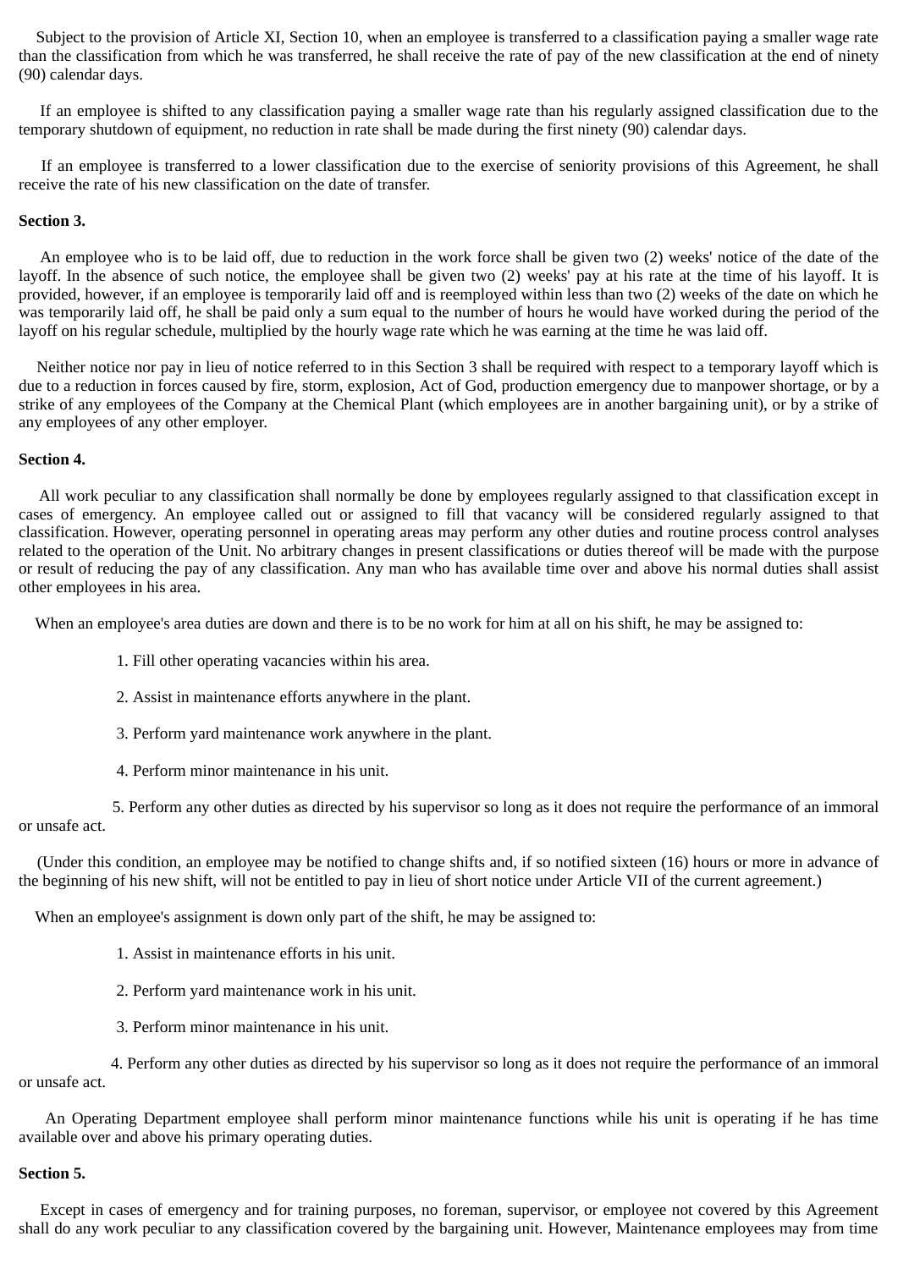Subject to the provision of Article XI, Section 10, when an employee is transferred to a classification paying a smaller wage rate than the classification from which he was transferred, he shall receive the rate of pay of the new classification at the end of ninety (90) calendar days.

If an employee is shifted to any classification paying a smaller wage rate than his regularly assigned classification due to the temporary shutdown of equipment, no reduction in rate shall be made during the first ninety (90) calendar days.

If an employee is transferred to a lower classification due to the exercise of seniority provisions of this Agreement, he shall receive the rate of his new classification on the date of transfer.

# **Section 3.**

An employee who is to be laid off, due to reduction in the work force shall be given two (2) weeks' notice of the date of the layoff. In the absence of such notice, the employee shall be given two (2) weeks' pay at his rate at the time of his layoff. It is provided, however, if an employee is temporarily laid off and is reemployed within less than two (2) weeks of the date on which he was temporarily laid off, he shall be paid only a sum equal to the number of hours he would have worked during the period of the layoff on his regular schedule, multiplied by the hourly wage rate which he was earning at the time he was laid off.

Neither notice nor pay in lieu of notice referred to in this Section 3 shall be required with respect to a temporary layoff which is due to a reduction in forces caused by fire, storm, explosion, Act of God, production emergency due to manpower shortage, or by a strike of any employees of the Company at the Chemical Plant (which employees are in another bargaining unit), or by a strike of any employees of any other employer.

# **Section 4.**

All work peculiar to any classification shall normally be done by employees regularly assigned to that classification except in cases of emergency. An employee called out or assigned to fill that vacancy will be considered regularly assigned to that classification. However, operating personnel in operating areas may perform any other duties and routine process control analyses related to the operation of the Unit. No arbitrary changes in present classifications or duties thereof will be made with the purpose or result of reducing the pay of any classification. Any man who has available time over and above his normal duties shall assist other employees in his area.

When an employee's area duties are down and there is to be no work for him at all on his shift, he may be assigned to:

- 1. Fill other operating vacancies within his area.
- 2. Assist in maintenance efforts anywhere in the plant.
- 3. Perform yard maintenance work anywhere in the plant.
- 4. Perform minor maintenance in his unit.

 5. Perform any other duties as directed by his supervisor so long as it does not require the performance of an immoral or unsafe act.

(Under this condition, an employee may be notified to change shifts and, if so notified sixteen (16) hours or more in advance of the beginning of his new shift, will not be entitled to pay in lieu of short notice under Article VII of the current agreement.)

When an employee's assignment is down only part of the shift, he may be assigned to:

- 1. Assist in maintenance efforts in his unit.
- 2. Perform yard maintenance work in his unit.
- 3. Perform minor maintenance in his unit.

4. Perform any other duties as directed by his supervisor so long as it does not require the performance of an immoral or unsafe act.

An Operating Department employee shall perform minor maintenance functions while his unit is operating if he has time available over and above his primary operating duties.

## **Section 5.**

Except in cases of emergency and for training purposes, no foreman, supervisor, or employee not covered by this Agreement shall do any work peculiar to any classification covered by the bargaining unit. However, Maintenance employees may from time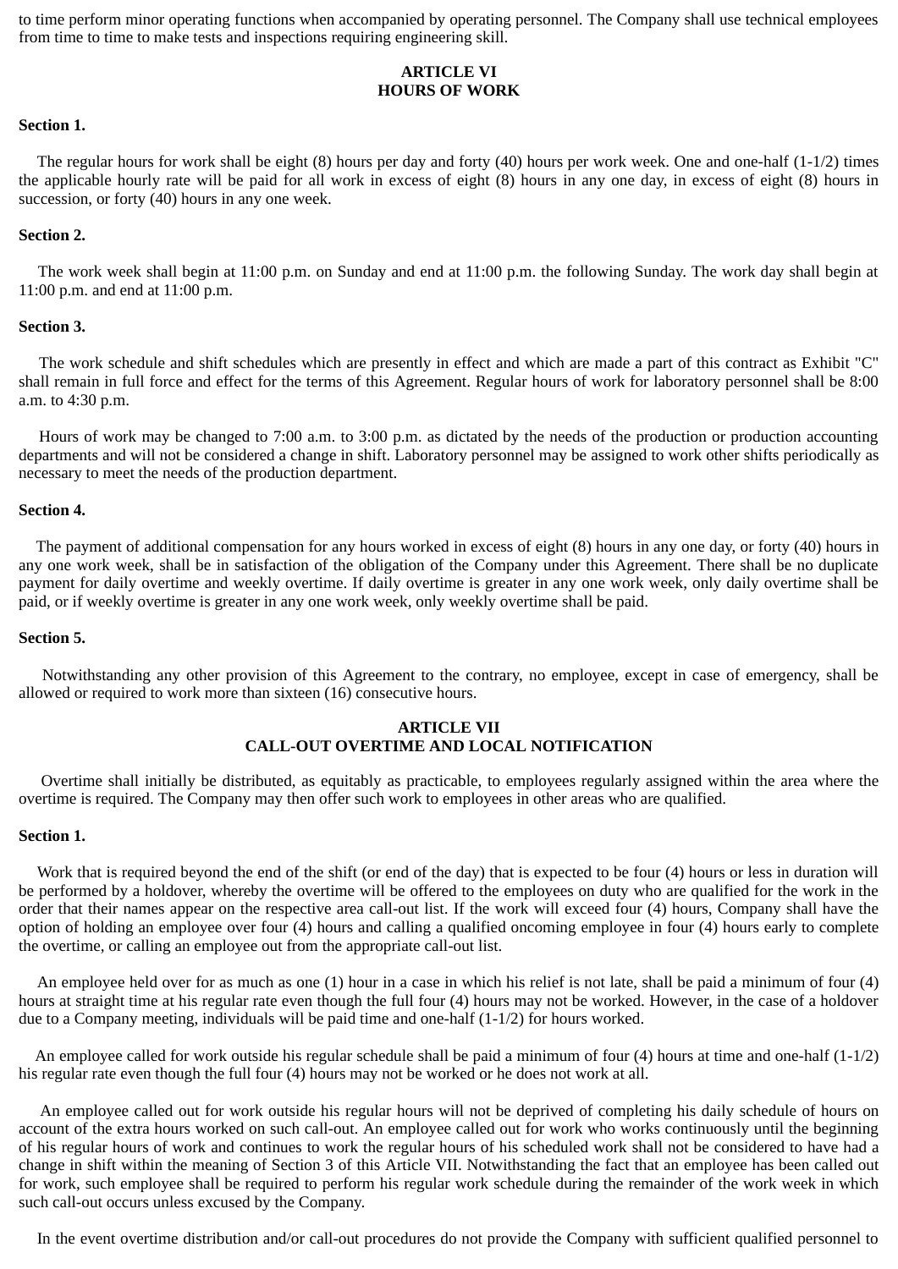to time perform minor operating functions when accompanied by operating personnel. The Company shall use technical employees from time to time to make tests and inspections requiring engineering skill.

# **ARTICLE VI HOURS OF WORK**

#### **Section 1.**

The regular hours for work shall be eight  $(8)$  hours per day and forty  $(40)$  hours per work week. One and one-half  $(1-1/2)$  times the applicable hourly rate will be paid for all work in excess of eight (8) hours in any one day, in excess of eight (8) hours in succession, or forty (40) hours in any one week.

#### **Section 2.**

The work week shall begin at 11:00 p.m. on Sunday and end at 11:00 p.m. the following Sunday. The work day shall begin at 11:00 p.m. and end at 11:00 p.m.

#### **Section 3.**

The work schedule and shift schedules which are presently in effect and which are made a part of this contract as Exhibit "C" shall remain in full force and effect for the terms of this Agreement. Regular hours of work for laboratory personnel shall be 8:00 a.m. to 4:30 p.m.

Hours of work may be changed to 7:00 a.m. to 3:00 p.m. as dictated by the needs of the production or production accounting departments and will not be considered a change in shift. Laboratory personnel may be assigned to work other shifts periodically as necessary to meet the needs of the production department.

#### **Section 4.**

The payment of additional compensation for any hours worked in excess of eight (8) hours in any one day, or forty (40) hours in any one work week, shall be in satisfaction of the obligation of the Company under this Agreement. There shall be no duplicate payment for daily overtime and weekly overtime. If daily overtime is greater in any one work week, only daily overtime shall be paid, or if weekly overtime is greater in any one work week, only weekly overtime shall be paid.

# **Section 5.**

Notwithstanding any other provision of this Agreement to the contrary, no employee, except in case of emergency, shall be allowed or required to work more than sixteen (16) consecutive hours.

## **ARTICLE VII CALL-OUT OVERTIME AND LOCAL NOTIFICATION**

Overtime shall initially be distributed, as equitably as practicable, to employees regularly assigned within the area where the overtime is required. The Company may then offer such work to employees in other areas who are qualified.

#### **Section 1.**

Work that is required beyond the end of the shift (or end of the day) that is expected to be four (4) hours or less in duration will be performed by a holdover, whereby the overtime will be offered to the employees on duty who are qualified for the work in the order that their names appear on the respective area call-out list. If the work will exceed four (4) hours, Company shall have the option of holding an employee over four (4) hours and calling a qualified oncoming employee in four (4) hours early to complete the overtime, or calling an employee out from the appropriate call-out list.

An employee held over for as much as one (1) hour in a case in which his relief is not late, shall be paid a minimum of four (4) hours at straight time at his regular rate even though the full four (4) hours may not be worked. However, in the case of a holdover due to a Company meeting, individuals will be paid time and one-half (1-1/2) for hours worked.

 An employee called for work outside his regular schedule shall be paid a minimum of four (4) hours at time and one-half (1-1/2) his regular rate even though the full four (4) hours may not be worked or he does not work at all.

An employee called out for work outside his regular hours will not be deprived of completing his daily schedule of hours on account of the extra hours worked on such call-out. An employee called out for work who works continuously until the beginning of his regular hours of work and continues to work the regular hours of his scheduled work shall not be considered to have had a change in shift within the meaning of Section 3 of this Article VII. Notwithstanding the fact that an employee has been called out for work, such employee shall be required to perform his regular work schedule during the remainder of the work week in which such call-out occurs unless excused by the Company.

In the event overtime distribution and/or call-out procedures do not provide the Company with sufficient qualified personnel to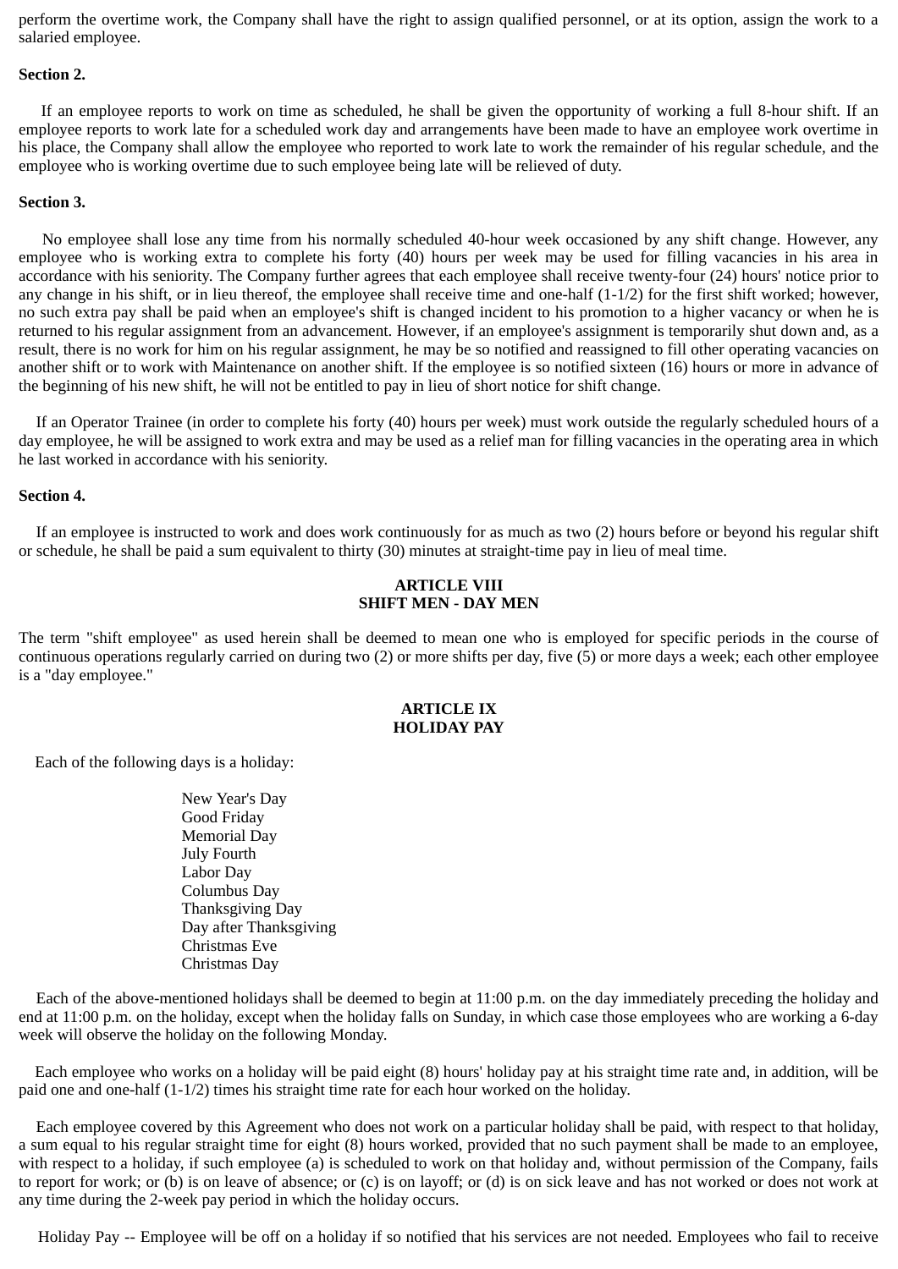perform the overtime work, the Company shall have the right to assign qualified personnel, or at its option, assign the work to a salaried employee.

## **Section 2.**

If an employee reports to work on time as scheduled, he shall be given the opportunity of working a full 8-hour shift. If an employee reports to work late for a scheduled work day and arrangements have been made to have an employee work overtime in his place, the Company shall allow the employee who reported to work late to work the remainder of his regular schedule, and the employee who is working overtime due to such employee being late will be relieved of duty.

## **Section 3.**

No employee shall lose any time from his normally scheduled 40-hour week occasioned by any shift change. However, any employee who is working extra to complete his forty (40) hours per week may be used for filling vacancies in his area in accordance with his seniority. The Company further agrees that each employee shall receive twenty-four (24) hours' notice prior to any change in his shift, or in lieu thereof, the employee shall receive time and one-half (1-1/2) for the first shift worked; however, no such extra pay shall be paid when an employee's shift is changed incident to his promotion to a higher vacancy or when he is returned to his regular assignment from an advancement. However, if an employee's assignment is temporarily shut down and, as a result, there is no work for him on his regular assignment, he may be so notified and reassigned to fill other operating vacancies on another shift or to work with Maintenance on another shift. If the employee is so notified sixteen (16) hours or more in advance of the beginning of his new shift, he will not be entitled to pay in lieu of short notice for shift change.

If an Operator Trainee (in order to complete his forty (40) hours per week) must work outside the regularly scheduled hours of a day employee, he will be assigned to work extra and may be used as a relief man for filling vacancies in the operating area in which he last worked in accordance with his seniority.

## **Section 4.**

If an employee is instructed to work and does work continuously for as much as two (2) hours before or beyond his regular shift or schedule, he shall be paid a sum equivalent to thirty (30) minutes at straight-time pay in lieu of meal time.

# **ARTICLE VIII SHIFT MEN - DAY MEN**

The term "shift employee" as used herein shall be deemed to mean one who is employed for specific periods in the course of continuous operations regularly carried on during two (2) or more shifts per day, five (5) or more days a week; each other employee is a "day employee."

# **ARTICLE IX HOLIDAY PAY**

Each of the following days is a holiday:

 New Year's Day Good Friday Memorial Day July Fourth Labor Day Columbus Day Thanksgiving Day Day after Thanksgiving Christmas Eve Christmas Day

Each of the above-mentioned holidays shall be deemed to begin at 11:00 p.m. on the day immediately preceding the holiday and end at 11:00 p.m. on the holiday, except when the holiday falls on Sunday, in which case those employees who are working a 6-day week will observe the holiday on the following Monday.

 Each employee who works on a holiday will be paid eight (8) hours' holiday pay at his straight time rate and, in addition, will be paid one and one-half (1-1/2) times his straight time rate for each hour worked on the holiday.

Each employee covered by this Agreement who does not work on a particular holiday shall be paid, with respect to that holiday, a sum equal to his regular straight time for eight (8) hours worked, provided that no such payment shall be made to an employee, with respect to a holiday, if such employee (a) is scheduled to work on that holiday and, without permission of the Company, fails to report for work; or (b) is on leave of absence; or (c) is on layoff; or (d) is on sick leave and has not worked or does not work at any time during the 2-week pay period in which the holiday occurs.

Holiday Pay -- Employee will be off on a holiday if so notified that his services are not needed. Employees who fail to receive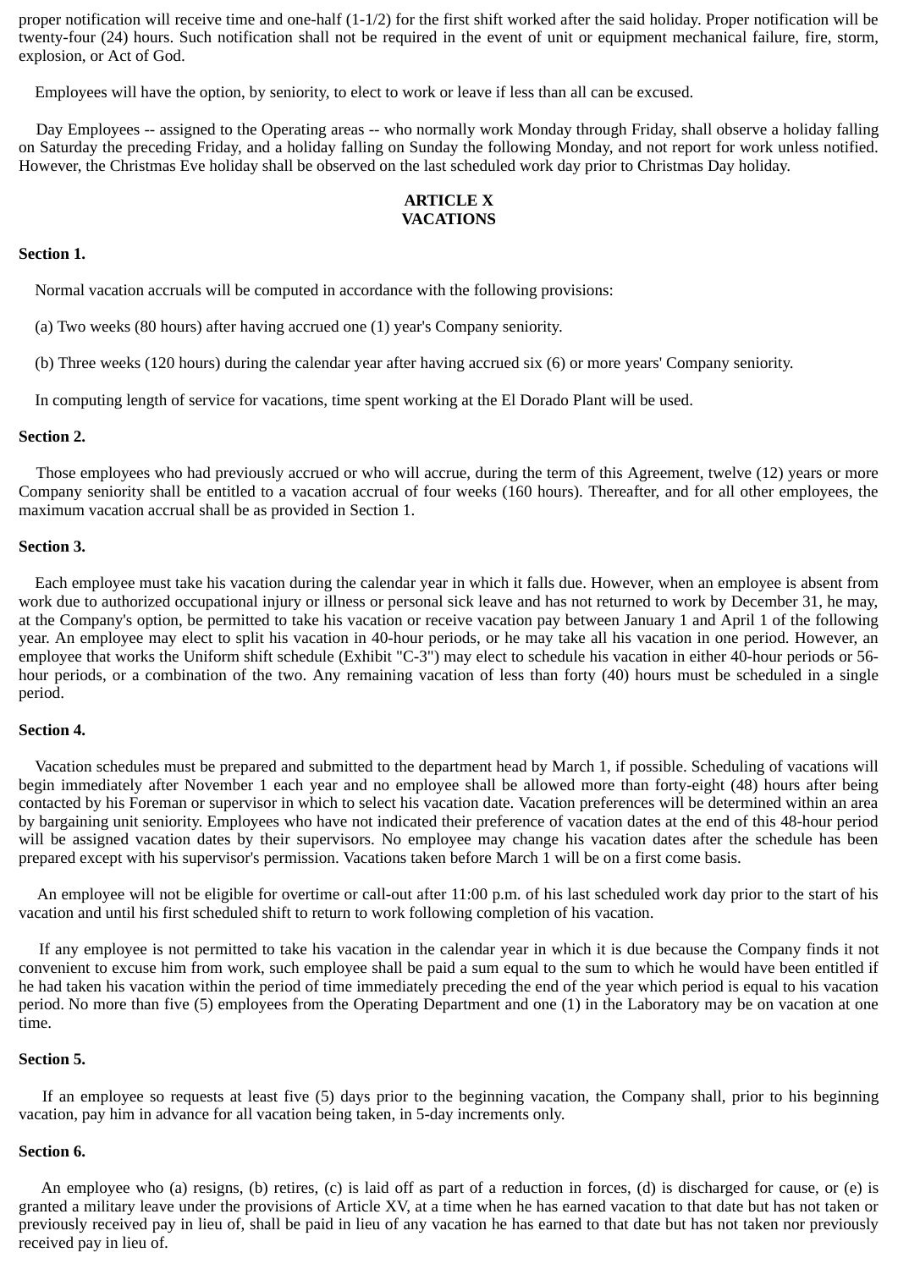proper notification will receive time and one-half (1-1/2) for the first shift worked after the said holiday. Proper notification will be twenty-four (24) hours. Such notification shall not be required in the event of unit or equipment mechanical failure, fire, storm, explosion, or Act of God.

Employees will have the option, by seniority, to elect to work or leave if less than all can be excused.

Day Employees -- assigned to the Operating areas -- who normally work Monday through Friday, shall observe a holiday falling on Saturday the preceding Friday, and a holiday falling on Sunday the following Monday, and not report for work unless notified. However, the Christmas Eve holiday shall be observed on the last scheduled work day prior to Christmas Day holiday.

# **ARTICLE X VACATIONS**

# **Section 1.**

Normal vacation accruals will be computed in accordance with the following provisions:

(a) Two weeks (80 hours) after having accrued one (1) year's Company seniority.

(b) Three weeks (120 hours) during the calendar year after having accrued six (6) or more years' Company seniority.

In computing length of service for vacations, time spent working at the El Dorado Plant will be used.

## **Section 2.**

Those employees who had previously accrued or who will accrue, during the term of this Agreement, twelve (12) years or more Company seniority shall be entitled to a vacation accrual of four weeks (160 hours). Thereafter, and for all other employees, the maximum vacation accrual shall be as provided in Section 1.

## **Section 3.**

Each employee must take his vacation during the calendar year in which it falls due. However, when an employee is absent from work due to authorized occupational injury or illness or personal sick leave and has not returned to work by December 31, he may, at the Company's option, be permitted to take his vacation or receive vacation pay between January 1 and April 1 of the following year. An employee may elect to split his vacation in 40-hour periods, or he may take all his vacation in one period. However, an employee that works the Uniform shift schedule (Exhibit "C-3") may elect to schedule his vacation in either 40-hour periods or 56 hour periods, or a combination of the two. Any remaining vacation of less than forty (40) hours must be scheduled in a single period.

#### **Section 4.**

Vacation schedules must be prepared and submitted to the department head by March 1, if possible. Scheduling of vacations will begin immediately after November 1 each year and no employee shall be allowed more than forty-eight (48) hours after being contacted by his Foreman or supervisor in which to select his vacation date. Vacation preferences will be determined within an area by bargaining unit seniority. Employees who have not indicated their preference of vacation dates at the end of this 48-hour period will be assigned vacation dates by their supervisors. No employee may change his vacation dates after the schedule has been prepared except with his supervisor's permission. Vacations taken before March 1 will be on a first come basis.

An employee will not be eligible for overtime or call-out after 11:00 p.m. of his last scheduled work day prior to the start of his vacation and until his first scheduled shift to return to work following completion of his vacation.

If any employee is not permitted to take his vacation in the calendar year in which it is due because the Company finds it not convenient to excuse him from work, such employee shall be paid a sum equal to the sum to which he would have been entitled if he had taken his vacation within the period of time immediately preceding the end of the year which period is equal to his vacation period. No more than five (5) employees from the Operating Department and one (1) in the Laboratory may be on vacation at one time.

# **Section 5.**

If an employee so requests at least five (5) days prior to the beginning vacation, the Company shall, prior to his beginning vacation, pay him in advance for all vacation being taken, in 5-day increments only.

## **Section 6.**

An employee who (a) resigns, (b) retires, (c) is laid off as part of a reduction in forces, (d) is discharged for cause, or (e) is granted a military leave under the provisions of Article XV, at a time when he has earned vacation to that date but has not taken or previously received pay in lieu of, shall be paid in lieu of any vacation he has earned to that date but has not taken nor previously received pay in lieu of.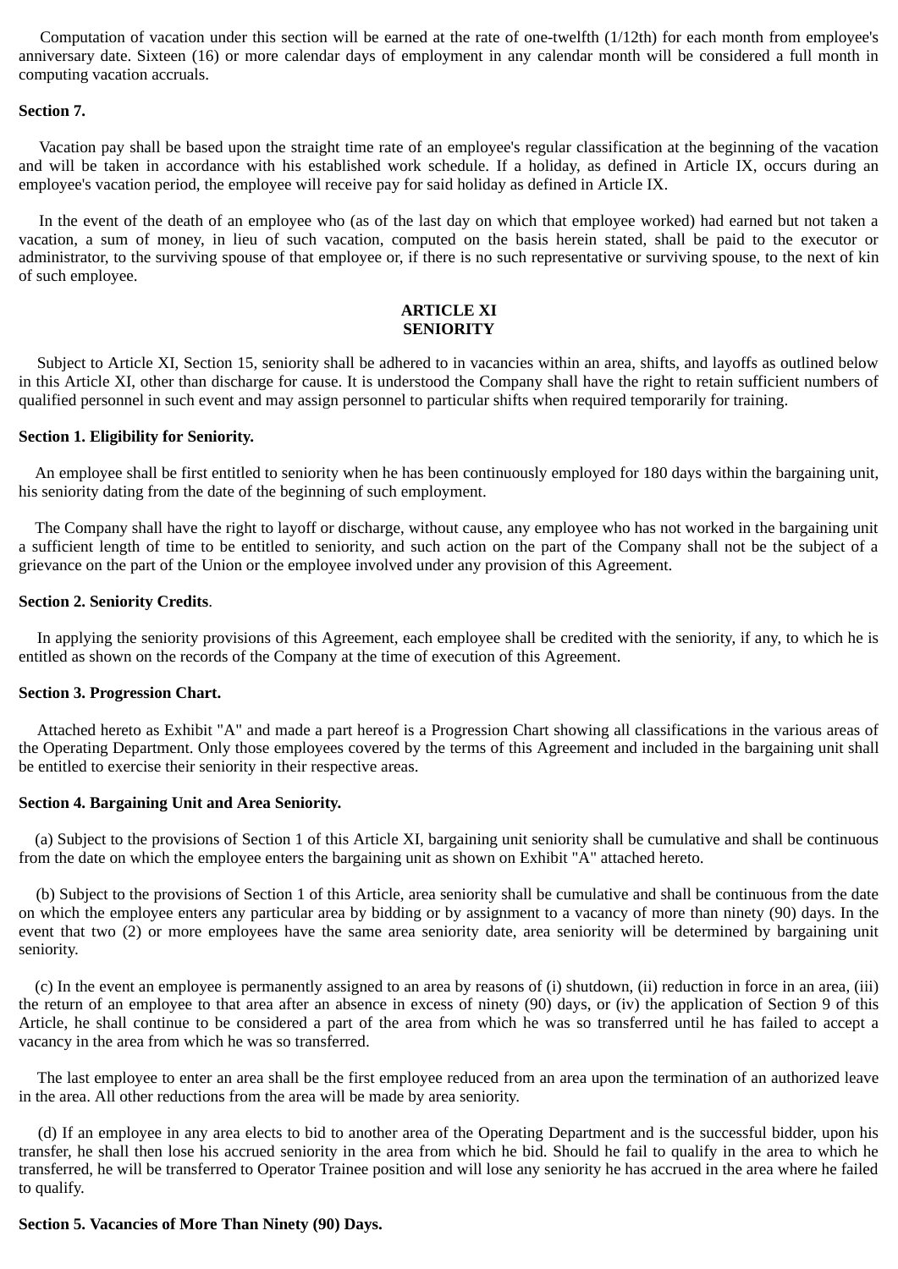Computation of vacation under this section will be earned at the rate of one-twelfth (1/12th) for each month from employee's anniversary date. Sixteen (16) or more calendar days of employment in any calendar month will be considered a full month in computing vacation accruals.

#### **Section 7.**

Vacation pay shall be based upon the straight time rate of an employee's regular classification at the beginning of the vacation and will be taken in accordance with his established work schedule. If a holiday, as defined in Article IX, occurs during an employee's vacation period, the employee will receive pay for said holiday as defined in Article IX.

In the event of the death of an employee who (as of the last day on which that employee worked) had earned but not taken a vacation, a sum of money, in lieu of such vacation, computed on the basis herein stated, shall be paid to the executor or administrator, to the surviving spouse of that employee or, if there is no such representative or surviving spouse, to the next of kin of such employee.

# **ARTICLE XI SENIORITY**

Subject to Article XI, Section 15, seniority shall be adhered to in vacancies within an area, shifts, and layoffs as outlined below in this Article XI, other than discharge for cause. It is understood the Company shall have the right to retain sufficient numbers of qualified personnel in such event and may assign personnel to particular shifts when required temporarily for training.

## **Section 1. Eligibility for Seniority.**

An employee shall be first entitled to seniority when he has been continuously employed for 180 days within the bargaining unit, his seniority dating from the date of the beginning of such employment.

 The Company shall have the right to layoff or discharge, without cause, any employee who has not worked in the bargaining unit a sufficient length of time to be entitled to seniority, and such action on the part of the Company shall not be the subject of a grievance on the part of the Union or the employee involved under any provision of this Agreement.

# **Section 2. Seniority Credits**.

In applying the seniority provisions of this Agreement, each employee shall be credited with the seniority, if any, to which he is entitled as shown on the records of the Company at the time of execution of this Agreement.

#### **Section 3. Progression Chart.**

Attached hereto as Exhibit "A" and made a part hereof is a Progression Chart showing all classifications in the various areas of the Operating Department. Only those employees covered by the terms of this Agreement and included in the bargaining unit shall be entitled to exercise their seniority in their respective areas.

## **Section 4. Bargaining Unit and Area Seniority.**

(a) Subject to the provisions of Section 1 of this Article XI, bargaining unit seniority shall be cumulative and shall be continuous from the date on which the employee enters the bargaining unit as shown on Exhibit "A" attached hereto.

(b) Subject to the provisions of Section 1 of this Article, area seniority shall be cumulative and shall be continuous from the date on which the employee enters any particular area by bidding or by assignment to a vacancy of more than ninety (90) days. In the event that two (2) or more employees have the same area seniority date, area seniority will be determined by bargaining unit seniority.

 (c) In the event an employee is permanently assigned to an area by reasons of (i) shutdown, (ii) reduction in force in an area, (iii) the return of an employee to that area after an absence in excess of ninety (90) days, or (iv) the application of Section 9 of this Article, he shall continue to be considered a part of the area from which he was so transferred until he has failed to accept a vacancy in the area from which he was so transferred.

The last employee to enter an area shall be the first employee reduced from an area upon the termination of an authorized leave in the area. All other reductions from the area will be made by area seniority.

(d) If an employee in any area elects to bid to another area of the Operating Department and is the successful bidder, upon his transfer, he shall then lose his accrued seniority in the area from which he bid. Should he fail to qualify in the area to which he transferred, he will be transferred to Operator Trainee position and will lose any seniority he has accrued in the area where he failed to qualify.

## **Section 5. Vacancies of More Than Ninety (90) Days.**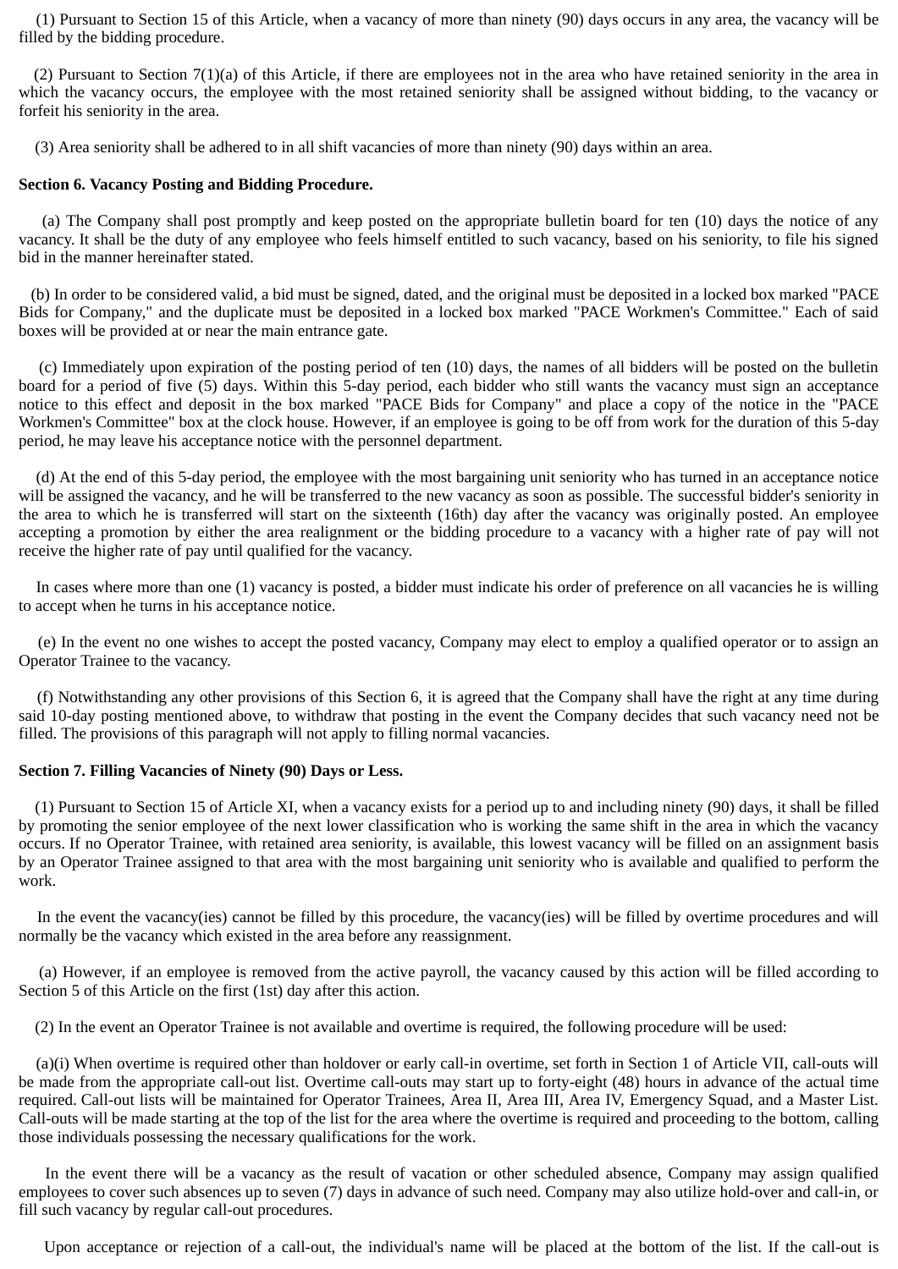(1) Pursuant to Section 15 of this Article, when a vacancy of more than ninety (90) days occurs in any area, the vacancy will be filled by the bidding procedure.

(2) Pursuant to Section 7(1)(a) of this Article, if there are employees not in the area who have retained seniority in the area in which the vacancy occurs, the employee with the most retained seniority shall be assigned without bidding, to the vacancy or forfeit his seniority in the area.

(3) Area seniority shall be adhered to in all shift vacancies of more than ninety (90) days within an area.

## **Section 6. Vacancy Posting and Bidding Procedure.**

(a) The Company shall post promptly and keep posted on the appropriate bulletin board for ten (10) days the notice of any vacancy. It shall be the duty of any employee who feels himself entitled to such vacancy, based on his seniority, to file his signed bid in the manner hereinafter stated.

 (b) In order to be considered valid, a bid must be signed, dated, and the original must be deposited in a locked box marked "PACE Bids for Company," and the duplicate must be deposited in a locked box marked "PACE Workmen's Committee." Each of said boxes will be provided at or near the main entrance gate.

(c) Immediately upon expiration of the posting period of ten (10) days, the names of all bidders will be posted on the bulletin board for a period of five (5) days. Within this 5-day period, each bidder who still wants the vacancy must sign an acceptance notice to this effect and deposit in the box marked "PACE Bids for Company" and place a copy of the notice in the "PACE Workmen's Committee" box at the clock house. However, if an employee is going to be off from work for the duration of this 5-day period, he may leave his acceptance notice with the personnel department.

(d) At the end of this 5-day period, the employee with the most bargaining unit seniority who has turned in an acceptance notice will be assigned the vacancy, and he will be transferred to the new vacancy as soon as possible. The successful bidder's seniority in the area to which he is transferred will start on the sixteenth (16th) day after the vacancy was originally posted. An employee accepting a promotion by either the area realignment or the bidding procedure to a vacancy with a higher rate of pay will not receive the higher rate of pay until qualified for the vacancy.

In cases where more than one (1) vacancy is posted, a bidder must indicate his order of preference on all vacancies he is willing to accept when he turns in his acceptance notice.

(e) In the event no one wishes to accept the posted vacancy, Company may elect to employ a qualified operator or to assign an Operator Trainee to the vacancy.

(f) Notwithstanding any other provisions of this Section 6, it is agreed that the Company shall have the right at any time during said 10-day posting mentioned above, to withdraw that posting in the event the Company decides that such vacancy need not be filled. The provisions of this paragraph will not apply to filling normal vacancies.

## **Section 7. Filling Vacancies of Ninety (90) Days or Less.**

(1) Pursuant to Section 15 of Article XI, when a vacancy exists for a period up to and including ninety (90) days, it shall be filled by promoting the senior employee of the next lower classification who is working the same shift in the area in which the vacancy occurs. If no Operator Trainee, with retained area seniority, is available, this lowest vacancy will be filled on an assignment basis by an Operator Trainee assigned to that area with the most bargaining unit seniority who is available and qualified to perform the work.

In the event the vacancy(ies) cannot be filled by this procedure, the vacancy(ies) will be filled by overtime procedures and will normally be the vacancy which existed in the area before any reassignment.

(a) However, if an employee is removed from the active payroll, the vacancy caused by this action will be filled according to Section 5 of this Article on the first (1st) day after this action.

(2) In the event an Operator Trainee is not available and overtime is required, the following procedure will be used:

(a)(i) When overtime is required other than holdover or early call-in overtime, set forth in Section 1 of Article VII, call-outs will be made from the appropriate call-out list. Overtime call-outs may start up to forty-eight (48) hours in advance of the actual time required. Call-out lists will be maintained for Operator Trainees, Area II, Area III, Area IV, Emergency Squad, and a Master List. Call-outs will be made starting at the top of the list for the area where the overtime is required and proceeding to the bottom, calling those individuals possessing the necessary qualifications for the work.

In the event there will be a vacancy as the result of vacation or other scheduled absence, Company may assign qualified employees to cover such absences up to seven (7) days in advance of such need. Company may also utilize hold-over and call-in, or fill such vacancy by regular call-out procedures.

Upon acceptance or rejection of a call-out, the individual's name will be placed at the bottom of the list. If the call-out is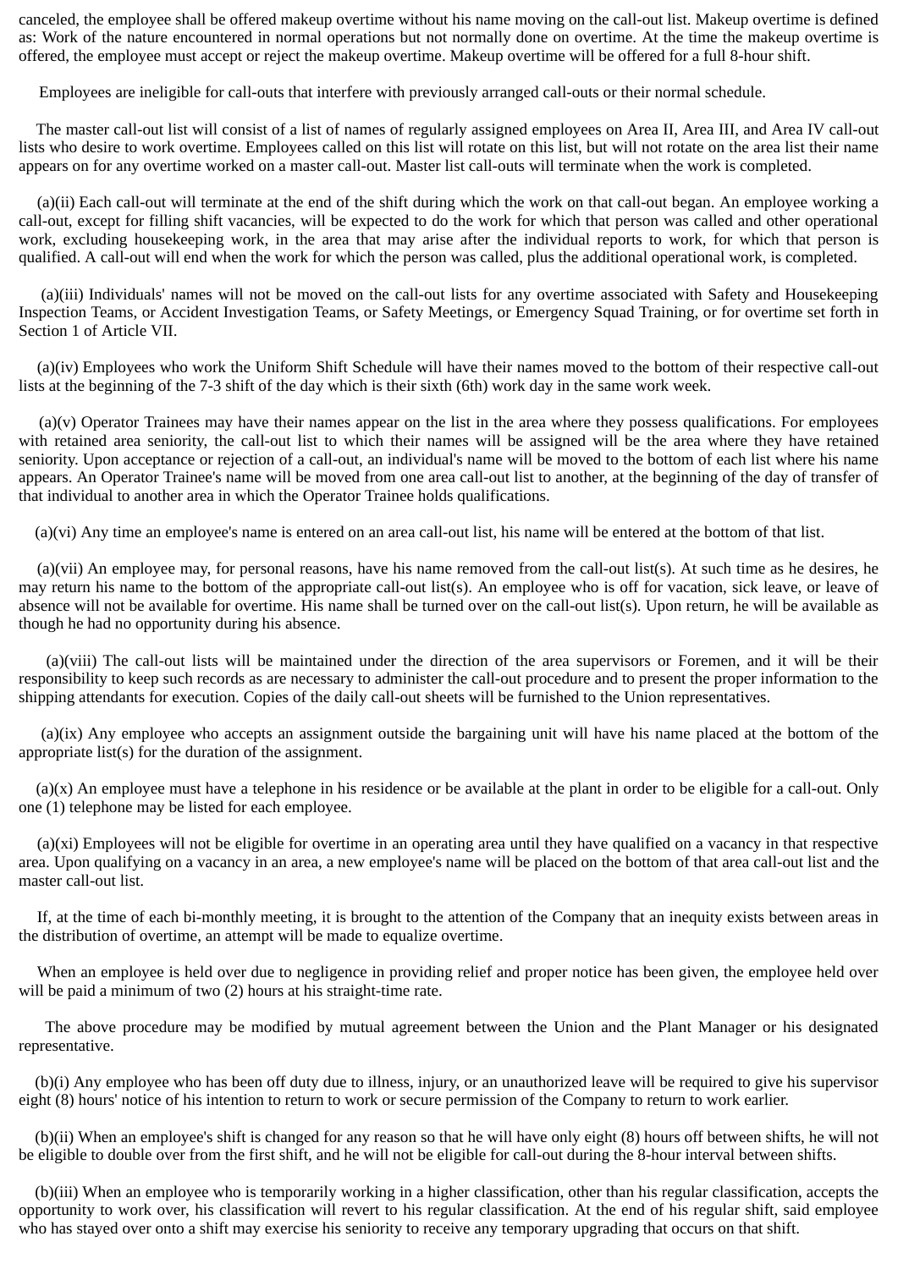canceled, the employee shall be offered makeup overtime without his name moving on the call-out list. Makeup overtime is defined as: Work of the nature encountered in normal operations but not normally done on overtime. At the time the makeup overtime is offered, the employee must accept or reject the makeup overtime. Makeup overtime will be offered for a full 8-hour shift.

Employees are ineligible for call-outs that interfere with previously arranged call-outs or their normal schedule.

The master call-out list will consist of a list of names of regularly assigned employees on Area II, Area III, and Area IV call-out lists who desire to work overtime. Employees called on this list will rotate on this list, but will not rotate on the area list their name appears on for any overtime worked on a master call-out. Master list call-outs will terminate when the work is completed.

(a)(ii) Each call-out will terminate at the end of the shift during which the work on that call-out began. An employee working a call-out, except for filling shift vacancies, will be expected to do the work for which that person was called and other operational work, excluding housekeeping work, in the area that may arise after the individual reports to work, for which that person is qualified. A call-out will end when the work for which the person was called, plus the additional operational work, is completed.

(a)(iii) Individuals' names will not be moved on the call-out lists for any overtime associated with Safety and Housekeeping Inspection Teams, or Accident Investigation Teams, or Safety Meetings, or Emergency Squad Training, or for overtime set forth in Section 1 of Article VII.

(a)(iv) Employees who work the Uniform Shift Schedule will have their names moved to the bottom of their respective call-out lists at the beginning of the 7-3 shift of the day which is their sixth (6th) work day in the same work week.

(a)(v) Operator Trainees may have their names appear on the list in the area where they possess qualifications. For employees with retained area seniority, the call-out list to which their names will be assigned will be the area where they have retained seniority. Upon acceptance or rejection of a call-out, an individual's name will be moved to the bottom of each list where his name appears. An Operator Trainee's name will be moved from one area call-out list to another, at the beginning of the day of transfer of that individual to another area in which the Operator Trainee holds qualifications.

(a)(vi) Any time an employee's name is entered on an area call-out list, his name will be entered at the bottom of that list.

(a)(vii) An employee may, for personal reasons, have his name removed from the call-out list(s). At such time as he desires, he may return his name to the bottom of the appropriate call-out list(s). An employee who is off for vacation, sick leave, or leave of absence will not be available for overtime. His name shall be turned over on the call-out list(s). Upon return, he will be available as though he had no opportunity during his absence.

(a)(viii) The call-out lists will be maintained under the direction of the area supervisors or Foremen, and it will be their responsibility to keep such records as are necessary to administer the call-out procedure and to present the proper information to the shipping attendants for execution. Copies of the daily call-out sheets will be furnished to the Union representatives.

(a)(ix) Any employee who accepts an assignment outside the bargaining unit will have his name placed at the bottom of the appropriate list(s) for the duration of the assignment.

(a)(x) An employee must have a telephone in his residence or be available at the plant in order to be eligible for a call-out. Only one (1) telephone may be listed for each employee.

(a)(xi) Employees will not be eligible for overtime in an operating area until they have qualified on a vacancy in that respective area. Upon qualifying on a vacancy in an area, a new employee's name will be placed on the bottom of that area call-out list and the master call-out list.

If, at the time of each bi-monthly meeting, it is brought to the attention of the Company that an inequity exists between areas in the distribution of overtime, an attempt will be made to equalize overtime.

When an employee is held over due to negligence in providing relief and proper notice has been given, the employee held over will be paid a minimum of two (2) hours at his straight-time rate.

The above procedure may be modified by mutual agreement between the Union and the Plant Manager or his designated representative.

 (b)(i) Any employee who has been off duty due to illness, injury, or an unauthorized leave will be required to give his supervisor eight (8) hours' notice of his intention to return to work or secure permission of the Company to return to work earlier.

 (b)(ii) When an employee's shift is changed for any reason so that he will have only eight (8) hours off between shifts, he will not be eligible to double over from the first shift, and he will not be eligible for call-out during the 8-hour interval between shifts.

 (b)(iii) When an employee who is temporarily working in a higher classification, other than his regular classification, accepts the opportunity to work over, his classification will revert to his regular classification. At the end of his regular shift, said employee who has stayed over onto a shift may exercise his seniority to receive any temporary upgrading that occurs on that shift.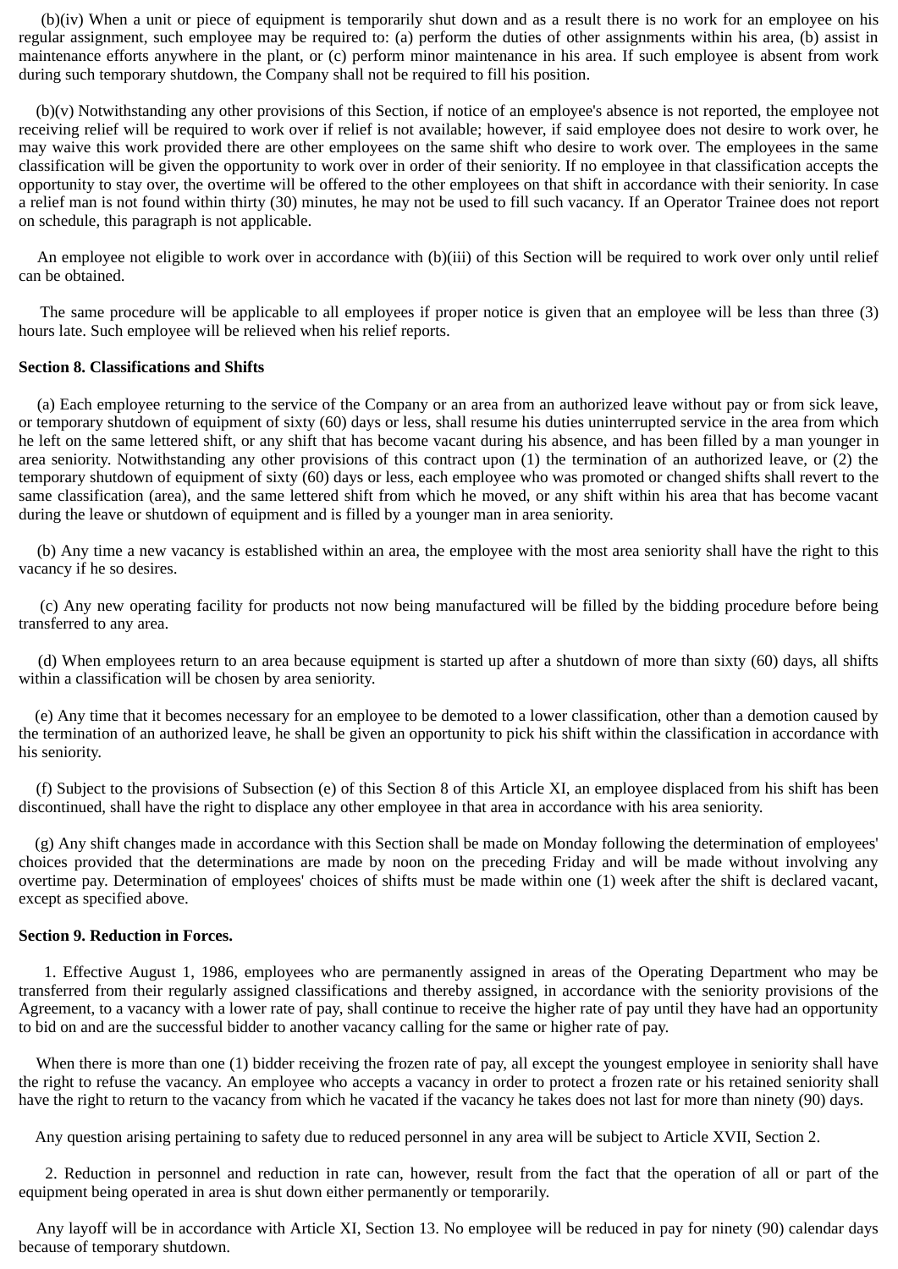(b)(iv) When a unit or piece of equipment is temporarily shut down and as a result there is no work for an employee on his regular assignment, such employee may be required to: (a) perform the duties of other assignments within his area, (b) assist in maintenance efforts anywhere in the plant, or (c) perform minor maintenance in his area. If such employee is absent from work during such temporary shutdown, the Company shall not be required to fill his position.

(b)(v) Notwithstanding any other provisions of this Section, if notice of an employee's absence is not reported, the employee not receiving relief will be required to work over if relief is not available; however, if said employee does not desire to work over, he may waive this work provided there are other employees on the same shift who desire to work over. The employees in the same classification will be given the opportunity to work over in order of their seniority. If no employee in that classification accepts the opportunity to stay over, the overtime will be offered to the other employees on that shift in accordance with their seniority. In case a relief man is not found within thirty (30) minutes, he may not be used to fill such vacancy. If an Operator Trainee does not report on schedule, this paragraph is not applicable.

An employee not eligible to work over in accordance with (b)(iii) of this Section will be required to work over only until relief can be obtained.

The same procedure will be applicable to all employees if proper notice is given that an employee will be less than three (3) hours late. Such employee will be relieved when his relief reports.

# **Section 8. Classifications and Shifts**

(a) Each employee returning to the service of the Company or an area from an authorized leave without pay or from sick leave, or temporary shutdown of equipment of sixty (60) days or less, shall resume his duties uninterrupted service in the area from which he left on the same lettered shift, or any shift that has become vacant during his absence, and has been filled by a man younger in area seniority. Notwithstanding any other provisions of this contract upon (1) the termination of an authorized leave, or (2) the temporary shutdown of equipment of sixty (60) days or less, each employee who was promoted or changed shifts shall revert to the same classification (area), and the same lettered shift from which he moved, or any shift within his area that has become vacant during the leave or shutdown of equipment and is filled by a younger man in area seniority.

(b) Any time a new vacancy is established within an area, the employee with the most area seniority shall have the right to this vacancy if he so desires.

(c) Any new operating facility for products not now being manufactured will be filled by the bidding procedure before being transferred to any area.

(d) When employees return to an area because equipment is started up after a shutdown of more than sixty (60) days, all shifts within a classification will be chosen by area seniority.

 (e) Any time that it becomes necessary for an employee to be demoted to a lower classification, other than a demotion caused by the termination of an authorized leave, he shall be given an opportunity to pick his shift within the classification in accordance with his seniority.

(f) Subject to the provisions of Subsection (e) of this Section 8 of this Article XI, an employee displaced from his shift has been discontinued, shall have the right to displace any other employee in that area in accordance with his area seniority.

 (g) Any shift changes made in accordance with this Section shall be made on Monday following the determination of employees' choices provided that the determinations are made by noon on the preceding Friday and will be made without involving any overtime pay. Determination of employees' choices of shifts must be made within one (1) week after the shift is declared vacant, except as specified above.

## **Section 9. Reduction in Forces.**

1. Effective August 1, 1986, employees who are permanently assigned in areas of the Operating Department who may be transferred from their regularly assigned classifications and thereby assigned, in accordance with the seniority provisions of the Agreement, to a vacancy with a lower rate of pay, shall continue to receive the higher rate of pay until they have had an opportunity to bid on and are the successful bidder to another vacancy calling for the same or higher rate of pay.

When there is more than one (1) bidder receiving the frozen rate of pay, all except the youngest employee in seniority shall have the right to refuse the vacancy. An employee who accepts a vacancy in order to protect a frozen rate or his retained seniority shall have the right to return to the vacancy from which he vacated if the vacancy he takes does not last for more than ninety (90) days.

Any question arising pertaining to safety due to reduced personnel in any area will be subject to Article XVII, Section 2.

2. Reduction in personnel and reduction in rate can, however, result from the fact that the operation of all or part of the equipment being operated in area is shut down either permanently or temporarily.

Any layoff will be in accordance with Article XI, Section 13. No employee will be reduced in pay for ninety (90) calendar days because of temporary shutdown.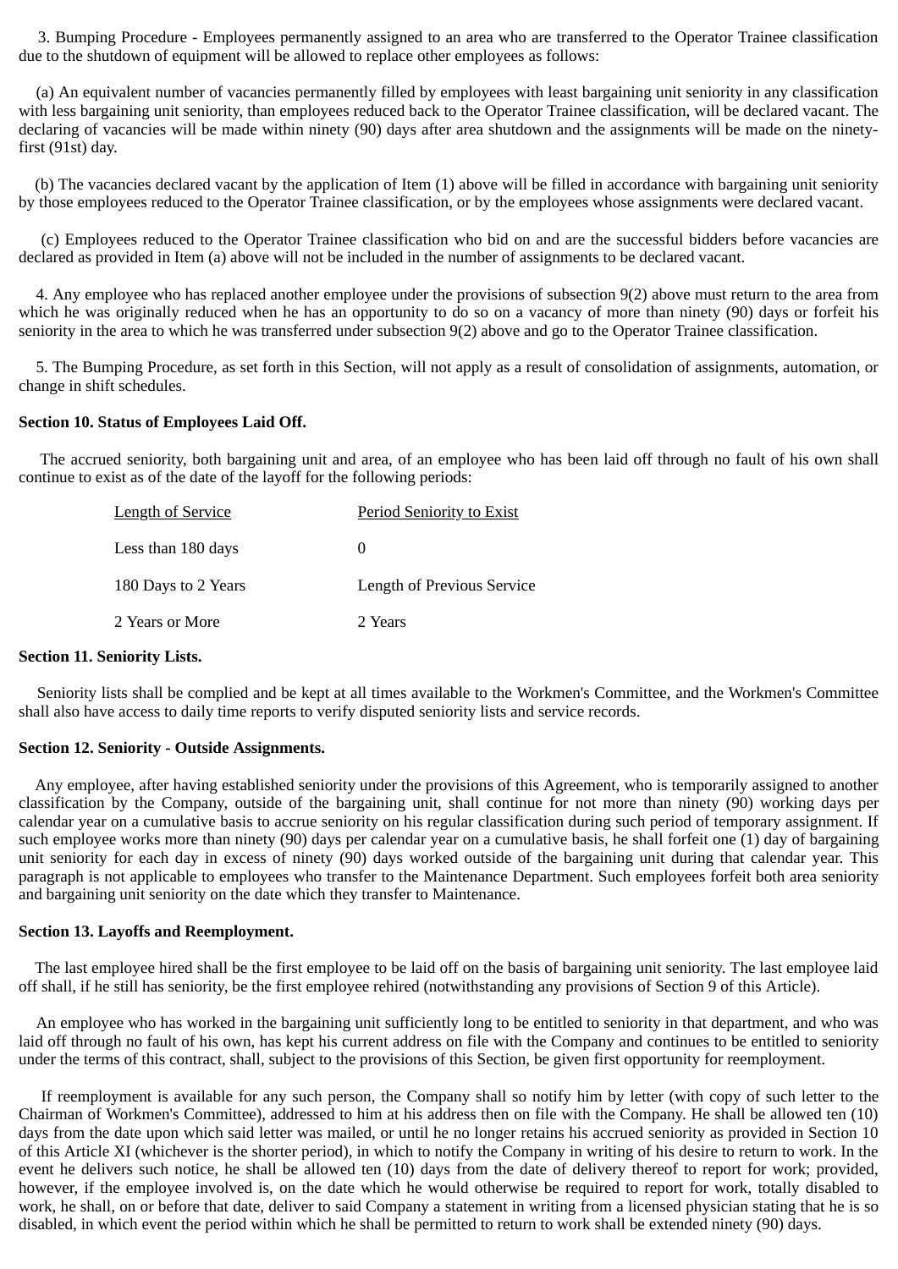3. Bumping Procedure - Employees permanently assigned to an area who are transferred to the Operator Trainee classification due to the shutdown of equipment will be allowed to replace other employees as follows:

(a) An equivalent number of vacancies permanently filled by employees with least bargaining unit seniority in any classification with less bargaining unit seniority, than employees reduced back to the Operator Trainee classification, will be declared vacant. The declaring of vacancies will be made within ninety (90) days after area shutdown and the assignments will be made on the ninetyfirst (91st) day.

 (b) The vacancies declared vacant by the application of Item (1) above will be filled in accordance with bargaining unit seniority by those employees reduced to the Operator Trainee classification, or by the employees whose assignments were declared vacant.

(c) Employees reduced to the Operator Trainee classification who bid on and are the successful bidders before vacancies are declared as provided in Item (a) above will not be included in the number of assignments to be declared vacant.

4. Any employee who has replaced another employee under the provisions of subsection 9(2) above must return to the area from which he was originally reduced when he has an opportunity to do so on a vacancy of more than ninety (90) days or forfeit his seniority in the area to which he was transferred under subsection 9(2) above and go to the Operator Trainee classification.

5. The Bumping Procedure, as set forth in this Section, will not apply as a result of consolidation of assignments, automation, or change in shift schedules.

## **Section 10. Status of Employees Laid Off.**

The accrued seniority, both bargaining unit and area, of an employee who has been laid off through no fault of his own shall continue to exist as of the date of the layoff for the following periods:

| <b>Length of Service</b> | <b>Period Seniority to Exist</b> |
|--------------------------|----------------------------------|
| Less than 180 days       |                                  |
| 180 Days to 2 Years      | Length of Previous Service       |
| 2 Years or More          | 2 Years                          |

#### **Section 11. Seniority Lists.**

Seniority lists shall be complied and be kept at all times available to the Workmen's Committee, and the Workmen's Committee shall also have access to daily time reports to verify disputed seniority lists and service records.

#### **Section 12. Seniority - Outside Assignments.**

Any employee, after having established seniority under the provisions of this Agreement, who is temporarily assigned to another classification by the Company, outside of the bargaining unit, shall continue for not more than ninety (90) working days per calendar year on a cumulative basis to accrue seniority on his regular classification during such period of temporary assignment. If such employee works more than ninety (90) days per calendar year on a cumulative basis, he shall forfeit one (1) day of bargaining unit seniority for each day in excess of ninety (90) days worked outside of the bargaining unit during that calendar year. This paragraph is not applicable to employees who transfer to the Maintenance Department. Such employees forfeit both area seniority and bargaining unit seniority on the date which they transfer to Maintenance.

#### **Section 13. Layoffs and Reemployment.**

The last employee hired shall be the first employee to be laid off on the basis of bargaining unit seniority. The last employee laid off shall, if he still has seniority, be the first employee rehired (notwithstanding any provisions of Section 9 of this Article).

An employee who has worked in the bargaining unit sufficiently long to be entitled to seniority in that department, and who was laid off through no fault of his own, has kept his current address on file with the Company and continues to be entitled to seniority under the terms of this contract, shall, subject to the provisions of this Section, be given first opportunity for reemployment.

If reemployment is available for any such person, the Company shall so notify him by letter (with copy of such letter to the Chairman of Workmen's Committee), addressed to him at his address then on file with the Company. He shall be allowed ten (10) days from the date upon which said letter was mailed, or until he no longer retains his accrued seniority as provided in Section 10 of this Article XI (whichever is the shorter period), in which to notify the Company in writing of his desire to return to work. In the event he delivers such notice, he shall be allowed ten (10) days from the date of delivery thereof to report for work; provided, however, if the employee involved is, on the date which he would otherwise be required to report for work, totally disabled to work, he shall, on or before that date, deliver to said Company a statement in writing from a licensed physician stating that he is so disabled, in which event the period within which he shall be permitted to return to work shall be extended ninety (90) days.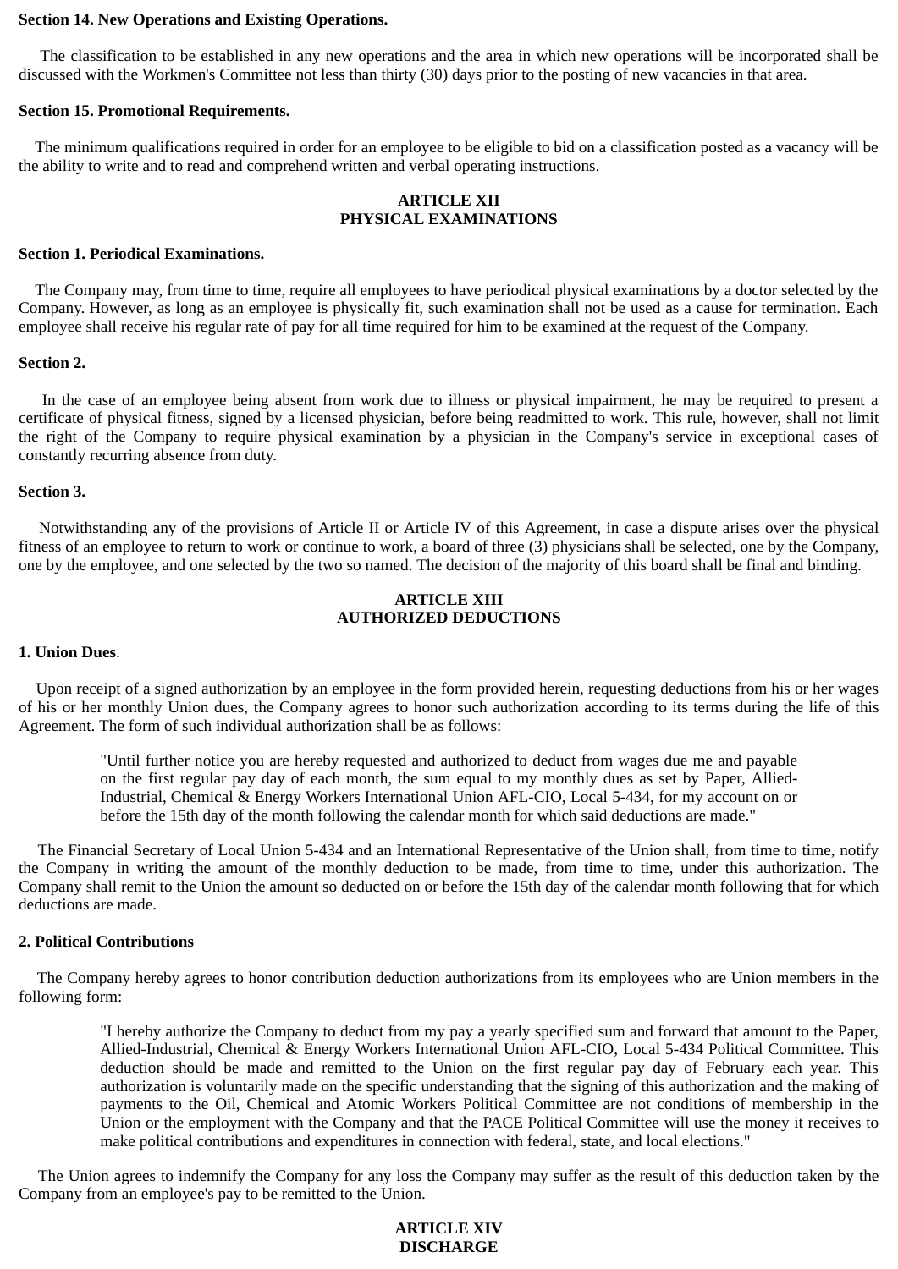## **Section 14. New Operations and Existing Operations.**

The classification to be established in any new operations and the area in which new operations will be incorporated shall be discussed with the Workmen's Committee not less than thirty (30) days prior to the posting of new vacancies in that area.

## **Section 15. Promotional Requirements.**

The minimum qualifications required in order for an employee to be eligible to bid on a classification posted as a vacancy will be the ability to write and to read and comprehend written and verbal operating instructions.

# **ARTICLE XII PHYSICAL EXAMINATIONS**

## **Section 1. Periodical Examinations.**

The Company may, from time to time, require all employees to have periodical physical examinations by a doctor selected by the Company. However, as long as an employee is physically fit, such examination shall not be used as a cause for termination. Each employee shall receive his regular rate of pay for all time required for him to be examined at the request of the Company.

## **Section 2.**

In the case of an employee being absent from work due to illness or physical impairment, he may be required to present a certificate of physical fitness, signed by a licensed physician, before being readmitted to work. This rule, however, shall not limit the right of the Company to require physical examination by a physician in the Company's service in exceptional cases of constantly recurring absence from duty.

# **Section 3.**

Notwithstanding any of the provisions of Article II or Article IV of this Agreement, in case a dispute arises over the physical fitness of an employee to return to work or continue to work, a board of three (3) physicians shall be selected, one by the Company, one by the employee, and one selected by the two so named. The decision of the majority of this board shall be final and binding.

# **ARTICLE XIII AUTHORIZED DEDUCTIONS**

# **1. Union Dues**.

Upon receipt of a signed authorization by an employee in the form provided herein, requesting deductions from his or her wages of his or her monthly Union dues, the Company agrees to honor such authorization according to its terms during the life of this Agreement. The form of such individual authorization shall be as follows:

"Until further notice you are hereby requested and authorized to deduct from wages due me and payable on the first regular pay day of each month, the sum equal to my monthly dues as set by Paper, Allied-Industrial, Chemical & Energy Workers International Union AFL-CIO, Local 5-434, for my account on or before the 15th day of the month following the calendar month for which said deductions are made."

The Financial Secretary of Local Union 5-434 and an International Representative of the Union shall, from time to time, notify the Company in writing the amount of the monthly deduction to be made, from time to time, under this authorization. The Company shall remit to the Union the amount so deducted on or before the 15th day of the calendar month following that for which deductions are made.

## **2. Political Contributions**

The Company hereby agrees to honor contribution deduction authorizations from its employees who are Union members in the following form:

"I hereby authorize the Company to deduct from my pay a yearly specified sum and forward that amount to the Paper, Allied-Industrial, Chemical & Energy Workers International Union AFL-CIO, Local 5-434 Political Committee. This deduction should be made and remitted to the Union on the first regular pay day of February each year. This authorization is voluntarily made on the specific understanding that the signing of this authorization and the making of payments to the Oil, Chemical and Atomic Workers Political Committee are not conditions of membership in the Union or the employment with the Company and that the PACE Political Committee will use the money it receives to make political contributions and expenditures in connection with federal, state, and local elections."

The Union agrees to indemnify the Company for any loss the Company may suffer as the result of this deduction taken by the Company from an employee's pay to be remitted to the Union.

# **ARTICLE XIV DISCHARGE**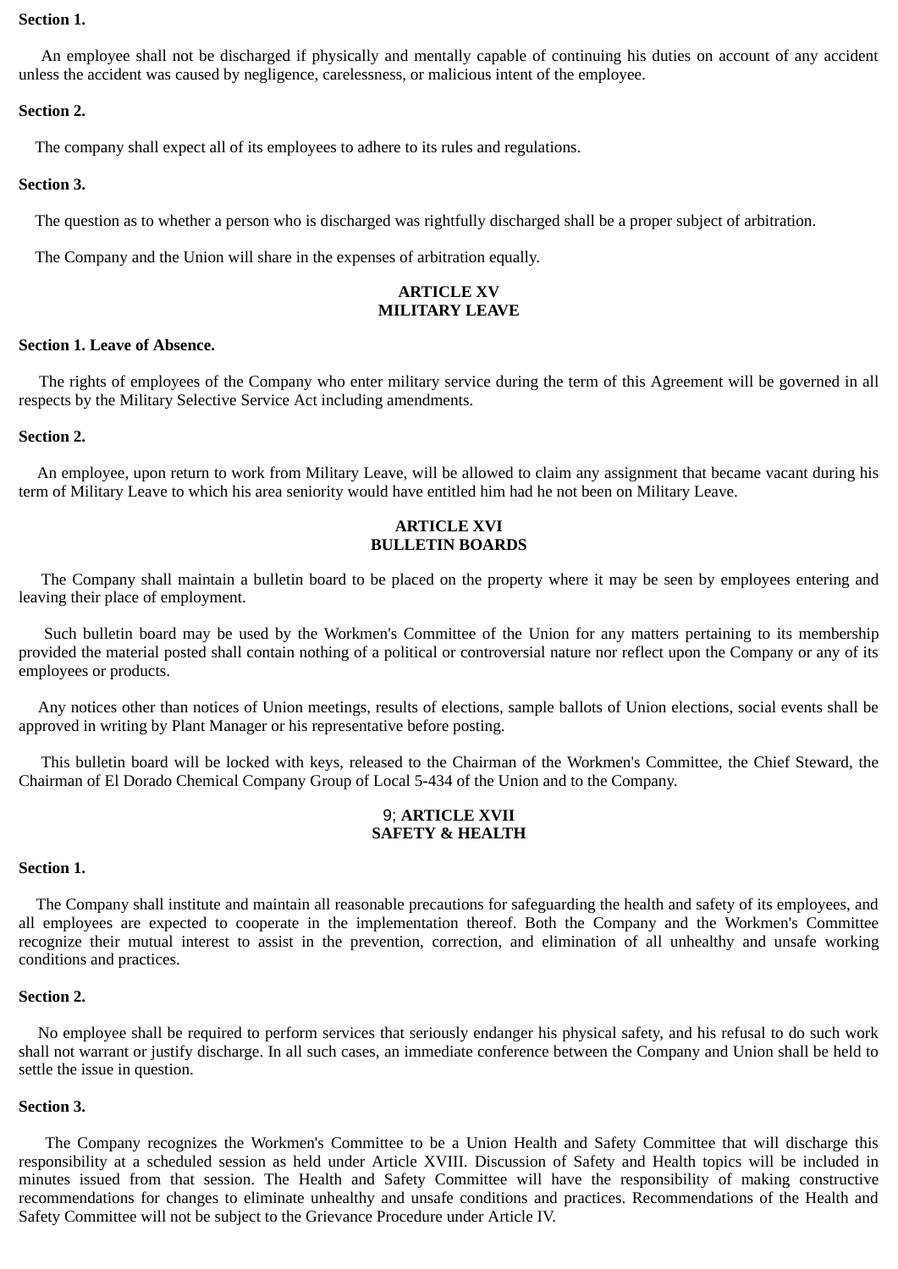## **Section 1.**

An employee shall not be discharged if physically and mentally capable of continuing his duties on account of any accident unless the accident was caused by negligence, carelessness, or malicious intent of the employee.

# **Section 2.**

The company shall expect all of its employees to adhere to its rules and regulations.

# **Section 3.**

The question as to whether a person who is discharged was rightfully discharged shall be a proper subject of arbitration.

The Company and the Union will share in the expenses of arbitration equally.

# **ARTICLE XV MILITARY LEAVE**

# **Section 1. Leave of Absence.**

The rights of employees of the Company who enter military service during the term of this Agreement will be governed in all respects by the Military Selective Service Act including amendments.

# **Section 2.**

An employee, upon return to work from Military Leave, will be allowed to claim any assignment that became vacant during his term of Military Leave to which his area seniority would have entitled him had he not been on Military Leave.

# **ARTICLE XVI BULLETIN BOARDS**

The Company shall maintain a bulletin board to be placed on the property where it may be seen by employees entering and leaving their place of employment.

Such bulletin board may be used by the Workmen's Committee of the Union for any matters pertaining to its membership provided the material posted shall contain nothing of a political or controversial nature nor reflect upon the Company or any of its employees or products.

Any notices other than notices of Union meetings, results of elections, sample ballots of Union elections, social events shall be approved in writing by Plant Manager or his representative before posting.

This bulletin board will be locked with keys, released to the Chairman of the Workmen's Committee, the Chief Steward, the Chairman of El Dorado Chemical Company Group of Local 5-434 of the Union and to the Company.

# 9; **ARTICLE XVII SAFETY & HEALTH**

# **Section 1.**

The Company shall institute and maintain all reasonable precautions for safeguarding the health and safety of its employees, and all employees are expected to cooperate in the implementation thereof. Both the Company and the Workmen's Committee recognize their mutual interest to assist in the prevention, correction, and elimination of all unhealthy and unsafe working conditions and practices.

# **Section 2.**

No employee shall be required to perform services that seriously endanger his physical safety, and his refusal to do such work shall not warrant or justify discharge. In all such cases, an immediate conference between the Company and Union shall be held to settle the issue in question.

# **Section 3.**

The Company recognizes the Workmen's Committee to be a Union Health and Safety Committee that will discharge this responsibility at a scheduled session as held under Article XVIII. Discussion of Safety and Health topics will be included in minutes issued from that session. The Health and Safety Committee will have the responsibility of making constructive recommendations for changes to eliminate unhealthy and unsafe conditions and practices. Recommendations of the Health and Safety Committee will not be subject to the Grievance Procedure under Article IV.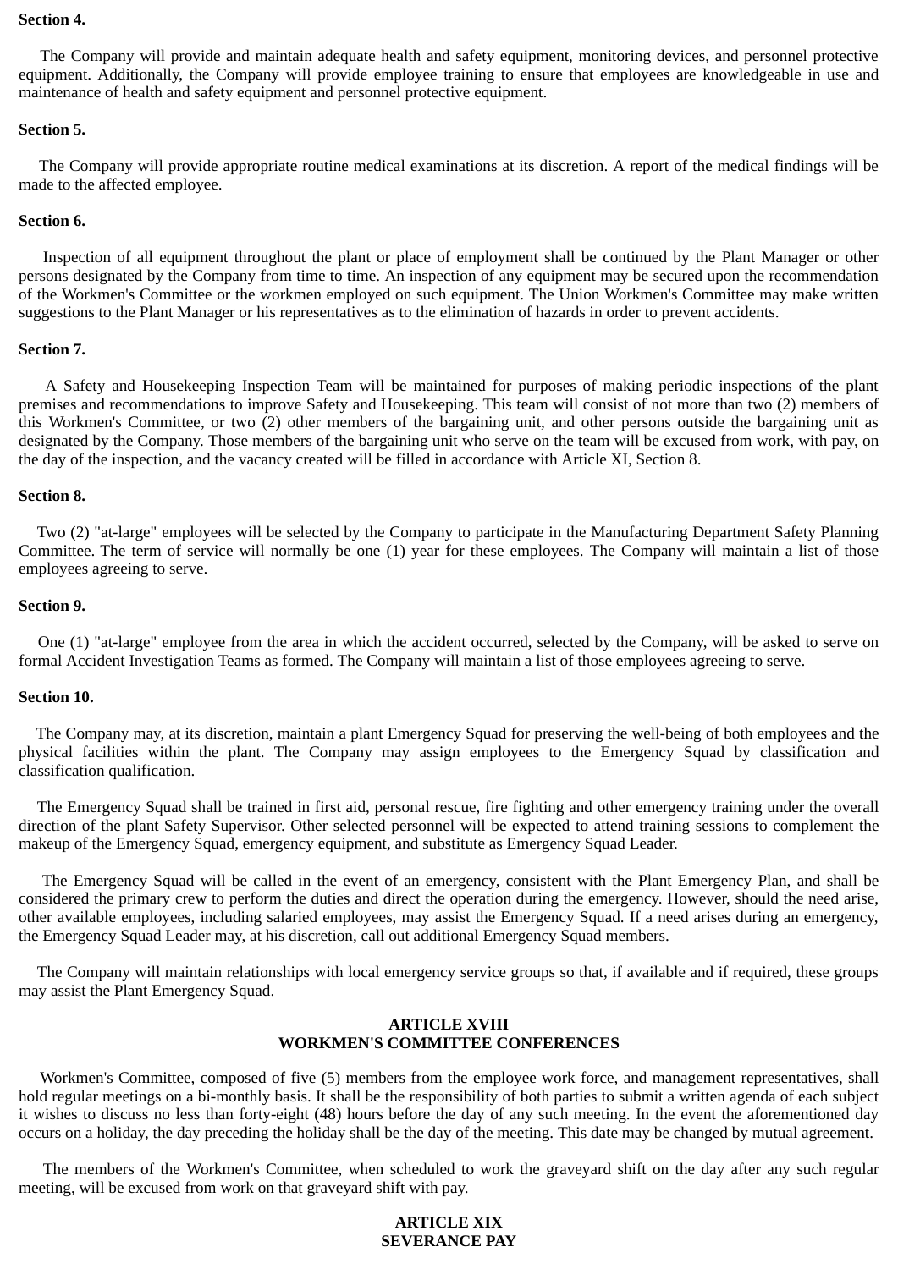## **Section 4.**

The Company will provide and maintain adequate health and safety equipment, monitoring devices, and personnel protective equipment. Additionally, the Company will provide employee training to ensure that employees are knowledgeable in use and maintenance of health and safety equipment and personnel protective equipment.

# **Section 5.**

The Company will provide appropriate routine medical examinations at its discretion. A report of the medical findings will be made to the affected employee.

# **Section 6.**

Inspection of all equipment throughout the plant or place of employment shall be continued by the Plant Manager or other persons designated by the Company from time to time. An inspection of any equipment may be secured upon the recommendation of the Workmen's Committee or the workmen employed on such equipment. The Union Workmen's Committee may make written suggestions to the Plant Manager or his representatives as to the elimination of hazards in order to prevent accidents.

## **Section 7.**

A Safety and Housekeeping Inspection Team will be maintained for purposes of making periodic inspections of the plant premises and recommendations to improve Safety and Housekeeping. This team will consist of not more than two (2) members of this Workmen's Committee, or two (2) other members of the bargaining unit, and other persons outside the bargaining unit as designated by the Company. Those members of the bargaining unit who serve on the team will be excused from work, with pay, on the day of the inspection, and the vacancy created will be filled in accordance with Article XI, Section 8.

# **Section 8.**

Two (2) "at-large" employees will be selected by the Company to participate in the Manufacturing Department Safety Planning Committee. The term of service will normally be one (1) year for these employees. The Company will maintain a list of those employees agreeing to serve.

# **Section 9.**

One (1) "at-large" employee from the area in which the accident occurred, selected by the Company, will be asked to serve on formal Accident Investigation Teams as formed. The Company will maintain a list of those employees agreeing to serve.

## **Section 10.**

The Company may, at its discretion, maintain a plant Emergency Squad for preserving the well-being of both employees and the physical facilities within the plant. The Company may assign employees to the Emergency Squad by classification and classification qualification.

The Emergency Squad shall be trained in first aid, personal rescue, fire fighting and other emergency training under the overall direction of the plant Safety Supervisor. Other selected personnel will be expected to attend training sessions to complement the makeup of the Emergency Squad, emergency equipment, and substitute as Emergency Squad Leader.

The Emergency Squad will be called in the event of an emergency, consistent with the Plant Emergency Plan, and shall be considered the primary crew to perform the duties and direct the operation during the emergency. However, should the need arise, other available employees, including salaried employees, may assist the Emergency Squad. If a need arises during an emergency, the Emergency Squad Leader may, at his discretion, call out additional Emergency Squad members.

The Company will maintain relationships with local emergency service groups so that, if available and if required, these groups may assist the Plant Emergency Squad.

# **ARTICLE XVIII WORKMEN'S COMMITTEE CONFERENCES**

Workmen's Committee, composed of five (5) members from the employee work force, and management representatives, shall hold regular meetings on a bi-monthly basis. It shall be the responsibility of both parties to submit a written agenda of each subject it wishes to discuss no less than forty-eight (48) hours before the day of any such meeting. In the event the aforementioned day occurs on a holiday, the day preceding the holiday shall be the day of the meeting. This date may be changed by mutual agreement.

The members of the Workmen's Committee, when scheduled to work the graveyard shift on the day after any such regular meeting, will be excused from work on that graveyard shift with pay.

# **ARTICLE XIX SEVERANCE PAY**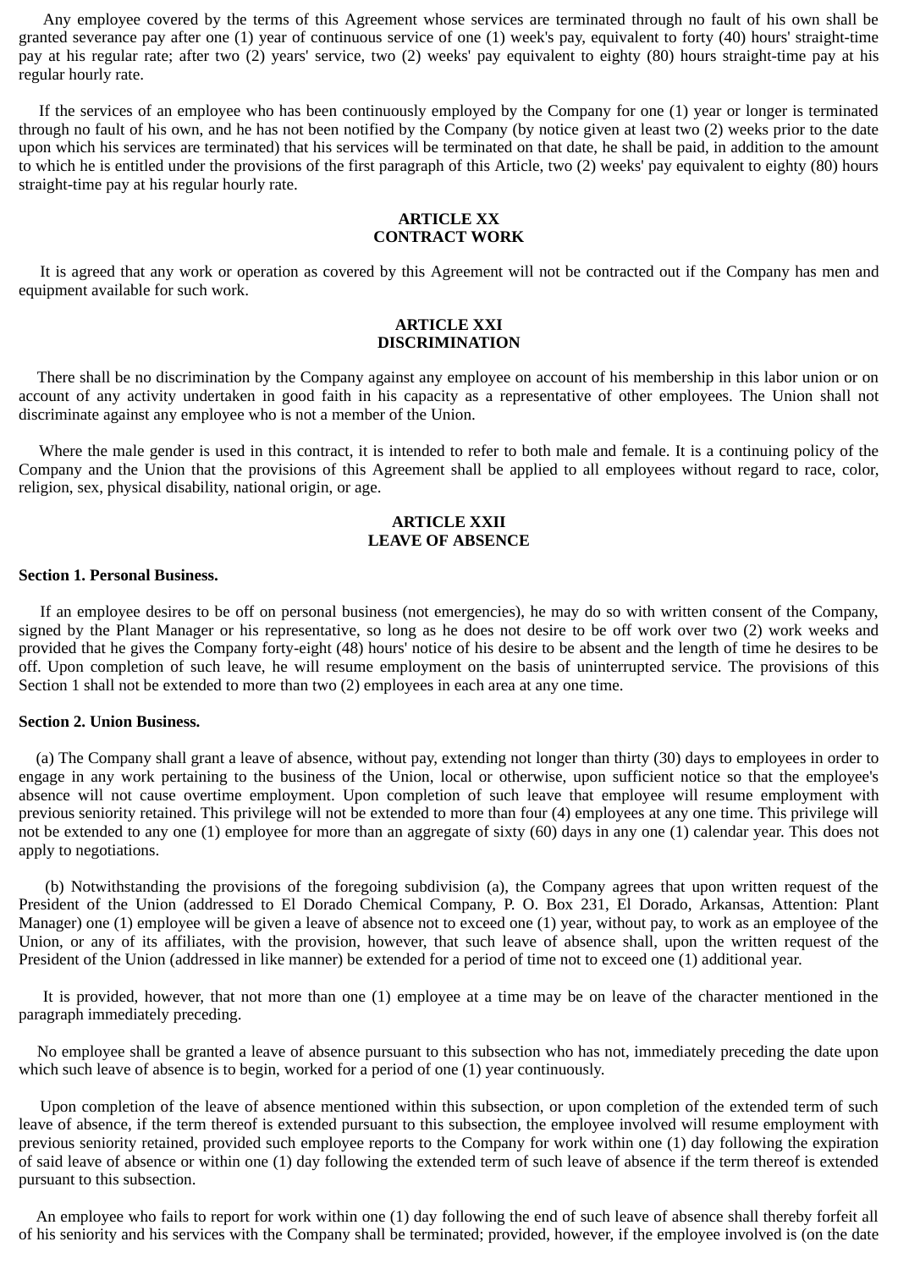Any employee covered by the terms of this Agreement whose services are terminated through no fault of his own shall be granted severance pay after one (1) year of continuous service of one (1) week's pay, equivalent to forty (40) hours' straight-time pay at his regular rate; after two (2) years' service, two (2) weeks' pay equivalent to eighty (80) hours straight-time pay at his regular hourly rate.

If the services of an employee who has been continuously employed by the Company for one (1) year or longer is terminated through no fault of his own, and he has not been notified by the Company (by notice given at least two (2) weeks prior to the date upon which his services are terminated) that his services will be terminated on that date, he shall be paid, in addition to the amount to which he is entitled under the provisions of the first paragraph of this Article, two (2) weeks' pay equivalent to eighty (80) hours straight-time pay at his regular hourly rate.

# **ARTICLE XX CONTRACT WORK**

It is agreed that any work or operation as covered by this Agreement will not be contracted out if the Company has men and equipment available for such work.

# **ARTICLE XXI DISCRIMINATION**

There shall be no discrimination by the Company against any employee on account of his membership in this labor union or on account of any activity undertaken in good faith in his capacity as a representative of other employees. The Union shall not discriminate against any employee who is not a member of the Union.

Where the male gender is used in this contract, it is intended to refer to both male and female. It is a continuing policy of the Company and the Union that the provisions of this Agreement shall be applied to all employees without regard to race, color, religion, sex, physical disability, national origin, or age.

# **ARTICLE XXII LEAVE OF ABSENCE**

#### **Section 1. Personal Business.**

If an employee desires to be off on personal business (not emergencies), he may do so with written consent of the Company, signed by the Plant Manager or his representative, so long as he does not desire to be off work over two (2) work weeks and provided that he gives the Company forty-eight (48) hours' notice of his desire to be absent and the length of time he desires to be off. Upon completion of such leave, he will resume employment on the basis of uninterrupted service. The provisions of this Section 1 shall not be extended to more than two (2) employees in each area at any one time.

## **Section 2. Union Business.**

(a) The Company shall grant a leave of absence, without pay, extending not longer than thirty (30) days to employees in order to engage in any work pertaining to the business of the Union, local or otherwise, upon sufficient notice so that the employee's absence will not cause overtime employment. Upon completion of such leave that employee will resume employment with previous seniority retained. This privilege will not be extended to more than four (4) employees at any one time. This privilege will not be extended to any one (1) employee for more than an aggregate of sixty (60) days in any one (1) calendar year. This does not apply to negotiations.

(b) Notwithstanding the provisions of the foregoing subdivision (a), the Company agrees that upon written request of the President of the Union (addressed to El Dorado Chemical Company, P. O. Box 231, El Dorado, Arkansas, Attention: Plant Manager) one (1) employee will be given a leave of absence not to exceed one (1) year, without pay, to work as an employee of the Union, or any of its affiliates, with the provision, however, that such leave of absence shall, upon the written request of the President of the Union (addressed in like manner) be extended for a period of time not to exceed one (1) additional year.

It is provided, however, that not more than one (1) employee at a time may be on leave of the character mentioned in the paragraph immediately preceding.

No employee shall be granted a leave of absence pursuant to this subsection who has not, immediately preceding the date upon which such leave of absence is to begin, worked for a period of one (1) year continuously.

Upon completion of the leave of absence mentioned within this subsection, or upon completion of the extended term of such leave of absence, if the term thereof is extended pursuant to this subsection, the employee involved will resume employment with previous seniority retained, provided such employee reports to the Company for work within one (1) day following the expiration of said leave of absence or within one (1) day following the extended term of such leave of absence if the term thereof is extended pursuant to this subsection.

An employee who fails to report for work within one (1) day following the end of such leave of absence shall thereby forfeit all of his seniority and his services with the Company shall be terminated; provided, however, if the employee involved is (on the date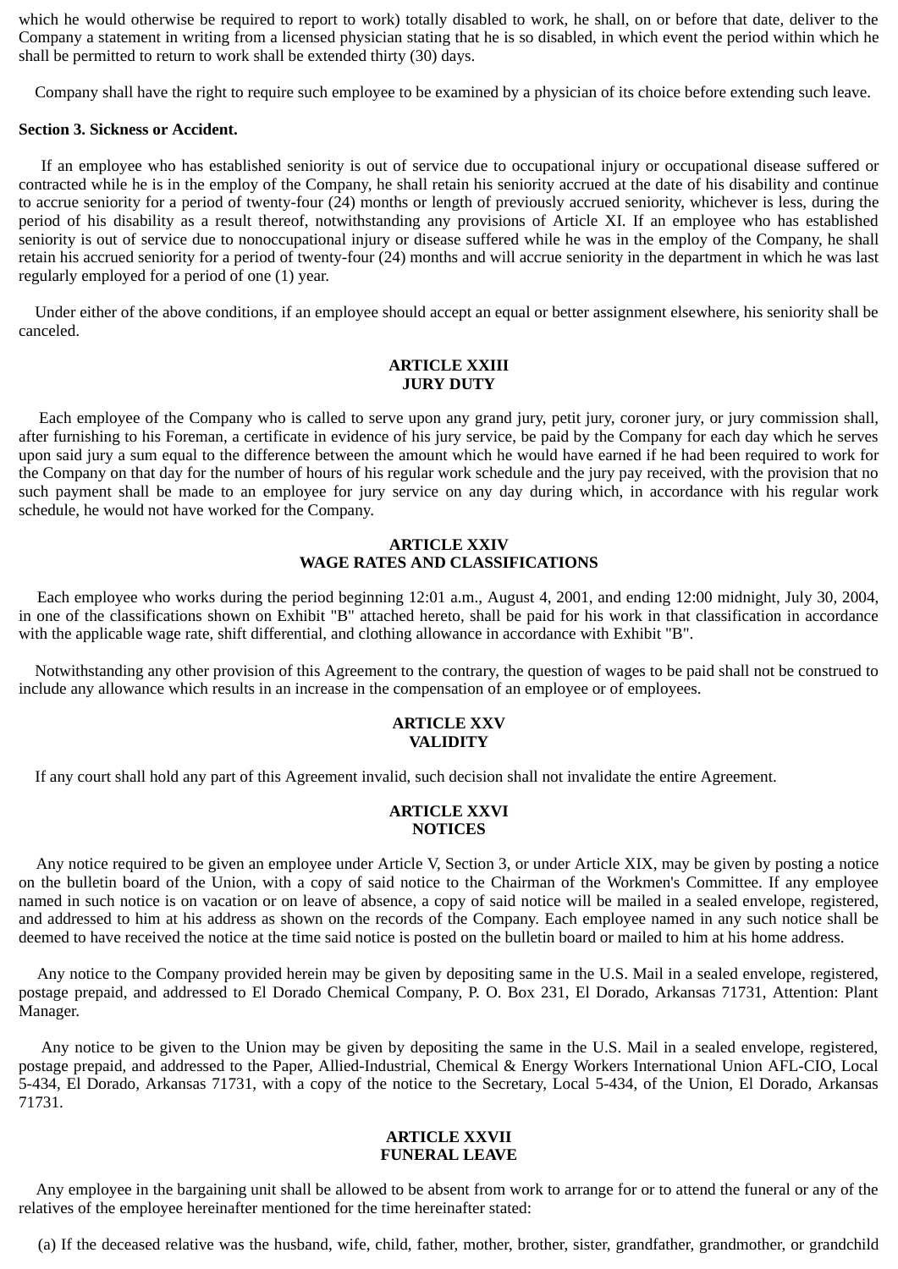which he would otherwise be required to report to work) totally disabled to work, he shall, on or before that date, deliver to the Company a statement in writing from a licensed physician stating that he is so disabled, in which event the period within which he shall be permitted to return to work shall be extended thirty (30) days.

Company shall have the right to require such employee to be examined by a physician of its choice before extending such leave.

#### **Section 3. Sickness or Accident.**

If an employee who has established seniority is out of service due to occupational injury or occupational disease suffered or contracted while he is in the employ of the Company, he shall retain his seniority accrued at the date of his disability and continue to accrue seniority for a period of twenty-four (24) months or length of previously accrued seniority, whichever is less, during the period of his disability as a result thereof, notwithstanding any provisions of Article XI. If an employee who has established seniority is out of service due to nonoccupational injury or disease suffered while he was in the employ of the Company, he shall retain his accrued seniority for a period of twenty-four (24) months and will accrue seniority in the department in which he was last regularly employed for a period of one (1) year.

 Under either of the above conditions, if an employee should accept an equal or better assignment elsewhere, his seniority shall be canceled.

# **ARTICLE XXIII JURY DUTY**

Each employee of the Company who is called to serve upon any grand jury, petit jury, coroner jury, or jury commission shall, after furnishing to his Foreman, a certificate in evidence of his jury service, be paid by the Company for each day which he serves upon said jury a sum equal to the difference between the amount which he would have earned if he had been required to work for the Company on that day for the number of hours of his regular work schedule and the jury pay received, with the provision that no such payment shall be made to an employee for jury service on any day during which, in accordance with his regular work schedule, he would not have worked for the Company.

# **ARTICLE XXIV WAGE RATES AND CLASSIFICATIONS**

Each employee who works during the period beginning 12:01 a.m., August 4, 2001, and ending 12:00 midnight, July 30, 2004, in one of the classifications shown on Exhibit "B" attached hereto, shall be paid for his work in that classification in accordance with the applicable wage rate, shift differential, and clothing allowance in accordance with Exhibit "B".

 Notwithstanding any other provision of this Agreement to the contrary, the question of wages to be paid shall not be construed to include any allowance which results in an increase in the compensation of an employee or of employees.

## **ARTICLE XXV VALIDITY**

If any court shall hold any part of this Agreement invalid, such decision shall not invalidate the entire Agreement.

## **ARTICLE XXVI NOTICES**

Any notice required to be given an employee under Article V, Section 3, or under Article XIX, may be given by posting a notice on the bulletin board of the Union, with a copy of said notice to the Chairman of the Workmen's Committee. If any employee named in such notice is on vacation or on leave of absence, a copy of said notice will be mailed in a sealed envelope, registered, and addressed to him at his address as shown on the records of the Company. Each employee named in any such notice shall be deemed to have received the notice at the time said notice is posted on the bulletin board or mailed to him at his home address.

Any notice to the Company provided herein may be given by depositing same in the U.S. Mail in a sealed envelope, registered, postage prepaid, and addressed to El Dorado Chemical Company, P. O. Box 231, El Dorado, Arkansas 71731, Attention: Plant Manager.

Any notice to be given to the Union may be given by depositing the same in the U.S. Mail in a sealed envelope, registered, postage prepaid, and addressed to the Paper, Allied-Industrial, Chemical & Energy Workers International Union AFL-CIO, Local 5-434, El Dorado, Arkansas 71731, with a copy of the notice to the Secretary, Local 5-434, of the Union, El Dorado, Arkansas 71731.

## **ARTICLE XXVII FUNERAL LEAVE**

Any employee in the bargaining unit shall be allowed to be absent from work to arrange for or to attend the funeral or any of the relatives of the employee hereinafter mentioned for the time hereinafter stated:

(a) If the deceased relative was the husband, wife, child, father, mother, brother, sister, grandfather, grandmother, or grandchild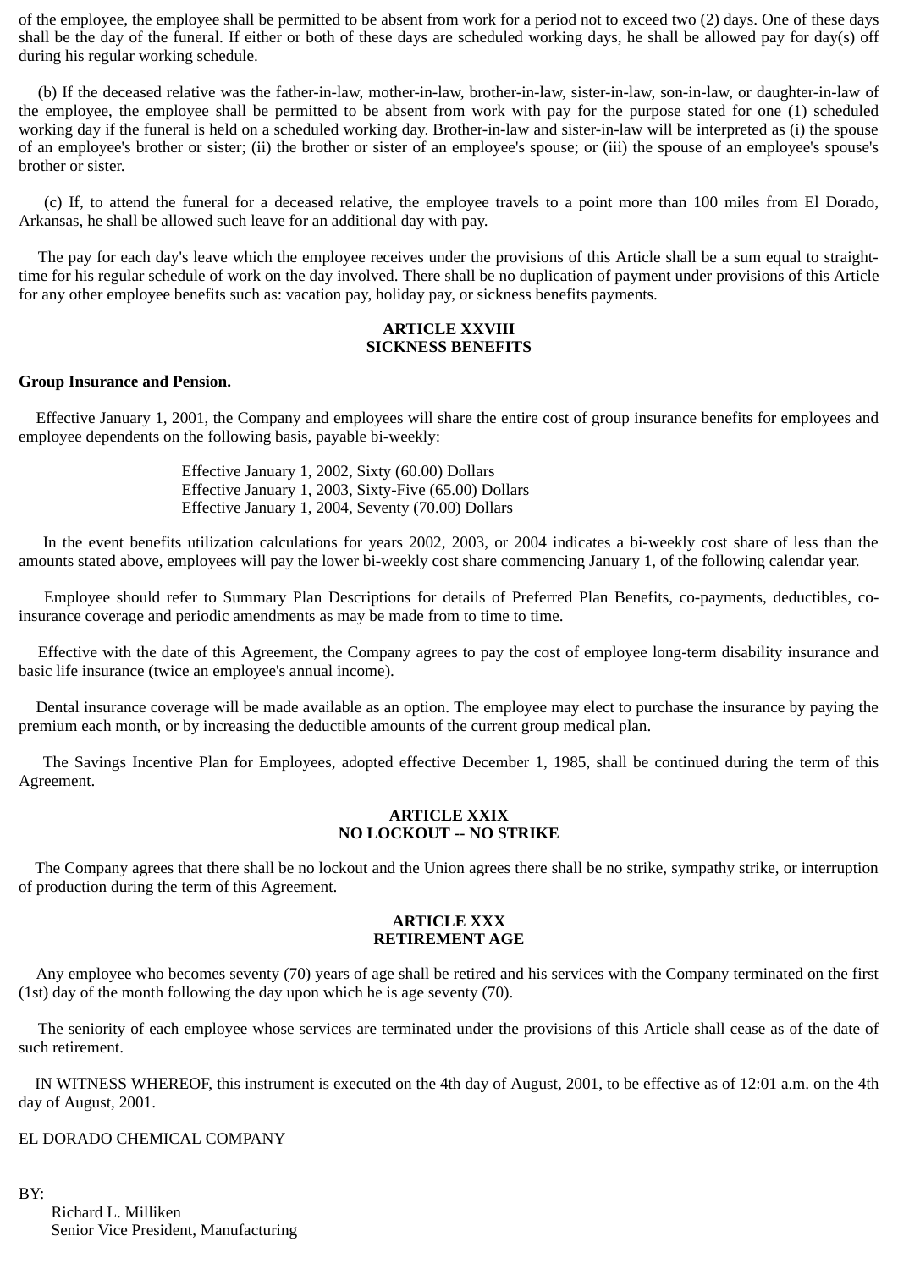of the employee, the employee shall be permitted to be absent from work for a period not to exceed two (2) days. One of these days shall be the day of the funeral. If either or both of these days are scheduled working days, he shall be allowed pay for day(s) off during his regular working schedule.

(b) If the deceased relative was the father-in-law, mother-in-law, brother-in-law, sister-in-law, son-in-law, or daughter-in-law of the employee, the employee shall be permitted to be absent from work with pay for the purpose stated for one (1) scheduled working day if the funeral is held on a scheduled working day. Brother-in-law and sister-in-law will be interpreted as (i) the spouse of an employee's brother or sister; (ii) the brother or sister of an employee's spouse; or (iii) the spouse of an employee's spouse's brother or sister.

(c) If, to attend the funeral for a deceased relative, the employee travels to a point more than 100 miles from El Dorado, Arkansas, he shall be allowed such leave for an additional day with pay.

The pay for each day's leave which the employee receives under the provisions of this Article shall be a sum equal to straighttime for his regular schedule of work on the day involved. There shall be no duplication of payment under provisions of this Article for any other employee benefits such as: vacation pay, holiday pay, or sickness benefits payments.

## **ARTICLE XXVIII SICKNESS BENEFITS**

## **Group Insurance and Pension.**

Effective January 1, 2001, the Company and employees will share the entire cost of group insurance benefits for employees and employee dependents on the following basis, payable bi-weekly:

> Effective January 1, 2002, Sixty (60.00) Dollars Effective January 1, 2003, Sixty-Five (65.00) Dollars Effective January 1, 2004, Seventy (70.00) Dollars

In the event benefits utilization calculations for years 2002, 2003, or 2004 indicates a bi-weekly cost share of less than the amounts stated above, employees will pay the lower bi-weekly cost share commencing January 1, of the following calendar year.

Employee should refer to Summary Plan Descriptions for details of Preferred Plan Benefits, co-payments, deductibles, coinsurance coverage and periodic amendments as may be made from to time to time.

Effective with the date of this Agreement, the Company agrees to pay the cost of employee long-term disability insurance and basic life insurance (twice an employee's annual income).

Dental insurance coverage will be made available as an option. The employee may elect to purchase the insurance by paying the premium each month, or by increasing the deductible amounts of the current group medical plan.

The Savings Incentive Plan for Employees, adopted effective December 1, 1985, shall be continued during the term of this Agreement.

## **ARTICLE XXIX NO LOCKOUT -- NO STRIKE**

 The Company agrees that there shall be no lockout and the Union agrees there shall be no strike, sympathy strike, or interruption of production during the term of this Agreement.

## **ARTICLE XXX RETIREMENT AGE**

Any employee who becomes seventy (70) years of age shall be retired and his services with the Company terminated on the first (1st) day of the month following the day upon which he is age seventy (70).

The seniority of each employee whose services are terminated under the provisions of this Article shall cease as of the date of such retirement.

 IN WITNESS WHEREOF, this instrument is executed on the 4th day of August, 2001, to be effective as of 12:01 a.m. on the 4th day of August, 2001.

## EL DORADO CHEMICAL COMPANY

BY: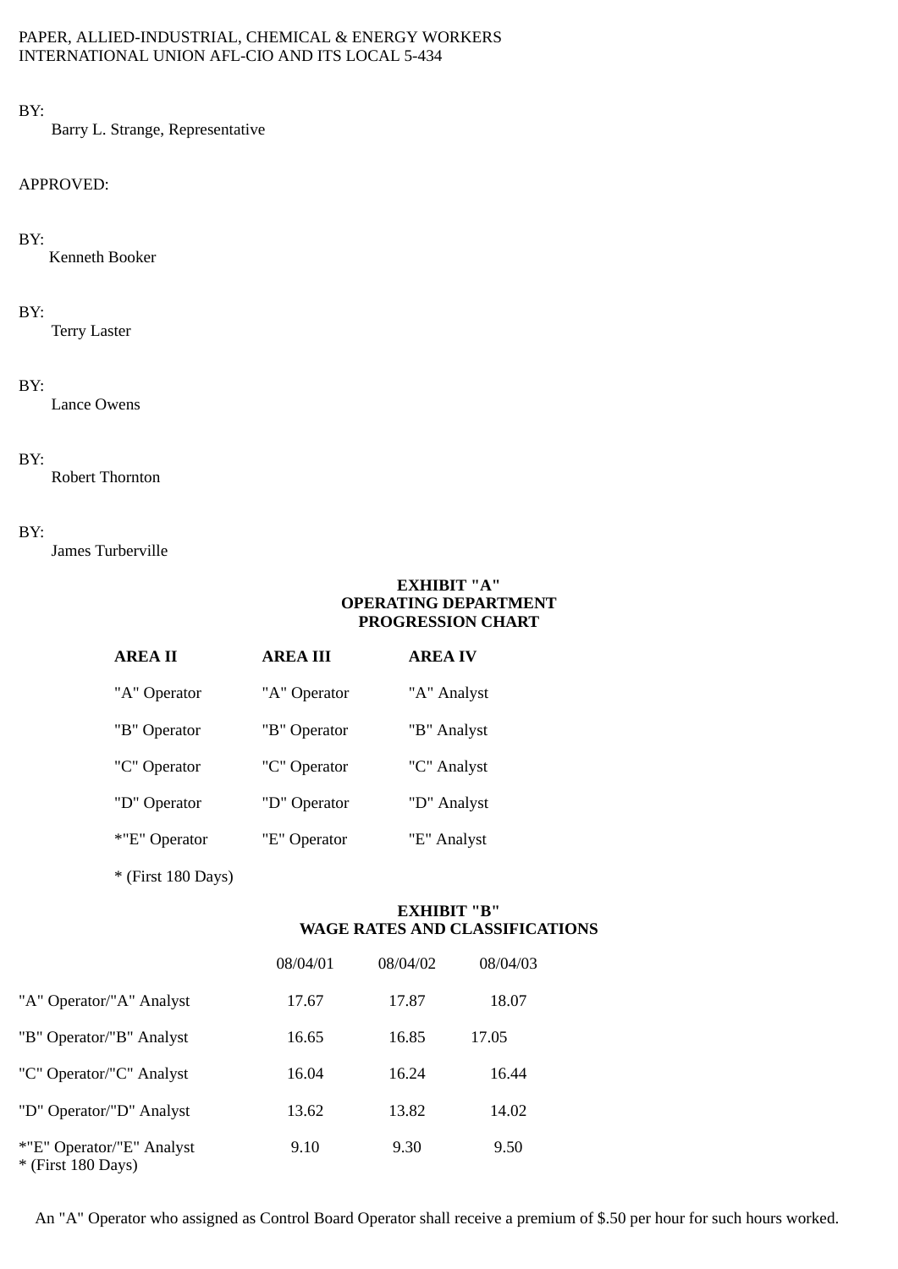# PAPER, ALLIED-INDUSTRIAL, CHEMICAL & ENERGY WORKERS INTERNATIONAL UNION AFL-CIO AND ITS LOCAL 5-434

BY:

Barry L. Strange, Representative

# APPROVED:

# BY:

Kenneth Booker

# BY:

Terry Laster

# BY:

Lance Owens

# BY:

Robert Thornton

# BY:

James Turberville

# **EXHIBIT "A" OPERATING DEPARTMENT PROGRESSION CHART**

| <b>AREA II</b> | <b>AREA III</b> | <b>AREA IV</b> |
|----------------|-----------------|----------------|
| "A" Operator   | "A" Operator    | "A" Analyst    |
| "B" Operator   | "B" Operator    | "B" Analyst    |
| "C" Operator   | "C" Operator    | "C" Analyst    |
| "D" Operator   | "D" Operator    | "D" Analyst    |
| *"E" Operator  | "E" Operator    | "E" Analyst    |

\* (First 180 Days)

# **EXHIBIT "B" WAGE RATES AND CLASSIFICATIONS**

|                                                   | 08/04/01 | 08/04/02 | 08/04/03 |
|---------------------------------------------------|----------|----------|----------|
| "A" Operator/"A" Analyst                          | 17.67    | 17.87    | 18.07    |
| "B" Operator/"B" Analyst                          | 16.65    | 16.85    | 17.05    |
| "C" Operator/"C" Analyst                          | 16.04    | 16.24    | 16.44    |
| "D" Operator/"D" Analyst                          | 13.62    | 13.82    | 14.02    |
| *"E" Operator/"E" Analyst<br>$*$ (First 180 Days) | 9.10     | 9.30     | 9.50     |

An "A" Operator who assigned as Control Board Operator shall receive a premium of \$.50 per hour for such hours worked.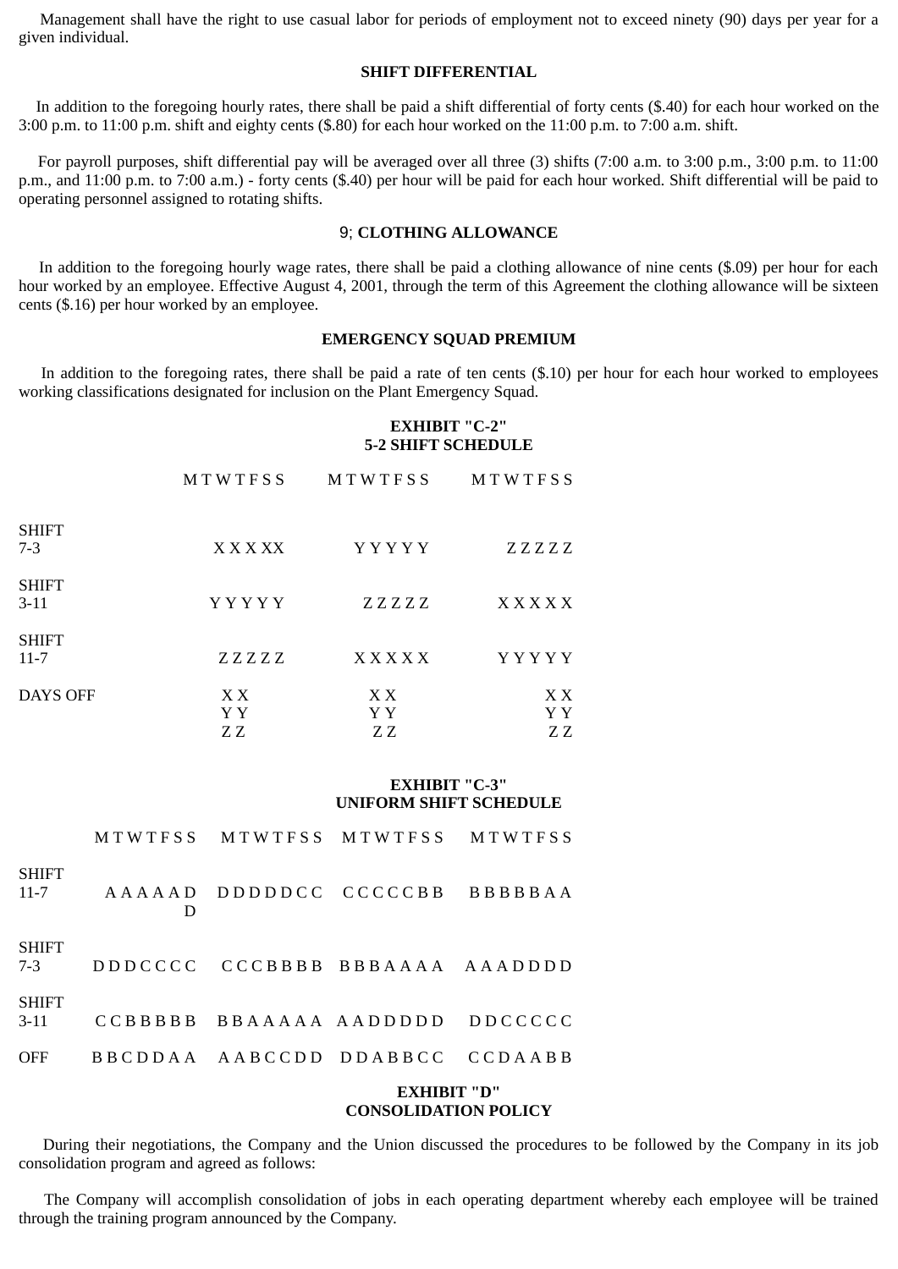Management shall have the right to use casual labor for periods of employment not to exceed ninety (90) days per year for a given individual.

#### **SHIFT DIFFERENTIAL**

In addition to the foregoing hourly rates, there shall be paid a shift differential of forty cents (\$.40) for each hour worked on the 3:00 p.m. to 11:00 p.m. shift and eighty cents (\$.80) for each hour worked on the 11:00 p.m. to 7:00 a.m. shift.

For payroll purposes, shift differential pay will be averaged over all three (3) shifts (7:00 a.m. to 3:00 p.m., 3:00 p.m. to 11:00 p.m., and 11:00 p.m. to 7:00 a.m.) - forty cents (\$.40) per hour will be paid for each hour worked. Shift differential will be paid to operating personnel assigned to rotating shifts.

## 9; **CLOTHING ALLOWANCE**

In addition to the foregoing hourly wage rates, there shall be paid a clothing allowance of nine cents (\$.09) per hour for each hour worked by an employee. Effective August 4, 2001, through the term of this Agreement the clothing allowance will be sixteen cents (\$.16) per hour worked by an employee.

# **EMERGENCY SQUAD PREMIUM**

In addition to the foregoing rates, there shall be paid a rate of ten cents (\$.10) per hour for each hour worked to employees working classifications designated for inclusion on the Plant Emergency Squad.

## **EXHIBIT "C-2" 5-2 SHIFT SCHEDULE**

|                          | MTWTFSS          | MTWTFSS          | MTWTFSS          |
|--------------------------|------------------|------------------|------------------|
| <b>SHIFT</b><br>$7 - 3$  | X X X X X        | YYYYY            | ZZZZZ            |
| <b>SHIFT</b><br>$3-11$   | Y Y Y Y Y        | ZZZZZ            | XXXXX            |
| <b>SHIFT</b><br>$11 - 7$ | ZZZZZ            | <b>XXXXX</b>     | YYYYY            |
| DAYS OFF                 | X X<br>Y Y<br>ΖZ | X X<br>Y Y<br>ΖZ | X X<br>Y Y<br>ΖZ |

# **EXHIBIT "C-3" UNIFORM SHIFT SCHEDULE**

|               |   | <b>EXHIBIT "D"</b>              |  |
|---------------|---|---------------------------------|--|
| OFF           |   | BBCDDAA AABCCDD DDABBCC CCDAABB |  |
| SHIFT<br>3-11 |   | CCBBBBB BBAAAAA AADDDDD DDCCCCC |  |
| SHIFT<br>7-3  |   | DDDCCCC CCCBBBB BBBAAAA AAADDDD |  |
| SHIFT<br>11-7 | D | AAAAAD DDDDDCC CCCCCBB BBBBBAA  |  |
|               |   | MTWTFSS MTWTFSS MTWTFSS MTWTFSS |  |

# **CONSOLIDATION POLICY**

During their negotiations, the Company and the Union discussed the procedures to be followed by the Company in its job consolidation program and agreed as follows:

The Company will accomplish consolidation of jobs in each operating department whereby each employee will be trained through the training program announced by the Company.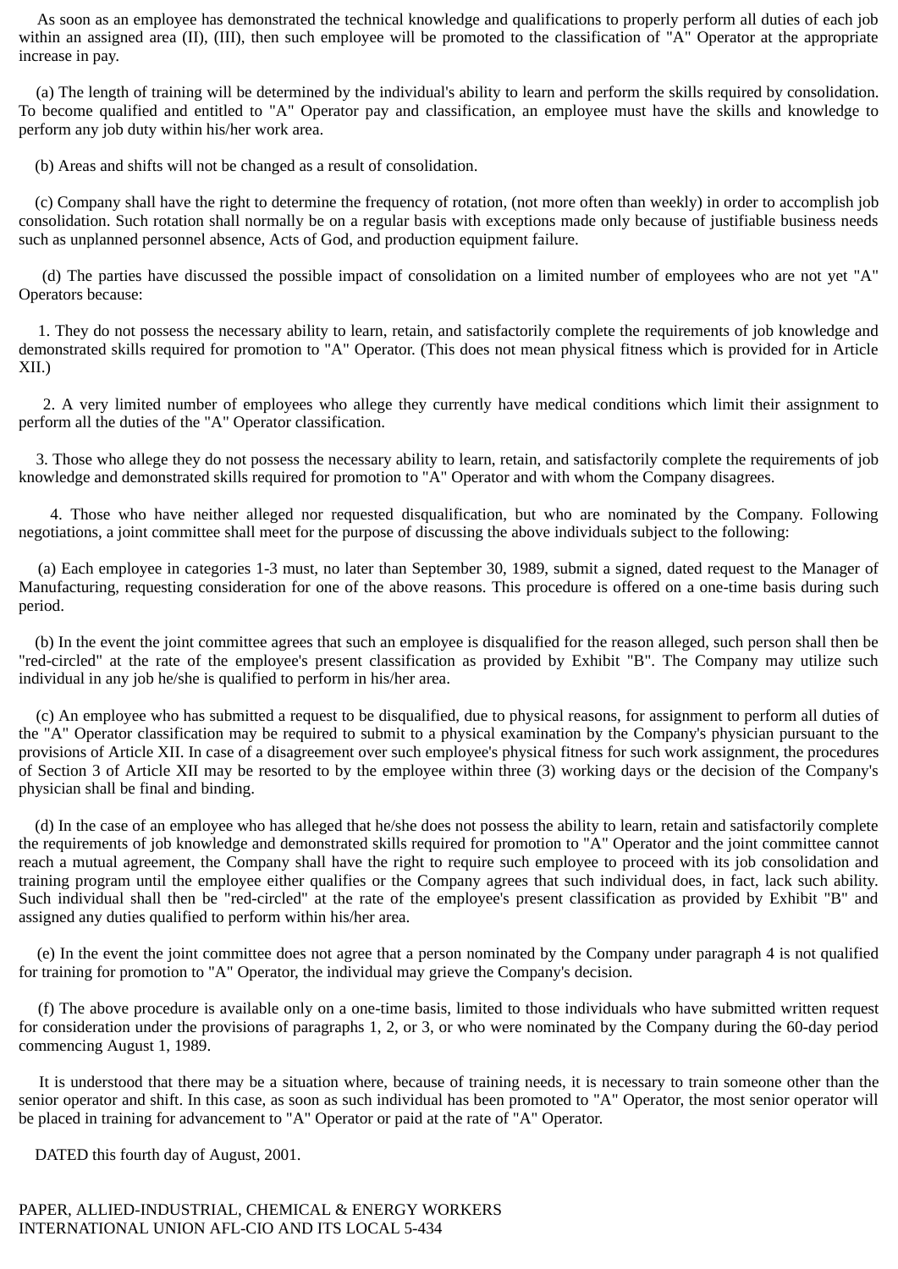As soon as an employee has demonstrated the technical knowledge and qualifications to properly perform all duties of each job within an assigned area (II), (III), then such employee will be promoted to the classification of "A" Operator at the appropriate increase in pay.

(a) The length of training will be determined by the individual's ability to learn and perform the skills required by consolidation. To become qualified and entitled to "A" Operator pay and classification, an employee must have the skills and knowledge to perform any job duty within his/her work area.

(b) Areas and shifts will not be changed as a result of consolidation.

 (c) Company shall have the right to determine the frequency of rotation, (not more often than weekly) in order to accomplish job consolidation. Such rotation shall normally be on a regular basis with exceptions made only because of justifiable business needs such as unplanned personnel absence, Acts of God, and production equipment failure.

(d) The parties have discussed the possible impact of consolidation on a limited number of employees who are not yet "A" Operators because:

1. They do not possess the necessary ability to learn, retain, and satisfactorily complete the requirements of job knowledge and demonstrated skills required for promotion to "A" Operator. (This does not mean physical fitness which is provided for in Article XII.)

2. A very limited number of employees who allege they currently have medical conditions which limit their assignment to perform all the duties of the "A" Operator classification.

3. Those who allege they do not possess the necessary ability to learn, retain, and satisfactorily complete the requirements of job knowledge and demonstrated skills required for promotion to "A" Operator and with whom the Company disagrees.

4. Those who have neither alleged nor requested disqualification, but who are nominated by the Company. Following negotiations, a joint committee shall meet for the purpose of discussing the above individuals subject to the following:

(a) Each employee in categories 1-3 must, no later than September 30, 1989, submit a signed, dated request to the Manager of Manufacturing, requesting consideration for one of the above reasons. This procedure is offered on a one-time basis during such period.

 (b) In the event the joint committee agrees that such an employee is disqualified for the reason alleged, such person shall then be "red-circled" at the rate of the employee's present classification as provided by Exhibit "B". The Company may utilize such individual in any job he/she is qualified to perform in his/her area.

(c) An employee who has submitted a request to be disqualified, due to physical reasons, for assignment to perform all duties of the "A" Operator classification may be required to submit to a physical examination by the Company's physician pursuant to the provisions of Article XII. In case of a disagreement over such employee's physical fitness for such work assignment, the procedures of Section 3 of Article XII may be resorted to by the employee within three (3) working days or the decision of the Company's physician shall be final and binding.

 (d) In the case of an employee who has alleged that he/she does not possess the ability to learn, retain and satisfactorily complete the requirements of job knowledge and demonstrated skills required for promotion to "A" Operator and the joint committee cannot reach a mutual agreement, the Company shall have the right to require such employee to proceed with its job consolidation and training program until the employee either qualifies or the Company agrees that such individual does, in fact, lack such ability. Such individual shall then be "red-circled" at the rate of the employee's present classification as provided by Exhibit "B" and assigned any duties qualified to perform within his/her area.

(e) In the event the joint committee does not agree that a person nominated by the Company under paragraph 4 is not qualified for training for promotion to "A" Operator, the individual may grieve the Company's decision.

(f) The above procedure is available only on a one-time basis, limited to those individuals who have submitted written request for consideration under the provisions of paragraphs 1, 2, or 3, or who were nominated by the Company during the 60-day period commencing August 1, 1989.

It is understood that there may be a situation where, because of training needs, it is necessary to train someone other than the senior operator and shift. In this case, as soon as such individual has been promoted to "A" Operator, the most senior operator will be placed in training for advancement to "A" Operator or paid at the rate of "A" Operator.

DATED this fourth day of August, 2001.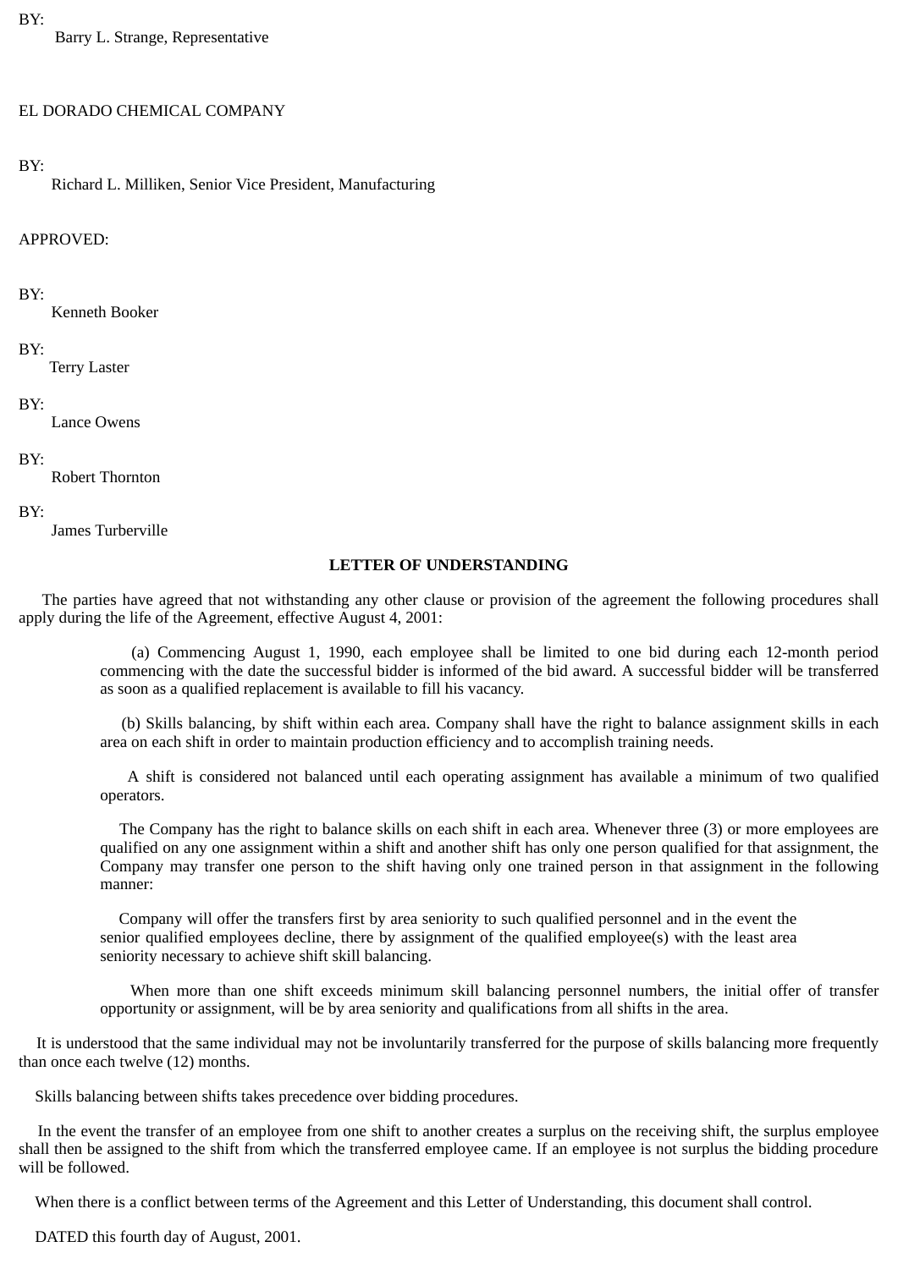### BY:

Barry L. Strange, Representative

#### EL DORADO CHEMICAL COMPANY

#### BY:

Richard L. Milliken, Senior Vice President, Manufacturing

#### APPROVED:

#### BY:

Kenneth Booker

#### BY:

Terry Laster

#### BY:

Lance Owens

#### BY:

Robert Thornton

#### BY:

James Turberville

#### **LETTER OF UNDERSTANDING**

The parties have agreed that not withstanding any other clause or provision of the agreement the following procedures shall apply during the life of the Agreement, effective August 4, 2001:

(a) Commencing August 1, 1990, each employee shall be limited to one bid during each 12-month period commencing with the date the successful bidder is informed of the bid award. A successful bidder will be transferred as soon as a qualified replacement is available to fill his vacancy.

(b) Skills balancing, by shift within each area. Company shall have the right to balance assignment skills in each area on each shift in order to maintain production efficiency and to accomplish training needs.

A shift is considered not balanced until each operating assignment has available a minimum of two qualified operators.

The Company has the right to balance skills on each shift in each area. Whenever three (3) or more employees are qualified on any one assignment within a shift and another shift has only one person qualified for that assignment, the Company may transfer one person to the shift having only one trained person in that assignment in the following manner:

Company will offer the transfers first by area seniority to such qualified personnel and in the event the senior qualified employees decline, there by assignment of the qualified employee(s) with the least area seniority necessary to achieve shift skill balancing.

When more than one shift exceeds minimum skill balancing personnel numbers, the initial offer of transfer opportunity or assignment, will be by area seniority and qualifications from all shifts in the area.

It is understood that the same individual may not be involuntarily transferred for the purpose of skills balancing more frequently than once each twelve (12) months.

Skills balancing between shifts takes precedence over bidding procedures.

In the event the transfer of an employee from one shift to another creates a surplus on the receiving shift, the surplus employee shall then be assigned to the shift from which the transferred employee came. If an employee is not surplus the bidding procedure will be followed.

When there is a conflict between terms of the Agreement and this Letter of Understanding, this document shall control.

DATED this fourth day of August, 2001.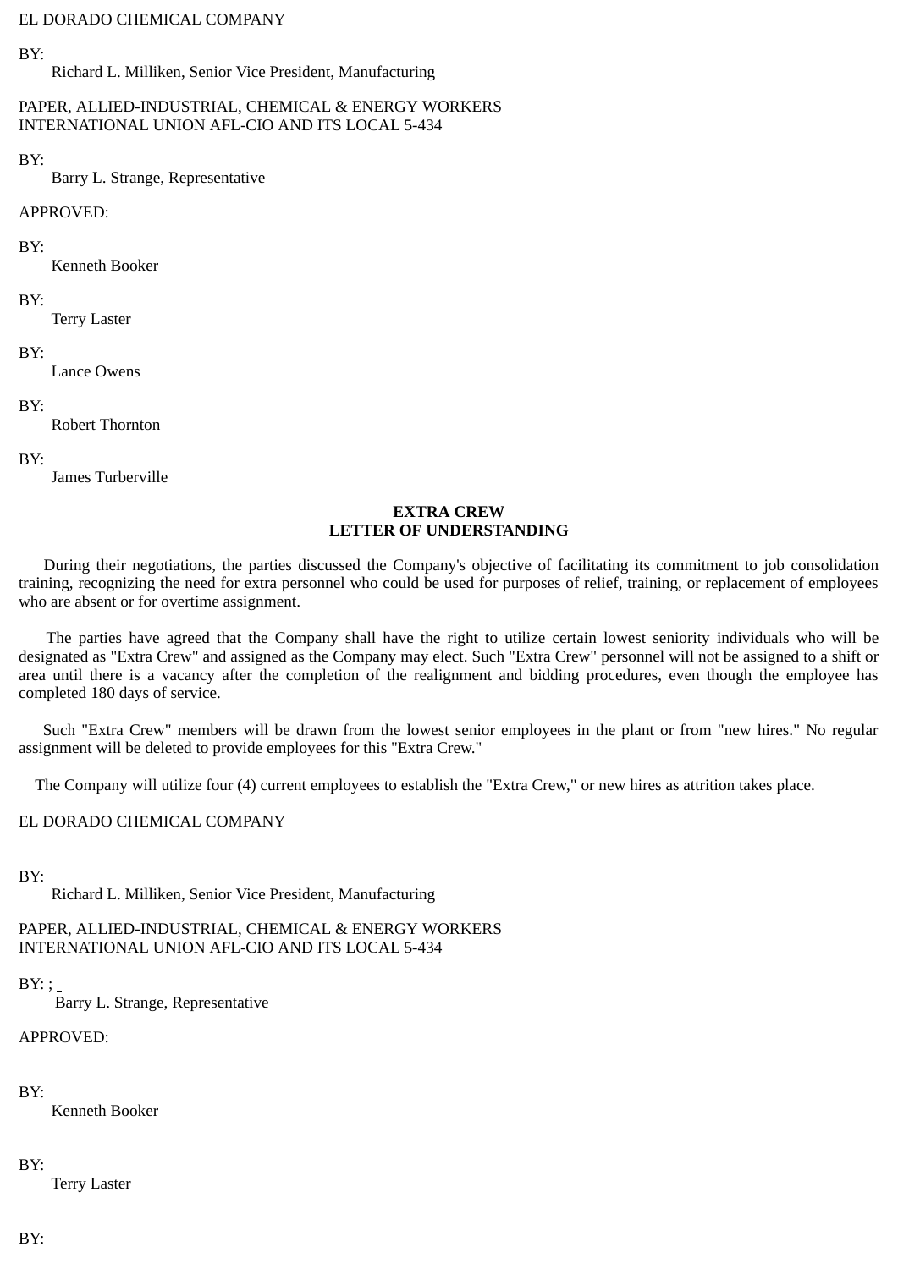#### EL DORADO CHEMICAL COMPANY

### BY:

Richard L. Milliken, Senior Vice President, Manufacturing

### PAPER, ALLIED-INDUSTRIAL, CHEMICAL & ENERGY WORKERS INTERNATIONAL UNION AFL-CIO AND ITS LOCAL 5-434

#### BY:

Barry L. Strange, Representative

#### APPROVED:

#### BY:

Kenneth Booker

### BY:

Terry Laster

#### BY:

Lance Owens

#### BY:

Robert Thornton

#### BY:

James Turberville

### **EXTRA CREW LETTER OF UNDERSTANDING**

During their negotiations, the parties discussed the Company's objective of facilitating its commitment to job consolidation training, recognizing the need for extra personnel who could be used for purposes of relief, training, or replacement of employees who are absent or for overtime assignment.

The parties have agreed that the Company shall have the right to utilize certain lowest seniority individuals who will be designated as "Extra Crew" and assigned as the Company may elect. Such "Extra Crew" personnel will not be assigned to a shift or area until there is a vacancy after the completion of the realignment and bidding procedures, even though the employee has completed 180 days of service.

Such "Extra Crew" members will be drawn from the lowest senior employees in the plant or from "new hires." No regular assignment will be deleted to provide employees for this "Extra Crew."

The Company will utilize four (4) current employees to establish the "Extra Crew," or new hires as attrition takes place.

EL DORADO CHEMICAL COMPANY

BY:

Richard L. Milliken, Senior Vice President, Manufacturing

PAPER, ALLIED-INDUSTRIAL, CHEMICAL & ENERGY WORKERS INTERNATIONAL UNION AFL-CIO AND ITS LOCAL 5-434

 $BY:$ 

Barry L. Strange, Representative

# APPROVED:

BY:

Kenneth Booker

## BY:

Terry Laster

BY: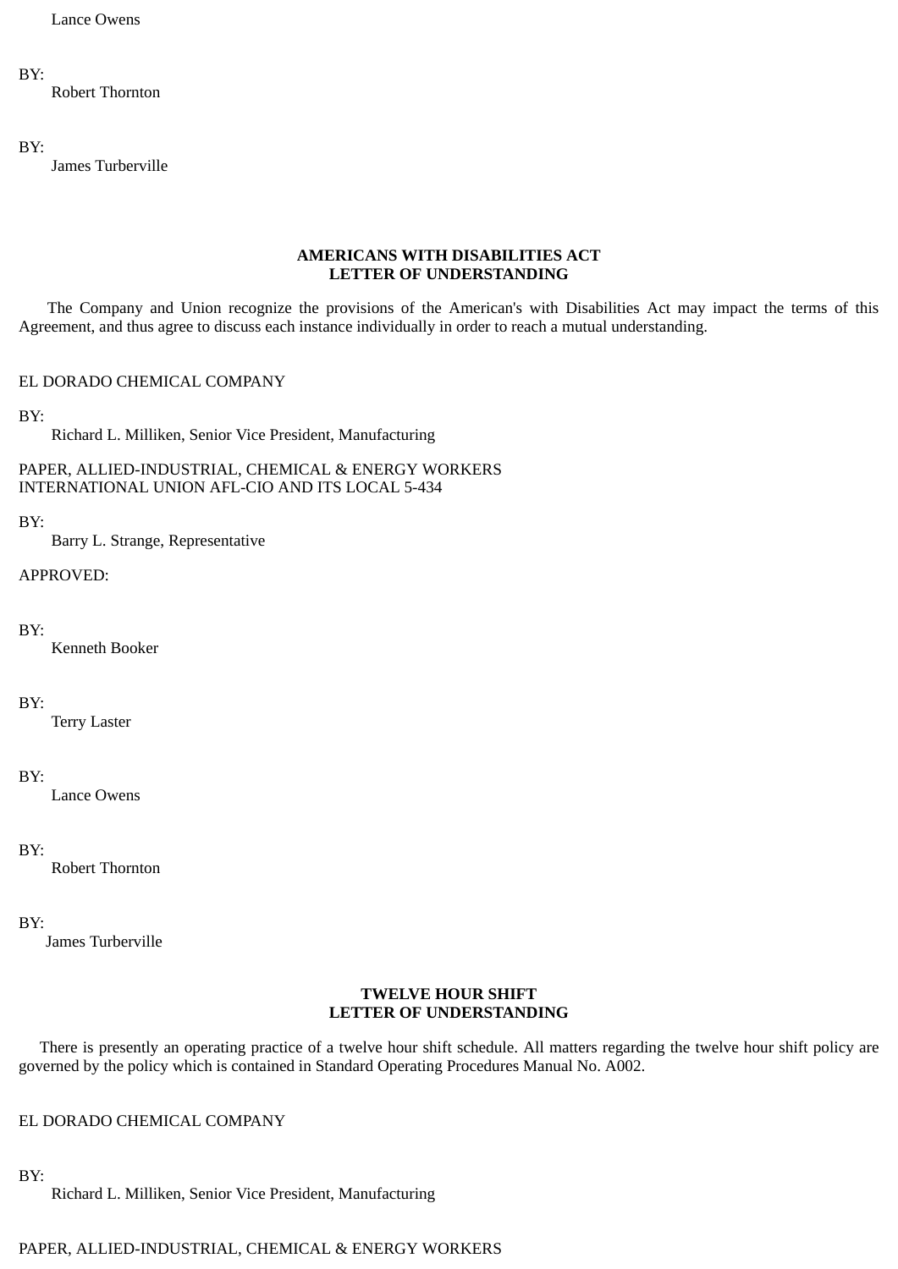Lance Owens

# BY:

Robert Thornton

### BY:

James Turberville

## **AMERICANS WITH DISABILITIES ACT LETTER OF UNDERSTANDING**

The Company and Union recognize the provisions of the American's with Disabilities Act may impact the terms of this Agreement, and thus agree to discuss each instance individually in order to reach a mutual understanding.

# EL DORADO CHEMICAL COMPANY

BY:

Richard L. Milliken, Senior Vice President, Manufacturing

# PAPER, ALLIED-INDUSTRIAL, CHEMICAL & ENERGY WORKERS INTERNATIONAL UNION AFL-CIO AND ITS LOCAL 5-434

# BY:

Barry L. Strange, Representative

# APPROVED:

# BY:

Kenneth Booker

# BY:

Terry Laster

# BY:

Lance Owens

# BY:

Robert Thornton

# BY:

James Turberville

### **TWELVE HOUR SHIFT LETTER OF UNDERSTANDING**

There is presently an operating practice of a twelve hour shift schedule. All matters regarding the twelve hour shift policy are governed by the policy which is contained in Standard Operating Procedures Manual No. A002.

# EL DORADO CHEMICAL COMPANY

BY:

Richard L. Milliken, Senior Vice President, Manufacturing

# PAPER, ALLIED-INDUSTRIAL, CHEMICAL & ENERGY WORKERS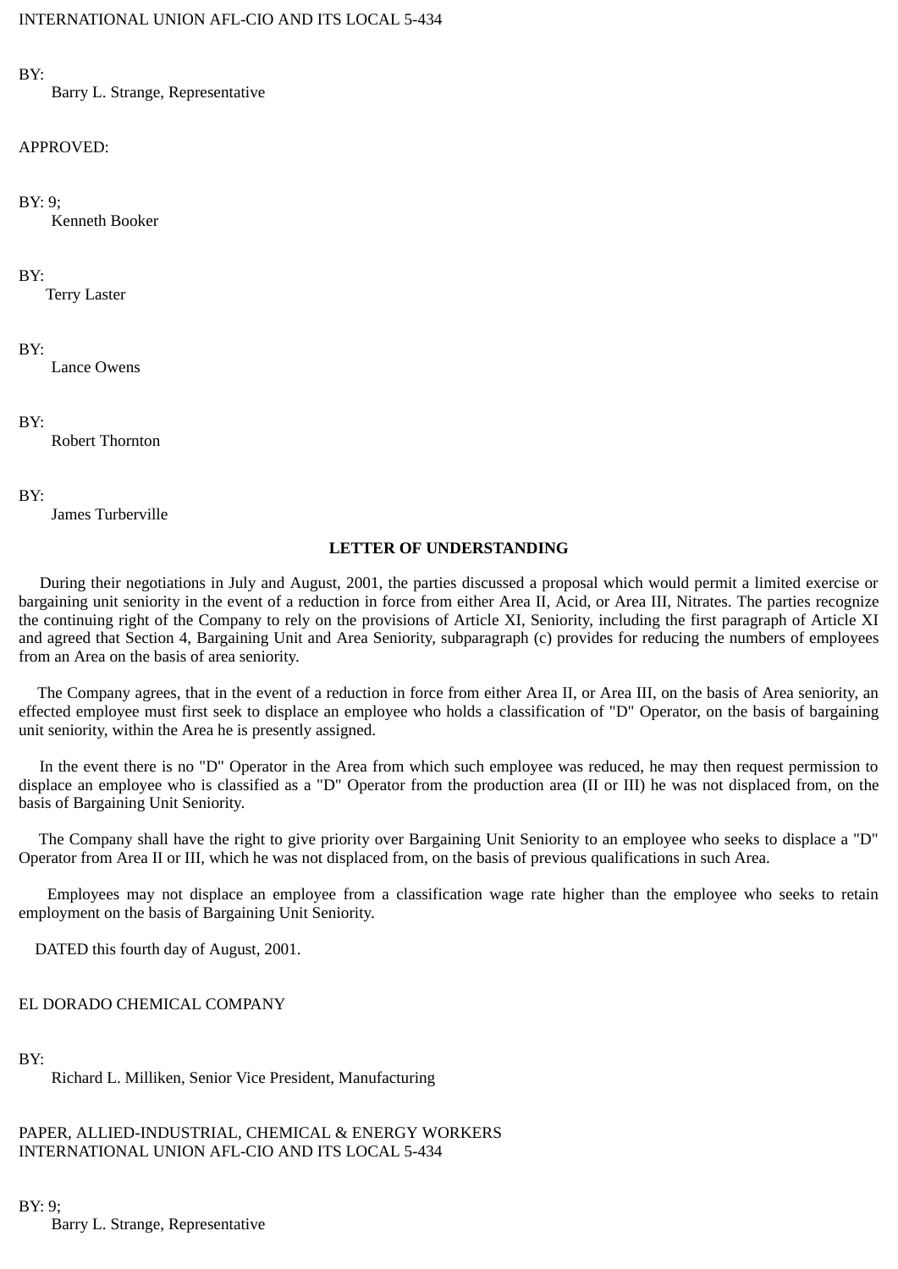# BY:

Barry L. Strange, Representative

# APPROVED:

# BY: 9;

Kenneth Booker

# BY:

Terry Laster

# BY:

Lance Owens

# BY:

Robert Thornton

# BY:

James Turberville

# **LETTER OF UNDERSTANDING**

During their negotiations in July and August, 2001, the parties discussed a proposal which would permit a limited exercise or bargaining unit seniority in the event of a reduction in force from either Area II, Acid, or Area III, Nitrates. The parties recognize the continuing right of the Company to rely on the provisions of Article XI, Seniority, including the first paragraph of Article XI and agreed that Section 4, Bargaining Unit and Area Seniority, subparagraph (c) provides for reducing the numbers of employees from an Area on the basis of area seniority.

The Company agrees, that in the event of a reduction in force from either Area II, or Area III, on the basis of Area seniority, an effected employee must first seek to displace an employee who holds a classification of "D" Operator, on the basis of bargaining unit seniority, within the Area he is presently assigned.

In the event there is no "D" Operator in the Area from which such employee was reduced, he may then request permission to displace an employee who is classified as a "D" Operator from the production area (II or III) he was not displaced from, on the basis of Bargaining Unit Seniority.

The Company shall have the right to give priority over Bargaining Unit Seniority to an employee who seeks to displace a "D" Operator from Area II or III, which he was not displaced from, on the basis of previous qualifications in such Area.

Employees may not displace an employee from a classification wage rate higher than the employee who seeks to retain employment on the basis of Bargaining Unit Seniority.

DATED this fourth day of August, 2001.

# EL DORADO CHEMICAL COMPANY

BY:

Richard L. Milliken, Senior Vice President, Manufacturing

PAPER, ALLIED-INDUSTRIAL, CHEMICAL & ENERGY WORKERS INTERNATIONAL UNION AFL-CIO AND ITS LOCAL 5-434

# BY: 9;

Barry L. Strange, Representative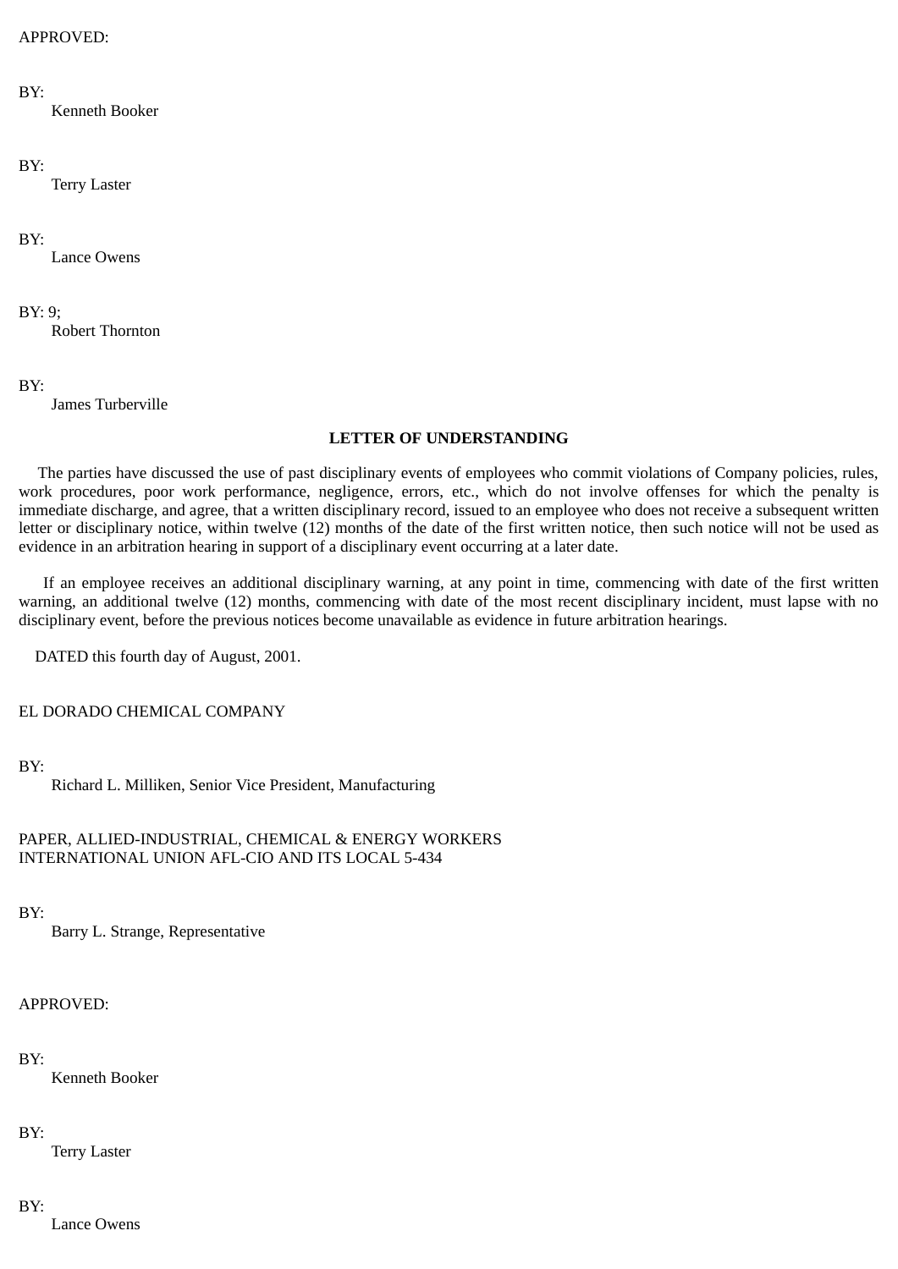# APPROVED:

### BY:

Kenneth Booker

### BY:

Terry Laster

# BY:

Lance Owens

# BY: 9;

Robert Thornton

# BY:

James Turberville

# **LETTER OF UNDERSTANDING**

The parties have discussed the use of past disciplinary events of employees who commit violations of Company policies, rules, work procedures, poor work performance, negligence, errors, etc., which do not involve offenses for which the penalty is immediate discharge, and agree, that a written disciplinary record, issued to an employee who does not receive a subsequent written letter or disciplinary notice, within twelve (12) months of the date of the first written notice, then such notice will not be used as evidence in an arbitration hearing in support of a disciplinary event occurring at a later date.

If an employee receives an additional disciplinary warning, at any point in time, commencing with date of the first written warning, an additional twelve (12) months, commencing with date of the most recent disciplinary incident, must lapse with no disciplinary event, before the previous notices become unavailable as evidence in future arbitration hearings.

DATED this fourth day of August, 2001.

EL DORADO CHEMICAL COMPANY

# BY:

Richard L. Milliken, Senior Vice President, Manufacturing

# PAPER, ALLIED-INDUSTRIAL, CHEMICAL & ENERGY WORKERS INTERNATIONAL UNION AFL-CIO AND ITS LOCAL 5-434

# BY:

Barry L. Strange, Representative

# APPROVED:

# BY:

Kenneth Booker

# BY:

Terry Laster

# BY:

Lance Owens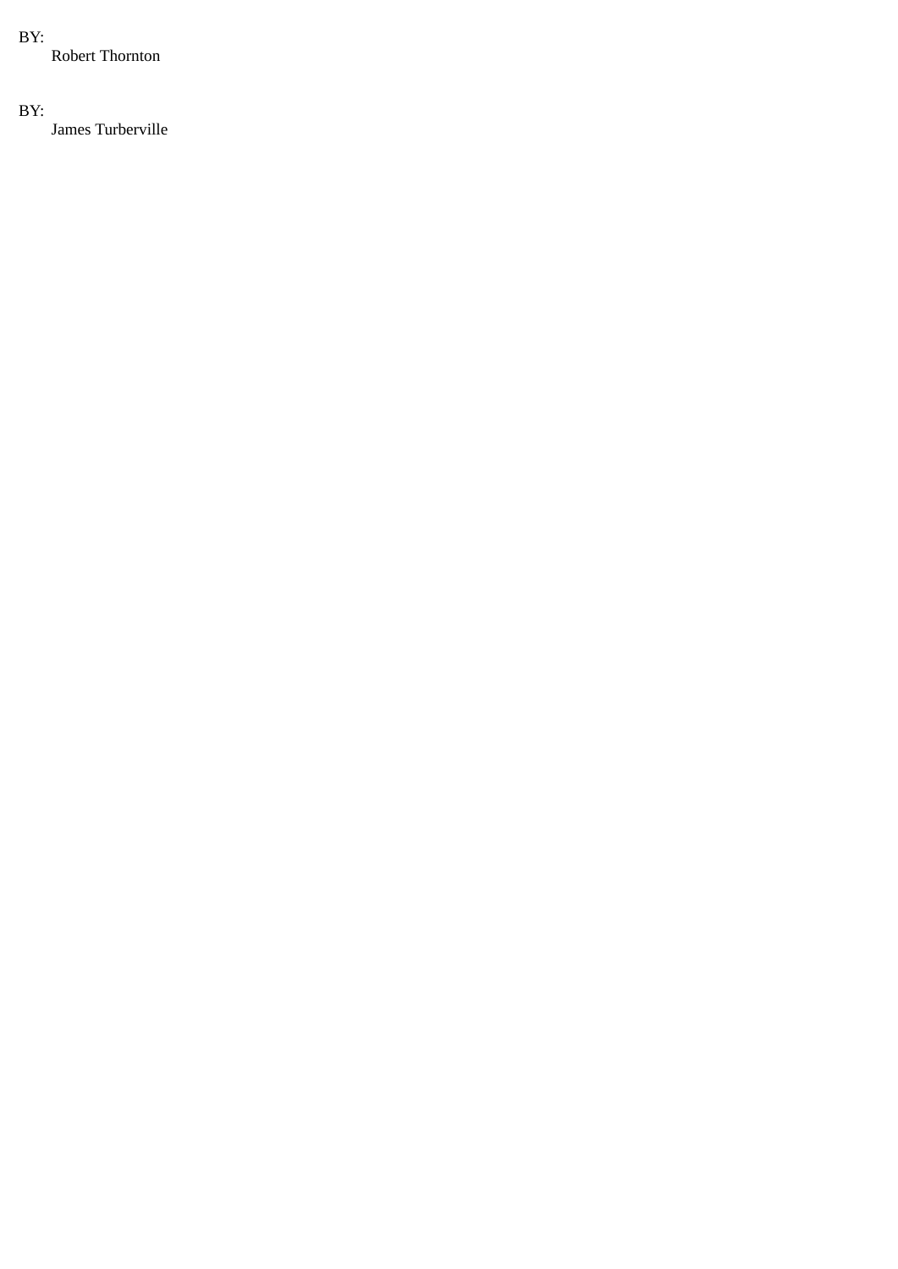# BY:

Robert Thornton

# BY:

James Turberville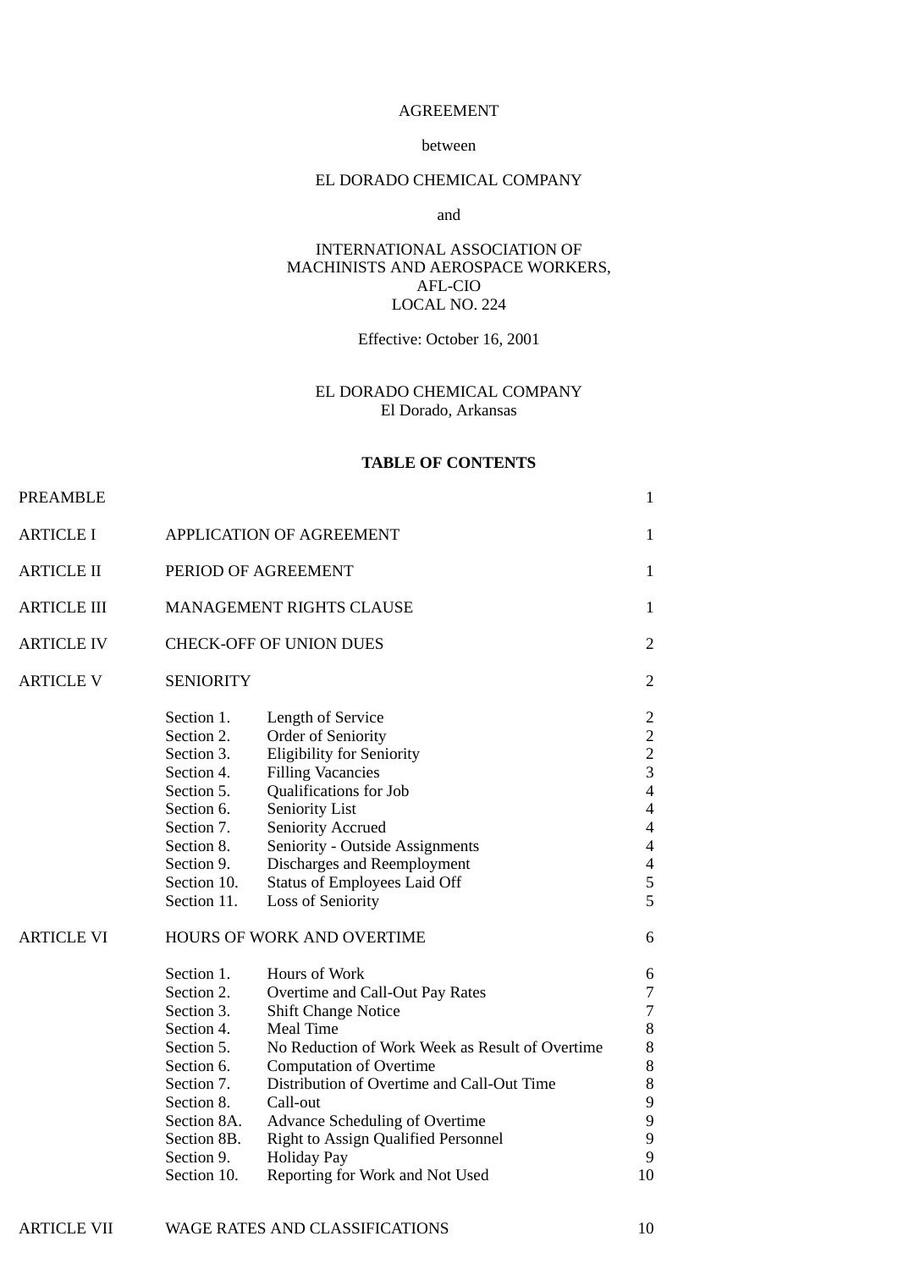# AGREEMENT

### between

# EL DORADO CHEMICAL COMPANY

#### and

## INTERNATIONAL ASSOCIATION OF MACHINISTS AND AEROSPACE WORKERS, AFL-CIO LOCAL NO. 224

# Effective: October 16, 2001

# EL DORADO CHEMICAL COMPANY El Dorado, Arkansas

## **TABLE OF CONTENTS**

| <b>PREAMBLE</b>    |                                                                                                                                                                         |                                                                                                                                                                                                                                                                                                                                                                                                                          | $\mathbf{1}$                                                                                                                                                        |
|--------------------|-------------------------------------------------------------------------------------------------------------------------------------------------------------------------|--------------------------------------------------------------------------------------------------------------------------------------------------------------------------------------------------------------------------------------------------------------------------------------------------------------------------------------------------------------------------------------------------------------------------|---------------------------------------------------------------------------------------------------------------------------------------------------------------------|
| <b>ARTICLE I</b>   |                                                                                                                                                                         | <b>APPLICATION OF AGREEMENT</b>                                                                                                                                                                                                                                                                                                                                                                                          | $\mathbf{1}$                                                                                                                                                        |
| <b>ARTICLE II</b>  | PERIOD OF AGREEMENT                                                                                                                                                     |                                                                                                                                                                                                                                                                                                                                                                                                                          | $\mathbf{1}$                                                                                                                                                        |
| <b>ARTICLE III</b> | MANAGEMENT RIGHTS CLAUSE                                                                                                                                                |                                                                                                                                                                                                                                                                                                                                                                                                                          | $\mathbf{1}$                                                                                                                                                        |
| <b>ARTICLE IV</b>  | <b>CHECK-OFF OF UNION DUES</b>                                                                                                                                          |                                                                                                                                                                                                                                                                                                                                                                                                                          | $\overline{2}$                                                                                                                                                      |
| <b>ARTICLE V</b>   | <b>SENIORITY</b>                                                                                                                                                        |                                                                                                                                                                                                                                                                                                                                                                                                                          | $\overline{2}$                                                                                                                                                      |
|                    | Section 1.<br>Section 2.<br>Section 3.<br>Section 4.<br>Section 5.<br>Section 6.<br>Section 7.<br>Section 8.<br>Section 9.<br>Section 10.<br>Section 11.                | <b>Length of Service</b><br>Order of Seniority<br><b>Eligibility for Seniority</b><br><b>Filling Vacancies</b><br>Qualifications for Job<br>Seniority List<br><b>Seniority Accrued</b><br>Seniority - Outside Assignments<br>Discharges and Reemployment<br>Status of Employees Laid Off<br><b>Loss of Seniority</b>                                                                                                     | 2<br>$\overline{2}$<br>$\overline{2}$<br>$\overline{3}$<br>$\overline{4}$<br>$\overline{4}$<br>$\overline{4}$<br>$\overline{4}$<br>$\overline{4}$<br>5<br>5         |
| <b>ARTICLE VI</b>  | Section 1.<br>Section 2.<br>Section 3.<br>Section 4.<br>Section 5.<br>Section 6.<br>Section 7.<br>Section 8.<br>Section 8A.<br>Section 8B.<br>Section 9.<br>Section 10. | HOURS OF WORK AND OVERTIME<br>Hours of Work<br>Overtime and Call-Out Pay Rates<br><b>Shift Change Notice</b><br><b>Meal Time</b><br>No Reduction of Work Week as Result of Overtime<br><b>Computation of Overtime</b><br>Distribution of Overtime and Call-Out Time<br>Call-out<br>Advance Scheduling of Overtime<br><b>Right to Assign Qualified Personnel</b><br><b>Holiday Pay</b><br>Reporting for Work and Not Used | 6<br>6<br>$\overline{7}$<br>$\overline{7}$<br>8<br>$\, 8$<br>$\, 8$<br>$\, 8$<br>$\boldsymbol{9}$<br>$\boldsymbol{9}$<br>$\boldsymbol{9}$<br>$\boldsymbol{9}$<br>10 |

# ARTICLE VII WAGE RATES AND CLASSIFICATIONS 10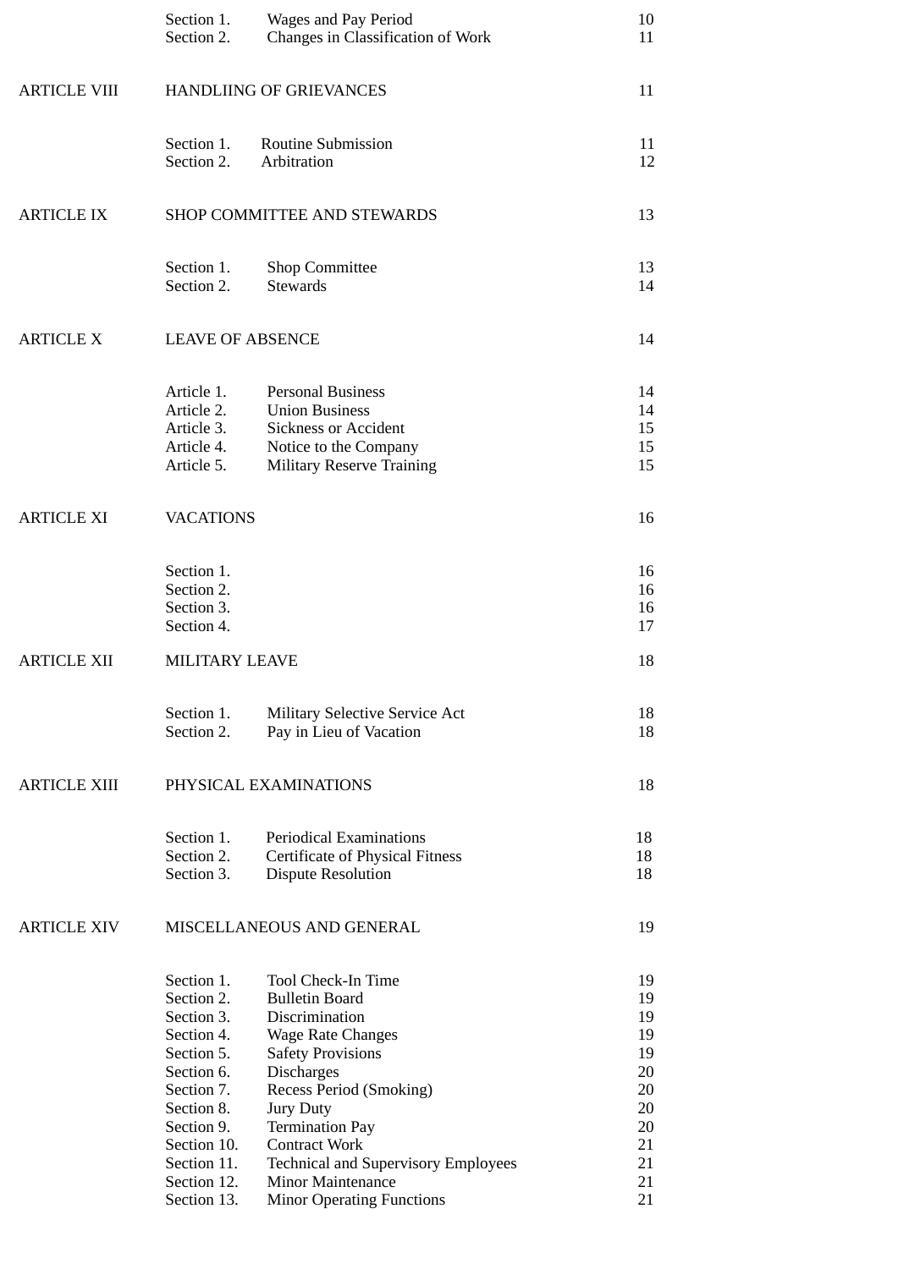|                     | Section 1.<br>Section 2.                                                                                                                                                               | Wages and Pay Period<br>Changes in Classification of Work                                                                                                                                                                                                                                                                                          | 10<br>11                                                                   |
|---------------------|----------------------------------------------------------------------------------------------------------------------------------------------------------------------------------------|----------------------------------------------------------------------------------------------------------------------------------------------------------------------------------------------------------------------------------------------------------------------------------------------------------------------------------------------------|----------------------------------------------------------------------------|
| <b>ARTICLE VIII</b> | <b>HANDLIING OF GRIEVANCES</b>                                                                                                                                                         |                                                                                                                                                                                                                                                                                                                                                    | 11                                                                         |
|                     | Section 1.<br>Section 2.                                                                                                                                                               | <b>Routine Submission</b><br>Arbitration                                                                                                                                                                                                                                                                                                           | 11<br>12                                                                   |
| <b>ARTICLE IX</b>   |                                                                                                                                                                                        | SHOP COMMITTEE AND STEWARDS                                                                                                                                                                                                                                                                                                                        | 13                                                                         |
|                     | Section 1.<br>Section 2.                                                                                                                                                               | Shop Committee<br><b>Stewards</b>                                                                                                                                                                                                                                                                                                                  | 13<br>14                                                                   |
| <b>ARTICLE X</b>    | <b>LEAVE OF ABSENCE</b>                                                                                                                                                                |                                                                                                                                                                                                                                                                                                                                                    | 14                                                                         |
|                     | Article 1.<br>Article 2.<br>Article 3.<br>Article 4.<br>Article 5.                                                                                                                     | <b>Personal Business</b><br><b>Union Business</b><br><b>Sickness or Accident</b><br>Notice to the Company<br><b>Military Reserve Training</b>                                                                                                                                                                                                      | 14<br>14<br>15<br>15<br>15                                                 |
| <b>ARTICLE XI</b>   | <b>VACATIONS</b>                                                                                                                                                                       |                                                                                                                                                                                                                                                                                                                                                    | 16                                                                         |
|                     | Section 1.<br>Section 2.<br>Section 3.<br>Section 4.                                                                                                                                   |                                                                                                                                                                                                                                                                                                                                                    | 16<br>16<br>16<br>17                                                       |
| <b>ARTICLE XII</b>  | <b>MILITARY LEAVE</b>                                                                                                                                                                  |                                                                                                                                                                                                                                                                                                                                                    | 18                                                                         |
|                     | Section 1.<br>Section 2.                                                                                                                                                               | <b>Military Selective Service Act</b><br>Pay in Lieu of Vacation                                                                                                                                                                                                                                                                                   | 18<br>18                                                                   |
| <b>ARTICLE XIII</b> |                                                                                                                                                                                        | PHYSICAL EXAMINATIONS                                                                                                                                                                                                                                                                                                                              | 18                                                                         |
|                     | Section 1.<br>Section 2.<br>Section 3.                                                                                                                                                 | <b>Periodical Examinations</b><br><b>Certificate of Physical Fitness</b><br><b>Dispute Resolution</b>                                                                                                                                                                                                                                              | 18<br>18<br>18                                                             |
| <b>ARTICLE XIV</b>  |                                                                                                                                                                                        | MISCELLANEOUS AND GENERAL                                                                                                                                                                                                                                                                                                                          | 19                                                                         |
|                     | Section 1.<br>Section 2.<br>Section 3.<br>Section 4.<br>Section 5.<br>Section 6.<br>Section 7.<br>Section 8.<br>Section 9.<br>Section 10.<br>Section 11.<br>Section 12.<br>Section 13. | Tool Check-In Time<br><b>Bulletin Board</b><br>Discrimination<br><b>Wage Rate Changes</b><br><b>Safety Provisions</b><br><b>Discharges</b><br>Recess Period (Smoking)<br><b>Jury Duty</b><br><b>Termination Pay</b><br><b>Contract Work</b><br><b>Technical and Supervisory Employees</b><br>Minor Maintenance<br><b>Minor Operating Functions</b> | 19<br>19<br>19<br>19<br>19<br>20<br>20<br>20<br>20<br>21<br>21<br>21<br>21 |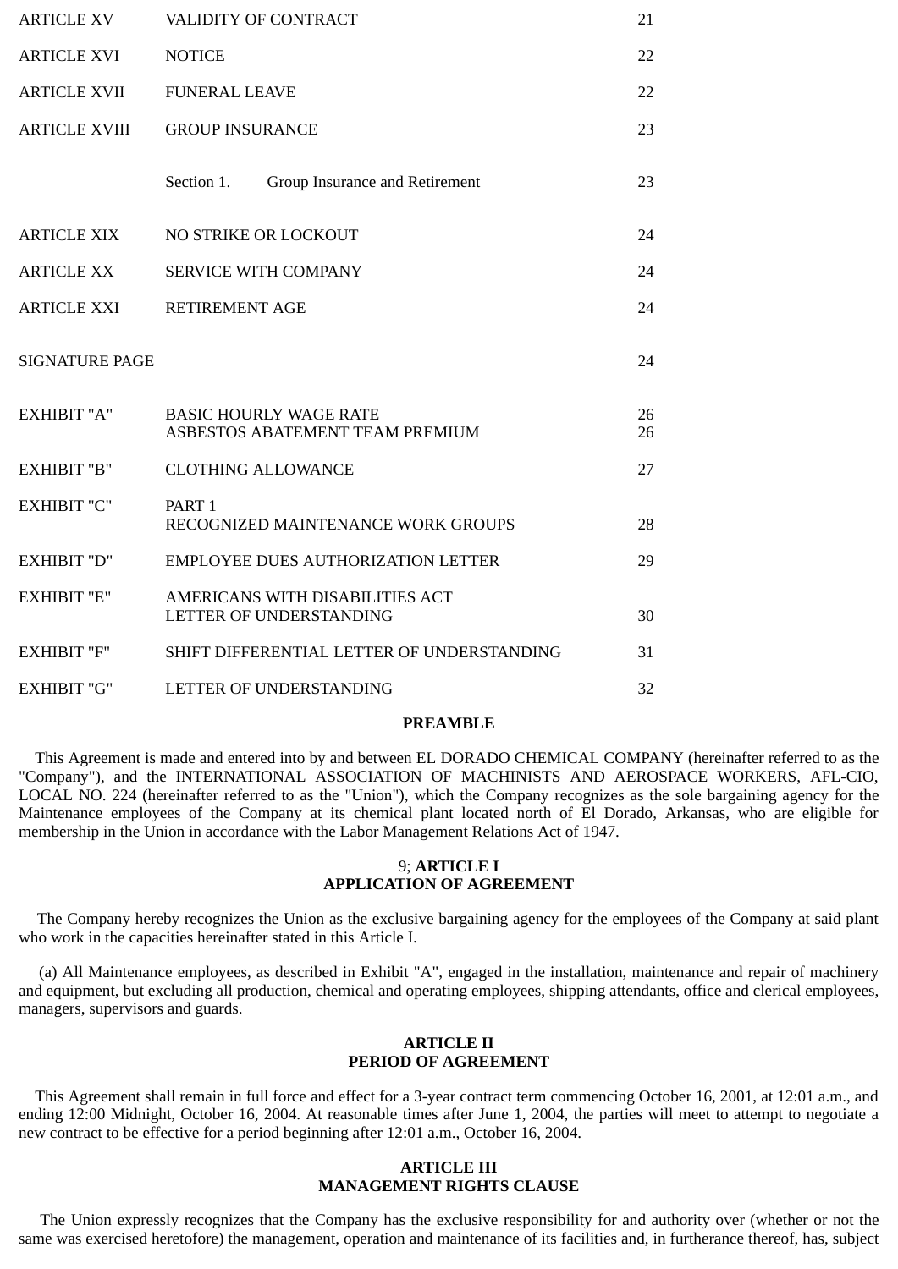| <b>ARTICLE XV</b>     | VALIDITY OF CONTRACT<br>21                                       |          |
|-----------------------|------------------------------------------------------------------|----------|
| <b>ARTICLE XVI</b>    | <b>NOTICE</b><br>22                                              |          |
| <b>ARTICLE XVII</b>   | <b>FUNERAL LEAVE</b><br>22                                       |          |
| <b>ARTICLE XVIII</b>  | <b>GROUP INSURANCE</b>                                           | 23       |
|                       | Section 1.<br>Group Insurance and Retirement                     | 23       |
| <b>ARTICLE XIX</b>    | NO STRIKE OR LOCKOUT                                             | 24       |
| <b>ARTICLE XX</b>     | <b>SERVICE WITH COMPANY</b>                                      | 24       |
| ARTICLE XXI           | <b>RETIREMENT AGE</b>                                            | 24       |
| <b>SIGNATURE PAGE</b> |                                                                  | 24       |
| <b>EXHIBIT "A"</b>    | <b>BASIC HOURLY WAGE RATE</b><br>ASBESTOS ABATEMENT TEAM PREMIUM | 26<br>26 |
| <b>EXHIBIT "B"</b>    | <b>CLOTHING ALLOWANCE</b>                                        | 27       |
| <b>EXHIBIT "C"</b>    | PART <sub>1</sub><br>RECOGNIZED MAINTENANCE WORK GROUPS          | 28       |
| <b>EXHIBIT "D"</b>    | <b>EMPLOYEE DUES AUTHORIZATION LETTER</b>                        | 29       |
| <b>EXHIBIT "E"</b>    | AMERICANS WITH DISABILITIES ACT<br>LETTER OF UNDERSTANDING       | 30       |
| <b>EXHIBIT "F"</b>    | SHIFT DIFFERENTIAL LETTER OF UNDERSTANDING                       | 31       |
| <b>EXHIBIT "G"</b>    | LETTER OF UNDERSTANDING<br>32                                    |          |

#### **PREAMBLE**

This Agreement is made and entered into by and between EL DORADO CHEMICAL COMPANY (hereinafter referred to as the "Company"), and the INTERNATIONAL ASSOCIATION OF MACHINISTS AND AEROSPACE WORKERS, AFL-CIO, LOCAL NO. 224 (hereinafter referred to as the "Union"), which the Company recognizes as the sole bargaining agency for the Maintenance employees of the Company at its chemical plant located north of El Dorado, Arkansas, who are eligible for membership in the Union in accordance with the Labor Management Relations Act of 1947.

#### 9; **ARTICLE I APPLICATION OF AGREEMENT**

The Company hereby recognizes the Union as the exclusive bargaining agency for the employees of the Company at said plant who work in the capacities hereinafter stated in this Article I.

(a) All Maintenance employees, as described in Exhibit "A", engaged in the installation, maintenance and repair of machinery and equipment, but excluding all production, chemical and operating employees, shipping attendants, office and clerical employees, managers, supervisors and guards.

### **ARTICLE II PERIOD OF AGREEMENT**

 This Agreement shall remain in full force and effect for a 3-year contract term commencing October 16, 2001, at 12:01 a.m., and ending 12:00 Midnight, October 16, 2004. At reasonable times after June 1, 2004, the parties will meet to attempt to negotiate a new contract to be effective for a period beginning after 12:01 a.m., October 16, 2004.

### **ARTICLE III MANAGEMENT RIGHTS CLAUSE**

The Union expressly recognizes that the Company has the exclusive responsibility for and authority over (whether or not the same was exercised heretofore) the management, operation and maintenance of its facilities and, in furtherance thereof, has, subject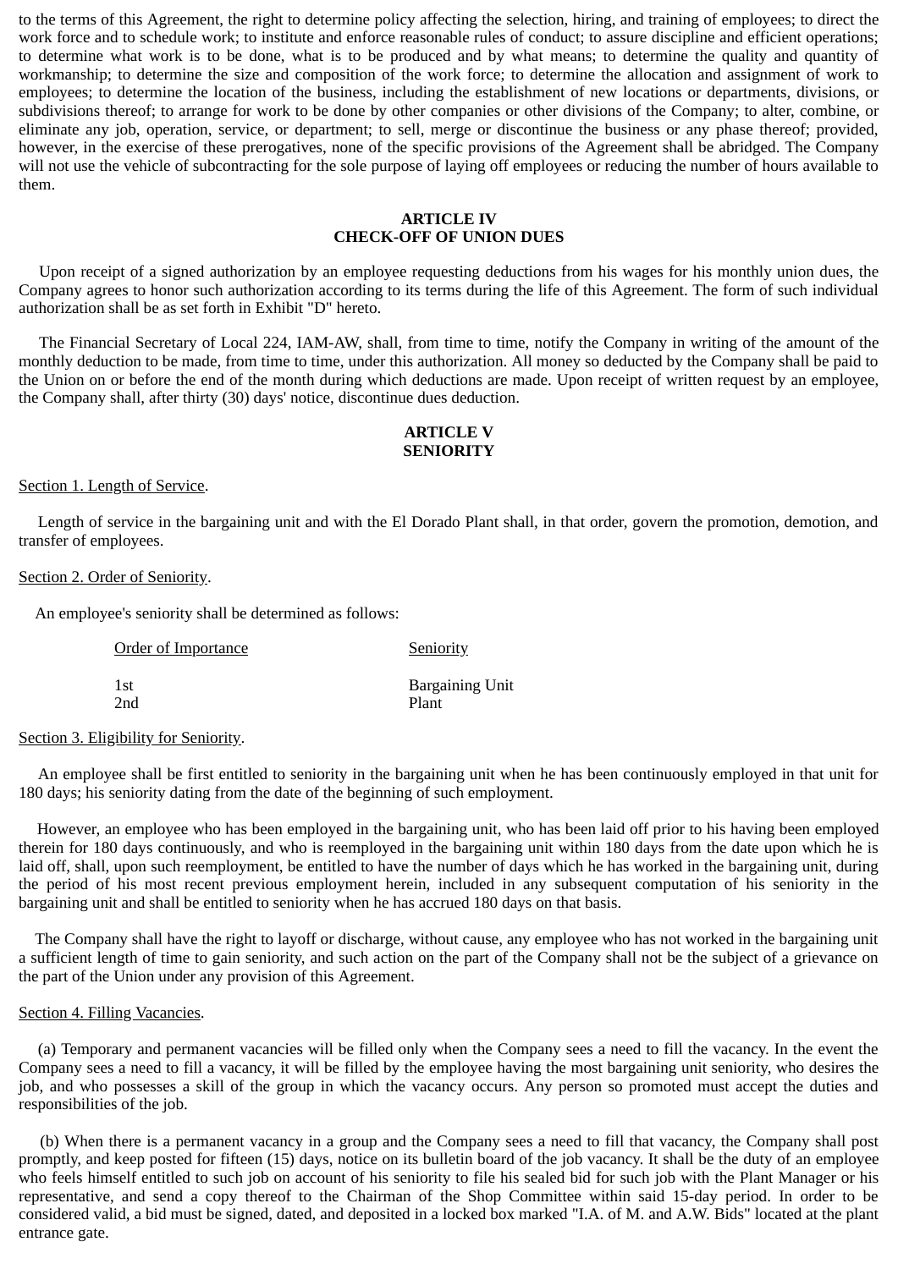to the terms of this Agreement, the right to determine policy affecting the selection, hiring, and training of employees; to direct the work force and to schedule work; to institute and enforce reasonable rules of conduct; to assure discipline and efficient operations; to determine what work is to be done, what is to be produced and by what means; to determine the quality and quantity of workmanship; to determine the size and composition of the work force; to determine the allocation and assignment of work to employees; to determine the location of the business, including the establishment of new locations or departments, divisions, or subdivisions thereof; to arrange for work to be done by other companies or other divisions of the Company; to alter, combine, or eliminate any job, operation, service, or department; to sell, merge or discontinue the business or any phase thereof; provided, however, in the exercise of these prerogatives, none of the specific provisions of the Agreement shall be abridged. The Company will not use the vehicle of subcontracting for the sole purpose of laying off employees or reducing the number of hours available to them.

### **ARTICLE IV CHECK-OFF OF UNION DUES**

Upon receipt of a signed authorization by an employee requesting deductions from his wages for his monthly union dues, the Company agrees to honor such authorization according to its terms during the life of this Agreement. The form of such individual authorization shall be as set forth in Exhibit "D" hereto.

The Financial Secretary of Local 224, IAM-AW, shall, from time to time, notify the Company in writing of the amount of the monthly deduction to be made, from time to time, under this authorization. All money so deducted by the Company shall be paid to the Union on or before the end of the month during which deductions are made. Upon receipt of written request by an employee, the Company shall, after thirty (30) days' notice, discontinue dues deduction.

### **ARTICLE V SENIORITY**

## Section 1. Length of Service.

Length of service in the bargaining unit and with the El Dorado Plant shall, in that order, govern the promotion, demotion, and transfer of employees.

#### Section 2. Order of Seniority.

An employee's seniority shall be determined as follows:

| Order of Importance | <b>Seniority</b>       |
|---------------------|------------------------|
| 1st                 | <b>Bargaining Unit</b> |
| 2nd                 | Plant                  |

### Section 3. Eligibility for Seniority.

An employee shall be first entitled to seniority in the bargaining unit when he has been continuously employed in that unit for 180 days; his seniority dating from the date of the beginning of such employment.

However, an employee who has been employed in the bargaining unit, who has been laid off prior to his having been employed therein for 180 days continuously, and who is reemployed in the bargaining unit within 180 days from the date upon which he is laid off, shall, upon such reemployment, be entitled to have the number of days which he has worked in the bargaining unit, during the period of his most recent previous employment herein, included in any subsequent computation of his seniority in the bargaining unit and shall be entitled to seniority when he has accrued 180 days on that basis.

 The Company shall have the right to layoff or discharge, without cause, any employee who has not worked in the bargaining unit a sufficient length of time to gain seniority, and such action on the part of the Company shall not be the subject of a grievance on the part of the Union under any provision of this Agreement.

#### Section 4. Filling Vacancies.

(a) Temporary and permanent vacancies will be filled only when the Company sees a need to fill the vacancy. In the event the Company sees a need to fill a vacancy, it will be filled by the employee having the most bargaining unit seniority, who desires the job, and who possesses a skill of the group in which the vacancy occurs. Any person so promoted must accept the duties and responsibilities of the job.

(b) When there is a permanent vacancy in a group and the Company sees a need to fill that vacancy, the Company shall post promptly, and keep posted for fifteen (15) days, notice on its bulletin board of the job vacancy. It shall be the duty of an employee who feels himself entitled to such job on account of his seniority to file his sealed bid for such job with the Plant Manager or his representative, and send a copy thereof to the Chairman of the Shop Committee within said 15-day period. In order to be considered valid, a bid must be signed, dated, and deposited in a locked box marked "I.A. of M. and A.W. Bids" located at the plant entrance gate.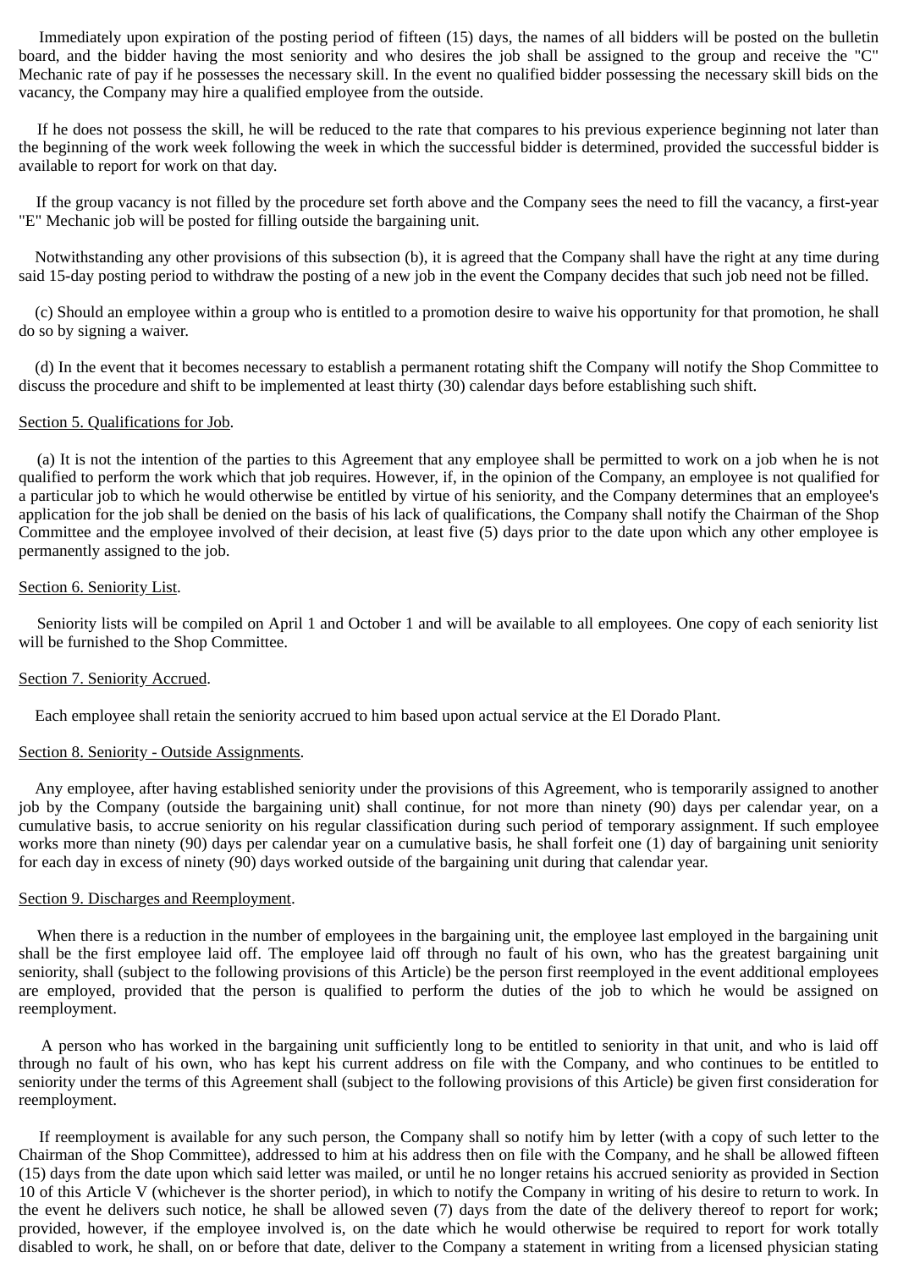Immediately upon expiration of the posting period of fifteen (15) days, the names of all bidders will be posted on the bulletin board, and the bidder having the most seniority and who desires the job shall be assigned to the group and receive the "C" Mechanic rate of pay if he possesses the necessary skill. In the event no qualified bidder possessing the necessary skill bids on the vacancy, the Company may hire a qualified employee from the outside.

If he does not possess the skill, he will be reduced to the rate that compares to his previous experience beginning not later than the beginning of the work week following the week in which the successful bidder is determined, provided the successful bidder is available to report for work on that day.

If the group vacancy is not filled by the procedure set forth above and the Company sees the need to fill the vacancy, a first-year "E" Mechanic job will be posted for filling outside the bargaining unit.

 Notwithstanding any other provisions of this subsection (b), it is agreed that the Company shall have the right at any time during said 15-day posting period to withdraw the posting of a new job in the event the Company decides that such job need not be filled.

 (c) Should an employee within a group who is entitled to a promotion desire to waive his opportunity for that promotion, he shall do so by signing a waiver.

 (d) In the event that it becomes necessary to establish a permanent rotating shift the Company will notify the Shop Committee to discuss the procedure and shift to be implemented at least thirty (30) calendar days before establishing such shift.

### Section 5. Qualifications for Job.

(a) It is not the intention of the parties to this Agreement that any employee shall be permitted to work on a job when he is not qualified to perform the work which that job requires. However, if, in the opinion of the Company, an employee is not qualified for a particular job to which he would otherwise be entitled by virtue of his seniority, and the Company determines that an employee's application for the job shall be denied on the basis of his lack of qualifications, the Company shall notify the Chairman of the Shop Committee and the employee involved of their decision, at least five (5) days prior to the date upon which any other employee is permanently assigned to the job.

### Section 6. Seniority List.

Seniority lists will be compiled on April 1 and October 1 and will be available to all employees. One copy of each seniority list will be furnished to the Shop Committee.

# Section 7. Seniority Accrued.

Each employee shall retain the seniority accrued to him based upon actual service at the El Dorado Plant.

# Section 8. Seniority - Outside Assignments.

 Any employee, after having established seniority under the provisions of this Agreement, who is temporarily assigned to another job by the Company (outside the bargaining unit) shall continue, for not more than ninety (90) days per calendar year, on a cumulative basis, to accrue seniority on his regular classification during such period of temporary assignment. If such employee works more than ninety (90) days per calendar year on a cumulative basis, he shall forfeit one (1) day of bargaining unit seniority for each day in excess of ninety (90) days worked outside of the bargaining unit during that calendar year.

### Section 9. Discharges and Reemployment.

When there is a reduction in the number of employees in the bargaining unit, the employee last employed in the bargaining unit shall be the first employee laid off. The employee laid off through no fault of his own, who has the greatest bargaining unit seniority, shall (subject to the following provisions of this Article) be the person first reemployed in the event additional employees are employed, provided that the person is qualified to perform the duties of the job to which he would be assigned on reemployment.

A person who has worked in the bargaining unit sufficiently long to be entitled to seniority in that unit, and who is laid off through no fault of his own, who has kept his current address on file with the Company, and who continues to be entitled to seniority under the terms of this Agreement shall (subject to the following provisions of this Article) be given first consideration for reemployment.

If reemployment is available for any such person, the Company shall so notify him by letter (with a copy of such letter to the Chairman of the Shop Committee), addressed to him at his address then on file with the Company, and he shall be allowed fifteen (15) days from the date upon which said letter was mailed, or until he no longer retains his accrued seniority as provided in Section 10 of this Article V (whichever is the shorter period), in which to notify the Company in writing of his desire to return to work. In the event he delivers such notice, he shall be allowed seven (7) days from the date of the delivery thereof to report for work; provided, however, if the employee involved is, on the date which he would otherwise be required to report for work totally disabled to work, he shall, on or before that date, deliver to the Company a statement in writing from a licensed physician stating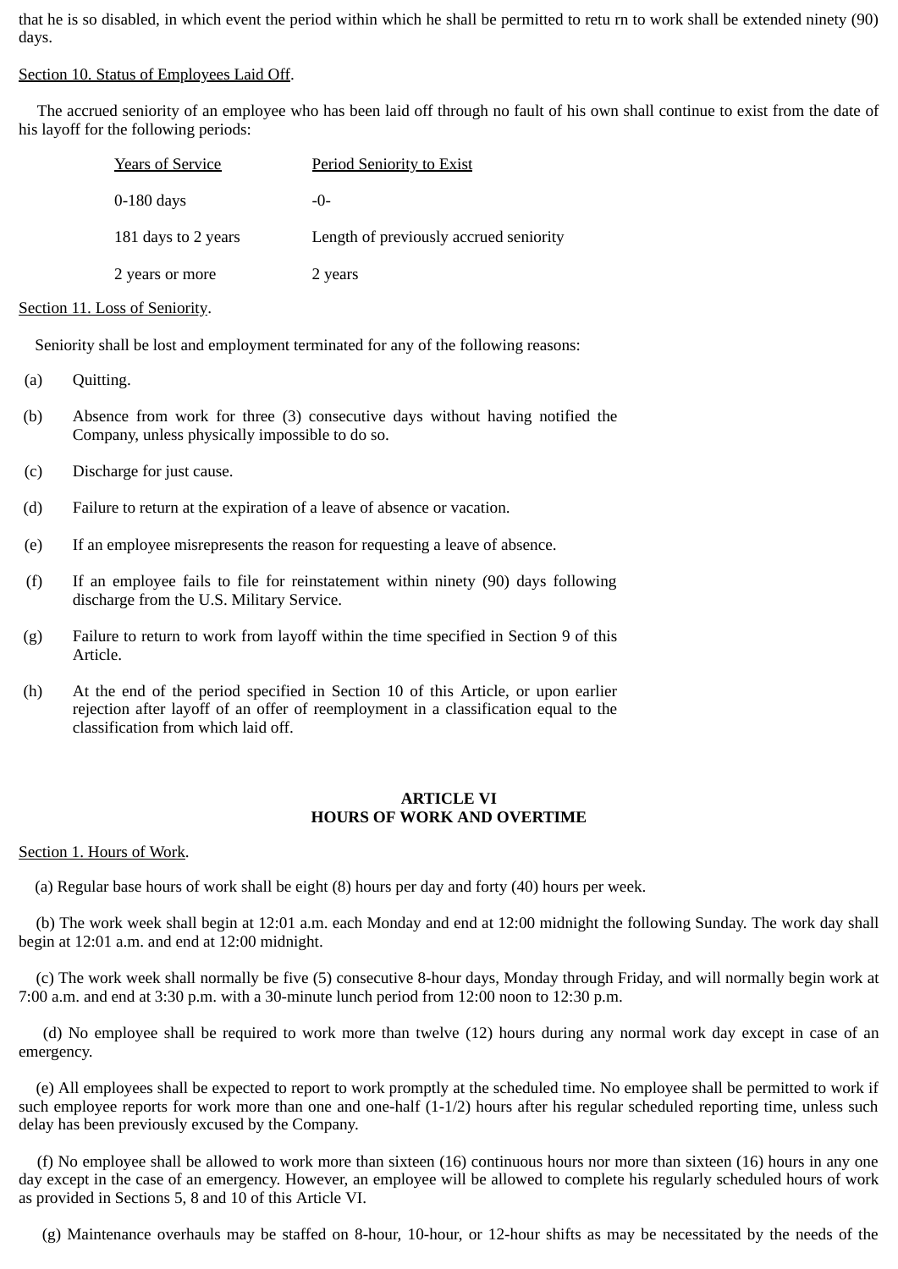that he is so disabled, in which event the period within which he shall be permitted to retu rn to work shall be extended ninety (90) days.

Section 10. Status of Employees Laid Off.

The accrued seniority of an employee who has been laid off through no fault of his own shall continue to exist from the date of his layoff for the following periods:

| <b>Years of Service</b> | <b>Period Seniority to Exist</b>       |
|-------------------------|----------------------------------------|
| $0-180$ days            | $-()$                                  |
| 181 days to 2 years     | Length of previously accrued seniority |
| 2 years or more         | 2 years                                |

### Section 11. Loss of Seniority.

Seniority shall be lost and employment terminated for any of the following reasons:

- (a) Quitting.
- (b) Absence from work for three (3) consecutive days without having notified the Company, unless physically impossible to do so.
- (c) Discharge for just cause.
- (d) Failure to return at the expiration of a leave of absence or vacation.
- (e) If an employee misrepresents the reason for requesting a leave of absence.
- (f) If an employee fails to file for reinstatement within ninety (90) days following discharge from the U.S. Military Service.
- (g) Failure to return to work from layoff within the time specified in Section 9 of this Article.
- (h) At the end of the period specified in Section 10 of this Article, or upon earlier rejection after layoff of an offer of reemployment in a classification equal to the classification from which laid off.

### **ARTICLE VI HOURS OF WORK AND OVERTIME**

# Section 1. Hours of Work.

(a) Regular base hours of work shall be eight (8) hours per day and forty (40) hours per week.

(b) The work week shall begin at 12:01 a.m. each Monday and end at 12:00 midnight the following Sunday. The work day shall begin at 12:01 a.m. and end at 12:00 midnight.

(c) The work week shall normally be five (5) consecutive 8-hour days, Monday through Friday, and will normally begin work at 7:00 a.m. and end at 3:30 p.m. with a 30-minute lunch period from 12:00 noon to 12:30 p.m.

(d) No employee shall be required to work more than twelve (12) hours during any normal work day except in case of an emergency.

(e) All employees shall be expected to report to work promptly at the scheduled time. No employee shall be permitted to work if such employee reports for work more than one and one-half (1-1/2) hours after his regular scheduled reporting time, unless such delay has been previously excused by the Company.

(f) No employee shall be allowed to work more than sixteen (16) continuous hours nor more than sixteen (16) hours in any one day except in the case of an emergency. However, an employee will be allowed to complete his regularly scheduled hours of work as provided in Sections 5, 8 and 10 of this Article VI.

(g) Maintenance overhauls may be staffed on 8-hour, 10-hour, or 12-hour shifts as may be necessitated by the needs of the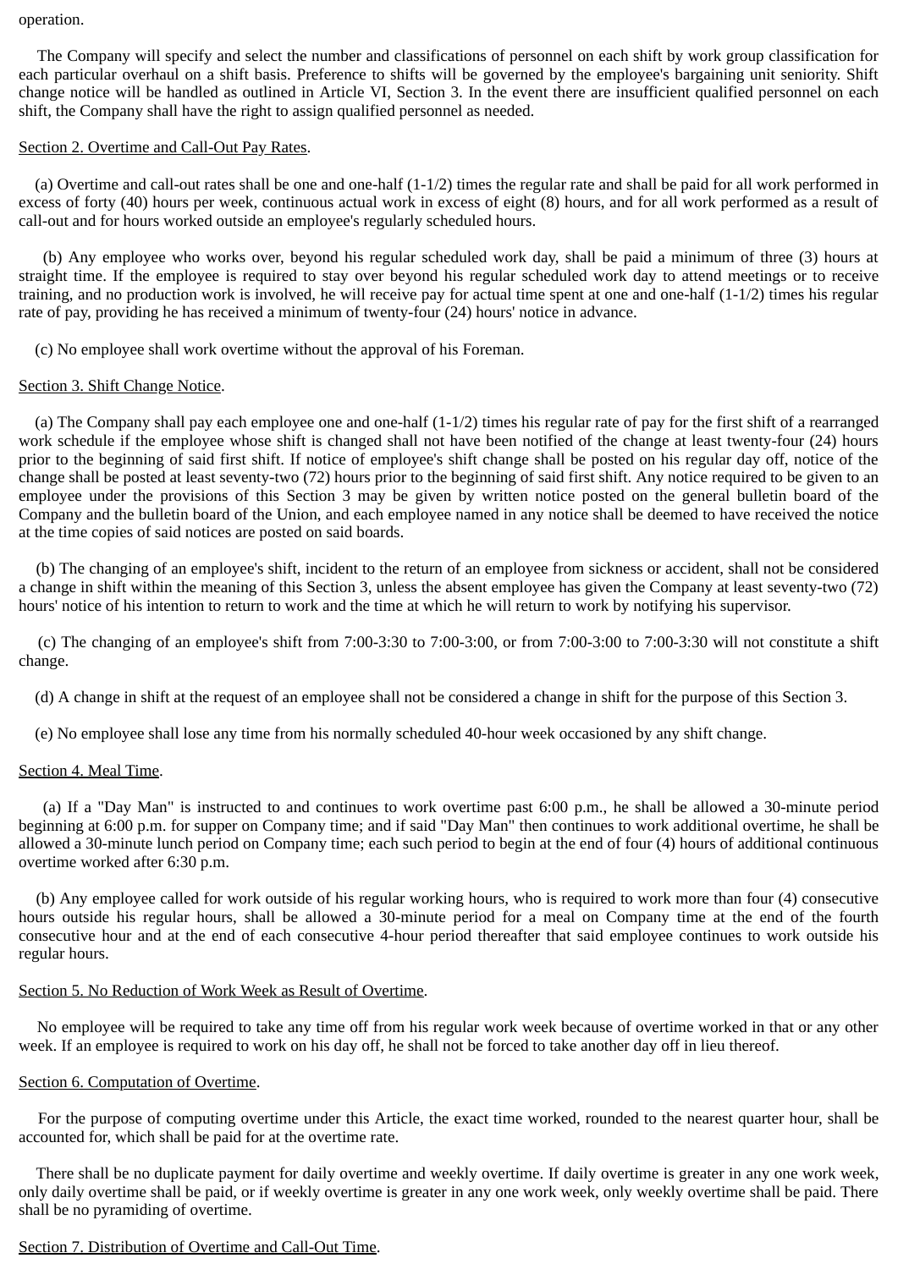#### operation.

The Company will specify and select the number and classifications of personnel on each shift by work group classification for each particular overhaul on a shift basis. Preference to shifts will be governed by the employee's bargaining unit seniority. Shift change notice will be handled as outlined in Article VI, Section 3. In the event there are insufficient qualified personnel on each shift, the Company shall have the right to assign qualified personnel as needed.

### Section 2. Overtime and Call-Out Pay Rates.

 (a) Overtime and call-out rates shall be one and one-half (1-1/2) times the regular rate and shall be paid for all work performed in excess of forty (40) hours per week, continuous actual work in excess of eight (8) hours, and for all work performed as a result of call-out and for hours worked outside an employee's regularly scheduled hours.

(b) Any employee who works over, beyond his regular scheduled work day, shall be paid a minimum of three (3) hours at straight time. If the employee is required to stay over beyond his regular scheduled work day to attend meetings or to receive training, and no production work is involved, he will receive pay for actual time spent at one and one-half (1-1/2) times his regular rate of pay, providing he has received a minimum of twenty-four (24) hours' notice in advance.

(c) No employee shall work overtime without the approval of his Foreman.

### Section 3. Shift Change Notice.

 (a) The Company shall pay each employee one and one-half (1-1/2) times his regular rate of pay for the first shift of a rearranged work schedule if the employee whose shift is changed shall not have been notified of the change at least twenty-four (24) hours prior to the beginning of said first shift. If notice of employee's shift change shall be posted on his regular day off, notice of the change shall be posted at least seventy-two (72) hours prior to the beginning of said first shift. Any notice required to be given to an employee under the provisions of this Section 3 may be given by written notice posted on the general bulletin board of the Company and the bulletin board of the Union, and each employee named in any notice shall be deemed to have received the notice at the time copies of said notices are posted on said boards.

(b) The changing of an employee's shift, incident to the return of an employee from sickness or accident, shall not be considered a change in shift within the meaning of this Section 3, unless the absent employee has given the Company at least seventy-two (72) hours' notice of his intention to return to work and the time at which he will return to work by notifying his supervisor.

(c) The changing of an employee's shift from  $7:00-3:30$  to  $7:00-3:00$ , or from  $7:00-3:00$  to  $7:00-3:30$  will not constitute a shift change.

(d) A change in shift at the request of an employee shall not be considered a change in shift for the purpose of this Section 3.

(e) No employee shall lose any time from his normally scheduled 40-hour week occasioned by any shift change.

### Section 4. Meal Time.

(a) If a "Day Man" is instructed to and continues to work overtime past 6:00 p.m., he shall be allowed a 30-minute period beginning at 6:00 p.m. for supper on Company time; and if said "Day Man" then continues to work additional overtime, he shall be allowed a 30-minute lunch period on Company time; each such period to begin at the end of four (4) hours of additional continuous overtime worked after 6:30 p.m.

(b) Any employee called for work outside of his regular working hours, who is required to work more than four (4) consecutive hours outside his regular hours, shall be allowed a 30-minute period for a meal on Company time at the end of the fourth consecutive hour and at the end of each consecutive 4-hour period thereafter that said employee continues to work outside his regular hours.

### Section 5. No Reduction of Work Week as Result of Overtime.

No employee will be required to take any time off from his regular work week because of overtime worked in that or any other week. If an employee is required to work on his day off, he shall not be forced to take another day off in lieu thereof.

# Section 6. Computation of Overtime.

For the purpose of computing overtime under this Article, the exact time worked, rounded to the nearest quarter hour, shall be accounted for, which shall be paid for at the overtime rate.

There shall be no duplicate payment for daily overtime and weekly overtime. If daily overtime is greater in any one work week, only daily overtime shall be paid, or if weekly overtime is greater in any one work week, only weekly overtime shall be paid. There shall be no pyramiding of overtime.

### Section 7. Distribution of Overtime and Call-Out Time.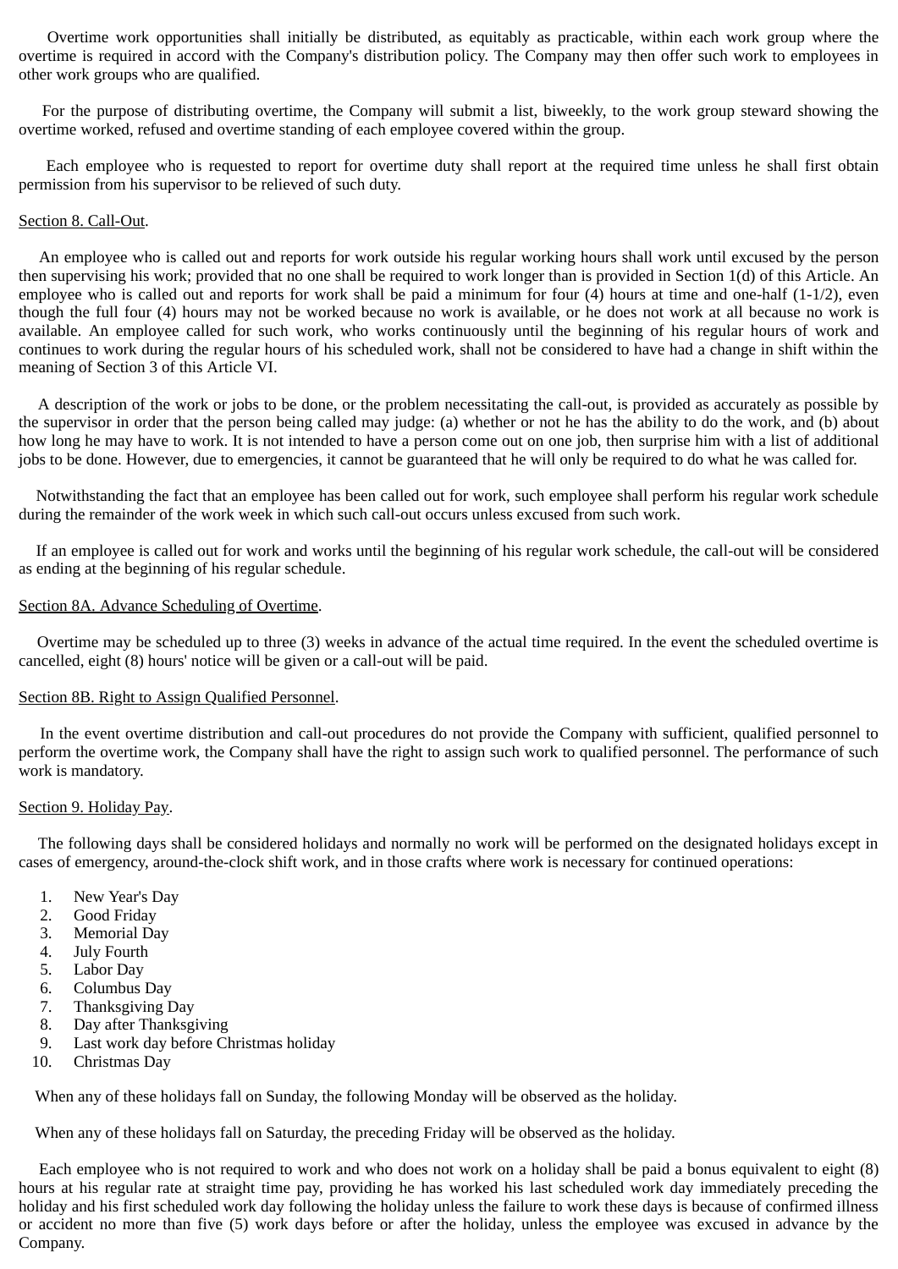Overtime work opportunities shall initially be distributed, as equitably as practicable, within each work group where the overtime is required in accord with the Company's distribution policy. The Company may then offer such work to employees in other work groups who are qualified.

For the purpose of distributing overtime, the Company will submit a list, biweekly, to the work group steward showing the overtime worked, refused and overtime standing of each employee covered within the group.

Each employee who is requested to report for overtime duty shall report at the required time unless he shall first obtain permission from his supervisor to be relieved of such duty.

### Section 8. Call-Out.

An employee who is called out and reports for work outside his regular working hours shall work until excused by the person then supervising his work; provided that no one shall be required to work longer than is provided in Section 1(d) of this Article. An employee who is called out and reports for work shall be paid a minimum for four (4) hours at time and one-half (1-1/2), even though the full four (4) hours may not be worked because no work is available, or he does not work at all because no work is available. An employee called for such work, who works continuously until the beginning of his regular hours of work and continues to work during the regular hours of his scheduled work, shall not be considered to have had a change in shift within the meaning of Section 3 of this Article VI.

A description of the work or jobs to be done, or the problem necessitating the call-out, is provided as accurately as possible by the supervisor in order that the person being called may judge: (a) whether or not he has the ability to do the work, and (b) about how long he may have to work. It is not intended to have a person come out on one job, then surprise him with a list of additional jobs to be done. However, due to emergencies, it cannot be guaranteed that he will only be required to do what he was called for.

Notwithstanding the fact that an employee has been called out for work, such employee shall perform his regular work schedule during the remainder of the work week in which such call-out occurs unless excused from such work.

If an employee is called out for work and works until the beginning of his regular work schedule, the call-out will be considered as ending at the beginning of his regular schedule.

### Section 8A. Advance Scheduling of Overtime.

Overtime may be scheduled up to three (3) weeks in advance of the actual time required. In the event the scheduled overtime is cancelled, eight (8) hours' notice will be given or a call-out will be paid.

#### Section 8B. Right to Assign Qualified Personnel.

In the event overtime distribution and call-out procedures do not provide the Company with sufficient, qualified personnel to perform the overtime work, the Company shall have the right to assign such work to qualified personnel. The performance of such work is mandatory.

#### Section 9. Holiday Pay.

The following days shall be considered holidays and normally no work will be performed on the designated holidays except in cases of emergency, around-the-clock shift work, and in those crafts where work is necessary for continued operations:

- 1. New Year's Day
- 2. Good Friday
- 3. Memorial Day
- 4. July Fourth
- 5. Labor Day
- 6. Columbus Day
- 7. Thanksgiving Day
- 8. Day after Thanksgiving
- 9. Last work day before Christmas holiday
- 10. Christmas Day

When any of these holidays fall on Sunday, the following Monday will be observed as the holiday.

When any of these holidays fall on Saturday, the preceding Friday will be observed as the holiday.

Each employee who is not required to work and who does not work on a holiday shall be paid a bonus equivalent to eight (8) hours at his regular rate at straight time pay, providing he has worked his last scheduled work day immediately preceding the holiday and his first scheduled work day following the holiday unless the failure to work these days is because of confirmed illness or accident no more than five (5) work days before or after the holiday, unless the employee was excused in advance by the Company.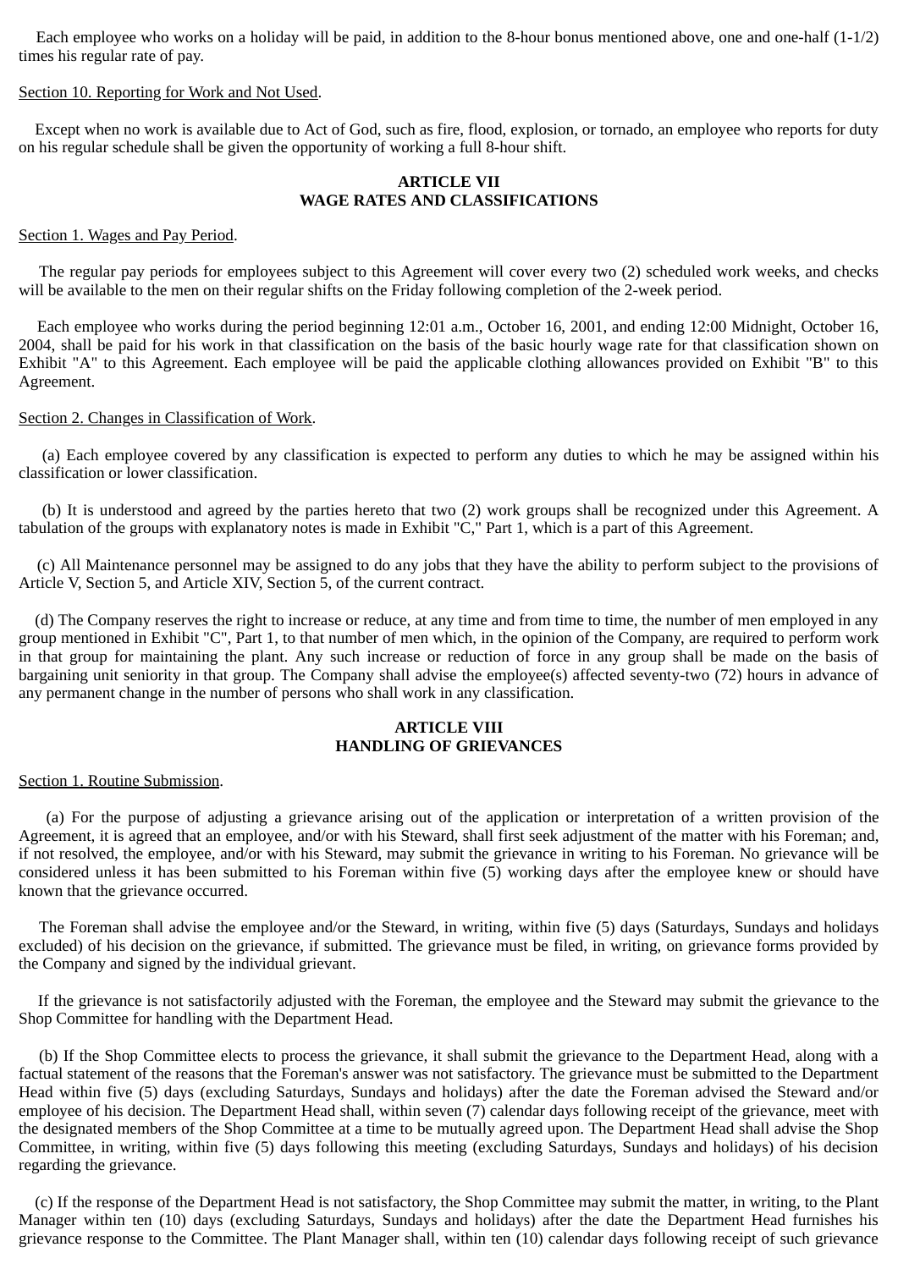Each employee who works on a holiday will be paid, in addition to the 8-hour bonus mentioned above, one and one-half (1-1/2) times his regular rate of pay.

#### Section 10. Reporting for Work and Not Used.

 Except when no work is available due to Act of God, such as fire, flood, explosion, or tornado, an employee who reports for duty on his regular schedule shall be given the opportunity of working a full 8-hour shift.

### **ARTICLE VII WAGE RATES AND CLASSIFICATIONS**

#### Section 1. Wages and Pay Period.

The regular pay periods for employees subject to this Agreement will cover every two (2) scheduled work weeks, and checks will be available to the men on their regular shifts on the Friday following completion of the 2-week period.

Each employee who works during the period beginning 12:01 a.m., October 16, 2001, and ending 12:00 Midnight, October 16, 2004, shall be paid for his work in that classification on the basis of the basic hourly wage rate for that classification shown on Exhibit "A" to this Agreement. Each employee will be paid the applicable clothing allowances provided on Exhibit "B" to this Agreement.

#### Section 2. Changes in Classification of Work.

(a) Each employee covered by any classification is expected to perform any duties to which he may be assigned within his classification or lower classification.

(b) It is understood and agreed by the parties hereto that two (2) work groups shall be recognized under this Agreement. A tabulation of the groups with explanatory notes is made in Exhibit "C," Part 1, which is a part of this Agreement.

(c) All Maintenance personnel may be assigned to do any jobs that they have the ability to perform subject to the provisions of Article V, Section 5, and Article XIV, Section 5, of the current contract.

 (d) The Company reserves the right to increase or reduce, at any time and from time to time, the number of men employed in any group mentioned in Exhibit "C", Part 1, to that number of men which, in the opinion of the Company, are required to perform work in that group for maintaining the plant. Any such increase or reduction of force in any group shall be made on the basis of bargaining unit seniority in that group. The Company shall advise the employee(s) affected seventy-two (72) hours in advance of any permanent change in the number of persons who shall work in any classification.

## **ARTICLE VIII HANDLING OF GRIEVANCES**

#### Section 1. Routine Submission.

(a) For the purpose of adjusting a grievance arising out of the application or interpretation of a written provision of the Agreement, it is agreed that an employee, and/or with his Steward, shall first seek adjustment of the matter with his Foreman; and, if not resolved, the employee, and/or with his Steward, may submit the grievance in writing to his Foreman. No grievance will be considered unless it has been submitted to his Foreman within five (5) working days after the employee knew or should have known that the grievance occurred.

The Foreman shall advise the employee and/or the Steward, in writing, within five (5) days (Saturdays, Sundays and holidays excluded) of his decision on the grievance, if submitted. The grievance must be filed, in writing, on grievance forms provided by the Company and signed by the individual grievant.

If the grievance is not satisfactorily adjusted with the Foreman, the employee and the Steward may submit the grievance to the Shop Committee for handling with the Department Head.

(b) If the Shop Committee elects to process the grievance, it shall submit the grievance to the Department Head, along with a factual statement of the reasons that the Foreman's answer was not satisfactory. The grievance must be submitted to the Department Head within five (5) days (excluding Saturdays, Sundays and holidays) after the date the Foreman advised the Steward and/or employee of his decision. The Department Head shall, within seven (7) calendar days following receipt of the grievance, meet with the designated members of the Shop Committee at a time to be mutually agreed upon. The Department Head shall advise the Shop Committee, in writing, within five (5) days following this meeting (excluding Saturdays, Sundays and holidays) of his decision regarding the grievance.

 (c) If the response of the Department Head is not satisfactory, the Shop Committee may submit the matter, in writing, to the Plant Manager within ten (10) days (excluding Saturdays, Sundays and holidays) after the date the Department Head furnishes his grievance response to the Committee. The Plant Manager shall, within ten (10) calendar days following receipt of such grievance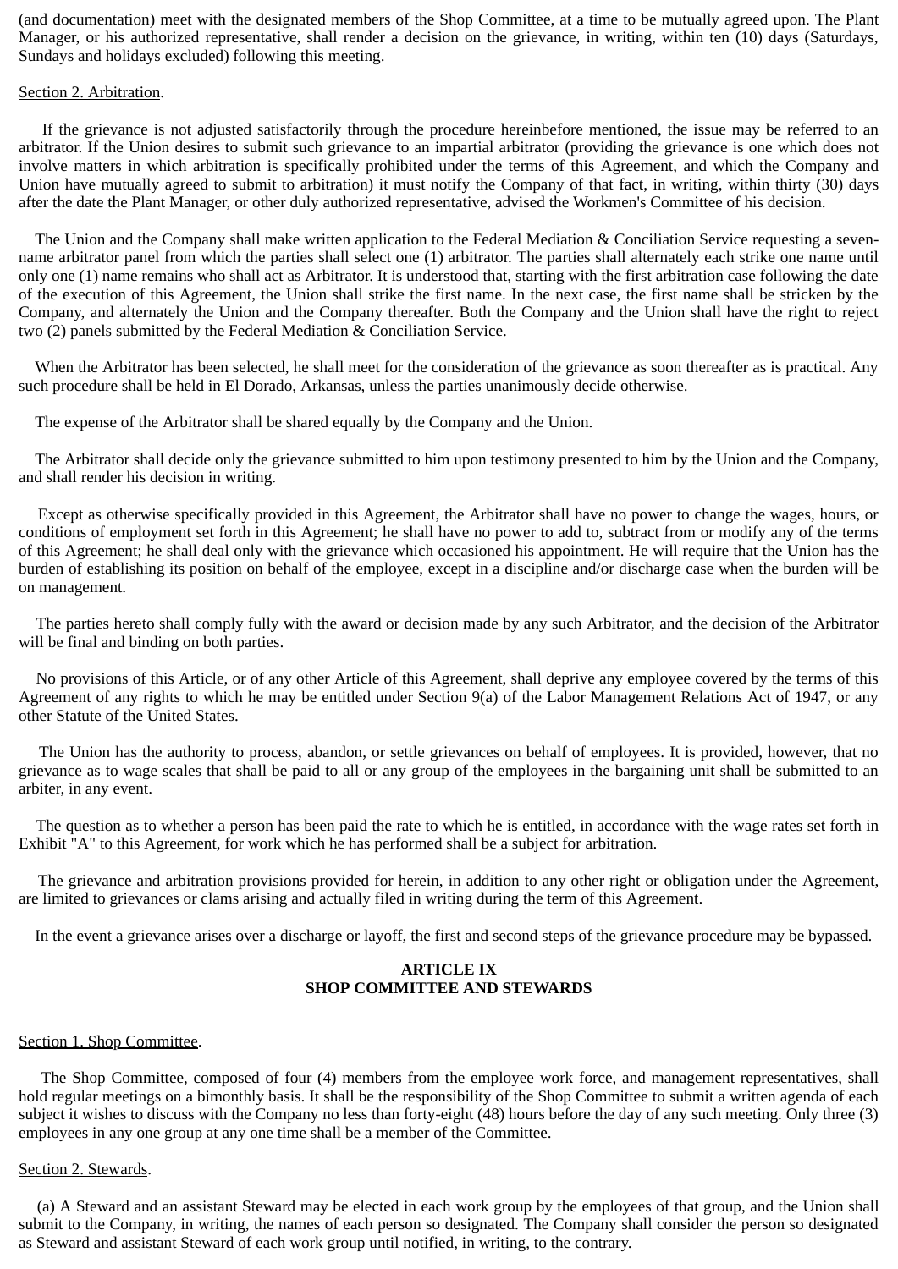(and documentation) meet with the designated members of the Shop Committee, at a time to be mutually agreed upon. The Plant Manager, or his authorized representative, shall render a decision on the grievance, in writing, within ten (10) days (Saturdays, Sundays and holidays excluded) following this meeting.

### Section 2. Arbitration.

If the grievance is not adjusted satisfactorily through the procedure hereinbefore mentioned, the issue may be referred to an arbitrator. If the Union desires to submit such grievance to an impartial arbitrator (providing the grievance is one which does not involve matters in which arbitration is specifically prohibited under the terms of this Agreement, and which the Company and Union have mutually agreed to submit to arbitration) it must notify the Company of that fact, in writing, within thirty (30) days after the date the Plant Manager, or other duly authorized representative, advised the Workmen's Committee of his decision.

 The Union and the Company shall make written application to the Federal Mediation & Conciliation Service requesting a sevenname arbitrator panel from which the parties shall select one (1) arbitrator. The parties shall alternately each strike one name until only one (1) name remains who shall act as Arbitrator. It is understood that, starting with the first arbitration case following the date of the execution of this Agreement, the Union shall strike the first name. In the next case, the first name shall be stricken by the Company, and alternately the Union and the Company thereafter. Both the Company and the Union shall have the right to reject two (2) panels submitted by the Federal Mediation & Conciliation Service.

 When the Arbitrator has been selected, he shall meet for the consideration of the grievance as soon thereafter as is practical. Any such procedure shall be held in El Dorado, Arkansas, unless the parties unanimously decide otherwise.

The expense of the Arbitrator shall be shared equally by the Company and the Union.

 The Arbitrator shall decide only the grievance submitted to him upon testimony presented to him by the Union and the Company, and shall render his decision in writing.

Except as otherwise specifically provided in this Agreement, the Arbitrator shall have no power to change the wages, hours, or conditions of employment set forth in this Agreement; he shall have no power to add to, subtract from or modify any of the terms of this Agreement; he shall deal only with the grievance which occasioned his appointment. He will require that the Union has the burden of establishing its position on behalf of the employee, except in a discipline and/or discharge case when the burden will be on management.

The parties hereto shall comply fully with the award or decision made by any such Arbitrator, and the decision of the Arbitrator will be final and binding on both parties.

No provisions of this Article, or of any other Article of this Agreement, shall deprive any employee covered by the terms of this Agreement of any rights to which he may be entitled under Section 9(a) of the Labor Management Relations Act of 1947, or any other Statute of the United States.

The Union has the authority to process, abandon, or settle grievances on behalf of employees. It is provided, however, that no grievance as to wage scales that shall be paid to all or any group of the employees in the bargaining unit shall be submitted to an arbiter, in any event.

The question as to whether a person has been paid the rate to which he is entitled, in accordance with the wage rates set forth in Exhibit "A" to this Agreement, for work which he has performed shall be a subject for arbitration.

The grievance and arbitration provisions provided for herein, in addition to any other right or obligation under the Agreement, are limited to grievances or clams arising and actually filed in writing during the term of this Agreement.

In the event a grievance arises over a discharge or layoff, the first and second steps of the grievance procedure may be bypassed.

### **ARTICLE IX SHOP COMMITTEE AND STEWARDS**

# Section 1. Shop Committee.

The Shop Committee, composed of four (4) members from the employee work force, and management representatives, shall hold regular meetings on a bimonthly basis. It shall be the responsibility of the Shop Committee to submit a written agenda of each subject it wishes to discuss with the Company no less than forty-eight (48) hours before the day of any such meeting. Only three (3) employees in any one group at any one time shall be a member of the Committee.

### Section 2. Stewards.

(a) A Steward and an assistant Steward may be elected in each work group by the employees of that group, and the Union shall submit to the Company, in writing, the names of each person so designated. The Company shall consider the person so designated as Steward and assistant Steward of each work group until notified, in writing, to the contrary.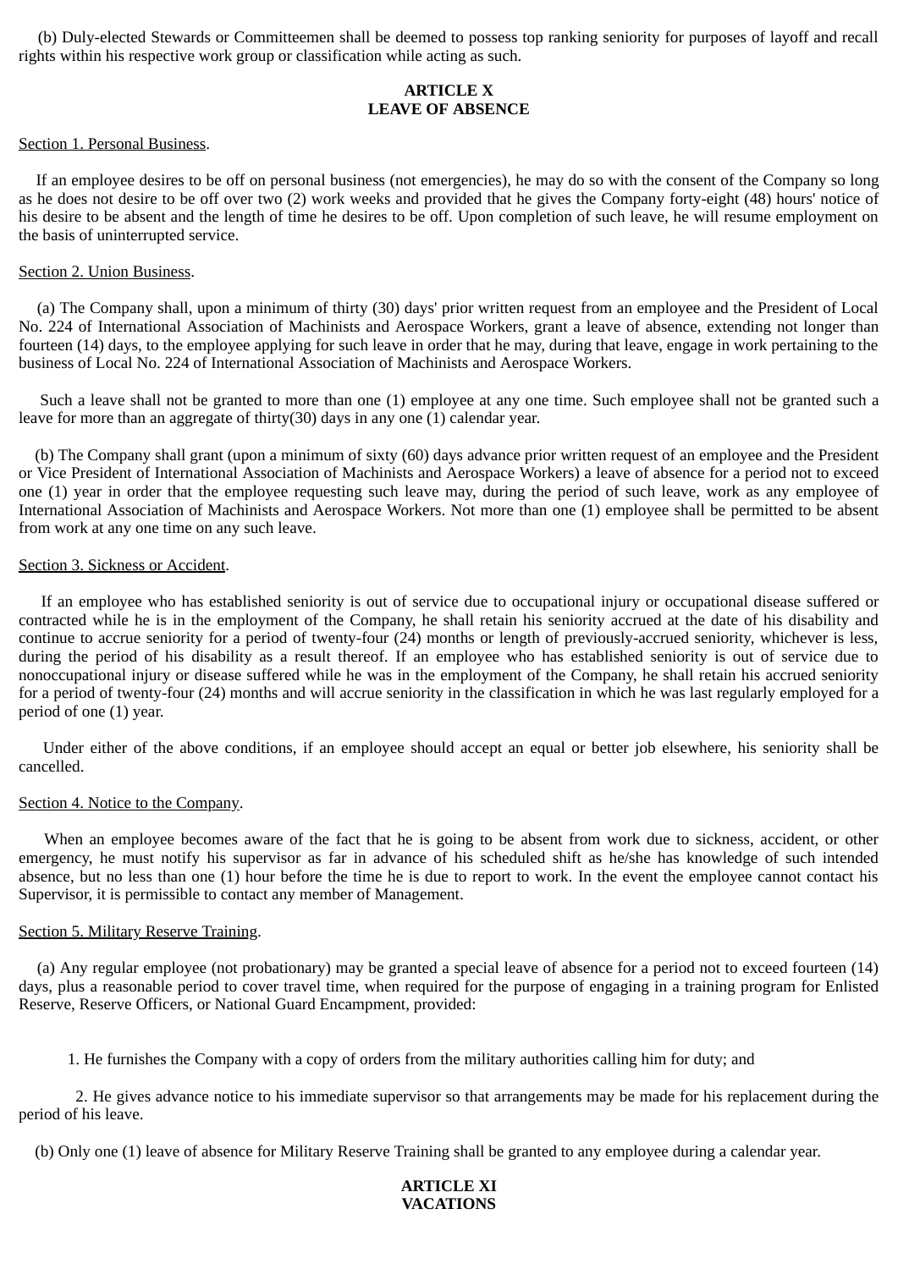(b) Duly-elected Stewards or Committeemen shall be deemed to possess top ranking seniority for purposes of layoff and recall rights within his respective work group or classification while acting as such.

# **ARTICLE X LEAVE OF ABSENCE**

#### Section 1. Personal Business.

If an employee desires to be off on personal business (not emergencies), he may do so with the consent of the Company so long as he does not desire to be off over two (2) work weeks and provided that he gives the Company forty-eight (48) hours' notice of his desire to be absent and the length of time he desires to be off. Upon completion of such leave, he will resume employment on the basis of uninterrupted service.

### Section 2. Union Business.

(a) The Company shall, upon a minimum of thirty (30) days' prior written request from an employee and the President of Local No. 224 of International Association of Machinists and Aerospace Workers, grant a leave of absence, extending not longer than fourteen (14) days, to the employee applying for such leave in order that he may, during that leave, engage in work pertaining to the business of Local No. 224 of International Association of Machinists and Aerospace Workers.

Such a leave shall not be granted to more than one (1) employee at any one time. Such employee shall not be granted such a leave for more than an aggregate of thirty(30) days in any one (1) calendar year.

 (b) The Company shall grant (upon a minimum of sixty (60) days advance prior written request of an employee and the President or Vice President of International Association of Machinists and Aerospace Workers) a leave of absence for a period not to exceed one (1) year in order that the employee requesting such leave may, during the period of such leave, work as any employee of International Association of Machinists and Aerospace Workers. Not more than one (1) employee shall be permitted to be absent from work at any one time on any such leave.

#### Section 3. Sickness or Accident.

If an employee who has established seniority is out of service due to occupational injury or occupational disease suffered or contracted while he is in the employment of the Company, he shall retain his seniority accrued at the date of his disability and continue to accrue seniority for a period of twenty-four (24) months or length of previously-accrued seniority, whichever is less, during the period of his disability as a result thereof. If an employee who has established seniority is out of service due to nonoccupational injury or disease suffered while he was in the employment of the Company, he shall retain his accrued seniority for a period of twenty-four (24) months and will accrue seniority in the classification in which he was last regularly employed for a period of one (1) year.

Under either of the above conditions, if an employee should accept an equal or better job elsewhere, his seniority shall be cancelled.

### Section 4. Notice to the Company.

When an employee becomes aware of the fact that he is going to be absent from work due to sickness, accident, or other emergency, he must notify his supervisor as far in advance of his scheduled shift as he/she has knowledge of such intended absence, but no less than one (1) hour before the time he is due to report to work. In the event the employee cannot contact his Supervisor, it is permissible to contact any member of Management.

#### Section 5. Military Reserve Training.

(a) Any regular employee (not probationary) may be granted a special leave of absence for a period not to exceed fourteen (14) days, plus a reasonable period to cover travel time, when required for the purpose of engaging in a training program for Enlisted Reserve, Reserve Officers, or National Guard Encampment, provided:

1. He furnishes the Company with a copy of orders from the military authorities calling him for duty; and

2. He gives advance notice to his immediate supervisor so that arrangements may be made for his replacement during the period of his leave.

(b) Only one (1) leave of absence for Military Reserve Training shall be granted to any employee during a calendar year.

### **ARTICLE XI VACATIONS**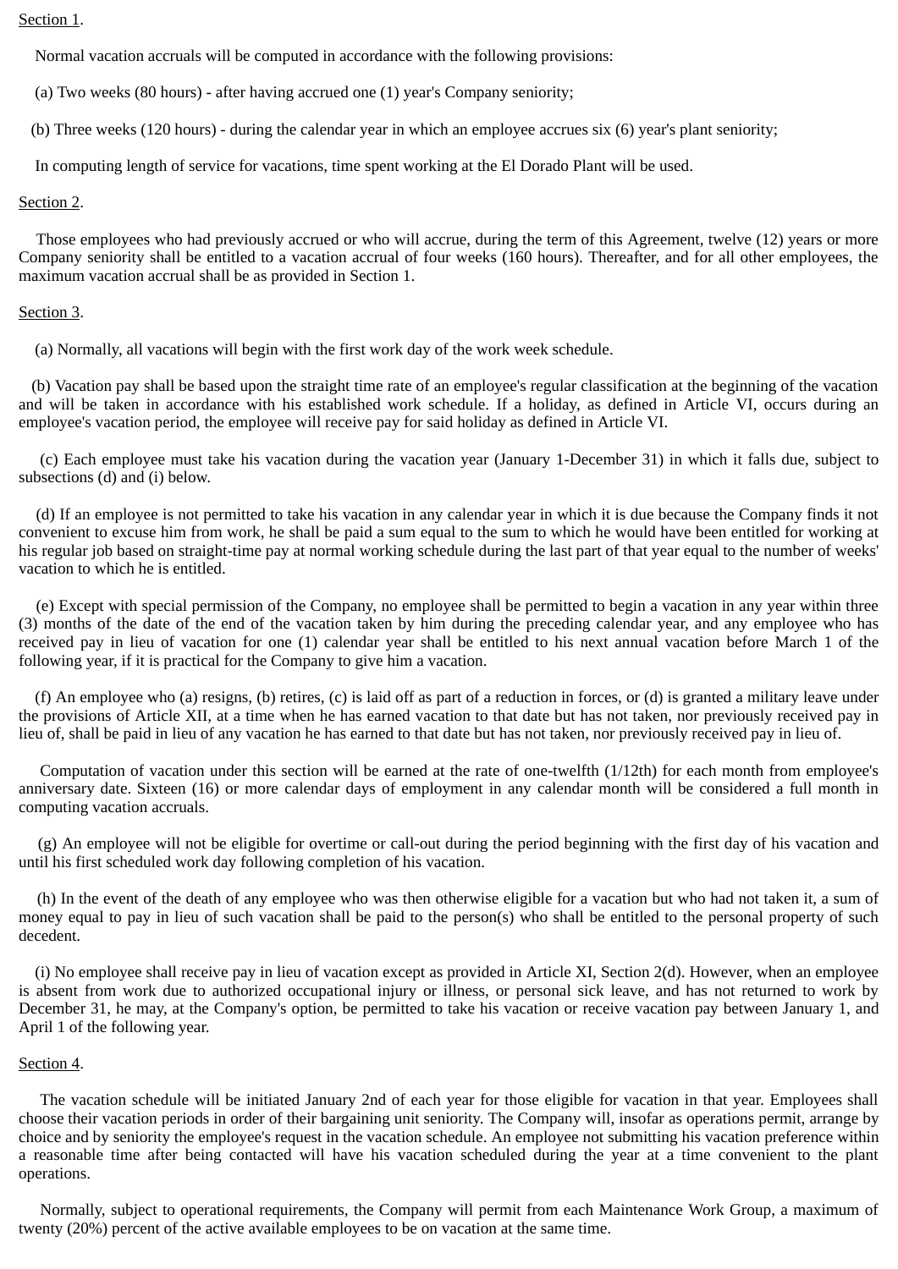#### Section 1.

Normal vacation accruals will be computed in accordance with the following provisions:

(a) Two weeks (80 hours) - after having accrued one (1) year's Company seniority;

(b) Three weeks (120 hours) - during the calendar year in which an employee accrues six (6) year's plant seniority;

In computing length of service for vacations, time spent working at the El Dorado Plant will be used.

### Section 2.

Those employees who had previously accrued or who will accrue, during the term of this Agreement, twelve (12) years or more Company seniority shall be entitled to a vacation accrual of four weeks (160 hours). Thereafter, and for all other employees, the maximum vacation accrual shall be as provided in Section 1.

#### Section 3.

(a) Normally, all vacations will begin with the first work day of the work week schedule.

(b) Vacation pay shall be based upon the straight time rate of an employee's regular classification at the beginning of the vacation and will be taken in accordance with his established work schedule. If a holiday, as defined in Article VI, occurs during an employee's vacation period, the employee will receive pay for said holiday as defined in Article VI.

(c) Each employee must take his vacation during the vacation year (January 1-December 31) in which it falls due, subject to subsections (d) and (i) below.

(d) If an employee is not permitted to take his vacation in any calendar year in which it is due because the Company finds it not convenient to excuse him from work, he shall be paid a sum equal to the sum to which he would have been entitled for working at his regular job based on straight-time pay at normal working schedule during the last part of that year equal to the number of weeks' vacation to which he is entitled.

(e) Except with special permission of the Company, no employee shall be permitted to begin a vacation in any year within three (3) months of the date of the end of the vacation taken by him during the preceding calendar year, and any employee who has received pay in lieu of vacation for one (1) calendar year shall be entitled to his next annual vacation before March 1 of the following year, if it is practical for the Company to give him a vacation.

 (f) An employee who (a) resigns, (b) retires, (c) is laid off as part of a reduction in forces, or (d) is granted a military leave under the provisions of Article XII, at a time when he has earned vacation to that date but has not taken, nor previously received pay in lieu of, shall be paid in lieu of any vacation he has earned to that date but has not taken, nor previously received pay in lieu of.

Computation of vacation under this section will be earned at the rate of one-twelfth (1/12th) for each month from employee's anniversary date. Sixteen (16) or more calendar days of employment in any calendar month will be considered a full month in computing vacation accruals.

(g) An employee will not be eligible for overtime or call-out during the period beginning with the first day of his vacation and until his first scheduled work day following completion of his vacation.

(h) In the event of the death of any employee who was then otherwise eligible for a vacation but who had not taken it, a sum of money equal to pay in lieu of such vacation shall be paid to the person(s) who shall be entitled to the personal property of such decedent.

 (i) No employee shall receive pay in lieu of vacation except as provided in Article XI, Section 2(d). However, when an employee is absent from work due to authorized occupational injury or illness, or personal sick leave, and has not returned to work by December 31, he may, at the Company's option, be permitted to take his vacation or receive vacation pay between January 1, and April 1 of the following year.

### Section 4.

The vacation schedule will be initiated January 2nd of each year for those eligible for vacation in that year. Employees shall choose their vacation periods in order of their bargaining unit seniority. The Company will, insofar as operations permit, arrange by choice and by seniority the employee's request in the vacation schedule. An employee not submitting his vacation preference within a reasonable time after being contacted will have his vacation scheduled during the year at a time convenient to the plant operations.

Normally, subject to operational requirements, the Company will permit from each Maintenance Work Group, a maximum of twenty (20%) percent of the active available employees to be on vacation at the same time.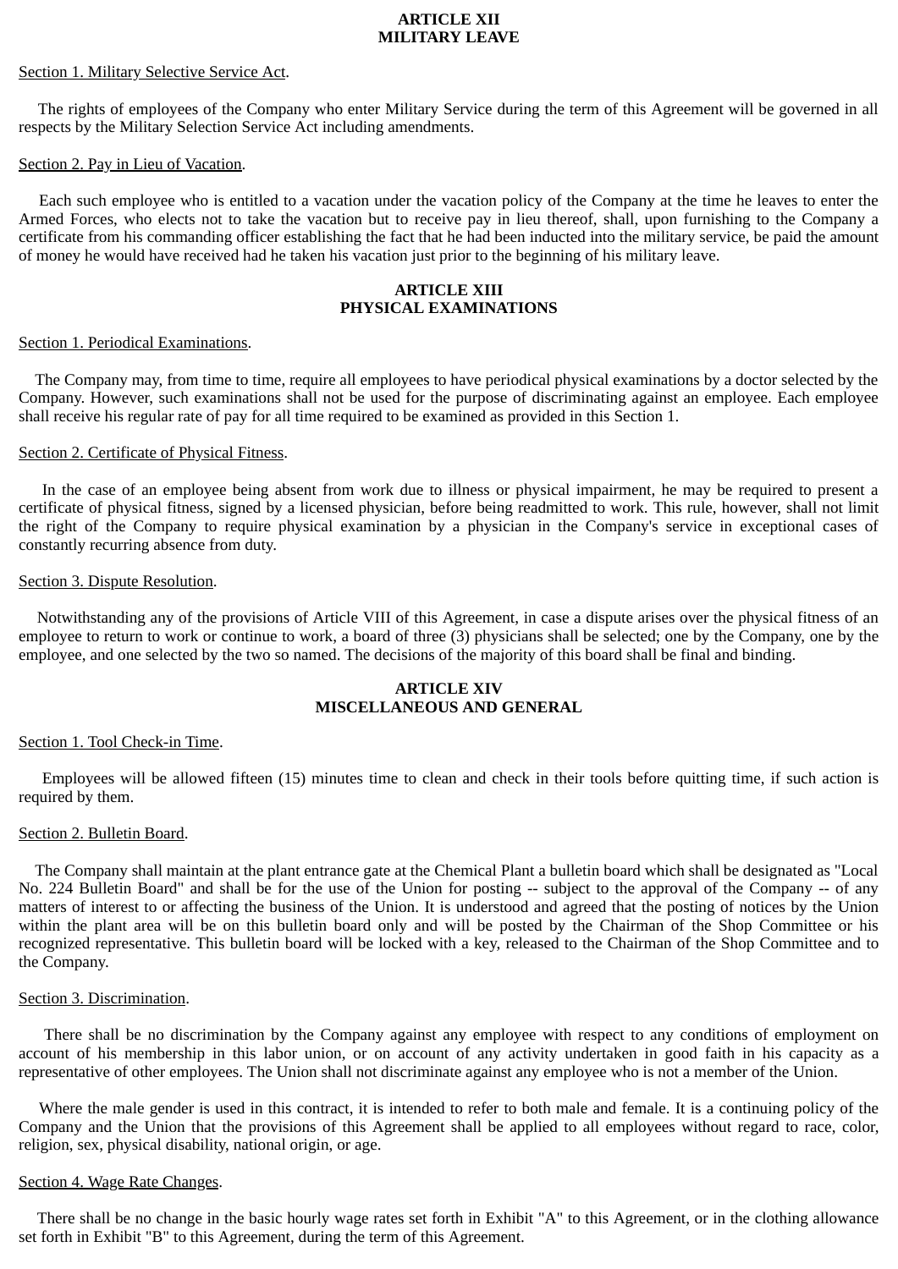#### **ARTICLE XII MILITARY LEAVE**

# Section 1. Military Selective Service Act.

The rights of employees of the Company who enter Military Service during the term of this Agreement will be governed in all respects by the Military Selection Service Act including amendments.

# Section 2. Pay in Lieu of Vacation.

Each such employee who is entitled to a vacation under the vacation policy of the Company at the time he leaves to enter the Armed Forces, who elects not to take the vacation but to receive pay in lieu thereof, shall, upon furnishing to the Company a certificate from his commanding officer establishing the fact that he had been inducted into the military service, be paid the amount of money he would have received had he taken his vacation just prior to the beginning of his military leave.

# **ARTICLE XIII PHYSICAL EXAMINATIONS**

# Section 1. Periodical Examinations.

 The Company may, from time to time, require all employees to have periodical physical examinations by a doctor selected by the Company. However, such examinations shall not be used for the purpose of discriminating against an employee. Each employee shall receive his regular rate of pay for all time required to be examined as provided in this Section 1.

# Section 2. Certificate of Physical Fitness.

In the case of an employee being absent from work due to illness or physical impairment, he may be required to present a certificate of physical fitness, signed by a licensed physician, before being readmitted to work. This rule, however, shall not limit the right of the Company to require physical examination by a physician in the Company's service in exceptional cases of constantly recurring absence from duty.

### Section 3. Dispute Resolution.

Notwithstanding any of the provisions of Article VIII of this Agreement, in case a dispute arises over the physical fitness of an employee to return to work or continue to work, a board of three (3) physicians shall be selected; one by the Company, one by the employee, and one selected by the two so named. The decisions of the majority of this board shall be final and binding.

# **ARTICLE XIV MISCELLANEOUS AND GENERAL**

### Section 1. Tool Check-in Time.

Employees will be allowed fifteen (15) minutes time to clean and check in their tools before quitting time, if such action is required by them.

### Section 2. Bulletin Board.

 The Company shall maintain at the plant entrance gate at the Chemical Plant a bulletin board which shall be designated as "Local No. 224 Bulletin Board" and shall be for the use of the Union for posting -- subject to the approval of the Company -- of any matters of interest to or affecting the business of the Union. It is understood and agreed that the posting of notices by the Union within the plant area will be on this bulletin board only and will be posted by the Chairman of the Shop Committee or his recognized representative. This bulletin board will be locked with a key, released to the Chairman of the Shop Committee and to the Company.

### Section 3. Discrimination.

There shall be no discrimination by the Company against any employee with respect to any conditions of employment on account of his membership in this labor union, or on account of any activity undertaken in good faith in his capacity as a representative of other employees. The Union shall not discriminate against any employee who is not a member of the Union.

Where the male gender is used in this contract, it is intended to refer to both male and female. It is a continuing policy of the Company and the Union that the provisions of this Agreement shall be applied to all employees without regard to race, color, religion, sex, physical disability, national origin, or age.

### Section 4. Wage Rate Changes.

There shall be no change in the basic hourly wage rates set forth in Exhibit "A" to this Agreement, or in the clothing allowance set forth in Exhibit "B" to this Agreement, during the term of this Agreement.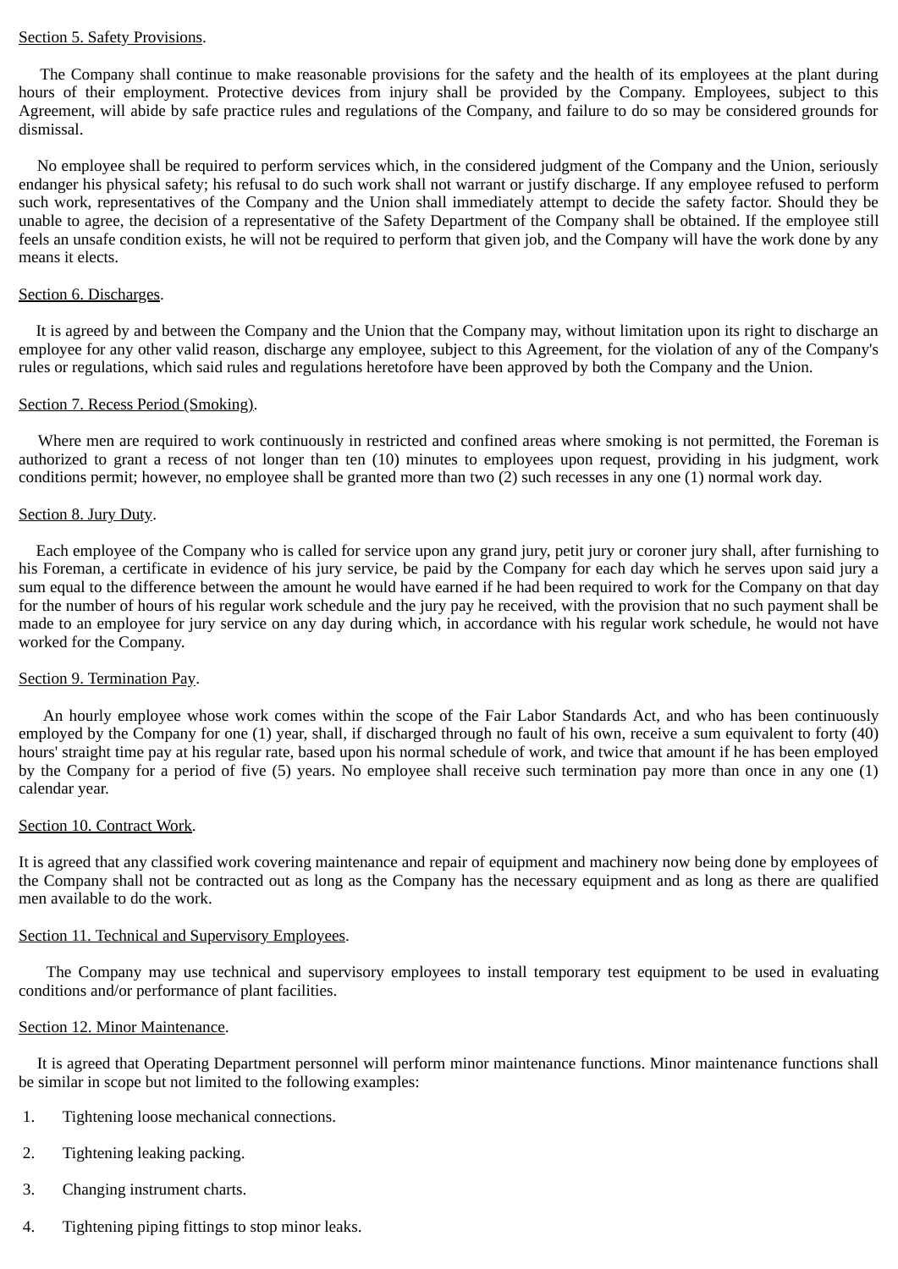### Section 5. Safety Provisions.

The Company shall continue to make reasonable provisions for the safety and the health of its employees at the plant during hours of their employment. Protective devices from injury shall be provided by the Company. Employees, subject to this Agreement, will abide by safe practice rules and regulations of the Company, and failure to do so may be considered grounds for dismissal.

No employee shall be required to perform services which, in the considered judgment of the Company and the Union, seriously endanger his physical safety; his refusal to do such work shall not warrant or justify discharge. If any employee refused to perform such work, representatives of the Company and the Union shall immediately attempt to decide the safety factor. Should they be unable to agree, the decision of a representative of the Safety Department of the Company shall be obtained. If the employee still feels an unsafe condition exists, he will not be required to perform that given job, and the Company will have the work done by any means it elects.

### Section 6. Discharges.

It is agreed by and between the Company and the Union that the Company may, without limitation upon its right to discharge an employee for any other valid reason, discharge any employee, subject to this Agreement, for the violation of any of the Company's rules or regulations, which said rules and regulations heretofore have been approved by both the Company and the Union.

### Section 7. Recess Period (Smoking).

Where men are required to work continuously in restricted and confined areas where smoking is not permitted, the Foreman is authorized to grant a recess of not longer than ten (10) minutes to employees upon request, providing in his judgment, work conditions permit; however, no employee shall be granted more than two (2) such recesses in any one (1) normal work day.

# Section 8. Jury Duty.

Each employee of the Company who is called for service upon any grand jury, petit jury or coroner jury shall, after furnishing to his Foreman, a certificate in evidence of his jury service, be paid by the Company for each day which he serves upon said jury a sum equal to the difference between the amount he would have earned if he had been required to work for the Company on that day for the number of hours of his regular work schedule and the jury pay he received, with the provision that no such payment shall be made to an employee for jury service on any day during which, in accordance with his regular work schedule, he would not have worked for the Company.

### Section 9. Termination Pay.

An hourly employee whose work comes within the scope of the Fair Labor Standards Act, and who has been continuously employed by the Company for one (1) year, shall, if discharged through no fault of his own, receive a sum equivalent to forty (40) hours' straight time pay at his regular rate, based upon his normal schedule of work, and twice that amount if he has been employed by the Company for a period of five (5) years. No employee shall receive such termination pay more than once in any one (1) calendar year.

### Section 10. Contract Work.

It is agreed that any classified work covering maintenance and repair of equipment and machinery now being done by employees of the Company shall not be contracted out as long as the Company has the necessary equipment and as long as there are qualified men available to do the work.

### Section 11. Technical and Supervisory Employees.

The Company may use technical and supervisory employees to install temporary test equipment to be used in evaluating conditions and/or performance of plant facilities.

### Section 12. Minor Maintenance.

It is agreed that Operating Department personnel will perform minor maintenance functions. Minor maintenance functions shall be similar in scope but not limited to the following examples:

- 1. Tightening loose mechanical connections.
- 2. Tightening leaking packing.
- 3. Changing instrument charts.
- 4. Tightening piping fittings to stop minor leaks.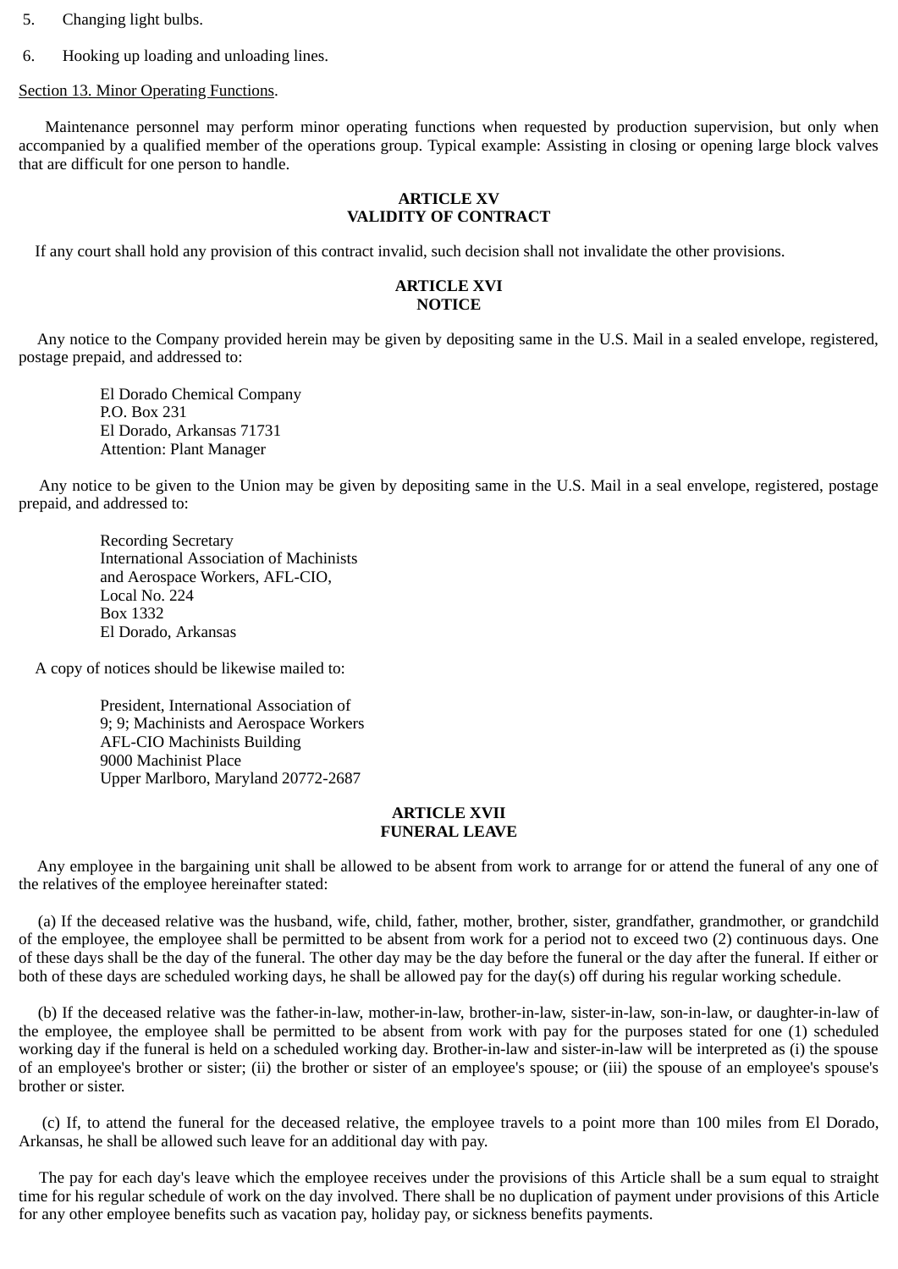- 5. Changing light bulbs.
- 6. Hooking up loading and unloading lines.

Section 13. Minor Operating Functions.

Maintenance personnel may perform minor operating functions when requested by production supervision, but only when accompanied by a qualified member of the operations group. Typical example: Assisting in closing or opening large block valves that are difficult for one person to handle.

## **ARTICLE XV VALIDITY OF CONTRACT**

If any court shall hold any provision of this contract invalid, such decision shall not invalidate the other provisions.

### **ARTICLE XVI NOTICE**

Any notice to the Company provided herein may be given by depositing same in the U.S. Mail in a sealed envelope, registered, postage prepaid, and addressed to:

 El Dorado Chemical Company P.O. Box 231 El Dorado, Arkansas 71731 Attention: Plant Manager

Any notice to be given to the Union may be given by depositing same in the U.S. Mail in a seal envelope, registered, postage prepaid, and addressed to:

 Recording Secretary International Association of Machinists and Aerospace Workers, AFL-CIO, Local No. 224 Box 1332 El Dorado, Arkansas

A copy of notices should be likewise mailed to:

 President, International Association of 9; 9; Machinists and Aerospace Workers AFL-CIO Machinists Building 9000 Machinist Place Upper Marlboro, Maryland 20772-2687

### **ARTICLE XVII FUNERAL LEAVE**

Any employee in the bargaining unit shall be allowed to be absent from work to arrange for or attend the funeral of any one of the relatives of the employee hereinafter stated:

(a) If the deceased relative was the husband, wife, child, father, mother, brother, sister, grandfather, grandmother, or grandchild of the employee, the employee shall be permitted to be absent from work for a period not to exceed two (2) continuous days. One of these days shall be the day of the funeral. The other day may be the day before the funeral or the day after the funeral. If either or both of these days are scheduled working days, he shall be allowed pay for the day(s) off during his regular working schedule.

(b) If the deceased relative was the father-in-law, mother-in-law, brother-in-law, sister-in-law, son-in-law, or daughter-in-law of the employee, the employee shall be permitted to be absent from work with pay for the purposes stated for one (1) scheduled working day if the funeral is held on a scheduled working day. Brother-in-law and sister-in-law will be interpreted as (i) the spouse of an employee's brother or sister; (ii) the brother or sister of an employee's spouse; or (iii) the spouse of an employee's spouse's brother or sister.

(c) If, to attend the funeral for the deceased relative, the employee travels to a point more than 100 miles from El Dorado, Arkansas, he shall be allowed such leave for an additional day with pay.

The pay for each day's leave which the employee receives under the provisions of this Article shall be a sum equal to straight time for his regular schedule of work on the day involved. There shall be no duplication of payment under provisions of this Article for any other employee benefits such as vacation pay, holiday pay, or sickness benefits payments.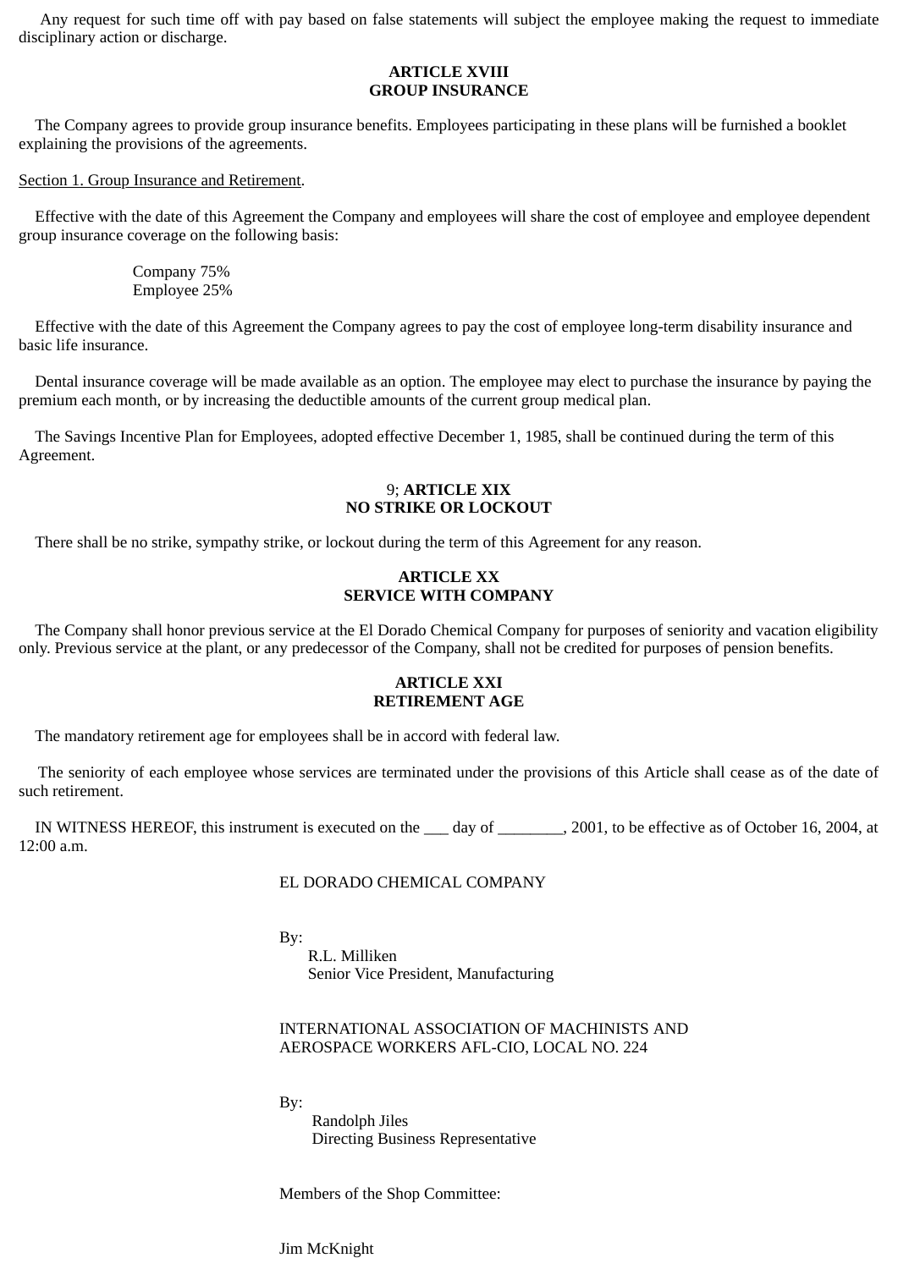Any request for such time off with pay based on false statements will subject the employee making the request to immediate disciplinary action or discharge.

## **ARTICLE XVIII GROUP INSURANCE**

The Company agrees to provide group insurance benefits. Employees participating in these plans will be furnished a booklet explaining the provisions of the agreements.

#### Section 1. Group Insurance and Retirement.

 Effective with the date of this Agreement the Company and employees will share the cost of employee and employee dependent group insurance coverage on the following basis:

> Company 75% Employee 25%

 Effective with the date of this Agreement the Company agrees to pay the cost of employee long-term disability insurance and basic life insurance.

 Dental insurance coverage will be made available as an option. The employee may elect to purchase the insurance by paying the premium each month, or by increasing the deductible amounts of the current group medical plan.

 The Savings Incentive Plan for Employees, adopted effective December 1, 1985, shall be continued during the term of this Agreement.

### 9; **ARTICLE XIX NO STRIKE OR LOCKOUT**

There shall be no strike, sympathy strike, or lockout during the term of this Agreement for any reason.

### **ARTICLE XX SERVICE WITH COMPANY**

 The Company shall honor previous service at the El Dorado Chemical Company for purposes of seniority and vacation eligibility only. Previous service at the plant, or any predecessor of the Company, shall not be credited for purposes of pension benefits.

### **ARTICLE XXI RETIREMENT AGE**

The mandatory retirement age for employees shall be in accord with federal law.

The seniority of each employee whose services are terminated under the provisions of this Article shall cease as of the date of such retirement.

IN WITNESS HEREOF, this instrument is executed on the \_\_\_ day of \_\_\_\_\_\_\_\_, 2001, to be effective as of October 16, 2004, at 12:00 a.m.

### EL DORADO CHEMICAL COMPANY

By:

 R.L. Milliken Senior Vice President, Manufacturing

# INTERNATIONAL ASSOCIATION OF MACHINISTS AND AEROSPACE WORKERS AFL-CIO, LOCAL NO. 224

By:

 Randolph Jiles Directing Business Representative

Members of the Shop Committee:

Jim McKnight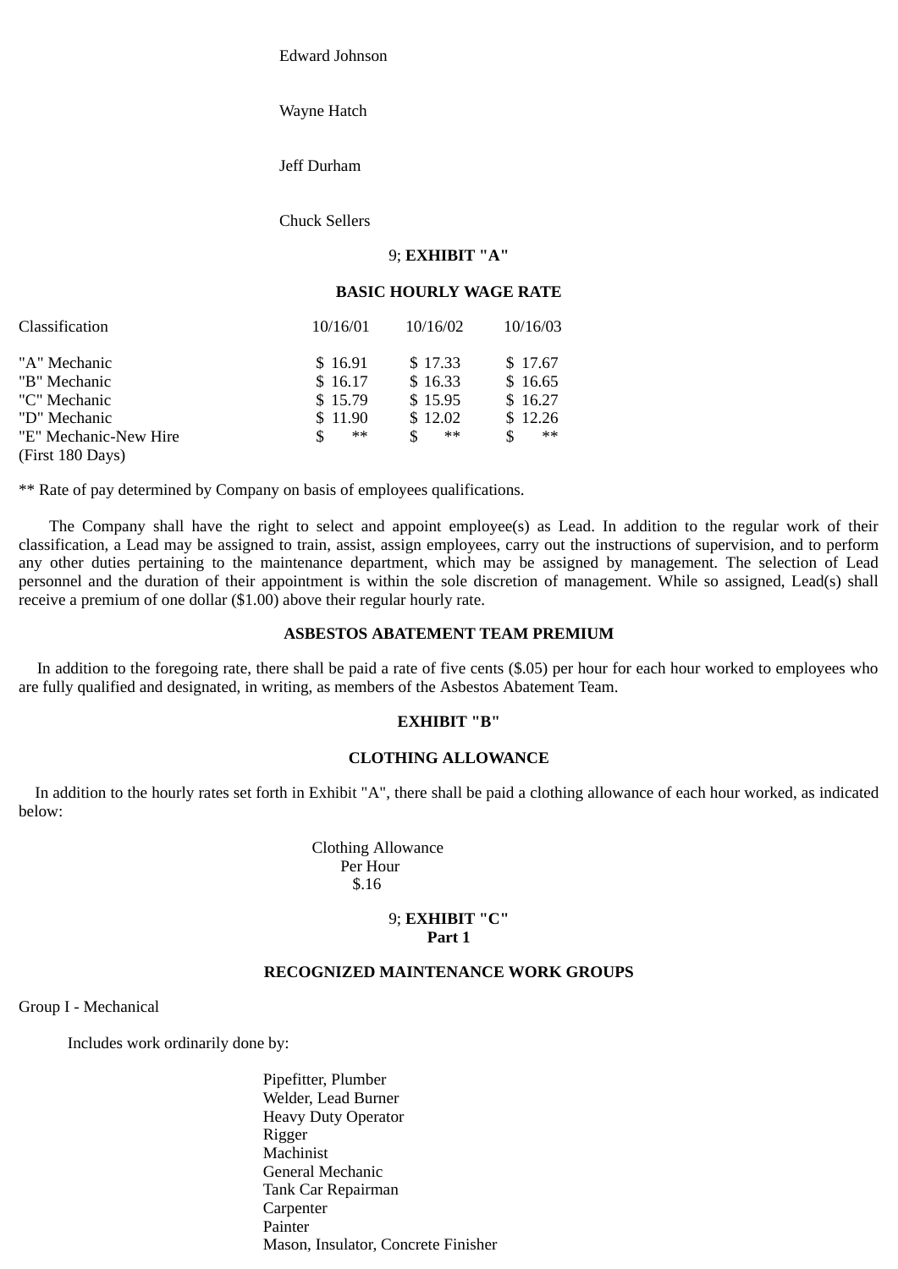Edward Johnson

Wayne Hatch

Jeff Durham

Chuck Sellers

# 9; **EXHIBIT "A"**

#### **BASIC HOURLY WAGE RATE**

| Classification                        | 10/16/01            | 10/16/02              | 10/16/03           |
|---------------------------------------|---------------------|-----------------------|--------------------|
| "A" Mechanic<br>"B" Mechanic          | \$16.91<br>\$16.17  | \$17.33<br>\$16.33    | \$17.67<br>\$16.65 |
| "C" Mechanic                          | \$15.79             | \$15.95               | \$16.27            |
| "D" Mechanic<br>"E" Mechanic-New Hire | \$11.90<br>**<br>\$ | \$12.02<br>$***$<br>S | \$12.26<br>**      |
| (First 180 Days)                      |                     |                       |                    |

\*\* Rate of pay determined by Company on basis of employees qualifications.

The Company shall have the right to select and appoint employee(s) as Lead. In addition to the regular work of their classification, a Lead may be assigned to train, assist, assign employees, carry out the instructions of supervision, and to perform any other duties pertaining to the maintenance department, which may be assigned by management. The selection of Lead personnel and the duration of their appointment is within the sole discretion of management. While so assigned, Lead(s) shall receive a premium of one dollar (\$1.00) above their regular hourly rate.

#### **ASBESTOS ABATEMENT TEAM PREMIUM**

In addition to the foregoing rate, there shall be paid a rate of five cents (\$.05) per hour for each hour worked to employees who are fully qualified and designated, in writing, as members of the Asbestos Abatement Team.

### **EXHIBIT "B"**

#### **CLOTHING ALLOWANCE**

 In addition to the hourly rates set forth in Exhibit "A", there shall be paid a clothing allowance of each hour worked, as indicated below:

 Clothing Allowance Per Hour **\$.16** 

### 9; **EXHIBIT "C" Part 1**

#### **RECOGNIZED MAINTENANCE WORK GROUPS**

Group I - Mechanical

Includes work ordinarily done by:

 Pipefitter, Plumber Welder, Lead Burner Heavy Duty Operator Rigger Machinist General Mechanic Tank Car Repairman Carpenter Painter Mason, Insulator, Concrete Finisher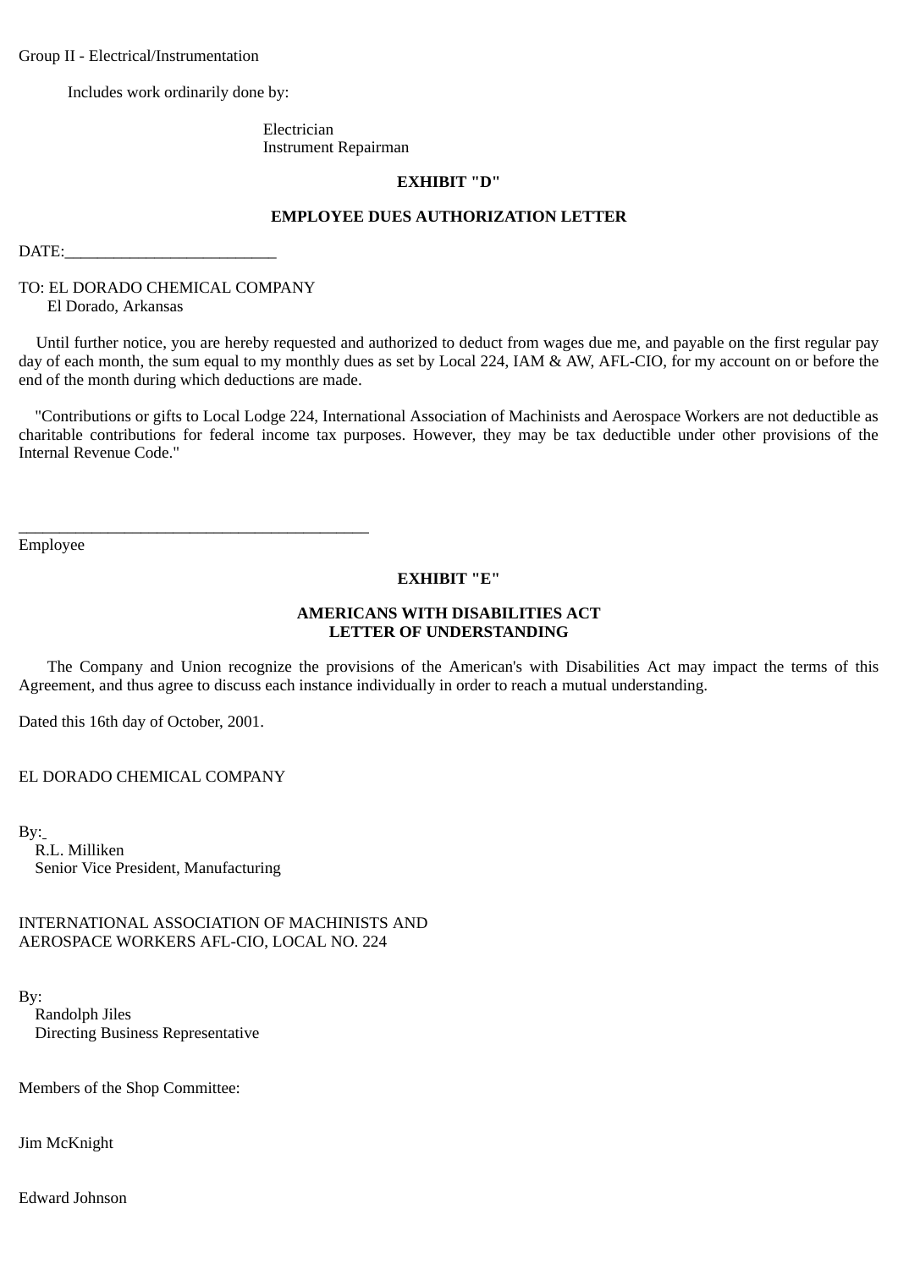Group II - Electrical/Instrumentation

Includes work ordinarily done by:

 Electrician Instrument Repairman

### **EXHIBIT "D"**

## **EMPLOYEE DUES AUTHORIZATION LETTER**

 $\text{DATE:}\$ 

TO: EL DORADO CHEMICAL COMPANY El Dorado, Arkansas

\_\_\_\_\_\_\_\_\_\_\_\_\_\_\_\_\_\_\_\_\_\_\_\_\_\_\_\_\_\_\_\_\_\_\_\_\_\_\_\_\_\_\_

Until further notice, you are hereby requested and authorized to deduct from wages due me, and payable on the first regular pay day of each month, the sum equal to my monthly dues as set by Local 224, IAM & AW, AFL-CIO, for my account on or before the end of the month during which deductions are made.

 "Contributions or gifts to Local Lodge 224, International Association of Machinists and Aerospace Workers are not deductible as charitable contributions for federal income tax purposes. However, they may be tax deductible under other provisions of the Internal Revenue Code."

Employee

### **EXHIBIT "E"**

## **AMERICANS WITH DISABILITIES ACT LETTER OF UNDERSTANDING**

The Company and Union recognize the provisions of the American's with Disabilities Act may impact the terms of this Agreement, and thus agree to discuss each instance individually in order to reach a mutual understanding.

Dated this 16th day of October, 2001.

EL DORADO CHEMICAL COMPANY

 $By:$ 

 R.L. Milliken Senior Vice President, Manufacturing

INTERNATIONAL ASSOCIATION OF MACHINISTS AND AEROSPACE WORKERS AFL-CIO, LOCAL NO. 224

By: Randolph Jiles Directing Business Representative

Members of the Shop Committee:

Jim McKnight

Edward Johnson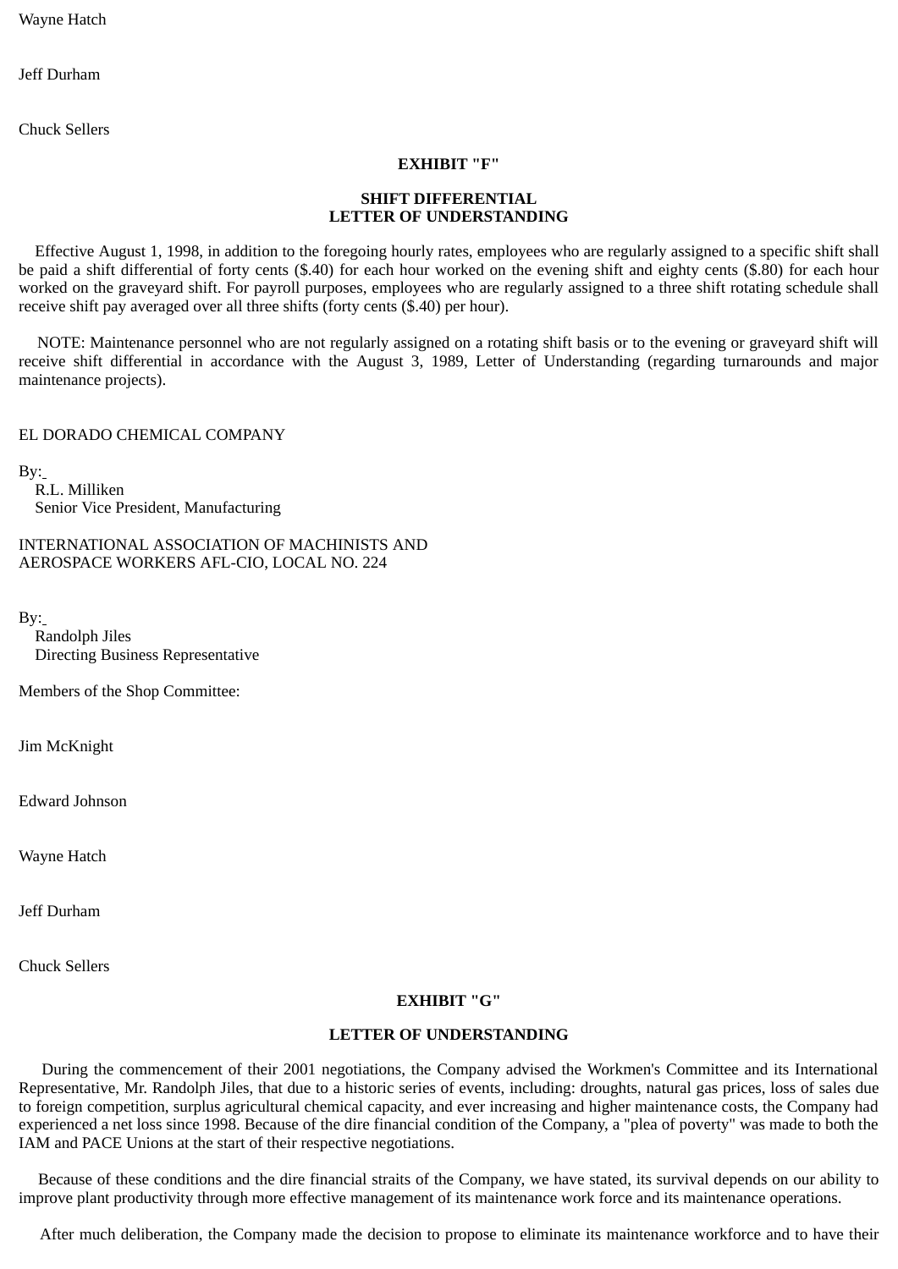Wayne Hatch

Jeff Durham

Chuck Sellers

### **EXHIBIT "F"**

# **SHIFT DIFFERENTIAL LETTER OF UNDERSTANDING**

Effective August 1, 1998, in addition to the foregoing hourly rates, employees who are regularly assigned to a specific shift shall be paid a shift differential of forty cents (\$.40) for each hour worked on the evening shift and eighty cents (\$.80) for each hour worked on the graveyard shift. For payroll purposes, employees who are regularly assigned to a three shift rotating schedule shall receive shift pay averaged over all three shifts (forty cents (\$.40) per hour).

NOTE: Maintenance personnel who are not regularly assigned on a rotating shift basis or to the evening or graveyard shift will receive shift differential in accordance with the August 3, 1989, Letter of Understanding (regarding turnarounds and major maintenance projects).

### EL DORADO CHEMICAL COMPANY

By:

 R.L. Milliken Senior Vice President, Manufacturing

INTERNATIONAL ASSOCIATION OF MACHINISTS AND AEROSPACE WORKERS AFL-CIO, LOCAL NO. 224

By:

 Randolph Jiles Directing Business Representative

Members of the Shop Committee:

Jim McKnight

Edward Johnson

Wayne Hatch

Jeff Durham

Chuck Sellers

# **EXHIBIT "G"**

# **LETTER OF UNDERSTANDING**

During the commencement of their 2001 negotiations, the Company advised the Workmen's Committee and its International Representative, Mr. Randolph Jiles, that due to a historic series of events, including: droughts, natural gas prices, loss of sales due to foreign competition, surplus agricultural chemical capacity, and ever increasing and higher maintenance costs, the Company had experienced a net loss since 1998. Because of the dire financial condition of the Company, a "plea of poverty" was made to both the IAM and PACE Unions at the start of their respective negotiations.

Because of these conditions and the dire financial straits of the Company, we have stated, its survival depends on our ability to improve plant productivity through more effective management of its maintenance work force and its maintenance operations.

After much deliberation, the Company made the decision to propose to eliminate its maintenance workforce and to have their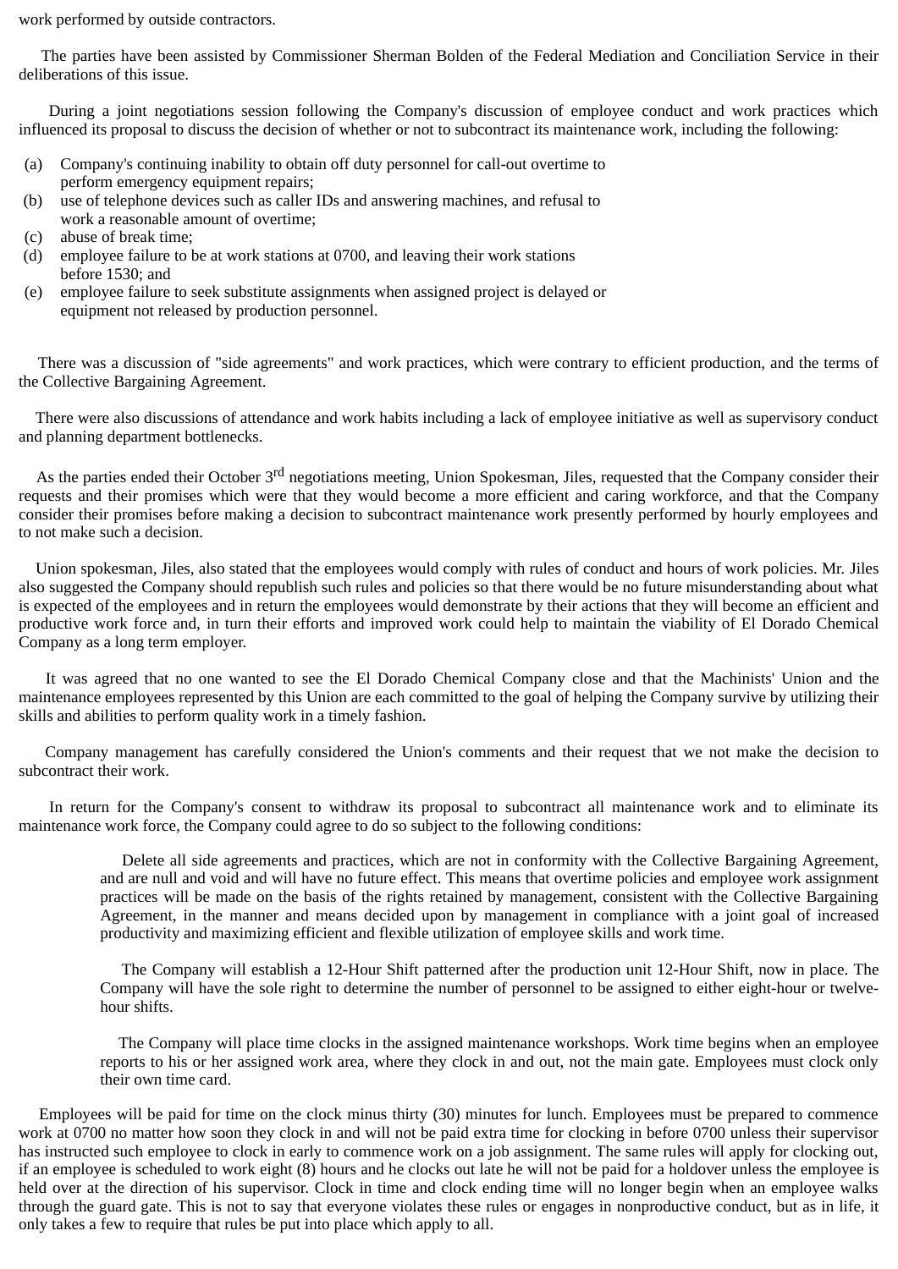work performed by outside contractors.

The parties have been assisted by Commissioner Sherman Bolden of the Federal Mediation and Conciliation Service in their deliberations of this issue.

During a joint negotiations session following the Company's discussion of employee conduct and work practices which influenced its proposal to discuss the decision of whether or not to subcontract its maintenance work, including the following:

- (a) Company's continuing inability to obtain off duty personnel for call-out overtime to perform emergency equipment repairs;
- (b) use of telephone devices such as caller IDs and answering machines, and refusal to work a reasonable amount of overtime;
- (c) abuse of break time;
- (d) employee failure to be at work stations at 0700, and leaving their work stations before 1530; and
- (e) employee failure to seek substitute assignments when assigned project is delayed or equipment not released by production personnel.

There was a discussion of "side agreements" and work practices, which were contrary to efficient production, and the terms of the Collective Bargaining Agreement.

There were also discussions of attendance and work habits including a lack of employee initiative as well as supervisory conduct and planning department bottlenecks.

As the parties ended their October 3<sup>rd</sup> negotiations meeting, Union Spokesman, Jiles, requested that the Company consider their requests and their promises which were that they would become a more efficient and caring workforce, and that the Company consider their promises before making a decision to subcontract maintenance work presently performed by hourly employees and to not make such a decision.

Union spokesman, Jiles, also stated that the employees would comply with rules of conduct and hours of work policies. Mr. Jiles also suggested the Company should republish such rules and policies so that there would be no future misunderstanding about what is expected of the employees and in return the employees would demonstrate by their actions that they will become an efficient and productive work force and, in turn their efforts and improved work could help to maintain the viability of El Dorado Chemical Company as a long term employer.

It was agreed that no one wanted to see the El Dorado Chemical Company close and that the Machinists' Union and the maintenance employees represented by this Union are each committed to the goal of helping the Company survive by utilizing their skills and abilities to perform quality work in a timely fashion.

Company management has carefully considered the Union's comments and their request that we not make the decision to subcontract their work.

In return for the Company's consent to withdraw its proposal to subcontract all maintenance work and to eliminate its maintenance work force, the Company could agree to do so subject to the following conditions:

Delete all side agreements and practices, which are not in conformity with the Collective Bargaining Agreement, and are null and void and will have no future effect. This means that overtime policies and employee work assignment practices will be made on the basis of the rights retained by management, consistent with the Collective Bargaining Agreement, in the manner and means decided upon by management in compliance with a joint goal of increased productivity and maximizing efficient and flexible utilization of employee skills and work time.

The Company will establish a 12-Hour Shift patterned after the production unit 12-Hour Shift, now in place. The Company will have the sole right to determine the number of personnel to be assigned to either eight-hour or twelvehour shifts.

The Company will place time clocks in the assigned maintenance workshops. Work time begins when an employee reports to his or her assigned work area, where they clock in and out, not the main gate. Employees must clock only their own time card.

Employees will be paid for time on the clock minus thirty (30) minutes for lunch. Employees must be prepared to commence work at 0700 no matter how soon they clock in and will not be paid extra time for clocking in before 0700 unless their supervisor has instructed such employee to clock in early to commence work on a job assignment. The same rules will apply for clocking out, if an employee is scheduled to work eight (8) hours and he clocks out late he will not be paid for a holdover unless the employee is held over at the direction of his supervisor. Clock in time and clock ending time will no longer begin when an employee walks through the guard gate. This is not to say that everyone violates these rules or engages in nonproductive conduct, but as in life, it only takes a few to require that rules be put into place which apply to all.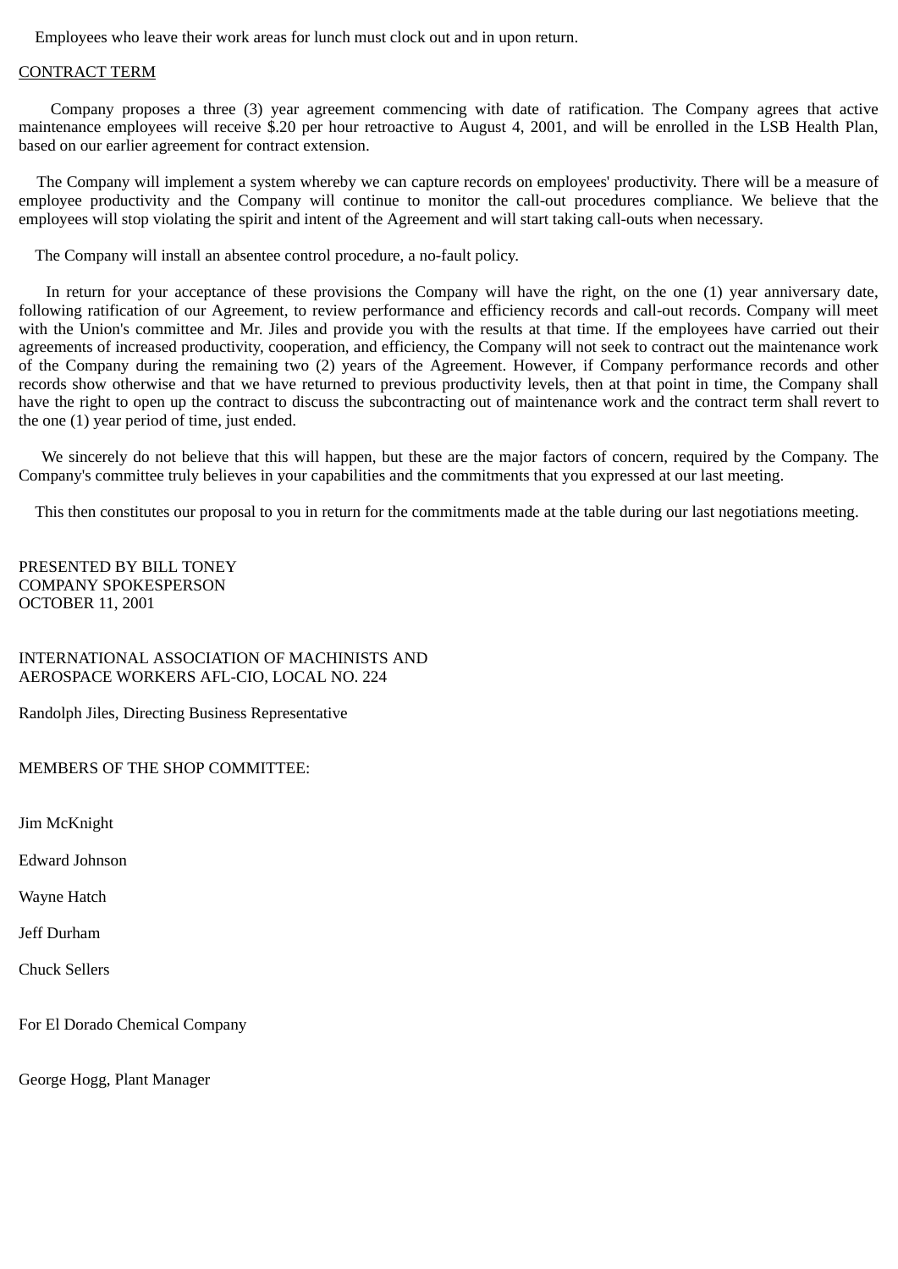Employees who leave their work areas for lunch must clock out and in upon return.

### CONTRACT TERM

Company proposes a three (3) year agreement commencing with date of ratification. The Company agrees that active maintenance employees will receive \$.20 per hour retroactive to August 4, 2001, and will be enrolled in the LSB Health Plan, based on our earlier agreement for contract extension.

The Company will implement a system whereby we can capture records on employees' productivity. There will be a measure of employee productivity and the Company will continue to monitor the call-out procedures compliance. We believe that the employees will stop violating the spirit and intent of the Agreement and will start taking call-outs when necessary.

The Company will install an absentee control procedure, a no-fault policy.

In return for your acceptance of these provisions the Company will have the right, on the one (1) year anniversary date, following ratification of our Agreement, to review performance and efficiency records and call-out records. Company will meet with the Union's committee and Mr. Jiles and provide you with the results at that time. If the employees have carried out their agreements of increased productivity, cooperation, and efficiency, the Company will not seek to contract out the maintenance work of the Company during the remaining two (2) years of the Agreement. However, if Company performance records and other records show otherwise and that we have returned to previous productivity levels, then at that point in time, the Company shall have the right to open up the contract to discuss the subcontracting out of maintenance work and the contract term shall revert to the one (1) year period of time, just ended.

We sincerely do not believe that this will happen, but these are the major factors of concern, required by the Company. The Company's committee truly believes in your capabilities and the commitments that you expressed at our last meeting.

This then constitutes our proposal to you in return for the commitments made at the table during our last negotiations meeting.

PRESENTED BY BILL TONEY COMPANY SPOKESPERSON OCTOBER 11, 2001

INTERNATIONAL ASSOCIATION OF MACHINISTS AND AEROSPACE WORKERS AFL-CIO, LOCAL NO. 224

Randolph Jiles, Directing Business Representative

MEMBERS OF THE SHOP COMMITTEE:

Jim McKnight

Edward Johnson

Wayne Hatch

Jeff Durham

Chuck Sellers

For El Dorado Chemical Company

George Hogg, Plant Manager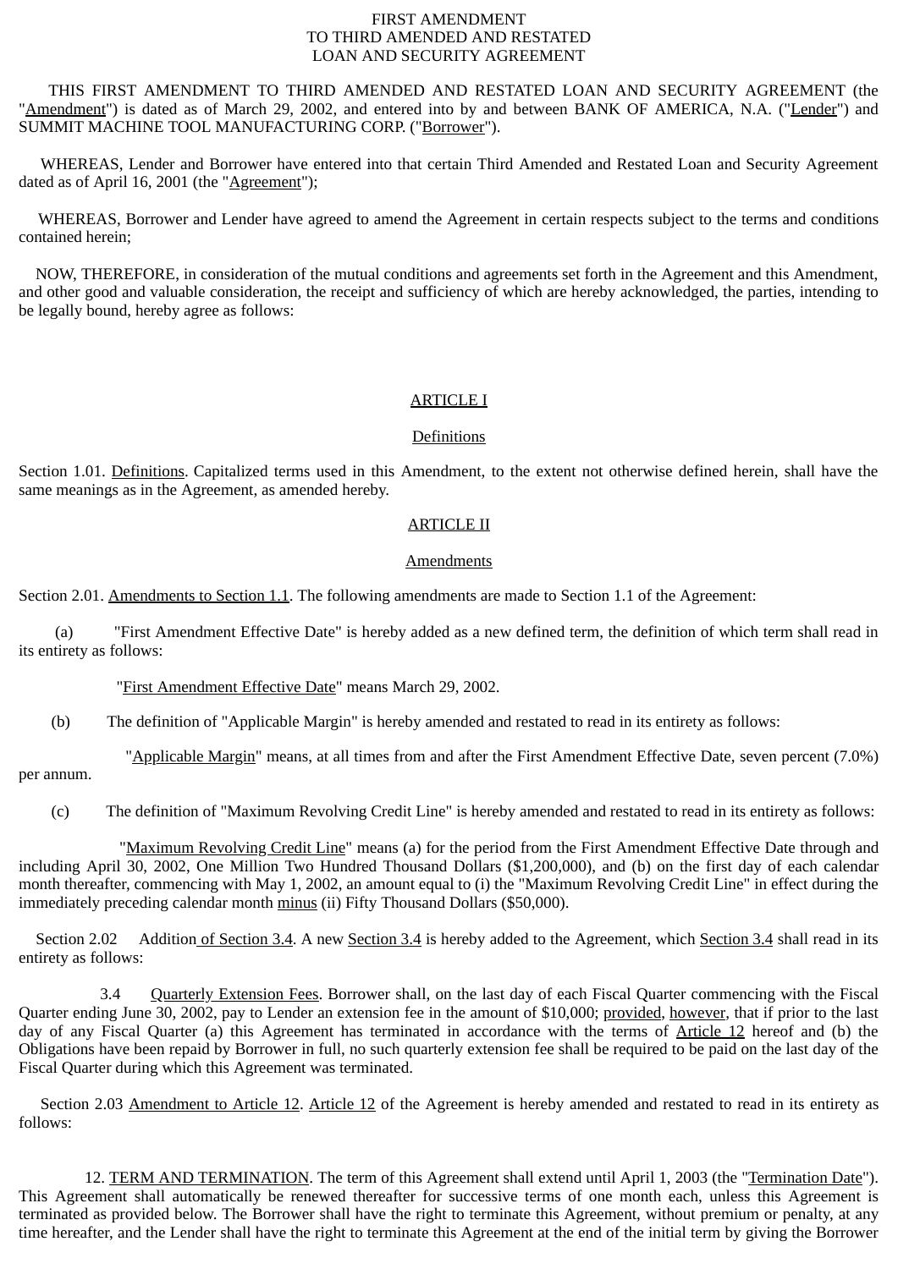### FIRST AMENDMENT TO THIRD AMENDED AND RESTATED LOAN AND SECURITY AGREEMENT

THIS FIRST AMENDMENT TO THIRD AMENDED AND RESTATED LOAN AND SECURITY AGREEMENT (the "Amendment") is dated as of March 29, 2002, and entered into by and between BANK OF AMERICA, N.A. ("Lender") and SUMMIT MACHINE TOOL MANUFACTURING CORP. ("Borrower").

WHEREAS, Lender and Borrower have entered into that certain Third Amended and Restated Loan and Security Agreement dated as of April 16, 2001 (the "Agreement");

WHEREAS, Borrower and Lender have agreed to amend the Agreement in certain respects subject to the terms and conditions contained herein;

NOW, THEREFORE, in consideration of the mutual conditions and agreements set forth in the Agreement and this Amendment, and other good and valuable consideration, the receipt and sufficiency of which are hereby acknowledged, the parties, intending to be legally bound, hereby agree as follows:

# ARTICLE I

### **Definitions**

Section 1.01. Definitions. Capitalized terms used in this Amendment, to the extent not otherwise defined herein, shall have the same meanings as in the Agreement, as amended hereby.

# ARTICLE II

### **Amendments**

Section 2.01. Amendments to Section 1.1. The following amendments are made to Section 1.1 of the Agreement:

(a) "First Amendment Effective Date" is hereby added as a new defined term, the definition of which term shall read in its entirety as follows:

"First Amendment Effective Date" means March 29, 2002.

(b) The definition of "Applicable Margin" is hereby amended and restated to read in its entirety as follows:

"Applicable Margin" means, at all times from and after the First Amendment Effective Date, seven percent (7.0%) per annum.

(c) The definition of "Maximum Revolving Credit Line" is hereby amended and restated to read in its entirety as follows:

"Maximum Revolving Credit Line" means (a) for the period from the First Amendment Effective Date through and including April 30, 2002, One Million Two Hundred Thousand Dollars (\$1,200,000), and (b) on the first day of each calendar month thereafter, commencing with May 1, 2002, an amount equal to (i) the "Maximum Revolving Credit Line" in effect during the immediately preceding calendar month minus (ii) Fifty Thousand Dollars (\$50,000).

Section 2.02 Addition of Section 3.4. A new Section 3.4 is hereby added to the Agreement, which Section 3.4 shall read in its entirety as follows:

3.4 Quarterly Extension Fees. Borrower shall, on the last day of each Fiscal Quarter commencing with the Fiscal Quarter ending June 30, 2002, pay to Lender an extension fee in the amount of \$10,000; provided, however, that if prior to the last day of any Fiscal Quarter (a) this Agreement has terminated in accordance with the terms of Article 12 hereof and (b) the Obligations have been repaid by Borrower in full, no such quarterly extension fee shall be required to be paid on the last day of the Fiscal Quarter during which this Agreement was terminated.

Section 2.03 Amendment to Article 12. Article 12 of the Agreement is hereby amended and restated to read in its entirety as follows:

12. TERM AND TERMINATION. The term of this Agreement shall extend until April 1, 2003 (the "Termination Date"). This Agreement shall automatically be renewed thereafter for successive terms of one month each, unless this Agreement is terminated as provided below. The Borrower shall have the right to terminate this Agreement, without premium or penalty, at any time hereafter, and the Lender shall have the right to terminate this Agreement at the end of the initial term by giving the Borrower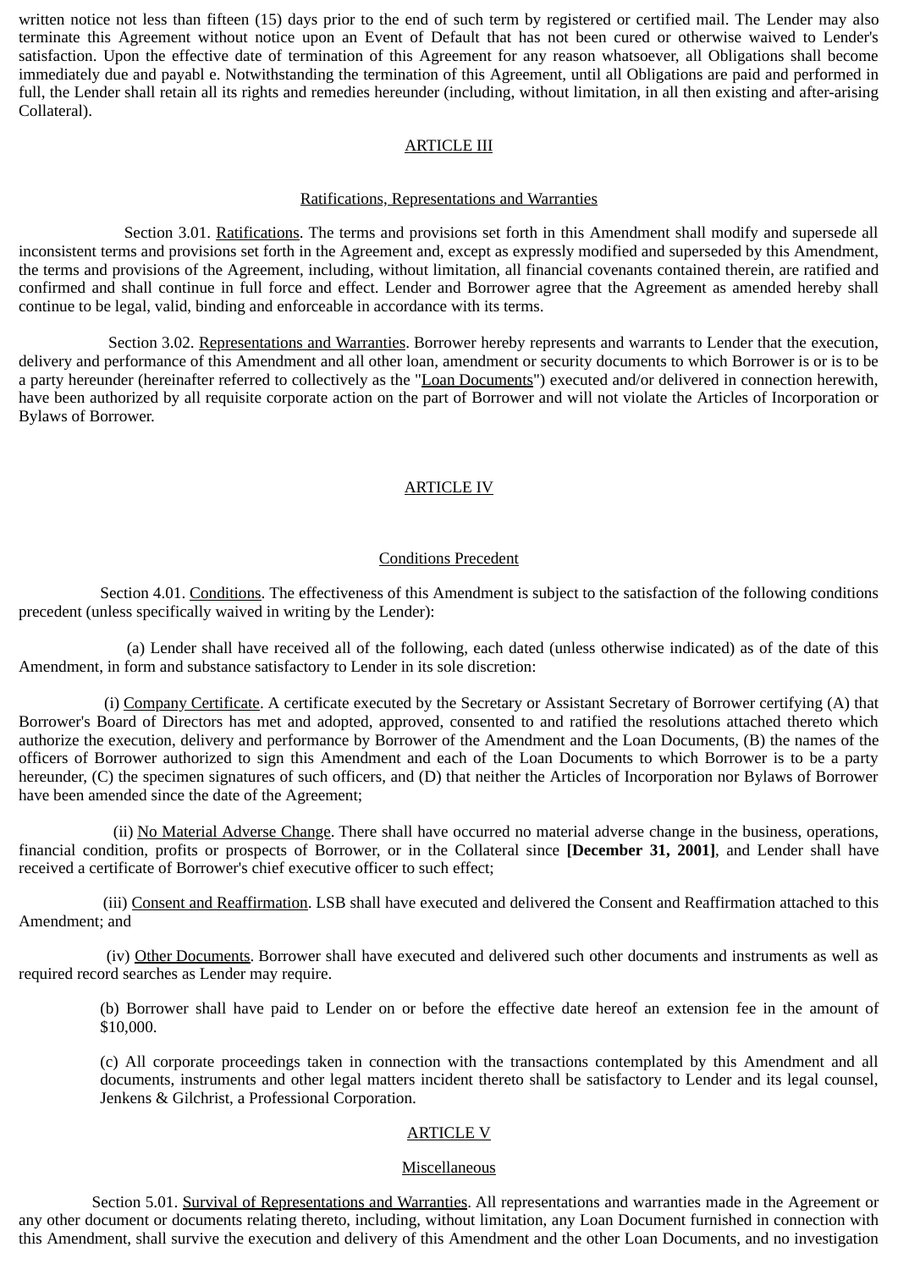written notice not less than fifteen (15) days prior to the end of such term by registered or certified mail. The Lender may also terminate this Agreement without notice upon an Event of Default that has not been cured or otherwise waived to Lender's satisfaction. Upon the effective date of termination of this Agreement for any reason whatsoever, all Obligations shall become immediately due and payabl e. Notwithstanding the termination of this Agreement, until all Obligations are paid and performed in full, the Lender shall retain all its rights and remedies hereunder (including, without limitation, in all then existing and after-arising Collateral).

# ARTICLE III

### Ratifications, Representations and Warranties

Section 3.01. Ratifications. The terms and provisions set forth in this Amendment shall modify and supersede all inconsistent terms and provisions set forth in the Agreement and, except as expressly modified and superseded by this Amendment, the terms and provisions of the Agreement, including, without limitation, all financial covenants contained therein, are ratified and confirmed and shall continue in full force and effect. Lender and Borrower agree that the Agreement as amended hereby shall continue to be legal, valid, binding and enforceable in accordance with its terms.

Section 3.02. Representations and Warranties. Borrower hereby represents and warrants to Lender that the execution, delivery and performance of this Amendment and all other loan, amendment or security documents to which Borrower is or is to be a party hereunder (hereinafter referred to collectively as the "Loan Documents") executed and/or delivered in connection herewith, have been authorized by all requisite corporate action on the part of Borrower and will not violate the Articles of Incorporation or Bylaws of Borrower.

# ARTICLE IV

# Conditions Precedent

 Section 4.01. Conditions. The effectiveness of this Amendment is subject to the satisfaction of the following conditions precedent (unless specifically waived in writing by the Lender):

(a) Lender shall have received all of the following, each dated (unless otherwise indicated) as of the date of this Amendment, in form and substance satisfactory to Lender in its sole discretion:

(i) Company Certificate. A certificate executed by the Secretary or Assistant Secretary of Borrower certifying (A) that Borrower's Board of Directors has met and adopted, approved, consented to and ratified the resolutions attached thereto which authorize the execution, delivery and performance by Borrower of the Amendment and the Loan Documents, (B) the names of the officers of Borrower authorized to sign this Amendment and each of the Loan Documents to which Borrower is to be a party hereunder, (C) the specimen signatures of such officers, and (D) that neither the Articles of Incorporation nor Bylaws of Borrower have been amended since the date of the Agreement;

(ii) No Material Adverse Change. There shall have occurred no material adverse change in the business, operations, financial condition, profits or prospects of Borrower, or in the Collateral since **[December 31, 2001]**, and Lender shall have received a certificate of Borrower's chief executive officer to such effect;

(iii) Consent and Reaffirmation. LSB shall have executed and delivered the Consent and Reaffirmation attached to this Amendment; and

(iv) Other Documents. Borrower shall have executed and delivered such other documents and instruments as well as required record searches as Lender may require.

(b) Borrower shall have paid to Lender on or before the effective date hereof an extension fee in the amount of \$10,000.

(c) All corporate proceedings taken in connection with the transactions contemplated by this Amendment and all documents, instruments and other legal matters incident thereto shall be satisfactory to Lender and its legal counsel, Jenkens & Gilchrist, a Professional Corporation.

# ARTICLE V

### Miscellaneous

Section 5.01. Survival of Representations and Warranties. All representations and warranties made in the Agreement or any other document or documents relating thereto, including, without limitation, any Loan Document furnished in connection with this Amendment, shall survive the execution and delivery of this Amendment and the other Loan Documents, and no investigation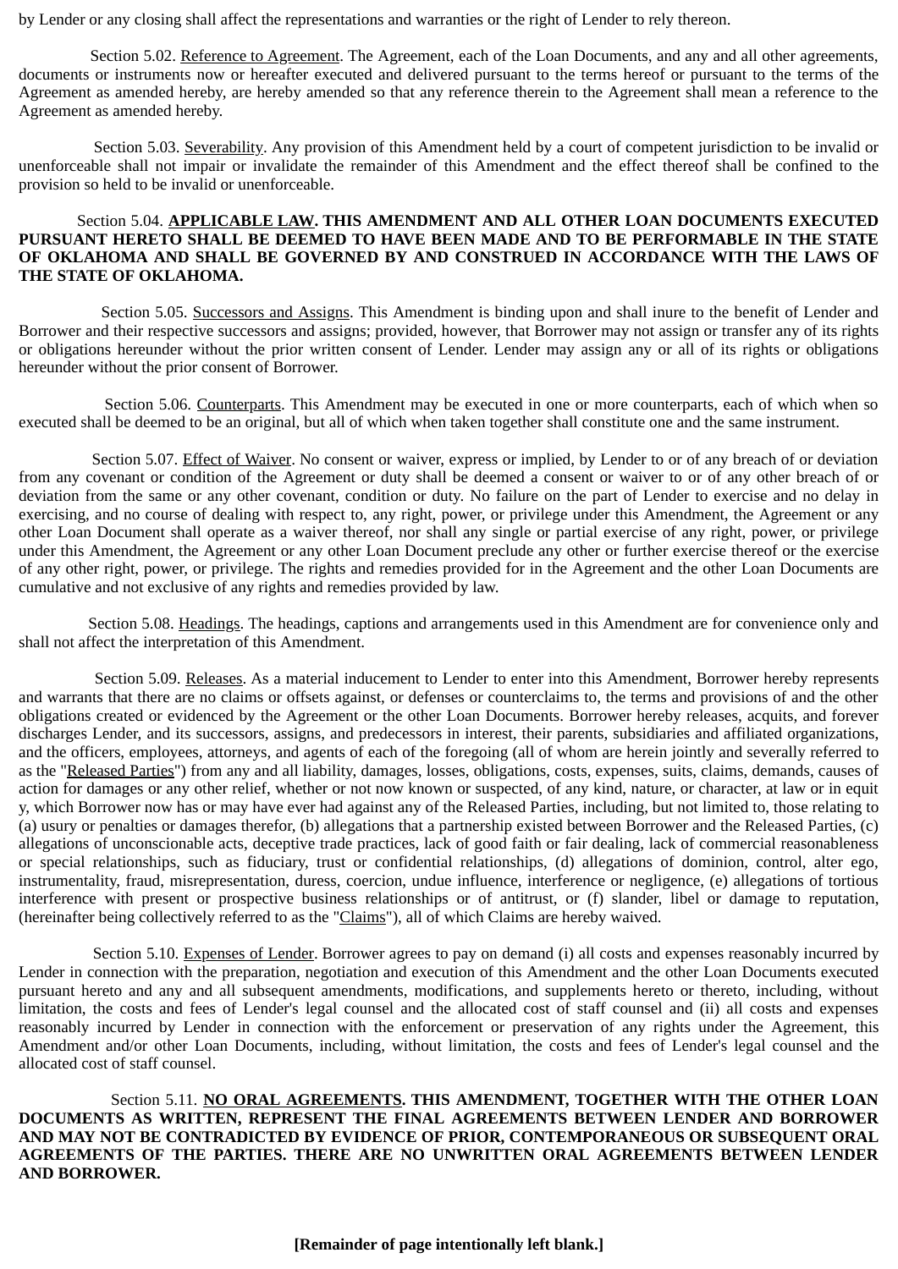by Lender or any closing shall affect the representations and warranties or the right of Lender to rely thereon.

Section 5.02. Reference to Agreement. The Agreement, each of the Loan Documents, and any and all other agreements, documents or instruments now or hereafter executed and delivered pursuant to the terms hereof or pursuant to the terms of the Agreement as amended hereby, are hereby amended so that any reference therein to the Agreement shall mean a reference to the Agreement as amended hereby.

Section 5.03. Severability. Any provision of this Amendment held by a court of competent jurisdiction to be invalid or unenforceable shall not impair or invalidate the remainder of this Amendment and the effect thereof shall be confined to the provision so held to be invalid or unenforceable.

## Section 5.04. **APPLICABLE LAW. THIS AMENDMENT AND ALL OTHER LOAN DOCUMENTS EXECUTED PURSUANT HERETO SHALL BE DEEMED TO HAVE BEEN MADE AND TO BE PERFORMABLE IN THE STATE OF OKLAHOMA AND SHALL BE GOVERNED BY AND CONSTRUED IN ACCORDANCE WITH THE LAWS OF THE STATE OF OKLAHOMA.**

Section 5.05. Successors and Assigns. This Amendment is binding upon and shall inure to the benefit of Lender and Borrower and their respective successors and assigns; provided, however, that Borrower may not assign or transfer any of its rights or obligations hereunder without the prior written consent of Lender. Lender may assign any or all of its rights or obligations hereunder without the prior consent of Borrower.

Section 5.06. Counterparts. This Amendment may be executed in one or more counterparts, each of which when so executed shall be deemed to be an original, but all of which when taken together shall constitute one and the same instrument.

Section 5.07. Effect of Waiver. No consent or waiver, express or implied, by Lender to or of any breach of or deviation from any covenant or condition of the Agreement or duty shall be deemed a consent or waiver to or of any other breach of or deviation from the same or any other covenant, condition or duty. No failure on the part of Lender to exercise and no delay in exercising, and no course of dealing with respect to, any right, power, or privilege under this Amendment, the Agreement or any other Loan Document shall operate as a waiver thereof, nor shall any single or partial exercise of any right, power, or privilege under this Amendment, the Agreement or any other Loan Document preclude any other or further exercise thereof or the exercise of any other right, power, or privilege. The rights and remedies provided for in the Agreement and the other Loan Documents are cumulative and not exclusive of any rights and remedies provided by law.

Section 5.08. Headings. The headings, captions and arrangements used in this Amendment are for convenience only and shall not affect the interpretation of this Amendment.

Section 5.09. Releases. As a material inducement to Lender to enter into this Amendment, Borrower hereby represents and warrants that there are no claims or offsets against, or defenses or counterclaims to, the terms and provisions of and the other obligations created or evidenced by the Agreement or the other Loan Documents. Borrower hereby releases, acquits, and forever discharges Lender, and its successors, assigns, and predecessors in interest, their parents, subsidiaries and affiliated organizations, and the officers, employees, attorneys, and agents of each of the foregoing (all of whom are herein jointly and severally referred to as the "Released Parties") from any and all liability, damages, losses, obligations, costs, expenses, suits, claims, demands, causes of action for damages or any other relief, whether or not now known or suspected, of any kind, nature, or character, at law or in equit y, which Borrower now has or may have ever had against any of the Released Parties, including, but not limited to, those relating to (a) usury or penalties or damages therefor, (b) allegations that a partnership existed between Borrower and the Released Parties, (c) allegations of unconscionable acts, deceptive trade practices, lack of good faith or fair dealing, lack of commercial reasonableness or special relationships, such as fiduciary, trust or confidential relationships, (d) allegations of dominion, control, alter ego, instrumentality, fraud, misrepresentation, duress, coercion, undue influence, interference or negligence, (e) allegations of tortious interference with present or prospective business relationships or of antitrust, or (f) slander, libel or damage to reputation, (hereinafter being collectively referred to as the "Claims"), all of which Claims are hereby waived.

Section 5.10. Expenses of Lender. Borrower agrees to pay on demand (i) all costs and expenses reasonably incurred by Lender in connection with the preparation, negotiation and execution of this Amendment and the other Loan Documents executed pursuant hereto and any and all subsequent amendments, modifications, and supplements hereto or thereto, including, without limitation, the costs and fees of Lender's legal counsel and the allocated cost of staff counsel and (ii) all costs and expenses reasonably incurred by Lender in connection with the enforcement or preservation of any rights under the Agreement, this Amendment and/or other Loan Documents, including, without limitation, the costs and fees of Lender's legal counsel and the allocated cost of staff counsel.

Section 5.11. **NO ORAL AGREEMENTS. THIS AMENDMENT, TOGETHER WITH THE OTHER LOAN DOCUMENTS AS WRITTEN, REPRESENT THE FINAL AGREEMENTS BETWEEN LENDER AND BORROWER AND MAY NOT BE CONTRADICTED BY EVIDENCE OF PRIOR, CONTEMPORANEOUS OR SUBSEQUENT ORAL AGREEMENTS OF THE PARTIES. THERE ARE NO UNWRITTEN ORAL AGREEMENTS BETWEEN LENDER AND BORROWER.**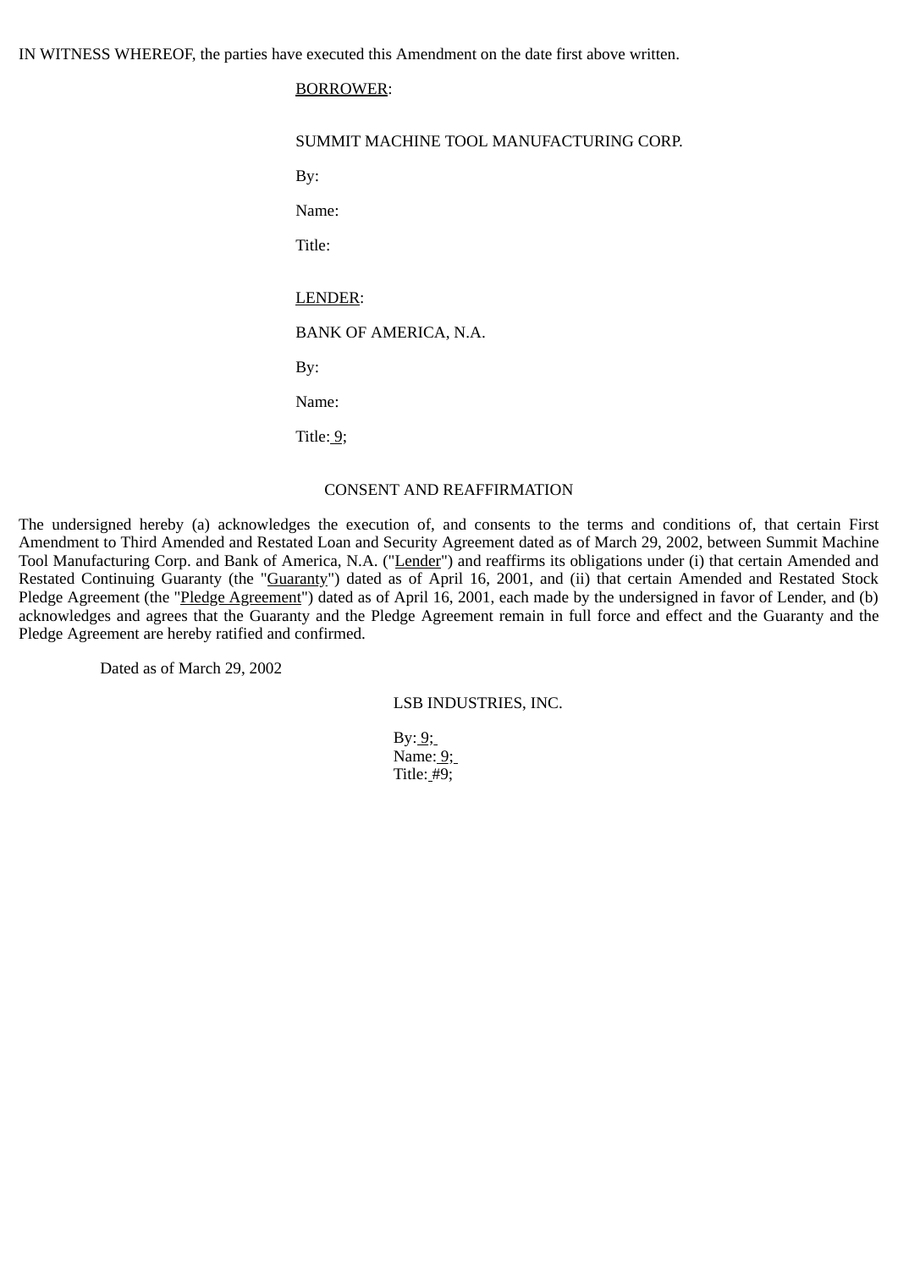IN WITNESS WHEREOF, the parties have executed this Amendment on the date first above written.

# BORROWER:

| SUMMIT MACHINE TOOL MANUFACTURING CORP. |
|-----------------------------------------|
| By:                                     |
| Name:                                   |
| Title:                                  |
|                                         |
| LENDER:                                 |
| BANK OF AMERICA, N.A.                   |
| By:                                     |
| Name:                                   |
| Title: $9$ ;                            |
|                                         |

# CONSENT AND REAFFIRMATION

The undersigned hereby (a) acknowledges the execution of, and consents to the terms and conditions of, that certain First Amendment to Third Amended and Restated Loan and Security Agreement dated as of March 29, 2002, between Summit Machine Tool Manufacturing Corp. and Bank of America, N.A. ("Lender") and reaffirms its obligations under (i) that certain Amended and Restated Continuing Guaranty (the "Guaranty") dated as of April 16, 2001, and (ii) that certain Amended and Restated Stock Pledge Agreement (the "Pledge Agreement") dated as of April 16, 2001, each made by the undersigned in favor of Lender, and (b) acknowledges and agrees that the Guaranty and the Pledge Agreement remain in full force and effect and the Guaranty and the Pledge Agreement are hereby ratified and confirmed.

Dated as of March 29, 2002

LSB INDUSTRIES, INC.

 $By: 9;$  Name: 9; Title: #9;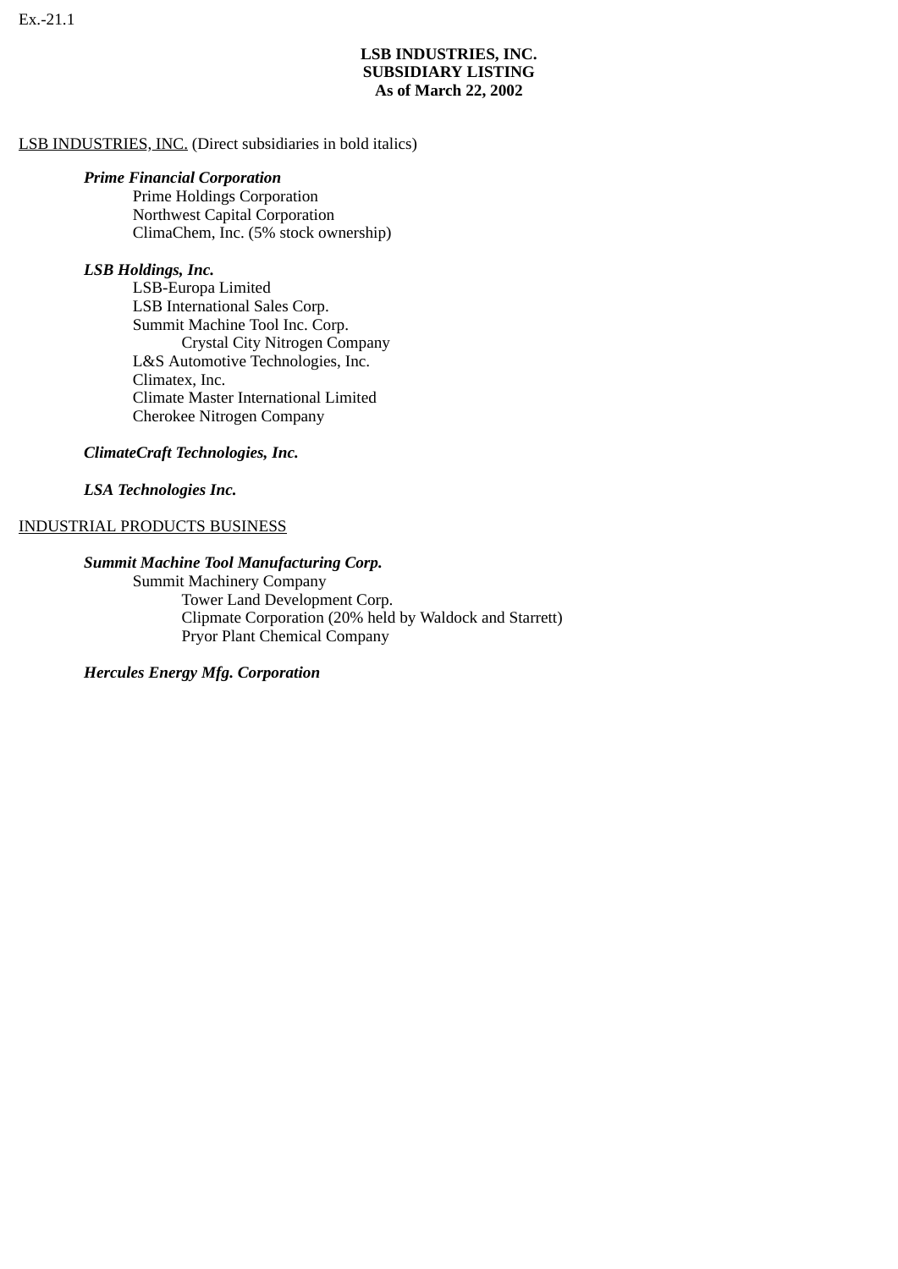# **LSB INDUSTRIES, INC. SUBSIDIARY LISTING As of March 22, 2002**

# LSB INDUSTRIES, INC. (Direct subsidiaries in bold italics)

# *Prime Financial Corporation*

Prime Holdings Corporation Northwest Capital Corporation ClimaChem, Inc. (5% stock ownership)

# *LSB Holdings, Inc.*

LSB-Europa Limited LSB International Sales Corp. Summit Machine Tool Inc. Corp. Crystal City Nitrogen Company L&S Automotive Technologies, Inc. Climatex, Inc. Climate Master International Limited Cherokee Nitrogen Company

# *ClimateCraft Technologies, Inc.*

# *LSA Technologies Inc.*

# INDUSTRIAL PRODUCTS BUSINESS

# *Summit Machine Tool Manufacturing Corp.*

**Summit Machinery Company** 

 Tower Land Development Corp. Clipmate Corporation (20% held by Waldock and Starrett) Pryor Plant Chemical Company

 *Hercules Energy Mfg. Corporation*